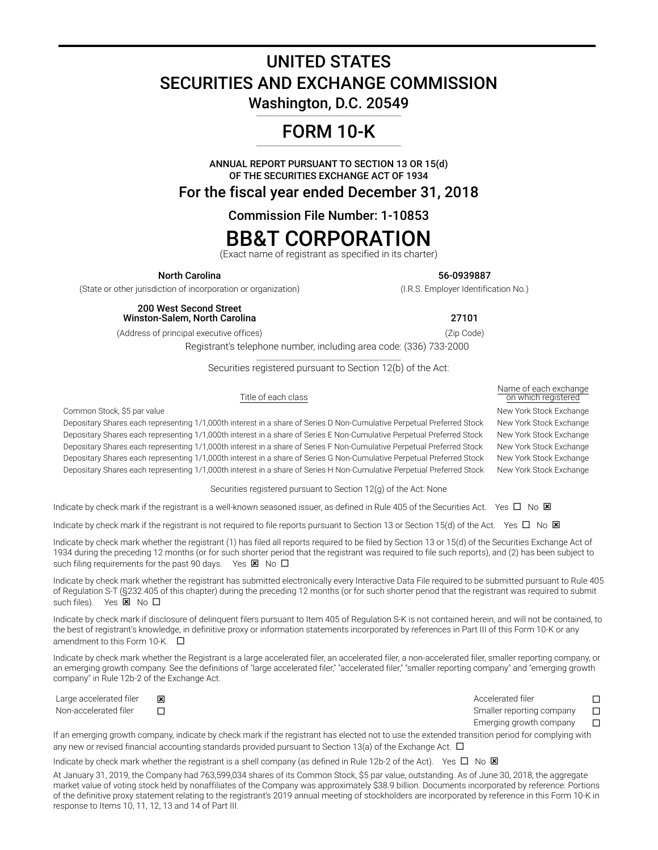# **UNITED STATES SECURITIES AND EXCHANGE COMMISSION**

#### **Washington, D.C. 20549 \_\_\_\_\_\_\_\_\_\_\_\_\_\_\_\_\_\_\_\_\_\_\_\_\_\_\_\_\_\_\_\_\_\_\_\_\_\_\_\_\_\_\_\_\_\_\_\_\_\_\_\_**

# **FORM 10-K \_\_\_\_\_\_\_\_\_\_\_\_\_\_\_\_\_\_\_\_\_\_\_\_\_\_\_\_\_\_\_\_\_\_\_\_\_\_\_\_\_\_\_\_\_\_\_\_\_\_\_\_**

**ANNUAL REPORT PURSUANT TO SECTION 13 OR 15(d) OF THE SECURITIES EXCHANGE ACT OF 1934**

**For the fiscal year ended December 31, 2018**

**Commission File Number: 1-10853**

# **BB&T CORPORATION**

**(Exact name of registrant as specified in its charter)**

**North Carolina 56-0939887**

**(State or other jurisdiction of incorporation or organization) (I.R.S. Employer Identification No.)**

#### **200 West Second Street Winston-Salem, North Carolina 27101**

**(Address of principal executive offices) (Zip Code)**

**Registrant's telephone number, including area code: (336) 733-2000**

**\_\_\_\_\_\_\_\_\_\_\_\_\_\_\_\_\_\_\_\_\_\_\_\_\_\_\_\_\_\_\_\_\_\_\_\_\_\_\_\_\_\_\_\_\_\_\_\_\_\_\_\_ Securities registered pursuant to Section 12(b) of the Act:**

#### **Title of each class**

Depositary Shares each representing 1/1,000th interest in a share of Series D Non-Cumulative Perpetual Preferred Stock New York Stock Exchange Depositary Shares each representing 1/1,000th interest in a share of Series E Non-Cumulative Perpetual Preferred Stock New York Stock Exchange Depositary Shares each representing 1/1,000th interest in a share of Series F Non-Cumulative Perpetual Preferred Stock New York Stock Exchange Depositary Shares each representing 1/1,000th interest in a share of Series G Non-Cumulative Perpetual Preferred Stock New York Stock Exchange Depositary Shares each representing 1/1,000th interest in a share of Series H Non-Cumulative Perpetual Preferred Stock New York Stock Exchange

Securities registered pursuant to Section 12(g) of the Act: None

Indicate by check mark if the registrant is a well-known seasoned issuer, as defined in Rule 405 of the Securities Act. Yes  $\Box$  No  $\boxtimes$ 

Indicate by check mark if the registrant is not required to file reports pursuant to Section 13 or Section 15(d) of the Act. Yes  $\Box$  No  $\boxtimes$ 

Indicate by check mark whether the registrant (1) has filed all reports required to be filed by Section 13 or 15(d) of the Securities Exchange Act of 1934 during the preceding 12 months (or for such shorter period that the registrant was required to file such reports), and (2) has been subject to such filing requirements for the past 90 days. Yes  $\boxtimes$  No  $\Box$ 

Indicate by check mark whether the registrant has submitted electronically every Interactive Data File required to be submitted pursuant to Rule 405 of Regulation S-T (§232.405 of this chapter) during the preceding 12 months (or for such shorter period that the registrant was required to submit such files). Yes  $\boxtimes$  No  $\square$ 

Indicate by check mark if disclosure of delinquent filers pursuant to Item 405 of Regulation S-K is not contained herein, and will not be contained, to the best of registrant's knowledge, in definitive proxy or information statements incorporated by references in Part III of this Form 10-K or any amendment to this Form 10-K.  $\square$ 

Indicate by check mark whether the Registrant is a large accelerated filer, an accelerated filer, a non-accelerated filer, smaller reporting company, or an emerging growth company. See the definitions of "large accelerated filer," "accelerated filer," "smaller reporting company" and "emerging growth company" in Rule 12b-2 of the Exchange Act.

Large accelerated filer  $\qquad \qquad \blacksquare$ Non-accelerated filer ¨ Smaller reporting company ¨

Emerging growth company  $\square$ 

If an emerging growth company, indicate by check mark if the registrant has elected not to use the extended transition period for complying with any new or revised financial accounting standards provided pursuant to Section 13(a) of the Exchange Act.  $\Box$ 

Indicate by check mark whether the registrant is a shell company (as defined in Rule 12b-2 of the Act). Yes  $\Box$  No  $\boxtimes$ 

At January 31, 2019, the Company had 763,599,034 shares of its Common Stock, \$5 par value, outstanding. As of June 30, 2018, the aggregate market value of voting stock held by nonaffiliates of the Company was approximately \$38.9 billion. Documents incorporated by reference: Portions of the definitive proxy statement relating to the registrant's 2019 annual meeting of stockholders are incorporated by reference in this Form 10-K in response to Items 10, 11, 12, 13 and 14 of Part III.

Common Stock, S5 par value New York Stock Exchange New York Stock Exchange

**Name of each exchange**

**on which registered**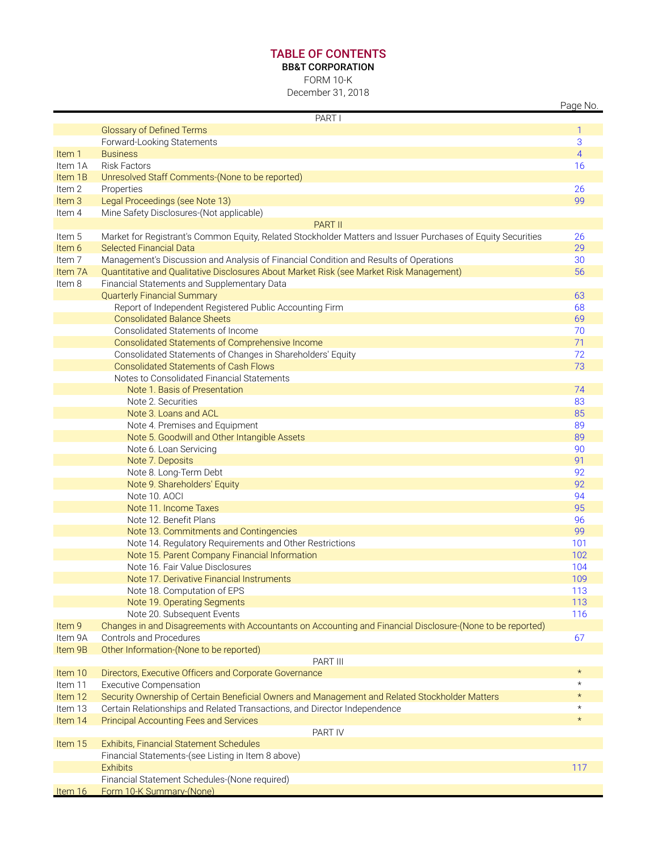# **TABLE OF CONTENTS**

**BB&T CORPORATION**

FORM 10-K

December 31, 2018

|                   |                                                                                                              | Page No.       |
|-------------------|--------------------------------------------------------------------------------------------------------------|----------------|
|                   | PART I                                                                                                       |                |
|                   | <b>Glossary of Defined Terms</b>                                                                             | 1              |
|                   | Forward-Looking Statements                                                                                   | 3              |
|                   |                                                                                                              |                |
| Item 1            | <b>Business</b>                                                                                              | $\overline{4}$ |
| Item 1A           | <b>Risk Factors</b>                                                                                          | 16             |
| Item 1B           | Unresolved Staff Comments-(None to be reported)                                                              |                |
| Item 2            | Properties                                                                                                   | 26             |
| Item <sub>3</sub> | Legal Proceedings (see Note 13)                                                                              | 99             |
| Item 4            | Mine Safety Disclosures-(Not applicable)                                                                     |                |
|                   | <b>PART II</b>                                                                                               |                |
|                   |                                                                                                              |                |
| Item 5            | Market for Registrant's Common Equity, Related Stockholder Matters and Issuer Purchases of Equity Securities | 26             |
| Item 6            | <b>Selected Financial Data</b>                                                                               | 29             |
| Item 7            | Management's Discussion and Analysis of Financial Condition and Results of Operations                        | 30             |
| Item 7A           | Quantitative and Qualitative Disclosures About Market Risk (see Market Risk Management)                      | 56             |
| Item 8            | Financial Statements and Supplementary Data                                                                  |                |
|                   | <b>Quarterly Financial Summary</b>                                                                           | 63             |
|                   | Report of Independent Registered Public Accounting Firm                                                      | 68             |
|                   | <b>Consolidated Balance Sheets</b>                                                                           | 69             |
|                   |                                                                                                              |                |
|                   | Consolidated Statements of Income                                                                            | 70             |
|                   | Consolidated Statements of Comprehensive Income                                                              | 71             |
|                   | Consolidated Statements of Changes in Shareholders' Equity                                                   | 72             |
|                   | <b>Consolidated Statements of Cash Flows</b>                                                                 | 73             |
|                   | Notes to Consolidated Financial Statements                                                                   |                |
|                   | Note 1. Basis of Presentation                                                                                | 74             |
|                   | Note 2. Securities                                                                                           | 83             |
|                   |                                                                                                              |                |
|                   | Note 3. Loans and ACL                                                                                        | 85             |
|                   | Note 4. Premises and Equipment                                                                               | 89             |
|                   | Note 5. Goodwill and Other Intangible Assets                                                                 | 89             |
|                   | Note 6. Loan Servicing                                                                                       | 90             |
|                   | Note 7. Deposits                                                                                             | 91             |
|                   | Note 8. Long-Term Debt                                                                                       | 92             |
|                   | Note 9. Shareholders' Equity                                                                                 | 92             |
|                   | Note 10. AOCI                                                                                                | 94             |
|                   |                                                                                                              |                |
|                   | Note 11. Income Taxes                                                                                        | 95             |
|                   | Note 12. Benefit Plans                                                                                       | 96             |
|                   | Note 13. Commitments and Contingencies                                                                       | 99             |
|                   | Note 14. Regulatory Requirements and Other Restrictions                                                      | 101            |
|                   | Note 15. Parent Company Financial Information                                                                | 102            |
|                   | Note 16. Fair Value Disclosures                                                                              | 104            |
|                   | Note 17. Derivative Financial Instruments                                                                    | 109            |
|                   |                                                                                                              |                |
|                   | Note 18. Computation of EPS                                                                                  | 113            |
|                   | Note 19. Operating Segments                                                                                  | 113            |
|                   | Note 20. Subsequent Events                                                                                   | 116            |
| Item 9            | Changes in and Disagreements with Accountants on Accounting and Financial Disclosure-(None to be reported)   |                |
| Item 9A           | <b>Controls and Procedures</b>                                                                               | 67             |
| Item 9B           | Other Information-(None to be reported)                                                                      |                |
|                   | PART III                                                                                                     |                |
|                   |                                                                                                              | $\star$        |
| Item 10           | Directors, Executive Officers and Corporate Governance                                                       | $^{\star}$     |
| Item 11           | <b>Executive Compensation</b>                                                                                |                |
| Item 12           | Security Ownership of Certain Beneficial Owners and Management and Related Stockholder Matters               | $\star$        |
| Item 13           | Certain Relationships and Related Transactions, and Director Independence                                    | $^{\star}$     |
| Item 14           | <b>Principal Accounting Fees and Services</b>                                                                | $\star$        |
|                   | PART IV                                                                                                      |                |
| Item 15           | Exhibits, Financial Statement Schedules                                                                      |                |
|                   | Financial Statements-(see Listing in Item 8 above)                                                           |                |
|                   |                                                                                                              |                |
|                   | <b>Exhibits</b>                                                                                              | 117            |
|                   | Financial Statement Schedules-(None required)                                                                |                |
| Item 16           | Form 10-K Summary-(None)                                                                                     |                |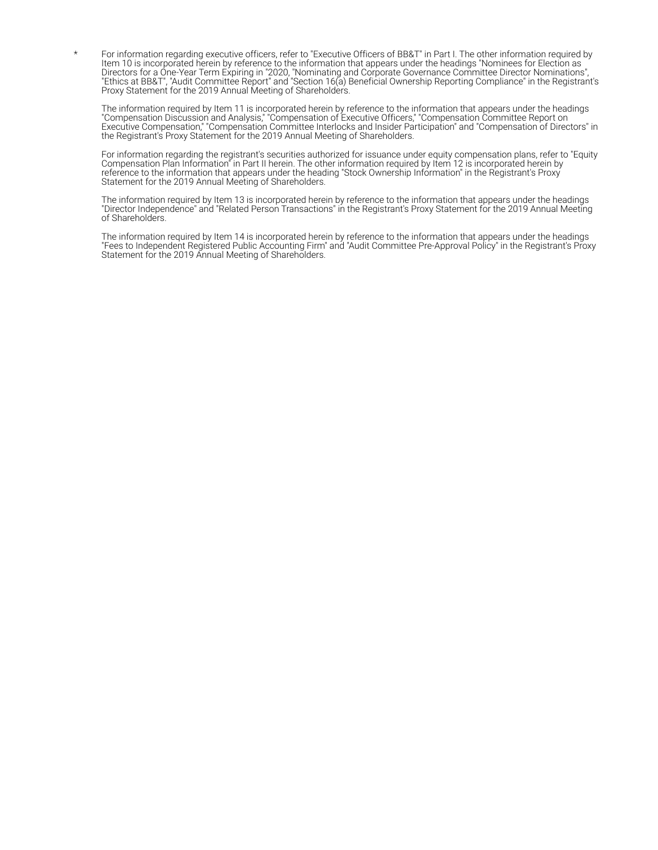\* For information regarding executive officers, refer to "Executive Officers of BB&T" in Part I. The other information required by Item 10 is incorporated herein by reference to the information that appears under the headings "Nominees for Election as Directors for a One-Year Term Expiring in "2020, "Nominating and Corporate Governance Committee Director Nominations", "Ethics at BB&T", "Audit Committee Report" and "Section 16(a) Beneficial Ownership Reporting Compliance" in the Registrant's Proxy Statement for the 2019 Annual Meeting of Shareholders.

The information required by Item 11 is incorporated herein by reference to the information that appears under the headings "Compensation Discussion and Analysis," "Compensation of Executive Officers," "Compensation Committee Report on Executive Compensation," "Compensation Committee Interlocks and Insider Participation" and "Compensation of Directors" in the Registrant's Proxy Statement for the 2019 Annual Meeting of Shareholders.

For information regarding the registrant's securities authorized for issuance under equity compensation plans, refer to "Equity Compensation Plan Information" in Part II herein. The other information required by Item 12 is incorporated herein by reference to the information that appears under the heading "Stock Ownership Information" in the Registrant's Proxy Statement for the 2019 Annual Meeting of Shareholders.

The information required by Item 13 is incorporated herein by reference to the information that appears under the headings "Director Independence" and "Related Person Transactions" in the Registrant's Proxy Statement for the 2019 Annual Meeting of Shareholders.

The information required by Item 14 is incorporated herein by reference to the information that appears under the headings "Fees to Independent Registered Public Accounting Firm" and "Audit Committee Pre-Approval Policy" in the Registrant's Proxy Statement for the 2019 Annual Meeting of Shareholders.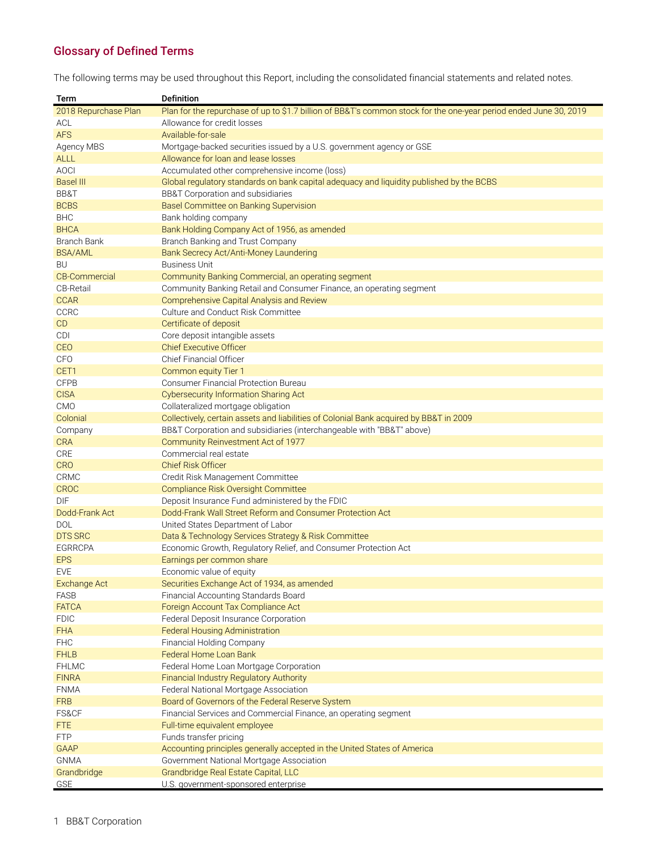# <span id="page-3-0"></span>**Glossary of Defined Terms**

The following terms may be used throughout this Report, including the consolidated financial statements and related notes.

| 2018 Repurchase Plan<br>Plan for the repurchase of up to \$1.7 billion of BB&T's common stock for the one-year period ended June 30, 2019<br>Allowance for credit losses<br>ACL<br><b>AFS</b><br>Available-for-sale<br>Mortgage-backed securities issued by a U.S. government agency or GSE<br>Agency MBS<br>Allowance for loan and lease losses<br><b>ALLL</b><br><b>AOCI</b><br>Accumulated other comprehensive income (loss)<br><b>Basel III</b><br>Global regulatory standards on bank capital adequacy and liquidity published by the BCBS<br>BB&T<br>BB&T Corporation and subsidiaries<br><b>BCBS</b><br>Basel Committee on Banking Supervision<br><b>BHC</b><br>Bank holding company<br><b>BHCA</b><br>Bank Holding Company Act of 1956, as amended<br>Branch Banking and Trust Company<br>Branch Bank<br><b>BSA/AML</b><br>Bank Secrecy Act/Anti-Money Laundering<br><b>Business Unit</b><br>BU<br><b>CB-Commercial</b><br>Community Banking Commercial, an operating segment<br>CB-Retail<br>Community Banking Retail and Consumer Finance, an operating segment<br><b>CCAR</b><br>Comprehensive Capital Analysis and Review<br>CCRC<br>Culture and Conduct Risk Committee<br><b>CD</b><br>Certificate of deposit<br><b>CDI</b><br>Core deposit intangible assets<br><b>Chief Executive Officer</b><br><b>CEO</b><br>Chief Financial Officer<br><b>CFO</b><br>CET <sub>1</sub><br>Common equity Tier 1<br><b>CFPB</b><br><b>Consumer Financial Protection Bureau</b><br><b>CISA</b><br>Cybersecurity Information Sharing Act<br>CMO<br>Collateralized mortgage obligation<br>Collectively, certain assets and liabilities of Colonial Bank acquired by BB&T in 2009<br>Colonial<br>BB&T Corporation and subsidiaries (interchangeable with "BB&T" above)<br>Company<br><b>CRA</b><br>Community Reinvestment Act of 1977<br>CRE<br>Commercial real estate<br><b>CRO</b><br><b>Chief Risk Officer</b><br>CRMC<br>Credit Risk Management Committee<br><b>CROC</b><br>Compliance Risk Oversight Committee<br>DIF<br>Deposit Insurance Fund administered by the FDIC<br>Dodd-Frank Wall Street Reform and Consumer Protection Act<br>Dodd-Frank Act<br><b>DOL</b><br>United States Department of Labor<br><b>DTS SRC</b><br>Data & Technology Services Strategy & Risk Committee<br><b>EGRRCPA</b><br>Economic Growth, Regulatory Relief, and Consumer Protection Act<br><b>EPS</b><br>Earnings per common share<br>EVE<br>Economic value of equity<br>Securities Exchange Act of 1934, as amended<br><b>Exchange Act</b><br><b>FASB</b><br>Financial Accounting Standards Board<br><b>FATCA</b><br>Foreign Account Tax Compliance Act<br><b>FDIC</b><br>Federal Deposit Insurance Corporation<br>Federal Housing Administration<br><b>FHA</b><br><b>FHC</b><br>Financial Holding Company<br><b>FHLB</b><br>Federal Home Loan Bank<br><b>FHLMC</b><br>Federal Home Loan Mortgage Corporation<br><b>FINRA</b><br>Financial Industry Regulatory Authority<br><b>FNMA</b><br>Federal National Mortgage Association<br><b>FRB</b><br>Board of Governors of the Federal Reserve System<br>FS&CF<br>Financial Services and Commercial Finance, an operating segment<br><b>FTE</b><br>Full-time equivalent employee<br><b>FTP</b><br>Funds transfer pricing<br><b>GAAP</b><br>Accounting principles generally accepted in the United States of America<br><b>GNMA</b><br>Government National Mortgage Association<br>Grandbridge Real Estate Capital, LLC<br>Grandbridge | Term       | <b>Definition</b>                    |
|-----------------------------------------------------------------------------------------------------------------------------------------------------------------------------------------------------------------------------------------------------------------------------------------------------------------------------------------------------------------------------------------------------------------------------------------------------------------------------------------------------------------------------------------------------------------------------------------------------------------------------------------------------------------------------------------------------------------------------------------------------------------------------------------------------------------------------------------------------------------------------------------------------------------------------------------------------------------------------------------------------------------------------------------------------------------------------------------------------------------------------------------------------------------------------------------------------------------------------------------------------------------------------------------------------------------------------------------------------------------------------------------------------------------------------------------------------------------------------------------------------------------------------------------------------------------------------------------------------------------------------------------------------------------------------------------------------------------------------------------------------------------------------------------------------------------------------------------------------------------------------------------------------------------------------------------------------------------------------------------------------------------------------------------------------------------------------------------------------------------------------------------------------------------------------------------------------------------------------------------------------------------------------------------------------------------------------------------------------------------------------------------------------------------------------------------------------------------------------------------------------------------------------------------------------------------------------------------------------------------------------------------------------------------------------------------------------------------------------------------------------------------------------------------------------------------------------------------------------------------------------------------------------------------------------------------------------------------------------------------------------------------------------------------------------------------------------------------------------------------------------------------------------------------------------------------------------------------------------------------------------------------------------------------------------------------------------------------------------------------------------------------------------------------------------------------------------------------------|------------|--------------------------------------|
|                                                                                                                                                                                                                                                                                                                                                                                                                                                                                                                                                                                                                                                                                                                                                                                                                                                                                                                                                                                                                                                                                                                                                                                                                                                                                                                                                                                                                                                                                                                                                                                                                                                                                                                                                                                                                                                                                                                                                                                                                                                                                                                                                                                                                                                                                                                                                                                                                                                                                                                                                                                                                                                                                                                                                                                                                                                                                                                                                                                                                                                                                                                                                                                                                                                                                                                                                                                                                                                                       |            |                                      |
|                                                                                                                                                                                                                                                                                                                                                                                                                                                                                                                                                                                                                                                                                                                                                                                                                                                                                                                                                                                                                                                                                                                                                                                                                                                                                                                                                                                                                                                                                                                                                                                                                                                                                                                                                                                                                                                                                                                                                                                                                                                                                                                                                                                                                                                                                                                                                                                                                                                                                                                                                                                                                                                                                                                                                                                                                                                                                                                                                                                                                                                                                                                                                                                                                                                                                                                                                                                                                                                                       |            |                                      |
|                                                                                                                                                                                                                                                                                                                                                                                                                                                                                                                                                                                                                                                                                                                                                                                                                                                                                                                                                                                                                                                                                                                                                                                                                                                                                                                                                                                                                                                                                                                                                                                                                                                                                                                                                                                                                                                                                                                                                                                                                                                                                                                                                                                                                                                                                                                                                                                                                                                                                                                                                                                                                                                                                                                                                                                                                                                                                                                                                                                                                                                                                                                                                                                                                                                                                                                                                                                                                                                                       |            |                                      |
|                                                                                                                                                                                                                                                                                                                                                                                                                                                                                                                                                                                                                                                                                                                                                                                                                                                                                                                                                                                                                                                                                                                                                                                                                                                                                                                                                                                                                                                                                                                                                                                                                                                                                                                                                                                                                                                                                                                                                                                                                                                                                                                                                                                                                                                                                                                                                                                                                                                                                                                                                                                                                                                                                                                                                                                                                                                                                                                                                                                                                                                                                                                                                                                                                                                                                                                                                                                                                                                                       |            |                                      |
|                                                                                                                                                                                                                                                                                                                                                                                                                                                                                                                                                                                                                                                                                                                                                                                                                                                                                                                                                                                                                                                                                                                                                                                                                                                                                                                                                                                                                                                                                                                                                                                                                                                                                                                                                                                                                                                                                                                                                                                                                                                                                                                                                                                                                                                                                                                                                                                                                                                                                                                                                                                                                                                                                                                                                                                                                                                                                                                                                                                                                                                                                                                                                                                                                                                                                                                                                                                                                                                                       |            |                                      |
|                                                                                                                                                                                                                                                                                                                                                                                                                                                                                                                                                                                                                                                                                                                                                                                                                                                                                                                                                                                                                                                                                                                                                                                                                                                                                                                                                                                                                                                                                                                                                                                                                                                                                                                                                                                                                                                                                                                                                                                                                                                                                                                                                                                                                                                                                                                                                                                                                                                                                                                                                                                                                                                                                                                                                                                                                                                                                                                                                                                                                                                                                                                                                                                                                                                                                                                                                                                                                                                                       |            |                                      |
|                                                                                                                                                                                                                                                                                                                                                                                                                                                                                                                                                                                                                                                                                                                                                                                                                                                                                                                                                                                                                                                                                                                                                                                                                                                                                                                                                                                                                                                                                                                                                                                                                                                                                                                                                                                                                                                                                                                                                                                                                                                                                                                                                                                                                                                                                                                                                                                                                                                                                                                                                                                                                                                                                                                                                                                                                                                                                                                                                                                                                                                                                                                                                                                                                                                                                                                                                                                                                                                                       |            |                                      |
|                                                                                                                                                                                                                                                                                                                                                                                                                                                                                                                                                                                                                                                                                                                                                                                                                                                                                                                                                                                                                                                                                                                                                                                                                                                                                                                                                                                                                                                                                                                                                                                                                                                                                                                                                                                                                                                                                                                                                                                                                                                                                                                                                                                                                                                                                                                                                                                                                                                                                                                                                                                                                                                                                                                                                                                                                                                                                                                                                                                                                                                                                                                                                                                                                                                                                                                                                                                                                                                                       |            |                                      |
|                                                                                                                                                                                                                                                                                                                                                                                                                                                                                                                                                                                                                                                                                                                                                                                                                                                                                                                                                                                                                                                                                                                                                                                                                                                                                                                                                                                                                                                                                                                                                                                                                                                                                                                                                                                                                                                                                                                                                                                                                                                                                                                                                                                                                                                                                                                                                                                                                                                                                                                                                                                                                                                                                                                                                                                                                                                                                                                                                                                                                                                                                                                                                                                                                                                                                                                                                                                                                                                                       |            |                                      |
|                                                                                                                                                                                                                                                                                                                                                                                                                                                                                                                                                                                                                                                                                                                                                                                                                                                                                                                                                                                                                                                                                                                                                                                                                                                                                                                                                                                                                                                                                                                                                                                                                                                                                                                                                                                                                                                                                                                                                                                                                                                                                                                                                                                                                                                                                                                                                                                                                                                                                                                                                                                                                                                                                                                                                                                                                                                                                                                                                                                                                                                                                                                                                                                                                                                                                                                                                                                                                                                                       |            |                                      |
|                                                                                                                                                                                                                                                                                                                                                                                                                                                                                                                                                                                                                                                                                                                                                                                                                                                                                                                                                                                                                                                                                                                                                                                                                                                                                                                                                                                                                                                                                                                                                                                                                                                                                                                                                                                                                                                                                                                                                                                                                                                                                                                                                                                                                                                                                                                                                                                                                                                                                                                                                                                                                                                                                                                                                                                                                                                                                                                                                                                                                                                                                                                                                                                                                                                                                                                                                                                                                                                                       |            |                                      |
|                                                                                                                                                                                                                                                                                                                                                                                                                                                                                                                                                                                                                                                                                                                                                                                                                                                                                                                                                                                                                                                                                                                                                                                                                                                                                                                                                                                                                                                                                                                                                                                                                                                                                                                                                                                                                                                                                                                                                                                                                                                                                                                                                                                                                                                                                                                                                                                                                                                                                                                                                                                                                                                                                                                                                                                                                                                                                                                                                                                                                                                                                                                                                                                                                                                                                                                                                                                                                                                                       |            |                                      |
|                                                                                                                                                                                                                                                                                                                                                                                                                                                                                                                                                                                                                                                                                                                                                                                                                                                                                                                                                                                                                                                                                                                                                                                                                                                                                                                                                                                                                                                                                                                                                                                                                                                                                                                                                                                                                                                                                                                                                                                                                                                                                                                                                                                                                                                                                                                                                                                                                                                                                                                                                                                                                                                                                                                                                                                                                                                                                                                                                                                                                                                                                                                                                                                                                                                                                                                                                                                                                                                                       |            |                                      |
|                                                                                                                                                                                                                                                                                                                                                                                                                                                                                                                                                                                                                                                                                                                                                                                                                                                                                                                                                                                                                                                                                                                                                                                                                                                                                                                                                                                                                                                                                                                                                                                                                                                                                                                                                                                                                                                                                                                                                                                                                                                                                                                                                                                                                                                                                                                                                                                                                                                                                                                                                                                                                                                                                                                                                                                                                                                                                                                                                                                                                                                                                                                                                                                                                                                                                                                                                                                                                                                                       |            |                                      |
|                                                                                                                                                                                                                                                                                                                                                                                                                                                                                                                                                                                                                                                                                                                                                                                                                                                                                                                                                                                                                                                                                                                                                                                                                                                                                                                                                                                                                                                                                                                                                                                                                                                                                                                                                                                                                                                                                                                                                                                                                                                                                                                                                                                                                                                                                                                                                                                                                                                                                                                                                                                                                                                                                                                                                                                                                                                                                                                                                                                                                                                                                                                                                                                                                                                                                                                                                                                                                                                                       |            |                                      |
|                                                                                                                                                                                                                                                                                                                                                                                                                                                                                                                                                                                                                                                                                                                                                                                                                                                                                                                                                                                                                                                                                                                                                                                                                                                                                                                                                                                                                                                                                                                                                                                                                                                                                                                                                                                                                                                                                                                                                                                                                                                                                                                                                                                                                                                                                                                                                                                                                                                                                                                                                                                                                                                                                                                                                                                                                                                                                                                                                                                                                                                                                                                                                                                                                                                                                                                                                                                                                                                                       |            |                                      |
|                                                                                                                                                                                                                                                                                                                                                                                                                                                                                                                                                                                                                                                                                                                                                                                                                                                                                                                                                                                                                                                                                                                                                                                                                                                                                                                                                                                                                                                                                                                                                                                                                                                                                                                                                                                                                                                                                                                                                                                                                                                                                                                                                                                                                                                                                                                                                                                                                                                                                                                                                                                                                                                                                                                                                                                                                                                                                                                                                                                                                                                                                                                                                                                                                                                                                                                                                                                                                                                                       |            |                                      |
|                                                                                                                                                                                                                                                                                                                                                                                                                                                                                                                                                                                                                                                                                                                                                                                                                                                                                                                                                                                                                                                                                                                                                                                                                                                                                                                                                                                                                                                                                                                                                                                                                                                                                                                                                                                                                                                                                                                                                                                                                                                                                                                                                                                                                                                                                                                                                                                                                                                                                                                                                                                                                                                                                                                                                                                                                                                                                                                                                                                                                                                                                                                                                                                                                                                                                                                                                                                                                                                                       |            |                                      |
|                                                                                                                                                                                                                                                                                                                                                                                                                                                                                                                                                                                                                                                                                                                                                                                                                                                                                                                                                                                                                                                                                                                                                                                                                                                                                                                                                                                                                                                                                                                                                                                                                                                                                                                                                                                                                                                                                                                                                                                                                                                                                                                                                                                                                                                                                                                                                                                                                                                                                                                                                                                                                                                                                                                                                                                                                                                                                                                                                                                                                                                                                                                                                                                                                                                                                                                                                                                                                                                                       |            |                                      |
|                                                                                                                                                                                                                                                                                                                                                                                                                                                                                                                                                                                                                                                                                                                                                                                                                                                                                                                                                                                                                                                                                                                                                                                                                                                                                                                                                                                                                                                                                                                                                                                                                                                                                                                                                                                                                                                                                                                                                                                                                                                                                                                                                                                                                                                                                                                                                                                                                                                                                                                                                                                                                                                                                                                                                                                                                                                                                                                                                                                                                                                                                                                                                                                                                                                                                                                                                                                                                                                                       |            |                                      |
|                                                                                                                                                                                                                                                                                                                                                                                                                                                                                                                                                                                                                                                                                                                                                                                                                                                                                                                                                                                                                                                                                                                                                                                                                                                                                                                                                                                                                                                                                                                                                                                                                                                                                                                                                                                                                                                                                                                                                                                                                                                                                                                                                                                                                                                                                                                                                                                                                                                                                                                                                                                                                                                                                                                                                                                                                                                                                                                                                                                                                                                                                                                                                                                                                                                                                                                                                                                                                                                                       |            |                                      |
|                                                                                                                                                                                                                                                                                                                                                                                                                                                                                                                                                                                                                                                                                                                                                                                                                                                                                                                                                                                                                                                                                                                                                                                                                                                                                                                                                                                                                                                                                                                                                                                                                                                                                                                                                                                                                                                                                                                                                                                                                                                                                                                                                                                                                                                                                                                                                                                                                                                                                                                                                                                                                                                                                                                                                                                                                                                                                                                                                                                                                                                                                                                                                                                                                                                                                                                                                                                                                                                                       |            |                                      |
|                                                                                                                                                                                                                                                                                                                                                                                                                                                                                                                                                                                                                                                                                                                                                                                                                                                                                                                                                                                                                                                                                                                                                                                                                                                                                                                                                                                                                                                                                                                                                                                                                                                                                                                                                                                                                                                                                                                                                                                                                                                                                                                                                                                                                                                                                                                                                                                                                                                                                                                                                                                                                                                                                                                                                                                                                                                                                                                                                                                                                                                                                                                                                                                                                                                                                                                                                                                                                                                                       |            |                                      |
|                                                                                                                                                                                                                                                                                                                                                                                                                                                                                                                                                                                                                                                                                                                                                                                                                                                                                                                                                                                                                                                                                                                                                                                                                                                                                                                                                                                                                                                                                                                                                                                                                                                                                                                                                                                                                                                                                                                                                                                                                                                                                                                                                                                                                                                                                                                                                                                                                                                                                                                                                                                                                                                                                                                                                                                                                                                                                                                                                                                                                                                                                                                                                                                                                                                                                                                                                                                                                                                                       |            |                                      |
|                                                                                                                                                                                                                                                                                                                                                                                                                                                                                                                                                                                                                                                                                                                                                                                                                                                                                                                                                                                                                                                                                                                                                                                                                                                                                                                                                                                                                                                                                                                                                                                                                                                                                                                                                                                                                                                                                                                                                                                                                                                                                                                                                                                                                                                                                                                                                                                                                                                                                                                                                                                                                                                                                                                                                                                                                                                                                                                                                                                                                                                                                                                                                                                                                                                                                                                                                                                                                                                                       |            |                                      |
|                                                                                                                                                                                                                                                                                                                                                                                                                                                                                                                                                                                                                                                                                                                                                                                                                                                                                                                                                                                                                                                                                                                                                                                                                                                                                                                                                                                                                                                                                                                                                                                                                                                                                                                                                                                                                                                                                                                                                                                                                                                                                                                                                                                                                                                                                                                                                                                                                                                                                                                                                                                                                                                                                                                                                                                                                                                                                                                                                                                                                                                                                                                                                                                                                                                                                                                                                                                                                                                                       |            |                                      |
|                                                                                                                                                                                                                                                                                                                                                                                                                                                                                                                                                                                                                                                                                                                                                                                                                                                                                                                                                                                                                                                                                                                                                                                                                                                                                                                                                                                                                                                                                                                                                                                                                                                                                                                                                                                                                                                                                                                                                                                                                                                                                                                                                                                                                                                                                                                                                                                                                                                                                                                                                                                                                                                                                                                                                                                                                                                                                                                                                                                                                                                                                                                                                                                                                                                                                                                                                                                                                                                                       |            |                                      |
|                                                                                                                                                                                                                                                                                                                                                                                                                                                                                                                                                                                                                                                                                                                                                                                                                                                                                                                                                                                                                                                                                                                                                                                                                                                                                                                                                                                                                                                                                                                                                                                                                                                                                                                                                                                                                                                                                                                                                                                                                                                                                                                                                                                                                                                                                                                                                                                                                                                                                                                                                                                                                                                                                                                                                                                                                                                                                                                                                                                                                                                                                                                                                                                                                                                                                                                                                                                                                                                                       |            |                                      |
|                                                                                                                                                                                                                                                                                                                                                                                                                                                                                                                                                                                                                                                                                                                                                                                                                                                                                                                                                                                                                                                                                                                                                                                                                                                                                                                                                                                                                                                                                                                                                                                                                                                                                                                                                                                                                                                                                                                                                                                                                                                                                                                                                                                                                                                                                                                                                                                                                                                                                                                                                                                                                                                                                                                                                                                                                                                                                                                                                                                                                                                                                                                                                                                                                                                                                                                                                                                                                                                                       |            |                                      |
|                                                                                                                                                                                                                                                                                                                                                                                                                                                                                                                                                                                                                                                                                                                                                                                                                                                                                                                                                                                                                                                                                                                                                                                                                                                                                                                                                                                                                                                                                                                                                                                                                                                                                                                                                                                                                                                                                                                                                                                                                                                                                                                                                                                                                                                                                                                                                                                                                                                                                                                                                                                                                                                                                                                                                                                                                                                                                                                                                                                                                                                                                                                                                                                                                                                                                                                                                                                                                                                                       |            |                                      |
|                                                                                                                                                                                                                                                                                                                                                                                                                                                                                                                                                                                                                                                                                                                                                                                                                                                                                                                                                                                                                                                                                                                                                                                                                                                                                                                                                                                                                                                                                                                                                                                                                                                                                                                                                                                                                                                                                                                                                                                                                                                                                                                                                                                                                                                                                                                                                                                                                                                                                                                                                                                                                                                                                                                                                                                                                                                                                                                                                                                                                                                                                                                                                                                                                                                                                                                                                                                                                                                                       |            |                                      |
|                                                                                                                                                                                                                                                                                                                                                                                                                                                                                                                                                                                                                                                                                                                                                                                                                                                                                                                                                                                                                                                                                                                                                                                                                                                                                                                                                                                                                                                                                                                                                                                                                                                                                                                                                                                                                                                                                                                                                                                                                                                                                                                                                                                                                                                                                                                                                                                                                                                                                                                                                                                                                                                                                                                                                                                                                                                                                                                                                                                                                                                                                                                                                                                                                                                                                                                                                                                                                                                                       |            |                                      |
|                                                                                                                                                                                                                                                                                                                                                                                                                                                                                                                                                                                                                                                                                                                                                                                                                                                                                                                                                                                                                                                                                                                                                                                                                                                                                                                                                                                                                                                                                                                                                                                                                                                                                                                                                                                                                                                                                                                                                                                                                                                                                                                                                                                                                                                                                                                                                                                                                                                                                                                                                                                                                                                                                                                                                                                                                                                                                                                                                                                                                                                                                                                                                                                                                                                                                                                                                                                                                                                                       |            |                                      |
|                                                                                                                                                                                                                                                                                                                                                                                                                                                                                                                                                                                                                                                                                                                                                                                                                                                                                                                                                                                                                                                                                                                                                                                                                                                                                                                                                                                                                                                                                                                                                                                                                                                                                                                                                                                                                                                                                                                                                                                                                                                                                                                                                                                                                                                                                                                                                                                                                                                                                                                                                                                                                                                                                                                                                                                                                                                                                                                                                                                                                                                                                                                                                                                                                                                                                                                                                                                                                                                                       |            |                                      |
|                                                                                                                                                                                                                                                                                                                                                                                                                                                                                                                                                                                                                                                                                                                                                                                                                                                                                                                                                                                                                                                                                                                                                                                                                                                                                                                                                                                                                                                                                                                                                                                                                                                                                                                                                                                                                                                                                                                                                                                                                                                                                                                                                                                                                                                                                                                                                                                                                                                                                                                                                                                                                                                                                                                                                                                                                                                                                                                                                                                                                                                                                                                                                                                                                                                                                                                                                                                                                                                                       |            |                                      |
|                                                                                                                                                                                                                                                                                                                                                                                                                                                                                                                                                                                                                                                                                                                                                                                                                                                                                                                                                                                                                                                                                                                                                                                                                                                                                                                                                                                                                                                                                                                                                                                                                                                                                                                                                                                                                                                                                                                                                                                                                                                                                                                                                                                                                                                                                                                                                                                                                                                                                                                                                                                                                                                                                                                                                                                                                                                                                                                                                                                                                                                                                                                                                                                                                                                                                                                                                                                                                                                                       |            |                                      |
|                                                                                                                                                                                                                                                                                                                                                                                                                                                                                                                                                                                                                                                                                                                                                                                                                                                                                                                                                                                                                                                                                                                                                                                                                                                                                                                                                                                                                                                                                                                                                                                                                                                                                                                                                                                                                                                                                                                                                                                                                                                                                                                                                                                                                                                                                                                                                                                                                                                                                                                                                                                                                                                                                                                                                                                                                                                                                                                                                                                                                                                                                                                                                                                                                                                                                                                                                                                                                                                                       |            |                                      |
|                                                                                                                                                                                                                                                                                                                                                                                                                                                                                                                                                                                                                                                                                                                                                                                                                                                                                                                                                                                                                                                                                                                                                                                                                                                                                                                                                                                                                                                                                                                                                                                                                                                                                                                                                                                                                                                                                                                                                                                                                                                                                                                                                                                                                                                                                                                                                                                                                                                                                                                                                                                                                                                                                                                                                                                                                                                                                                                                                                                                                                                                                                                                                                                                                                                                                                                                                                                                                                                                       |            |                                      |
|                                                                                                                                                                                                                                                                                                                                                                                                                                                                                                                                                                                                                                                                                                                                                                                                                                                                                                                                                                                                                                                                                                                                                                                                                                                                                                                                                                                                                                                                                                                                                                                                                                                                                                                                                                                                                                                                                                                                                                                                                                                                                                                                                                                                                                                                                                                                                                                                                                                                                                                                                                                                                                                                                                                                                                                                                                                                                                                                                                                                                                                                                                                                                                                                                                                                                                                                                                                                                                                                       |            |                                      |
|                                                                                                                                                                                                                                                                                                                                                                                                                                                                                                                                                                                                                                                                                                                                                                                                                                                                                                                                                                                                                                                                                                                                                                                                                                                                                                                                                                                                                                                                                                                                                                                                                                                                                                                                                                                                                                                                                                                                                                                                                                                                                                                                                                                                                                                                                                                                                                                                                                                                                                                                                                                                                                                                                                                                                                                                                                                                                                                                                                                                                                                                                                                                                                                                                                                                                                                                                                                                                                                                       |            |                                      |
|                                                                                                                                                                                                                                                                                                                                                                                                                                                                                                                                                                                                                                                                                                                                                                                                                                                                                                                                                                                                                                                                                                                                                                                                                                                                                                                                                                                                                                                                                                                                                                                                                                                                                                                                                                                                                                                                                                                                                                                                                                                                                                                                                                                                                                                                                                                                                                                                                                                                                                                                                                                                                                                                                                                                                                                                                                                                                                                                                                                                                                                                                                                                                                                                                                                                                                                                                                                                                                                                       |            |                                      |
|                                                                                                                                                                                                                                                                                                                                                                                                                                                                                                                                                                                                                                                                                                                                                                                                                                                                                                                                                                                                                                                                                                                                                                                                                                                                                                                                                                                                                                                                                                                                                                                                                                                                                                                                                                                                                                                                                                                                                                                                                                                                                                                                                                                                                                                                                                                                                                                                                                                                                                                                                                                                                                                                                                                                                                                                                                                                                                                                                                                                                                                                                                                                                                                                                                                                                                                                                                                                                                                                       |            |                                      |
|                                                                                                                                                                                                                                                                                                                                                                                                                                                                                                                                                                                                                                                                                                                                                                                                                                                                                                                                                                                                                                                                                                                                                                                                                                                                                                                                                                                                                                                                                                                                                                                                                                                                                                                                                                                                                                                                                                                                                                                                                                                                                                                                                                                                                                                                                                                                                                                                                                                                                                                                                                                                                                                                                                                                                                                                                                                                                                                                                                                                                                                                                                                                                                                                                                                                                                                                                                                                                                                                       |            |                                      |
|                                                                                                                                                                                                                                                                                                                                                                                                                                                                                                                                                                                                                                                                                                                                                                                                                                                                                                                                                                                                                                                                                                                                                                                                                                                                                                                                                                                                                                                                                                                                                                                                                                                                                                                                                                                                                                                                                                                                                                                                                                                                                                                                                                                                                                                                                                                                                                                                                                                                                                                                                                                                                                                                                                                                                                                                                                                                                                                                                                                                                                                                                                                                                                                                                                                                                                                                                                                                                                                                       |            |                                      |
|                                                                                                                                                                                                                                                                                                                                                                                                                                                                                                                                                                                                                                                                                                                                                                                                                                                                                                                                                                                                                                                                                                                                                                                                                                                                                                                                                                                                                                                                                                                                                                                                                                                                                                                                                                                                                                                                                                                                                                                                                                                                                                                                                                                                                                                                                                                                                                                                                                                                                                                                                                                                                                                                                                                                                                                                                                                                                                                                                                                                                                                                                                                                                                                                                                                                                                                                                                                                                                                                       |            |                                      |
|                                                                                                                                                                                                                                                                                                                                                                                                                                                                                                                                                                                                                                                                                                                                                                                                                                                                                                                                                                                                                                                                                                                                                                                                                                                                                                                                                                                                                                                                                                                                                                                                                                                                                                                                                                                                                                                                                                                                                                                                                                                                                                                                                                                                                                                                                                                                                                                                                                                                                                                                                                                                                                                                                                                                                                                                                                                                                                                                                                                                                                                                                                                                                                                                                                                                                                                                                                                                                                                                       |            |                                      |
|                                                                                                                                                                                                                                                                                                                                                                                                                                                                                                                                                                                                                                                                                                                                                                                                                                                                                                                                                                                                                                                                                                                                                                                                                                                                                                                                                                                                                                                                                                                                                                                                                                                                                                                                                                                                                                                                                                                                                                                                                                                                                                                                                                                                                                                                                                                                                                                                                                                                                                                                                                                                                                                                                                                                                                                                                                                                                                                                                                                                                                                                                                                                                                                                                                                                                                                                                                                                                                                                       |            |                                      |
|                                                                                                                                                                                                                                                                                                                                                                                                                                                                                                                                                                                                                                                                                                                                                                                                                                                                                                                                                                                                                                                                                                                                                                                                                                                                                                                                                                                                                                                                                                                                                                                                                                                                                                                                                                                                                                                                                                                                                                                                                                                                                                                                                                                                                                                                                                                                                                                                                                                                                                                                                                                                                                                                                                                                                                                                                                                                                                                                                                                                                                                                                                                                                                                                                                                                                                                                                                                                                                                                       |            |                                      |
|                                                                                                                                                                                                                                                                                                                                                                                                                                                                                                                                                                                                                                                                                                                                                                                                                                                                                                                                                                                                                                                                                                                                                                                                                                                                                                                                                                                                                                                                                                                                                                                                                                                                                                                                                                                                                                                                                                                                                                                                                                                                                                                                                                                                                                                                                                                                                                                                                                                                                                                                                                                                                                                                                                                                                                                                                                                                                                                                                                                                                                                                                                                                                                                                                                                                                                                                                                                                                                                                       |            |                                      |
|                                                                                                                                                                                                                                                                                                                                                                                                                                                                                                                                                                                                                                                                                                                                                                                                                                                                                                                                                                                                                                                                                                                                                                                                                                                                                                                                                                                                                                                                                                                                                                                                                                                                                                                                                                                                                                                                                                                                                                                                                                                                                                                                                                                                                                                                                                                                                                                                                                                                                                                                                                                                                                                                                                                                                                                                                                                                                                                                                                                                                                                                                                                                                                                                                                                                                                                                                                                                                                                                       |            |                                      |
|                                                                                                                                                                                                                                                                                                                                                                                                                                                                                                                                                                                                                                                                                                                                                                                                                                                                                                                                                                                                                                                                                                                                                                                                                                                                                                                                                                                                                                                                                                                                                                                                                                                                                                                                                                                                                                                                                                                                                                                                                                                                                                                                                                                                                                                                                                                                                                                                                                                                                                                                                                                                                                                                                                                                                                                                                                                                                                                                                                                                                                                                                                                                                                                                                                                                                                                                                                                                                                                                       |            |                                      |
|                                                                                                                                                                                                                                                                                                                                                                                                                                                                                                                                                                                                                                                                                                                                                                                                                                                                                                                                                                                                                                                                                                                                                                                                                                                                                                                                                                                                                                                                                                                                                                                                                                                                                                                                                                                                                                                                                                                                                                                                                                                                                                                                                                                                                                                                                                                                                                                                                                                                                                                                                                                                                                                                                                                                                                                                                                                                                                                                                                                                                                                                                                                                                                                                                                                                                                                                                                                                                                                                       |            |                                      |
|                                                                                                                                                                                                                                                                                                                                                                                                                                                                                                                                                                                                                                                                                                                                                                                                                                                                                                                                                                                                                                                                                                                                                                                                                                                                                                                                                                                                                                                                                                                                                                                                                                                                                                                                                                                                                                                                                                                                                                                                                                                                                                                                                                                                                                                                                                                                                                                                                                                                                                                                                                                                                                                                                                                                                                                                                                                                                                                                                                                                                                                                                                                                                                                                                                                                                                                                                                                                                                                                       |            |                                      |
|                                                                                                                                                                                                                                                                                                                                                                                                                                                                                                                                                                                                                                                                                                                                                                                                                                                                                                                                                                                                                                                                                                                                                                                                                                                                                                                                                                                                                                                                                                                                                                                                                                                                                                                                                                                                                                                                                                                                                                                                                                                                                                                                                                                                                                                                                                                                                                                                                                                                                                                                                                                                                                                                                                                                                                                                                                                                                                                                                                                                                                                                                                                                                                                                                                                                                                                                                                                                                                                                       |            |                                      |
|                                                                                                                                                                                                                                                                                                                                                                                                                                                                                                                                                                                                                                                                                                                                                                                                                                                                                                                                                                                                                                                                                                                                                                                                                                                                                                                                                                                                                                                                                                                                                                                                                                                                                                                                                                                                                                                                                                                                                                                                                                                                                                                                                                                                                                                                                                                                                                                                                                                                                                                                                                                                                                                                                                                                                                                                                                                                                                                                                                                                                                                                                                                                                                                                                                                                                                                                                                                                                                                                       |            |                                      |
|                                                                                                                                                                                                                                                                                                                                                                                                                                                                                                                                                                                                                                                                                                                                                                                                                                                                                                                                                                                                                                                                                                                                                                                                                                                                                                                                                                                                                                                                                                                                                                                                                                                                                                                                                                                                                                                                                                                                                                                                                                                                                                                                                                                                                                                                                                                                                                                                                                                                                                                                                                                                                                                                                                                                                                                                                                                                                                                                                                                                                                                                                                                                                                                                                                                                                                                                                                                                                                                                       |            |                                      |
|                                                                                                                                                                                                                                                                                                                                                                                                                                                                                                                                                                                                                                                                                                                                                                                                                                                                                                                                                                                                                                                                                                                                                                                                                                                                                                                                                                                                                                                                                                                                                                                                                                                                                                                                                                                                                                                                                                                                                                                                                                                                                                                                                                                                                                                                                                                                                                                                                                                                                                                                                                                                                                                                                                                                                                                                                                                                                                                                                                                                                                                                                                                                                                                                                                                                                                                                                                                                                                                                       | <b>GSE</b> | U.S. government-sponsored enterprise |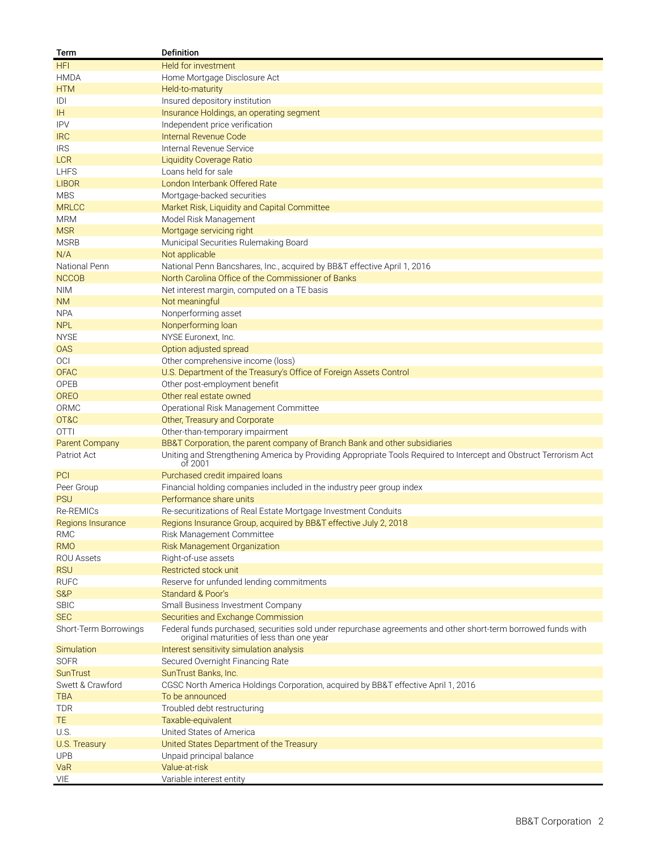| Term                  | <b>Definition</b>                                                                                                                                          |
|-----------------------|------------------------------------------------------------------------------------------------------------------------------------------------------------|
| <b>HFI</b>            | <b>Held for investment</b>                                                                                                                                 |
| <b>HMDA</b>           | Home Mortgage Disclosure Act                                                                                                                               |
| <b>HTM</b>            | Held-to-maturity                                                                                                                                           |
| IDI                   | Insured depository institution                                                                                                                             |
| IН                    | Insurance Holdings, an operating segment                                                                                                                   |
| <b>IPV</b>            | Independent price verification                                                                                                                             |
| <b>IRC</b>            | Internal Revenue Code                                                                                                                                      |
| <b>IRS</b>            | Internal Revenue Service                                                                                                                                   |
| <b>LCR</b>            | <b>Liquidity Coverage Ratio</b>                                                                                                                            |
| <b>LHFS</b>           | Loans held for sale                                                                                                                                        |
| <b>LIBOR</b>          | London Interbank Offered Rate                                                                                                                              |
| <b>MBS</b>            | Mortgage-backed securities                                                                                                                                 |
| <b>MRLCC</b>          | Market Risk, Liquidity and Capital Committee                                                                                                               |
| <b>MRM</b>            | Model Risk Management                                                                                                                                      |
| <b>MSR</b>            | Mortgage servicing right                                                                                                                                   |
| <b>MSRB</b>           | Municipal Securities Rulemaking Board                                                                                                                      |
| N/A                   | Not applicable                                                                                                                                             |
| <b>National Penn</b>  | National Penn Bancshares, Inc., acquired by BB&T effective April 1, 2016                                                                                   |
| <b>NCCOB</b>          | North Carolina Office of the Commissioner of Banks                                                                                                         |
| <b>NIM</b>            |                                                                                                                                                            |
|                       | Net interest margin, computed on a TE basis                                                                                                                |
| <b>NM</b>             | Not meaningful                                                                                                                                             |
| <b>NPA</b>            | Nonperforming asset                                                                                                                                        |
| <b>NPL</b>            | Nonperforming loan                                                                                                                                         |
| <b>NYSE</b>           | NYSE Euronext, Inc.                                                                                                                                        |
| <b>OAS</b>            | Option adjusted spread                                                                                                                                     |
| OCI                   | Other comprehensive income (loss)                                                                                                                          |
| <b>OFAC</b>           | U.S. Department of the Treasury's Office of Foreign Assets Control                                                                                         |
| OPEB                  | Other post-employment benefit                                                                                                                              |
| <b>OREO</b>           | Other real estate owned                                                                                                                                    |
| ORMC                  | Operational Risk Management Committee                                                                                                                      |
| OT&C                  | Other, Treasury and Corporate                                                                                                                              |
| <b>OTTI</b>           | Other-than-temporary impairment                                                                                                                            |
| <b>Parent Company</b> | BB&T Corporation, the parent company of Branch Bank and other subsidiaries                                                                                 |
| Patriot Act           | Uniting and Strengthening America by Providing Appropriate Tools Required to Intercept and Obstruct Terrorism Act<br>of 2001                               |
| <b>PCI</b>            | Purchased credit impaired loans                                                                                                                            |
| Peer Group            |                                                                                                                                                            |
|                       | Financial holding companies included in the industry peer group index<br>Performance share units                                                           |
| <b>PSU</b>            |                                                                                                                                                            |
| Re-REMICs             | Re-securitizations of Real Estate Mortgage Investment Conduits                                                                                             |
| Regions Insurance     | Regions Insurance Group, acquired by BB&T effective July 2, 2018                                                                                           |
| <b>RMC</b>            | Risk Management Committee                                                                                                                                  |
| <b>RMO</b>            | Risk Management Organization                                                                                                                               |
| <b>ROU Assets</b>     | Right-of-use assets                                                                                                                                        |
| <b>RSU</b>            | Restricted stock unit                                                                                                                                      |
| <b>RUFC</b>           | Reserve for unfunded lending commitments                                                                                                                   |
| S&P                   | Standard & Poor's                                                                                                                                          |
| <b>SBIC</b>           | Small Business Investment Company                                                                                                                          |
| <b>SEC</b>            | Securities and Exchange Commission                                                                                                                         |
| Short-Term Borrowings | Federal funds purchased, securities sold under repurchase agreements and other short-term borrowed funds with<br>original maturities of less than one year |
| Simulation            | Interest sensitivity simulation analysis                                                                                                                   |
| <b>SOFR</b>           | Secured Overnight Financing Rate                                                                                                                           |
| <b>SunTrust</b>       | SunTrust Banks, Inc.                                                                                                                                       |
| Swett & Crawford      | CGSC North America Holdings Corporation, acquired by BB&T effective April 1, 2016                                                                          |
| <b>TBA</b>            | To be announced                                                                                                                                            |
| <b>TDR</b>            | Troubled debt restructuring                                                                                                                                |
| TE.                   | Taxable-equivalent                                                                                                                                         |
| U.S.                  | United States of America                                                                                                                                   |
| U.S. Treasury         | United States Department of the Treasury                                                                                                                   |
| <b>UPB</b>            | Unpaid principal balance                                                                                                                                   |
| <b>VaR</b>            | Value-at-risk                                                                                                                                              |
| VIE                   | Variable interest entity                                                                                                                                   |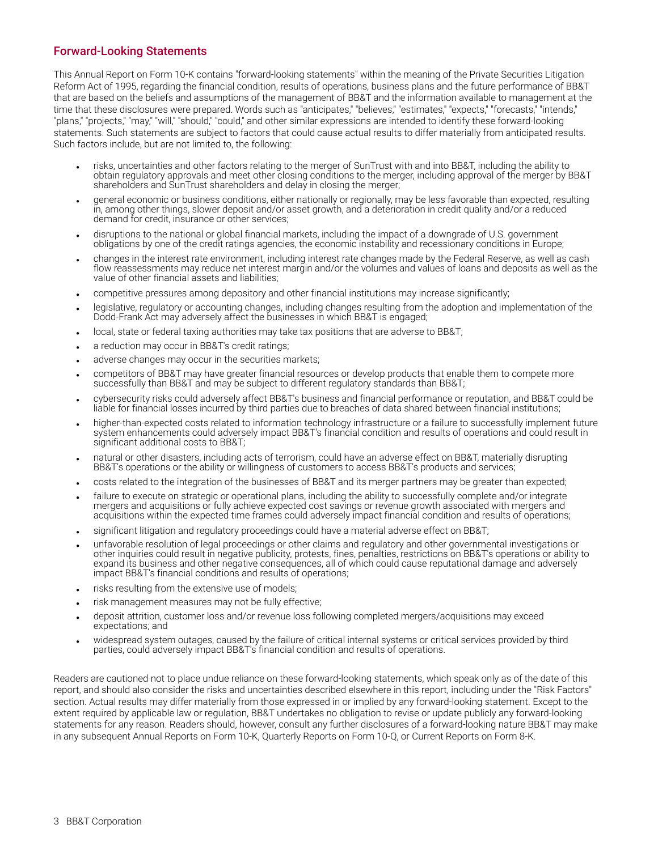# <span id="page-5-0"></span>**Forward-Looking Statements**

This Annual Report on Form 10-K contains "forward-looking statements" within the meaning of the Private Securities Litigation Reform Act of 1995, regarding the financial condition, results of operations, business plans and the future performance of BB&T that are based on the beliefs and assumptions of the management of BB&T and the information available to management at the time that these disclosures were prepared. Words such as "anticipates," "believes," "estimates," expects," "forecasts," "intends," "plans," "projects," "may," "will," "should," "could," and other similar expressions are intended to identify these forward-looking statements. Such statements are subject to factors that could cause actual results to differ materially from anticipated results. Such factors include, but are not limited to, the following:

- risks, uncertainties and other factors relating to the merger of SunTrust with and into BB&T, including the ability to obtain regulatory approvals and meet other closing conditions to the merger, including approval of the merger by BB&T shareholders and SunTrust shareholders and delay in closing the merger;
- general economic or business conditions, either nationally or regionally, may be less favorable than expected, resulting in, among other things, slower deposit and/or asset growth, and a deterioration in credit quality and/or a reduced demand for credit, insurance or other services;
- disruptions to the national or global financial markets, including the impact of a downgrade of U.S. government obligations by one of the credit ratings agencies, the economic instability and recessionary conditions in Europe;
- changes in the interest rate environment, including interest rate changes made by the Federal Reserve, as well as cash flow reassessments may reduce net interest margin and/or the volumes and values of loans and deposits as well as the value of other financial assets and liabilities;
- competitive pressures among depository and other financial institutions may increase significantly;
- legislative, regulatory or accounting changes, including changes resulting from the adoption and implementation of the Dodd-Frank Act may adversely affect the businesses in which BB&T is engaged;
- local, state or federal taxing authorities may take tax positions that are adverse to BB&T;
- a reduction may occur in BB&T's credit ratings;
- adverse changes may occur in the securities markets;
- competitors of BB&T may have greater financial resources or develop products that enable them to compete more successfully than BB&T and may be subject to different regulatory standards than BB&T;
- cybersecurity risks could adversely affect BB&T's business and financial performance or reputation, and BB&T could be liable for financial losses incurred by third parties due to breaches of data shared between financial institutions;
- higher-than-expected costs related to information technology infrastructure or a failure to successfully implement future system enhancements could adversely impact BB&T's financial condition and results of operations and could result in significant additional costs to BB&T;
- <sup>l</sup> natural or other disasters, including acts of terrorism, could have an adverse effect on BB&T, materially disrupting BB&T's operations or the ability or willingness of customers to access BB&T's products and services;
- <sup>l</sup> costs related to the integration of the businesses of BB&T and its merger partners may be greater than expected;
- failure to execute on strategic or operational plans, including the ability to successfully complete and/or integrate mergers and acquisitions or fully achieve expected cost savings or revenue growth associated with mergers and acquisitions within the expected time frames could adversely impact financial condition and results of operations;
- significant litigation and regulatory proceedings could have a material adverse effect on BB&T;
- <sup>l</sup> unfavorable resolution of legal proceedings or other claims and regulatory and other governmental investigations or other inquiries could result in negative publicity, protests, fines, penalties, restrictions on BB&T's operations or ability to expand its business and other negative consequences, all of which could cause reputational damage and adversely impact BB&T's financial conditions and results of operations;
- risks resulting from the extensive use of models;
- risk management measures may not be fully effective;
- deposit attrition, customer loss and/or revenue loss following completed mergers/acquisitions may exceed expectations; and
- widespread system outages, caused by the failure of critical internal systems or critical services provided by third parties, could adversely impact BB&T's financial condition and results of operations.

Readers are cautioned not to place undue reliance on these forward-looking statements, which speak only as of the date of this report, and should also consider the risks and uncertainties described elsewhere in this report, including under the "Risk Factors" section. Actual results may differ materially from those expressed in or implied by any forward-looking statement. Except to the extent required by applicable law or regulation, BB&T undertakes no obligation to revise or update publicly any forward-looking statements for any reason. Readers should, however, consult any further disclosures of a forward-looking nature BB&T may make in any subsequent Annual Reports on Form 10‑K, Quarterly Reports on Form 10‑Q, or Current Reports on Form 8‑K.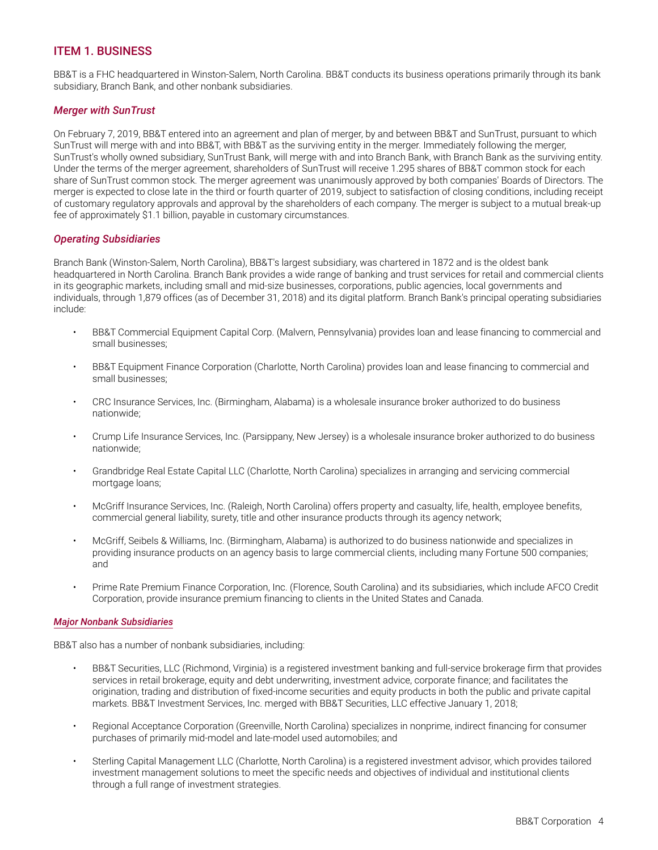# <span id="page-6-0"></span>**ITEM 1. BUSINESS**

BB&T is a FHC headquartered in Winston-Salem, North Carolina. BB&T conducts its business operations primarily through its bank subsidiary, Branch Bank, and other nonbank subsidiaries.

#### *Merger with SunTrust*

On February 7, 2019, BB&T entered into an agreement and plan of merger, by and between BB&T and SunTrust, pursuant to which SunTrust will merge with and into BB&T, with BB&T as the surviving entity in the merger. Immediately following the merger, SunTrust's wholly owned subsidiary, SunTrust Bank, will merge with and into Branch Bank, with Branch Bank as the surviving entity. Under the terms of the merger agreement, shareholders of SunTrust will receive 1.295 shares of BB&T common stock for each share of SunTrust common stock. The merger agreement was unanimously approved by both companies' Boards of Directors. The merger is expected to close late in the third or fourth quarter of 2019, subject to satisfaction of closing conditions, including receipt of customary regulatory approvals and approval by the shareholders of each company. The merger is subject to a mutual break-up fee of approximately \$1.1 billion, payable in customary circumstances.

#### *Operating Subsidiaries*

Branch Bank (Winston-Salem, North Carolina), BB&T's largest subsidiary, was chartered in 1872 and is the oldest bank headquartered in North Carolina. Branch Bank provides a wide range of banking and trust services for retail and commercial clients in its geographic markets, including small and mid-size businesses, corporations, public agencies, local governments and individuals, through 1,879 offices (as of December 31, 2018) and its digital platform. Branch Bank's principal operating subsidiaries include:

- BB&T Commercial Equipment Capital Corp. (Malvern, Pennsylvania) provides loan and lease financing to commercial and small businesses;
- BB&T Equipment Finance Corporation (Charlotte, North Carolina) provides loan and lease financing to commercial and small businesses;
- CRC Insurance Services, Inc. (Birmingham, Alabama) is a wholesale insurance broker authorized to do business nationwide;
- Crump Life Insurance Services, Inc. (Parsippany, New Jersey) is a wholesale insurance broker authorized to do business nationwide;
- Grandbridge Real Estate Capital LLC (Charlotte, North Carolina) specializes in arranging and servicing commercial mortgage loans;
- McGriff Insurance Services, Inc. (Raleigh, North Carolina) offers property and casualty, life, health, employee benefits, commercial general liability, surety, title and other insurance products through its agency network;
- McGriff, Seibels & Williams, Inc. (Birmingham, Alabama) is authorized to do business nationwide and specializes in providing insurance products on an agency basis to large commercial clients, including many Fortune 500 companies; and
- Prime Rate Premium Finance Corporation, Inc. (Florence, South Carolina) and its subsidiaries, which include AFCO Credit Corporation, provide insurance premium financing to clients in the United States and Canada.

#### *Major Nonbank Subsidiaries*

BB&T also has a number of nonbank subsidiaries, including:

- BB&T Securities, LLC (Richmond, Virginia) is a registered investment banking and full-service brokerage firm that provides services in retail brokerage, equity and debt underwriting, investment advice, corporate finance; and facilitates the origination, trading and distribution of fixed-income securities and equity products in both the public and private capital markets. BB&T Investment Services, Inc. merged with BB&T Securities, LLC effective January 1, 2018;
- Regional Acceptance Corporation (Greenville, North Carolina) specializes in nonprime, indirect financing for consumer purchases of primarily mid-model and late-model used automobiles; and
- Sterling Capital Management LLC (Charlotte, North Carolina) is a registered investment advisor, which provides tailored investment management solutions to meet the specific needs and objectives of individual and institutional clients through a full range of investment strategies.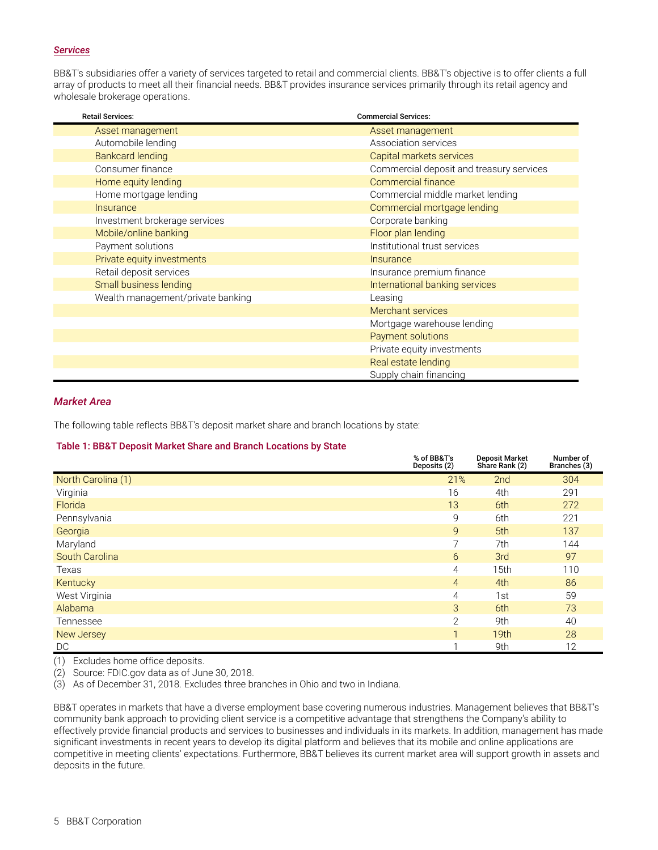BB&T's subsidiaries offer a variety of services targeted to retail and commercial clients. BB&T's objective is to offer clients a full array of products to meet all their financial needs. BB&T provides insurance services primarily through its retail agency and wholesale brokerage operations.

| <b>Retail Services:</b>           | <b>Commercial Services:</b>              |
|-----------------------------------|------------------------------------------|
| Asset management                  | Asset management                         |
| Automobile lending                | Association services                     |
| <b>Bankcard lending</b>           | Capital markets services                 |
| Consumer finance                  | Commercial deposit and treasury services |
| Home equity lending               | <b>Commercial finance</b>                |
| Home mortgage lending             | Commercial middle market lending         |
| Insurance                         | Commercial mortgage lending              |
| Investment brokerage services     | Corporate banking                        |
| Mobile/online banking             | Floor plan lending                       |
| Payment solutions                 | Institutional trust services             |
| Private equity investments        | Insurance                                |
| Retail deposit services           | Insurance premium finance                |
| Small business lending            | International banking services           |
| Wealth management/private banking | Leasing                                  |
|                                   | Merchant services                        |
|                                   | Mortgage warehouse lending               |
|                                   | Payment solutions                        |
|                                   | Private equity investments               |
|                                   | Real estate lending                      |
|                                   | Supply chain financing                   |

#### *Market Area*

The following table reflects BB&T's deposit market share and branch locations by state:

#### **Table 1: BB&T Deposit Market Share and Branch Locations by State**

|                    | % of BB&T's<br>Deposits (2) | Deposit Market<br>Share Rank (2) | Number of<br>Branches (3) |
|--------------------|-----------------------------|----------------------------------|---------------------------|
| North Carolina (1) | 21%                         | 2 <sub>nd</sub>                  | 304                       |
| Virginia           | 16                          | 4th                              | 291                       |
| Florida            | 13                          | 6th                              | 272                       |
| Pennsylvania       | 9                           | 6th                              | 221                       |
| Georgia            | 9                           | 5th                              | 137                       |
| Maryland           | 7                           | 7th                              | 144                       |
| South Carolina     | 6                           | 3rd                              | 97                        |
| Texas              | 4                           | 15th                             | 110                       |
| Kentucky           | $\overline{4}$              | 4th                              | 86                        |
| West Virginia      | 4                           | 1st                              | 59                        |
| Alabama            | 3                           | 6th                              | 73                        |
| Tennessee          | $\overline{2}$              | 9th                              | 40                        |
| New Jersey         | $\overline{1}$              | 19 <sub>th</sub>                 | 28                        |
| DC                 |                             | 9th                              | 12                        |

(1) Excludes home office deposits.

(2) Source: FDIC.gov data as of June 30, 2018.

(3) As of December 31, 2018. Excludes three branches in Ohio and two in Indiana.

BB&T operates in markets that have a diverse employment base covering numerous industries. Management believes that BB&T's community bank approach to providing client service is a competitive advantage that strengthens the Company's ability to effectively provide financial products and services to businesses and individuals in its markets. In addition, management has made significant investments in recent years to develop its digital platform and believes that its mobile and online applications are competitive in meeting clients' expectations. Furthermore, BB&T believes its current market area will support growth in assets and deposits in the future.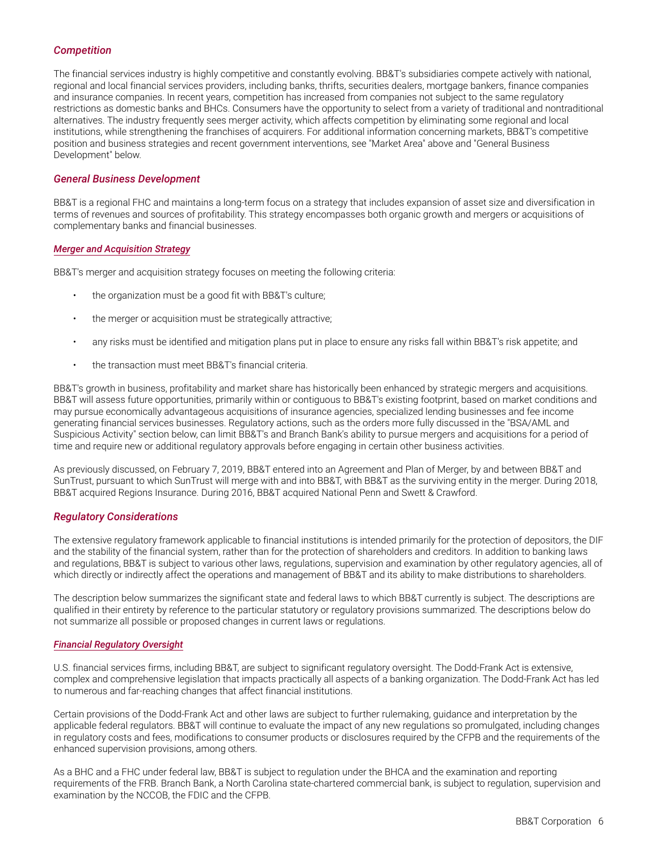### *Competition*

The financial services industry is highly competitive and constantly evolving. BB&T's subsidiaries compete actively with national, regional and local financial services providers, including banks, thrifts, securities dealers, mortgage bankers, finance companies and insurance companies. In recent years, competition has increased from companies not subject to the same regulatory restrictions as domestic banks and BHCs. Consumers have the opportunity to select from a variety of traditional and nontraditional alternatives. The industry frequently sees merger activity, which affects competition by eliminating some regional and local institutions, while strengthening the franchises of acquirers. For additional information concerning markets, BB&T's competitive position and business strategies and recent government interventions, see "Market Area" above and "General Business Development" below.

#### *General Business Development*

BB&T is a regional FHC and maintains a long-term focus on a strategy that includes expansion of asset size and diversification in terms of revenues and sources of profitability. This strategy encompasses both organic growth and mergers or acquisitions of complementary banks and financial businesses.

#### *Merger and Acquisition Strategy*

BB&T's merger and acquisition strategy focuses on meeting the following criteria:

- the organization must be a good fit with BB&T's culture;
- the merger or acquisition must be strategically attractive;
- any risks must be identified and mitigation plans put in place to ensure any risks fall within BB&T's risk appetite; and
- the transaction must meet BB&T's financial criteria.

BB&T's growth in business, profitability and market share has historically been enhanced by strategic mergers and acquisitions. BB&T will assess future opportunities, primarily within or contiguous to BB&T's existing footprint, based on market conditions and may pursue economically advantageous acquisitions of insurance agencies, specialized lending businesses and fee income generating financial services businesses. Regulatory actions, such as the orders more fully discussed in the "BSA/AML and Suspicious Activity" section below, can limit BB&T's and Branch Bank's ability to pursue mergers and acquisitions for a period of time and require new or additional regulatory approvals before engaging in certain other business activities.

As previously discussed, on February 7, 2019, BB&T entered into an Agreement and Plan of Merger, by and between BB&T and SunTrust, pursuant to which SunTrust will merge with and into BB&T, with BB&T as the surviving entity in the merger. During 2018, BB&T acquired Regions Insurance. During 2016, BB&T acquired National Penn and Swett & Crawford.

#### *Regulatory Considerations*

The extensive regulatory framework applicable to financial institutions is intended primarily for the protection of depositors, the DIF and the stability of the financial system, rather than for the protection of shareholders and creditors. In addition to banking laws and regulations, BB&T is subject to various other laws, regulations, supervision and examination by other regulatory agencies, all of which directly or indirectly affect the operations and management of BB&T and its ability to make distributions to shareholders.

The description below summarizes the significant state and federal laws to which BB&T currently is subject. The descriptions are qualified in their entirety by reference to the particular statutory or regulatory provisions summarized. The descriptions below do not summarize all possible or proposed changes in current laws or regulations.

#### *Financial Regulatory Oversight*

U.S. financial services firms, including BB&T, are subject to significant regulatory oversight. The Dodd-Frank Act is extensive, complex and comprehensive legislation that impacts practically all aspects of a banking organization. The Dodd-Frank Act has led to numerous and far-reaching changes that affect financial institutions.

Certain provisions of the Dodd-Frank Act and other laws are subject to further rulemaking, guidance and interpretation by the applicable federal regulators. BB&T will continue to evaluate the impact of any new regulations so promulgated, including changes in regulatory costs and fees, modifications to consumer products or disclosures required by the CFPB and the requirements of the enhanced supervision provisions, among others.

As a BHC and a FHC under federal law, BB&T is subject to regulation under the BHCA and the examination and reporting requirements of the FRB. Branch Bank, a North Carolina state-chartered commercial bank, is subject to regulation, supervision and examination by the NCCOB, the FDIC and the CFPB.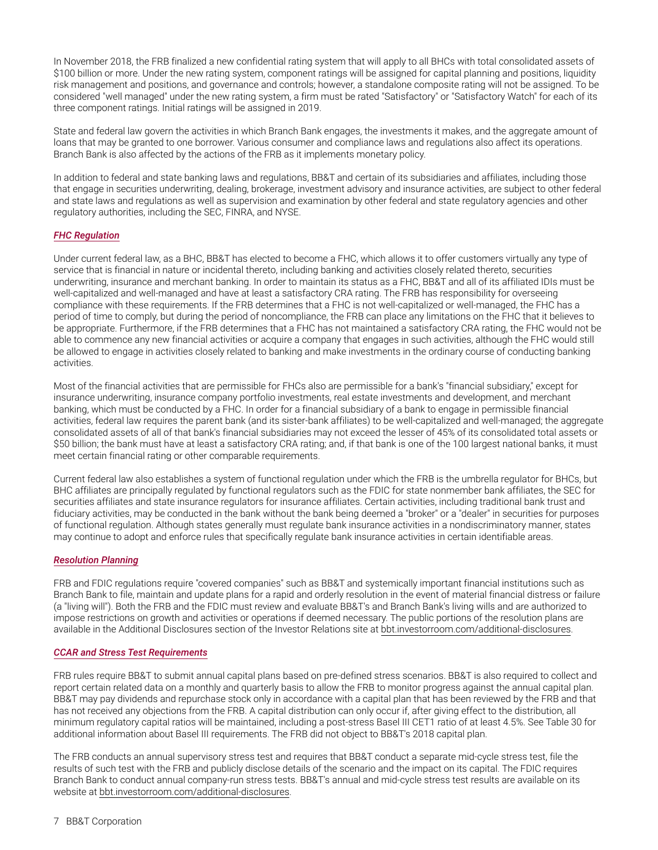In November 2018, the FRB finalized a new confidential rating system that will apply to all BHCs with total consolidated assets of \$100 billion or more. Under the new rating system, component ratings will be assigned for capital planning and positions, liquidity risk management and positions, and governance and controls; however, a standalone composite rating will not be assigned. To be considered "well managed" under the new rating system, a firm must be rated "Satisfactory" or "Satisfactory Watch" for each of its three component ratings. Initial ratings will be assigned in 2019.

State and federal law govern the activities in which Branch Bank engages, the investments it makes, and the aggregate amount of loans that may be granted to one borrower. Various consumer and compliance laws and regulations also affect its operations. Branch Bank is also affected by the actions of the FRB as it implements monetary policy.

In addition to federal and state banking laws and regulations, BB&T and certain of its subsidiaries and affiliates, including those that engage in securities underwriting, dealing, brokerage, investment advisory and insurance activities, are subject to other federal and state laws and regulations as well as supervision and examination by other federal and state regulatory agencies and other regulatory authorities, including the SEC, FINRA, and NYSE.

#### *FHC Regulation*

Under current federal law, as a BHC, BB&T has elected to become a FHC, which allows it to offer customers virtually any type of service that is financial in nature or incidental thereto, including banking and activities closely related thereto, securities underwriting, insurance and merchant banking. In order to maintain its status as a FHC, BB&T and all of its affiliated IDIs must be well-capitalized and well-managed and have at least a satisfactory CRA rating. The FRB has responsibility for overseeing compliance with these requirements. If the FRB determines that a FHC is not well-capitalized or well-managed, the FHC has a period of time to comply, but during the period of noncompliance, the FRB can place any limitations on the FHC that it believes to be appropriate. Furthermore, if the FRB determines that a FHC has not maintained a satisfactory CRA rating, the FHC would not be able to commence any new financial activities or acquire a company that engages in such activities, although the FHC would still be allowed to engage in activities closely related to banking and make investments in the ordinary course of conducting banking activities.

Most of the financial activities that are permissible for FHCs also are permissible for a bank's "financial subsidiary," except for insurance underwriting, insurance company portfolio investments, real estate investments and development, and merchant banking, which must be conducted by a FHC. In order for a financial subsidiary of a bank to engage in permissible financial activities, federal law requires the parent bank (and its sister-bank affiliates) to be well-capitalized and well-managed; the aggregate consolidated assets of all of that bank's financial subsidiaries may not exceed the lesser of 45% of its consolidated total assets or \$50 billion; the bank must have at least a satisfactory CRA rating; and, if that bank is one of the 100 largest national banks, it must meet certain financial rating or other comparable requirements.

Current federal law also establishes a system of functional regulation under which the FRB is the umbrella regulator for BHCs, but BHC affiliates are principally regulated by functional regulators such as the FDIC for state nonmember bank affiliates, the SEC for securities affiliates and state insurance regulators for insurance affiliates. Certain activities, including traditional bank trust and fiduciary activities, may be conducted in the bank without the bank being deemed a "broker" or a "dealer" in securities for purposes of functional regulation. Although states generally must regulate bank insurance activities in a nondiscriminatory manner, states may continue to adopt and enforce rules that specifically regulate bank insurance activities in certain identifiable areas.

#### *Resolution Planning*

FRB and FDIC regulations require "covered companies" such as BB&T and systemically important financial institutions such as Branch Bank to file, maintain and update plans for a rapid and orderly resolution in the event of material financial distress or failure (a "living will"). Both the FRB and the FDIC must review and evaluate BB&T's and Branch Bank's living wills and are authorized to impose restrictions on growth and activities or operations if deemed necessary. The public portions of the resolution plans are available in the Additional Disclosures section of the Investor Relations site at bbt.investorroom.com/additional-disclosures.

#### *CCAR and Stress Test Requirements*

FRB rules require BB&T to submit annual capital plans based on pre-defined stress scenarios. BB&T is also required to collect and report certain related data on a monthly and quarterly basis to allow the FRB to monitor progress against the annual capital plan. BB&T may pay dividends and repurchase stock only in accordance with a capital plan that has been reviewed by the FRB and that has not received any objections from the FRB. A capital distribution can only occur if, after giving effect to the distribution, all minimum regulatory capital ratios will be maintained, including a post-stress Basel III CET1 ratio of at least 4.5%. See Table 30 for additional information about Basel III requirements. The FRB did not object to BB&T's 2018 capital plan.

The FRB conducts an annual supervisory stress test and requires that BB&T conduct a separate mid-cycle stress test, file the results of such test with the FRB and publicly disclose details of the scenario and the impact on its capital. The FDIC requires Branch Bank to conduct annual company-run stress tests. BB&T's annual and mid-cycle stress test results are available on its website at bbt.investorroom.com/additional-disclosures.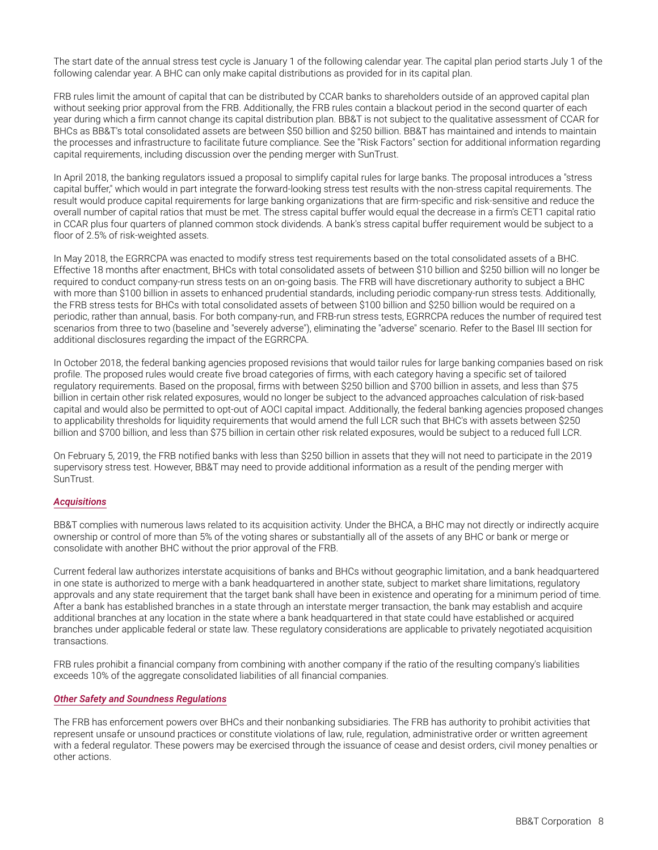The start date of the annual stress test cycle is January 1 of the following calendar year. The capital plan period starts July 1 of the following calendar year. A BHC can only make capital distributions as provided for in its capital plan.

FRB rules limit the amount of capital that can be distributed by CCAR banks to shareholders outside of an approved capital plan without seeking prior approval from the FRB. Additionally, the FRB rules contain a blackout period in the second quarter of each year during which a firm cannot change its capital distribution plan. BB&T is not subject to the qualitative assessment of CCAR for BHCs as BB&T's total consolidated assets are between \$50 billion and \$250 billion. BB&T has maintained and intends to maintain the processes and infrastructure to facilitate future compliance. See the "Risk Factors" section for additional information regarding capital requirements, including discussion over the pending merger with SunTrust.

In April 2018, the banking regulators issued a proposal to simplify capital rules for large banks. The proposal introduces a "stress capital buffer," which would in part integrate the forward-looking stress test results with the non-stress capital requirements. The result would produce capital requirements for large banking organizations that are firm-specific and risk-sensitive and reduce the overall number of capital ratios that must be met. The stress capital buffer would equal the decrease in a firm's CET1 capital ratio in CCAR plus four quarters of planned common stock dividends. A bank's stress capital buffer requirement would be subject to a floor of 2.5% of risk-weighted assets.

In May 2018, the EGRRCPA was enacted to modify stress test requirements based on the total consolidated assets of a BHC. Effective 18 months after enactment, BHCs with total consolidated assets of between \$10 billion and \$250 billion will no longer be required to conduct company-run stress tests on an on-going basis. The FRB will have discretionary authority to subject a BHC with more than \$100 billion in assets to enhanced prudential standards, including periodic company-run stress tests. Additionally, the FRB stress tests for BHCs with total consolidated assets of between \$100 billion and \$250 billion would be required on a periodic, rather than annual, basis. For both company-run, and FRB-run stress tests, EGRRCPA reduces the number of required test scenarios from three to two (baseline and "severely adverse"), eliminating the "adverse" scenario. Refer to the Basel III section for additional disclosures regarding the impact of the EGRRCPA.

In October 2018, the federal banking agencies proposed revisions that would tailor rules for large banking companies based on risk profile. The proposed rules would create five broad categories of firms, with each category having a specific set of tailored regulatory requirements. Based on the proposal, firms with between \$250 billion and \$700 billion in assets, and less than \$75 billion in certain other risk related exposures, would no longer be subject to the advanced approaches calculation of risk-based capital and would also be permitted to opt-out of AOCI capital impact. Additionally, the federal banking agencies proposed changes to applicability thresholds for liquidity requirements that would amend the full LCR such that BHC's with assets between \$250 billion and \$700 billion, and less than \$75 billion in certain other risk related exposures, would be subject to a reduced full LCR.

On February 5, 2019, the FRB notified banks with less than \$250 billion in assets that they will not need to participate in the 2019 supervisory stress test. However, BB&T may need to provide additional information as a result of the pending merger with SunTrust.

#### *Acquisitions*

BB&T complies with numerous laws related to its acquisition activity. Under the BHCA, a BHC may not directly or indirectly acquire ownership or control of more than 5% of the voting shares or substantially all of the assets of any BHC or bank or merge or consolidate with another BHC without the prior approval of the FRB.

Current federal law authorizes interstate acquisitions of banks and BHCs without geographic limitation, and a bank headquartered in one state is authorized to merge with a bank headquartered in another state, subject to market share limitations, regulatory approvals and any state requirement that the target bank shall have been in existence and operating for a minimum period of time. After a bank has established branches in a state through an interstate merger transaction, the bank may establish and acquire additional branches at any location in the state where a bank headquartered in that state could have established or acquired branches under applicable federal or state law. These regulatory considerations are applicable to privately negotiated acquisition transactions.

FRB rules prohibit a financial company from combining with another company if the ratio of the resulting company's liabilities exceeds 10% of the aggregate consolidated liabilities of all financial companies.

#### *Other Safety and Soundness Regulations*

The FRB has enforcement powers over BHCs and their nonbanking subsidiaries. The FRB has authority to prohibit activities that represent unsafe or unsound practices or constitute violations of law, rule, regulation, administrative order or written agreement with a federal regulator. These powers may be exercised through the issuance of cease and desist orders, civil money penalties or other actions.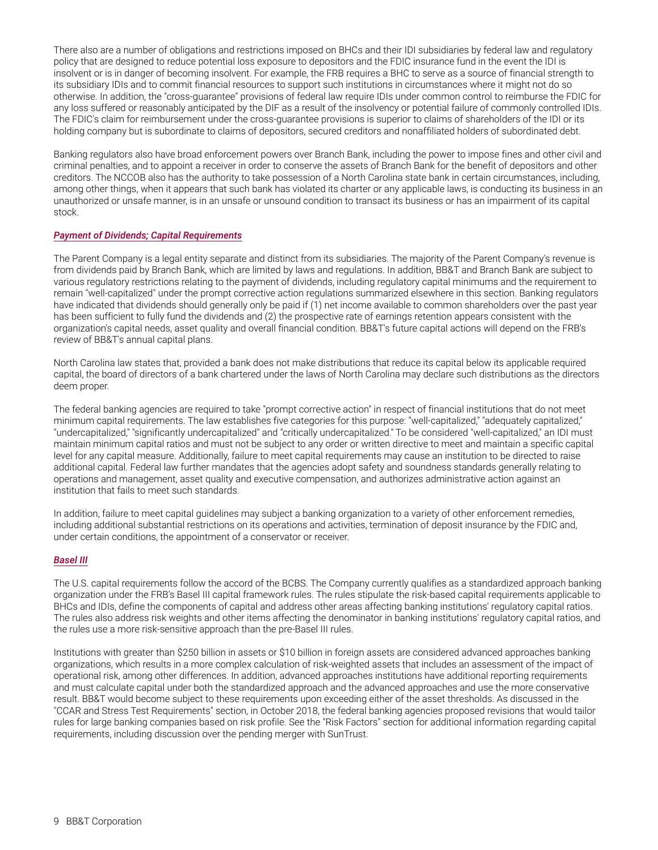There also are a number of obligations and restrictions imposed on BHCs and their IDI subsidiaries by federal law and regulatory policy that are designed to reduce potential loss exposure to depositors and the FDIC insurance fund in the event the IDI is insolvent or is in danger of becoming insolvent. For example, the FRB requires a BHC to serve as a source of financial strength to its subsidiary IDIs and to commit financial resources to support such institutions in circumstances where it might not do so otherwise. In addition, the "cross-guarantee" provisions of federal law require IDIs under common control to reimburse the FDIC for any loss suffered or reasonably anticipated by the DIF as a result of the insolvency or potential failure of commonly controlled IDIs. The FDIC's claim for reimbursement under the cross-guarantee provisions is superior to claims of shareholders of the IDI or its holding company but is subordinate to claims of depositors, secured creditors and nonaffiliated holders of subordinated debt.

Banking regulators also have broad enforcement powers over Branch Bank, including the power to impose fines and other civil and criminal penalties, and to appoint a receiver in order to conserve the assets of Branch Bank for the benefit of depositors and other creditors. The NCCOB also has the authority to take possession of a North Carolina state bank in certain circumstances, including, among other things, when it appears that such bank has violated its charter or any applicable laws, is conducting its business in an unauthorized or unsafe manner, is in an unsafe or unsound condition to transact its business or has an impairment of its capital stock.

#### *Payment of Dividends; Capital Requirements*

The Parent Company is a legal entity separate and distinct from its subsidiaries. The majority of the Parent Company's revenue is from dividends paid by Branch Bank, which are limited by laws and regulations. In addition, BB&T and Branch Bank are subject to various regulatory restrictions relating to the payment of dividends, including regulatory capital minimums and the requirement to remain "well-capitalized" under the prompt corrective action regulations summarized elsewhere in this section. Banking regulators have indicated that dividends should generally only be paid if (1) net income available to common shareholders over the past year has been sufficient to fully fund the dividends and (2) the prospective rate of earnings retention appears consistent with the organization's capital needs, asset quality and overall financial condition. BB&T's future capital actions will depend on the FRB's review of BB&T's annual capital plans.

North Carolina law states that, provided a bank does not make distributions that reduce its capital below its applicable required capital, the board of directors of a bank chartered under the laws of North Carolina may declare such distributions as the directors deem proper.

The federal banking agencies are required to take "prompt corrective action" in respect of financial institutions that do not meet minimum capital requirements. The law establishes five categories for this purpose: "well-capitalized," "adequately capitalized," "undercapitalized," "significantly undercapitalized" and "critically undercapitalized." To be considered "well-capitalized," an IDI must maintain minimum capital ratios and must not be subject to any order or written directive to meet and maintain a specific capital level for any capital measure. Additionally, failure to meet capital requirements may cause an institution to be directed to raise additional capital. Federal law further mandates that the agencies adopt safety and soundness standards generally relating to operations and management, asset quality and executive compensation, and authorizes administrative action against an institution that fails to meet such standards.

In addition, failure to meet capital guidelines may subject a banking organization to a variety of other enforcement remedies, including additional substantial restrictions on its operations and activities, termination of deposit insurance by the FDIC and, under certain conditions, the appointment of a conservator or receiver.

#### *Basel III*

The U.S. capital requirements follow the accord of the BCBS. The Company currently qualifies as a standardized approach banking organization under the FRB's Basel III capital framework rules. The rules stipulate the risk-based capital requirements applicable to BHCs and IDIs, define the components of capital and address other areas affecting banking institutions' regulatory capital ratios. The rules also address risk weights and other items affecting the denominator in banking institutions' regulatory capital ratios, and the rules use a more risk-sensitive approach than the pre-Basel III rules.

Institutions with greater than \$250 billion in assets or \$10 billion in foreign assets are considered advanced approaches banking organizations, which results in a more complex calculation of risk-weighted assets that includes an assessment of the impact of operational risk, among other differences. In addition, advanced approaches institutions have additional reporting requirements and must calculate capital under both the standardized approach and the advanced approaches and use the more conservative result. BB&T would become subject to these requirements upon exceeding either of the asset thresholds. As discussed in the "CCAR and Stress Test Requirements" section, in October 2018, the federal banking agencies proposed revisions that would tailor rules for large banking companies based on risk profile. See the "Risk Factors" section for additional information regarding capital requirements, including discussion over the pending merger with SunTrust.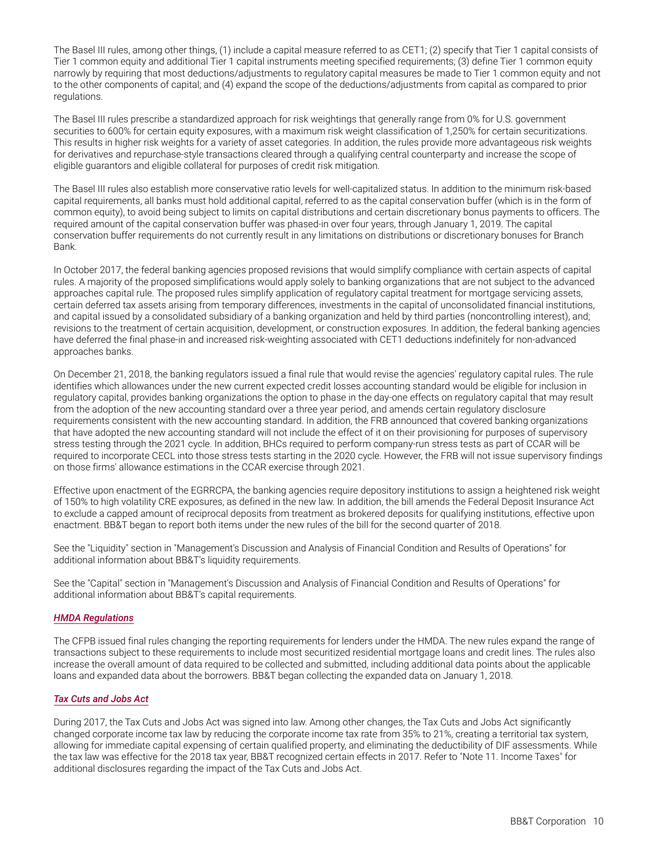The Basel III rules, among other things, (1) include a capital measure referred to as CET1; (2) specify that Tier 1 capital consists of Tier 1 common equity and additional Tier 1 capital instruments meeting specified requirements; (3) define Tier 1 common equity narrowly by requiring that most deductions/adjustments to regulatory capital measures be made to Tier 1 common equity and not to the other components of capital; and (4) expand the scope of the deductions/adjustments from capital as compared to prior regulations.

The Basel III rules prescribe a standardized approach for risk weightings that generally range from 0% for U.S. government securities to 600% for certain equity exposures, with a maximum risk weight classification of 1,250% for certain securitizations. This results in higher risk weights for a variety of asset categories. In addition, the rules provide more advantageous risk weights for derivatives and repurchase-style transactions cleared through a qualifying central counterparty and increase the scope of eligible guarantors and eligible collateral for purposes of credit risk mitigation.

The Basel III rules also establish more conservative ratio levels for well-capitalized status. In addition to the minimum risk-based capital requirements, all banks must hold additional capital, referred to as the capital conservation buffer (which is in the form of common equity), to avoid being subject to limits on capital distributions and certain discretionary bonus payments to officers. The required amount of the capital conservation buffer was phased-in over four years, through January 1, 2019. The capital conservation buffer requirements do not currently result in any limitations on distributions or discretionary bonuses for Branch Bank.

In October 2017, the federal banking agencies proposed revisions that would simplify compliance with certain aspects of capital rules. A majority of the proposed simplifications would apply solely to banking organizations that are not subject to the advanced approaches capital rule. The proposed rules simplify application of regulatory capital treatment for mortgage servicing assets, certain deferred tax assets arising from temporary differences, investments in the capital of unconsolidated financial institutions, and capital issued by a consolidated subsidiary of a banking organization and held by third parties (noncontrolling interest), and; revisions to the treatment of certain acquisition, development, or construction exposures. In addition, the federal banking agencies have deferred the final phase-in and increased risk-weighting associated with CET1 deductions indefinitely for non-advanced approaches banks.

On December 21, 2018, the banking regulators issued a final rule that would revise the agencies' regulatory capital rules. The rule identifies which allowances under the new current expected credit losses accounting standard would be eligible for inclusion in regulatory capital, provides banking organizations the option to phase in the day-one effects on regulatory capital that may result from the adoption of the new accounting standard over a three year period, and amends certain regulatory disclosure requirements consistent with the new accounting standard. In addition, the FRB announced that covered banking organizations that have adopted the new accounting standard will not include the effect of it on their provisioning for purposes of supervisory stress testing through the 2021 cycle. In addition, BHCs required to perform company-run stress tests as part of CCAR will be required to incorporate CECL into those stress tests starting in the 2020 cycle. However, the FRB will not issue supervisory findings on those firms' allowance estimations in the CCAR exercise through 2021.

Effective upon enactment of the EGRRCPA, the banking agencies require depository institutions to assign a heightened risk weight of 150% to high volatility CRE exposures, as defined in the new law. In addition, the bill amends the Federal Deposit Insurance Act to exclude a capped amount of reciprocal deposits from treatment as brokered deposits for qualifying institutions, effective upon enactment. BB&T began to report both items under the new rules of the bill for the second quarter of 2018.

See the "Liquidity" section in "Management's Discussion and Analysis of Financial Condition and Results of Operations" for additional information about BB&T's liquidity requirements.

See the "Capital" section in "Management's Discussion and Analysis of Financial Condition and Results of Operations" for additional information about BB&T's capital requirements.

#### *HMDA Regulations*

The CFPB issued final rules changing the reporting requirements for lenders under the HMDA. The new rules expand the range of transactions subject to these requirements to include most securitized residential mortgage loans and credit lines. The rules also increase the overall amount of data required to be collected and submitted, including additional data points about the applicable loans and expanded data about the borrowers. BB&T began collecting the expanded data on January 1, 2018.

#### *Tax Cuts and Jobs Act*

During 2017, the Tax Cuts and Jobs Act was signed into law. Among other changes, the Tax Cuts and Jobs Act significantly changed corporate income tax law by reducing the corporate income tax rate from 35% to 21%, creating a territorial tax system, allowing for immediate capital expensing of certain qualified property, and eliminating the deductibility of DIF assessments. While the tax law was effective for the 2018 tax year, BB&T recognized certain effects in 2017. Refer to "Note 11. Income Taxes" for additional disclosures regarding the impact of the Tax Cuts and Jobs Act.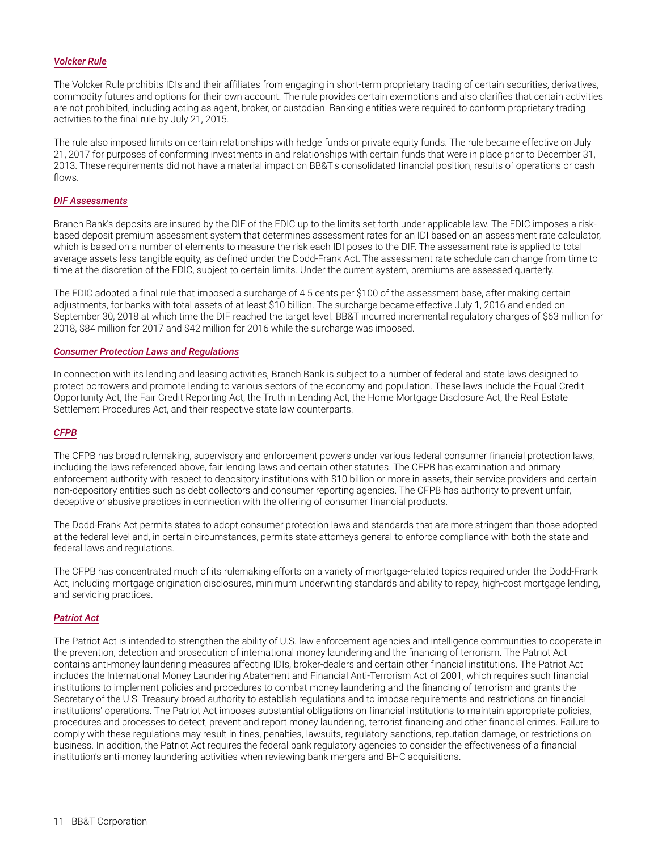#### *Volcker Rule*

The Volcker Rule prohibits IDIs and their affiliates from engaging in short-term proprietary trading of certain securities, derivatives, commodity futures and options for their own account. The rule provides certain exemptions and also clarifies that certain activities are not prohibited, including acting as agent, broker, or custodian. Banking entities were required to conform proprietary trading activities to the final rule by July 21, 2015.

The rule also imposed limits on certain relationships with hedge funds or private equity funds. The rule became effective on July 21, 2017 for purposes of conforming investments in and relationships with certain funds that were in place prior to December 31, 2013. These requirements did not have a material impact on BB&T's consolidated financial position, results of operations or cash flows.

#### *DIF Assessments*

Branch Bank's deposits are insured by the DIF of the FDIC up to the limits set forth under applicable law. The FDIC imposes a riskbased deposit premium assessment system that determines assessment rates for an IDI based on an assessment rate calculator, which is based on a number of elements to measure the risk each IDI poses to the DIF. The assessment rate is applied to total average assets less tangible equity, as defined under the Dodd-Frank Act. The assessment rate schedule can change from time to time at the discretion of the FDIC, subject to certain limits. Under the current system, premiums are assessed quarterly.

The FDIC adopted a final rule that imposed a surcharge of 4.5 cents per \$100 of the assessment base, after making certain adjustments, for banks with total assets of at least \$10 billion. The surcharge became effective July 1, 2016 and ended on September 30, 2018 at which time the DIF reached the target level. BB&T incurred incremental regulatory charges of \$63 million for 2018, \$84 million for 2017 and \$42 million for 2016 while the surcharge was imposed.

#### *Consumer Protection Laws and Regulations*

In connection with its lending and leasing activities, Branch Bank is subject to a number of federal and state laws designed to protect borrowers and promote lending to various sectors of the economy and population. These laws include the Equal Credit Opportunity Act, the Fair Credit Reporting Act, the Truth in Lending Act, the Home Mortgage Disclosure Act, the Real Estate Settlement Procedures Act, and their respective state law counterparts.

#### *CFPB*

The CFPB has broad rulemaking, supervisory and enforcement powers under various federal consumer financial protection laws, including the laws referenced above, fair lending laws and certain other statutes. The CFPB has examination and primary enforcement authority with respect to depository institutions with \$10 billion or more in assets, their service providers and certain non-depository entities such as debt collectors and consumer reporting agencies. The CFPB has authority to prevent unfair, deceptive or abusive practices in connection with the offering of consumer financial products.

The Dodd-Frank Act permits states to adopt consumer protection laws and standards that are more stringent than those adopted at the federal level and, in certain circumstances, permits state attorneys general to enforce compliance with both the state and federal laws and regulations.

The CFPB has concentrated much of its rulemaking efforts on a variety of mortgage-related topics required under the Dodd-Frank Act, including mortgage origination disclosures, minimum underwriting standards and ability to repay, high-cost mortgage lending, and servicing practices.

#### *Patriot Act*

The Patriot Act is intended to strengthen the ability of U.S. law enforcement agencies and intelligence communities to cooperate in the prevention, detection and prosecution of international money laundering and the financing of terrorism. The Patriot Act contains anti-money laundering measures affecting IDIs, broker-dealers and certain other financial institutions. The Patriot Act includes the International Money Laundering Abatement and Financial Anti-Terrorism Act of 2001, which requires such financial institutions to implement policies and procedures to combat money laundering and the financing of terrorism and grants the Secretary of the U.S. Treasury broad authority to establish regulations and to impose requirements and restrictions on financial institutions' operations. The Patriot Act imposes substantial obligations on financial institutions to maintain appropriate policies, procedures and processes to detect, prevent and report money laundering, terrorist financing and other financial crimes. Failure to comply with these regulations may result in fines, penalties, lawsuits, regulatory sanctions, reputation damage, or restrictions on business. In addition, the Patriot Act requires the federal bank regulatory agencies to consider the effectiveness of a financial institution's anti-money laundering activities when reviewing bank mergers and BHC acquisitions.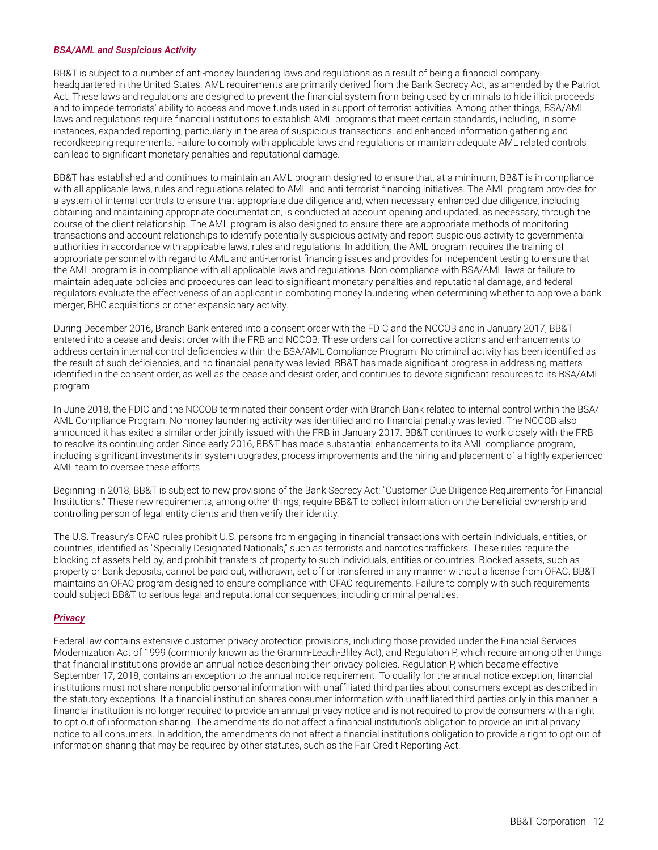#### *BSA/AML and Suspicious Activity*

BB&T is subject to a number of anti-money laundering laws and regulations as a result of being a financial company headquartered in the United States. AML requirements are primarily derived from the Bank Secrecy Act, as amended by the Patriot Act. These laws and regulations are designed to prevent the financial system from being used by criminals to hide illicit proceeds and to impede terrorists' ability to access and move funds used in support of terrorist activities. Among other things, BSA/AML laws and regulations require financial institutions to establish AML programs that meet certain standards, including, in some instances, expanded reporting, particularly in the area of suspicious transactions, and enhanced information gathering and recordkeeping requirements. Failure to comply with applicable laws and regulations or maintain adequate AML related controls can lead to significant monetary penalties and reputational damage.

BB&T has established and continues to maintain an AML program designed to ensure that, at a minimum, BB&T is in compliance with all applicable laws, rules and regulations related to AML and anti-terrorist financing initiatives. The AML program provides for a system of internal controls to ensure that appropriate due diligence and, when necessary, enhanced due diligence, including obtaining and maintaining appropriate documentation, is conducted at account opening and updated, as necessary, through the course of the client relationship. The AML program is also designed to ensure there are appropriate methods of monitoring transactions and account relationships to identify potentially suspicious activity and report suspicious activity to governmental authorities in accordance with applicable laws, rules and regulations. In addition, the AML program requires the training of appropriate personnel with regard to AML and anti-terrorist financing issues and provides for independent testing to ensure that the AML program is in compliance with all applicable laws and regulations. Non-compliance with BSA/AML laws or failure to maintain adequate policies and procedures can lead to significant monetary penalties and reputational damage, and federal regulators evaluate the effectiveness of an applicant in combating money laundering when determining whether to approve a bank merger, BHC acquisitions or other expansionary activity.

During December 2016, Branch Bank entered into a consent order with the FDIC and the NCCOB and in January 2017, BB&T entered into a cease and desist order with the FRB and NCCOB. These orders call for corrective actions and enhancements to address certain internal control deficiencies within the BSA/AML Compliance Program. No criminal activity has been identified as the result of such deficiencies, and no financial penalty was levied. BB&T has made significant progress in addressing matters identified in the consent order, as well as the cease and desist order, and continues to devote significant resources to its BSA/AML program.

In June 2018, the FDIC and the NCCOB terminated their consent order with Branch Bank related to internal control within the BSA/ AML Compliance Program. No money laundering activity was identified and no financial penalty was levied. The NCCOB also announced it has exited a similar order jointly issued with the FRB in January 2017. BB&T continues to work closely with the FRB to resolve its continuing order. Since early 2016, BB&T has made substantial enhancements to its AML compliance program, including significant investments in system upgrades, process improvements and the hiring and placement of a highly experienced AML team to oversee these efforts.

Beginning in 2018, BB&T is subject to new provisions of the Bank Secrecy Act: "Customer Due Diligence Requirements for Financial Institutions." These new requirements, among other things, require BB&T to collect information on the beneficial ownership and controlling person of legal entity clients and then verify their identity.

The U.S. Treasury's OFAC rules prohibit U.S. persons from engaging in financial transactions with certain individuals, entities, or countries, identified as "Specially Designated Nationals," such as terrorists and narcotics traffickers. These rules require the blocking of assets held by, and prohibit transfers of property to such individuals, entities or countries. Blocked assets, such as property or bank deposits, cannot be paid out, withdrawn, set off or transferred in any manner without a license from OFAC. BB&T maintains an OFAC program designed to ensure compliance with OFAC requirements. Failure to comply with such requirements could subject BB&T to serious legal and reputational consequences, including criminal penalties.

#### *Privacy*

Federal law contains extensive customer privacy protection provisions, including those provided under the Financial Services Modernization Act of 1999 (commonly known as the Gramm-Leach-Bliley Act), and Regulation P, which require among other things that financial institutions provide an annual notice describing their privacy policies. Regulation P, which became effective September 17, 2018, contains an exception to the annual notice requirement. To qualify for the annual notice exception, financial institutions must not share nonpublic personal information with unaffiliated third parties about consumers except as described in the statutory exceptions. If a financial institution shares consumer information with unaffiliated third parties only in this manner, a financial institution is no longer required to provide an annual privacy notice and is not required to provide consumers with a right to opt out of information sharing. The amendments do not affect a financial institution's obligation to provide an initial privacy notice to all consumers. In addition, the amendments do not affect a financial institution's obligation to provide a right to opt out of information sharing that may be required by other statutes, such as the Fair Credit Reporting Act.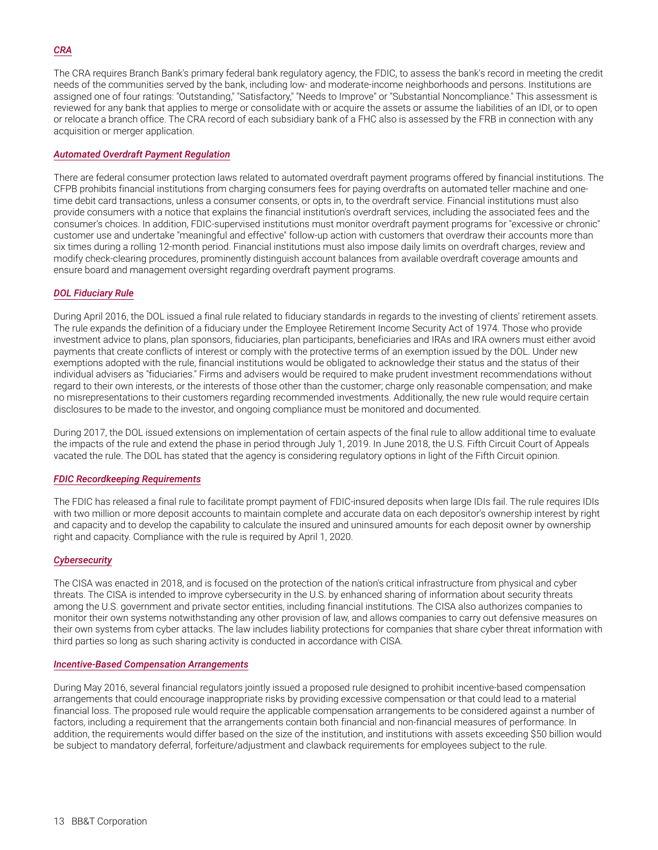#### *CRA*

The CRA requires Branch Bank's primary federal bank regulatory agency, the FDIC, to assess the bank's record in meeting the credit needs of the communities served by the bank, including low- and moderate-income neighborhoods and persons. Institutions are assigned one of four ratings: "Outstanding," "Satisfactory," "Needs to Improve" or "Substantial Noncompliance." This assessment is reviewed for any bank that applies to merge or consolidate with or acquire the assets or assume the liabilities of an IDI, or to open or relocate a branch office. The CRA record of each subsidiary bank of a FHC also is assessed by the FRB in connection with any acquisition or merger application.

#### *Automated Overdraft Payment Regulation*

There are federal consumer protection laws related to automated overdraft payment programs offered by financial institutions. The CFPB prohibits financial institutions from charging consumers fees for paying overdrafts on automated teller machine and onetime debit card transactions, unless a consumer consents, or opts in, to the overdraft service. Financial institutions must also provide consumers with a notice that explains the financial institution's overdraft services, including the associated fees and the consumer's choices. In addition, FDIC-supervised institutions must monitor overdraft payment programs for "excessive or chronic" customer use and undertake "meaningful and effective" follow-up action with customers that overdraw their accounts more than six times during a rolling 12-month period. Financial institutions must also impose daily limits on overdraft charges, review and modify check-clearing procedures, prominently distinguish account balances from available overdraft coverage amounts and ensure board and management oversight regarding overdraft payment programs.

#### *DOL Fiduciary Rule*

During April 2016, the DOL issued a final rule related to fiduciary standards in regards to the investing of clients' retirement assets. The rule expands the definition of a fiduciary under the Employee Retirement Income Security Act of 1974. Those who provide investment advice to plans, plan sponsors, fiduciaries, plan participants, beneficiaries and IRAs and IRA owners must either avoid payments that create conflicts of interest or comply with the protective terms of an exemption issued by the DOL. Under new exemptions adopted with the rule, financial institutions would be obligated to acknowledge their status and the status of their individual advisers as "fiduciaries." Firms and advisers would be required to make prudent investment recommendations without regard to their own interests, or the interests of those other than the customer; charge only reasonable compensation; and make no misrepresentations to their customers regarding recommended investments. Additionally, the new rule would require certain disclosures to be made to the investor, and ongoing compliance must be monitored and documented.

During 2017, the DOL issued extensions on implementation of certain aspects of the final rule to allow additional time to evaluate the impacts of the rule and extend the phase in period through July 1, 2019. In June 2018, the U.S. Fifth Circuit Court of Appeals vacated the rule. The DOL has stated that the agency is considering regulatory options in light of the Fifth Circuit opinion.

#### *FDIC Recordkeeping Requirements*

The FDIC has released a final rule to facilitate prompt payment of FDIC-insured deposits when large IDIs fail. The rule requires IDIs with two million or more deposit accounts to maintain complete and accurate data on each depositor's ownership interest by right and capacity and to develop the capability to calculate the insured and uninsured amounts for each deposit owner by ownership right and capacity. Compliance with the rule is required by April 1, 2020.

#### *Cybersecurity*

The CISA was enacted in 2018, and is focused on the protection of the nation's critical infrastructure from physical and cyber threats. The CISA is intended to improve cybersecurity in the U.S. by enhanced sharing of information about security threats among the U.S. government and private sector entities, including financial institutions. The CISA also authorizes companies to monitor their own systems notwithstanding any other provision of law, and allows companies to carry out defensive measures on their own systems from cyber attacks. The law includes liability protections for companies that share cyber threat information with third parties so long as such sharing activity is conducted in accordance with CISA.

#### *Incentive-Based Compensation Arrangements*

During May 2016, several financial regulators jointly issued a proposed rule designed to prohibit incentive-based compensation arrangements that could encourage inappropriate risks by providing excessive compensation or that could lead to a material financial loss. The proposed rule would require the applicable compensation arrangements to be considered against a number of factors, including a requirement that the arrangements contain both financial and non-financial measures of performance. In addition, the requirements would differ based on the size of the institution, and institutions with assets exceeding \$50 billion would be subject to mandatory deferral, forfeiture/adjustment and clawback requirements for employees subject to the rule.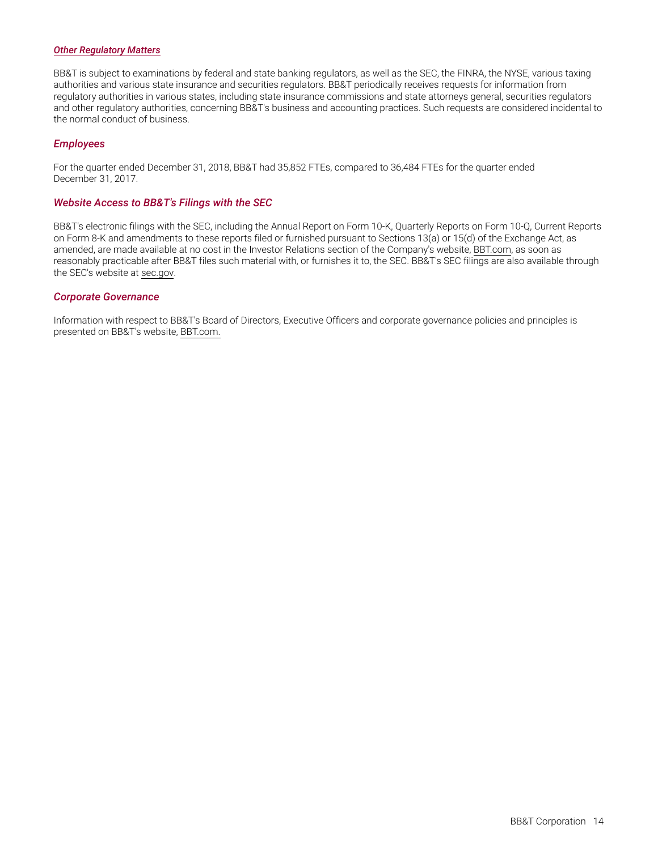#### *Other Regulatory Matters*

BB&T is subject to examinations by federal and state banking regulators, as well as the SEC, the FINRA, the NYSE, various taxing authorities and various state insurance and securities regulators. BB&T periodically receives requests for information from regulatory authorities in various states, including state insurance commissions and state attorneys general, securities regulators and other regulatory authorities, concerning BB&T's business and accounting practices. Such requests are considered incidental to the normal conduct of business.

#### *Employees*

For the quarter ended December 31, 2018, BB&T had 35,852 FTEs, compared to 36,484 FTEs for the quarter ended December 31, 2017.

#### *Website Access to BB&T's Filings with the SEC*

BB&T's electronic filings with the SEC, including the Annual Report on Form 10-K, Quarterly Reports on Form 10-Q, Current Reports on Form 8-K and amendments to these reports filed or furnished pursuant to Sections 13(a) or 15(d) of the Exchange Act, as amended, are made available at no cost in the Investor Relations section of the Company's website, BBT.com, as soon as reasonably practicable after BB&T files such material with, or furnishes it to, the SEC. BB&T's SEC filings are also available through the SEC's website at sec.gov.

#### *Corporate Governance*

Information with respect to BB&T's Board of Directors, Executive Officers and corporate governance policies and principles is presented on BB&T's website, BBT.com.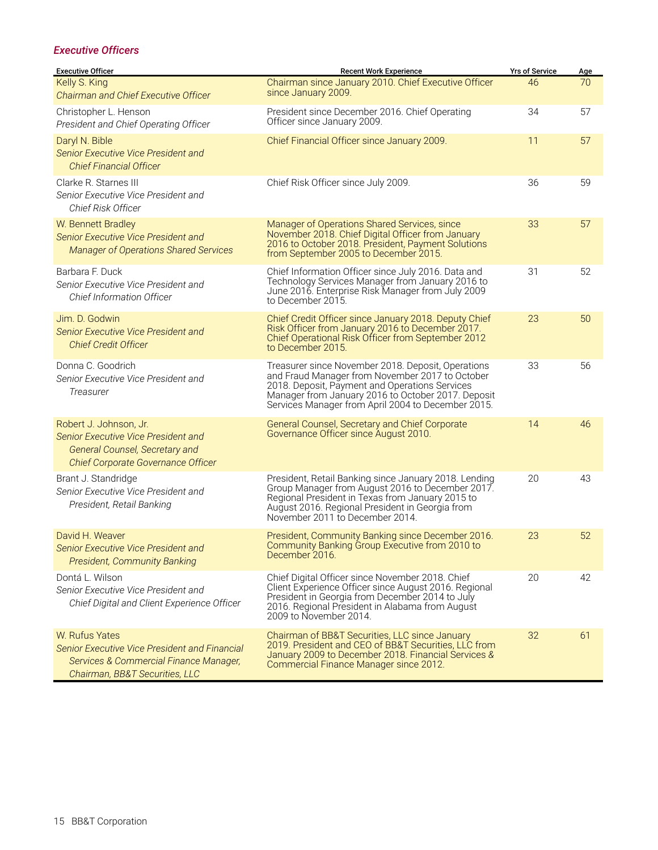# *Executive Officers*

| <b>Executive Officer</b>                                                                                                                    | <b>Recent Work Experience</b>                                                                                                                                                                                                                                       | <b>Yrs of Service</b> | <u>Age</u> |
|---------------------------------------------------------------------------------------------------------------------------------------------|---------------------------------------------------------------------------------------------------------------------------------------------------------------------------------------------------------------------------------------------------------------------|-----------------------|------------|
| Kelly S. King<br>Chairman and Chief Executive Officer                                                                                       | Chairman since January 2010. Chief Executive Officer<br>since January 2009.                                                                                                                                                                                         | 46                    | 70         |
| Christopher L. Henson<br>President and Chief Operating Officer                                                                              | President since December 2016. Chief Operating<br>Officer since January 2009.                                                                                                                                                                                       | 34                    | 57         |
| Daryl N. Bible<br>Senior Executive Vice President and<br><b>Chief Financial Officer</b>                                                     | Chief Financial Officer since January 2009.                                                                                                                                                                                                                         | 11                    | 57         |
| Clarke R. Starnes III<br>Senior Executive Vice President and<br>Chief Risk Officer                                                          | Chief Risk Officer since July 2009.                                                                                                                                                                                                                                 | 36                    | 59         |
| W. Bennett Bradley<br>Senior Executive Vice President and<br><b>Manager of Operations Shared Services</b>                                   | Manager of Operations Shared Services, since<br>November 2018. Chief Digital Officer from January<br>2016 to October 2018. President, Payment Solutions<br>from September 2005 to December 2015.                                                                    | 33                    | 57         |
| Barbara F. Duck<br>Senior Executive Vice President and<br>Chief Information Officer                                                         | Chief Information Officer since July 2016. Data and<br>Technology Services Manager from January 2016 to<br>June 2016. Enterprise Risk Manager from July 2009<br>to December 2015.                                                                                   | 31                    | 52         |
| Jim. D. Godwin<br>Senior Executive Vice President and<br><b>Chief Credit Officer</b>                                                        | Chief Credit Officer since January 2018. Deputy Chief<br>Risk Officer from January 2016 to December 2017.<br>Chief Operational Risk Officer from September 2012<br>to December 2015.                                                                                | 23                    | 50         |
| Donna C. Goodrich<br>Senior Executive Vice President and<br>Treasurer                                                                       | Treasurer since November 2018. Deposit, Operations<br>and Fraud Manager from November 2017 to October<br>2018. Deposit, Payment and Operations Services<br>Manager from January 2016 to October 2017. Deposit<br>Services Manager from April 2004 to December 2015. | 33                    | 56         |
| Robert J. Johnson, Jr.<br>Senior Executive Vice President and<br>General Counsel, Secretary and<br>Chief Corporate Governance Officer       | General Counsel, Secretary and Chief Corporate<br>Governance Officer since August 2010.                                                                                                                                                                             | 14                    | 46         |
| Brant J. Standridge<br>Senior Executive Vice President and<br>President, Retail Banking                                                     | President, Retail Banking since January 2018. Lending<br>Group Manager from August 2016 to December 2017.<br>Regional President in Texas from January 2015 to<br>August 2016. Regional President in Georgia from<br>November 2011 to December 2014.                 | 20                    | 43         |
| David H. Weaver<br>Senior Executive Vice President and<br><b>President, Community Banking</b>                                               | President, Community Banking since December 2016.<br>Community Banking Group Executive from 2010 to<br>December 2016.                                                                                                                                               | 23                    | 52         |
| Dontá L. Wilson<br>Senior Executive Vice President and<br>Chief Digital and Client Experience Officer                                       | Chief Digital Officer since November 2018. Chief<br>Client Experience Officer since August 2016. Regional<br>President in Georgia from December 2014 to July<br>2016. Regional President in Alabama from August<br>2009 to November 2014.                           | 20                    | 42         |
| W. Rufus Yates<br>Senior Executive Vice President and Financial<br>Services & Commercial Finance Manager,<br>Chairman, BB&T Securities, LLC | Chairman of BB&T Securities, LLC since January<br>2019. President and CEO of BB&T Securities, LLC from<br>January 2009 to December 2018. Financial Services &<br>Commercial Finance Manager since 2012.                                                             | 32                    | 61         |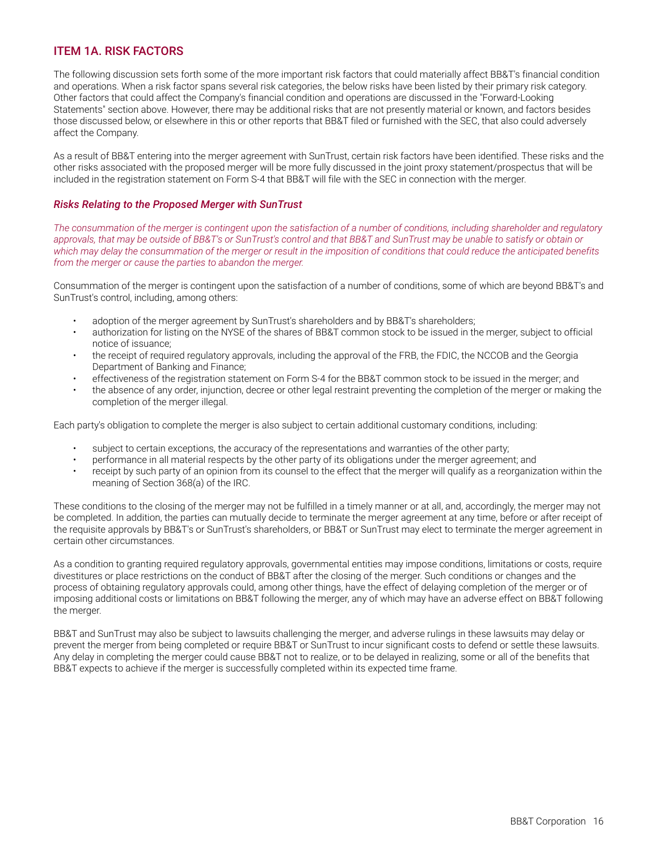# <span id="page-18-0"></span>**ITEM 1A. RISK FACTORS**

The following discussion sets forth some of the more important risk factors that could materially affect BB&T's financial condition and operations. When a risk factor spans several risk categories, the below risks have been listed by their primary risk category. Other factors that could affect the Company's financial condition and operations are discussed in the "Forward-Looking Statements" section above. However, there may be additional risks that are not presently material or known, and factors besides those discussed below, or elsewhere in this or other reports that BB&T filed or furnished with the SEC, that also could adversely affect the Company.

As a result of BB&T entering into the merger agreement with SunTrust, certain risk factors have been identified. These risks and the other risks associated with the proposed merger will be more fully discussed in the joint proxy statement/prospectus that will be included in the registration statement on Form S-4 that BB&T will file with the SEC in connection with the merger.

#### *Risks Relating to the Proposed Merger with SunTrust*

*The consummation of the merger is contingent upon the satisfaction of a number of conditions, including shareholder and regulatory approvals, that may be outside of BB&T's or SunTrust's control and that BB&T and SunTrust may be unable to satisfy or obtain or which may delay the consummation of the merger or result in the imposition of conditions that could reduce the anticipated benefits from the merger or cause the parties to abandon the merger.*

Consummation of the merger is contingent upon the satisfaction of a number of conditions, some of which are beyond BB&T's and SunTrust's control, including, among others:

- adoption of the merger agreement by SunTrust's shareholders and by BB&T's shareholders;
- authorization for listing on the NYSE of the shares of BB&T common stock to be issued in the merger, subject to official notice of issuance;
- the receipt of required regulatory approvals, including the approval of the FRB, the FDIC, the NCCOB and the Georgia Department of Banking and Finance;
- effectiveness of the registration statement on Form S-4 for the BB&T common stock to be issued in the merger; and
- the absence of any order, injunction, decree or other legal restraint preventing the completion of the merger or making the completion of the merger illegal.

Each party's obligation to complete the merger is also subject to certain additional customary conditions, including:

- subject to certain exceptions, the accuracy of the representations and warranties of the other party;
- performance in all material respects by the other party of its obligations under the merger agreement; and
- receipt by such party of an opinion from its counsel to the effect that the merger will qualify as a reorganization within the meaning of Section 368(a) of the IRC.

These conditions to the closing of the merger may not be fulfilled in a timely manner or at all, and, accordingly, the merger may not be completed. In addition, the parties can mutually decide to terminate the merger agreement at any time, before or after receipt of the requisite approvals by BB&T's or SunTrust's shareholders, or BB&T or SunTrust may elect to terminate the merger agreement in certain other circumstances.

As a condition to granting required regulatory approvals, governmental entities may impose conditions, limitations or costs, require divestitures or place restrictions on the conduct of BB&T after the closing of the merger. Such conditions or changes and the process of obtaining regulatory approvals could, among other things, have the effect of delaying completion of the merger or of imposing additional costs or limitations on BB&T following the merger, any of which may have an adverse effect on BB&T following the merger.

BB&T and SunTrust may also be subject to lawsuits challenging the merger, and adverse rulings in these lawsuits may delay or prevent the merger from being completed or require BB&T or SunTrust to incur significant costs to defend or settle these lawsuits. Any delay in completing the merger could cause BB&T not to realize, or to be delayed in realizing, some or all of the benefits that BB&T expects to achieve if the merger is successfully completed within its expected time frame.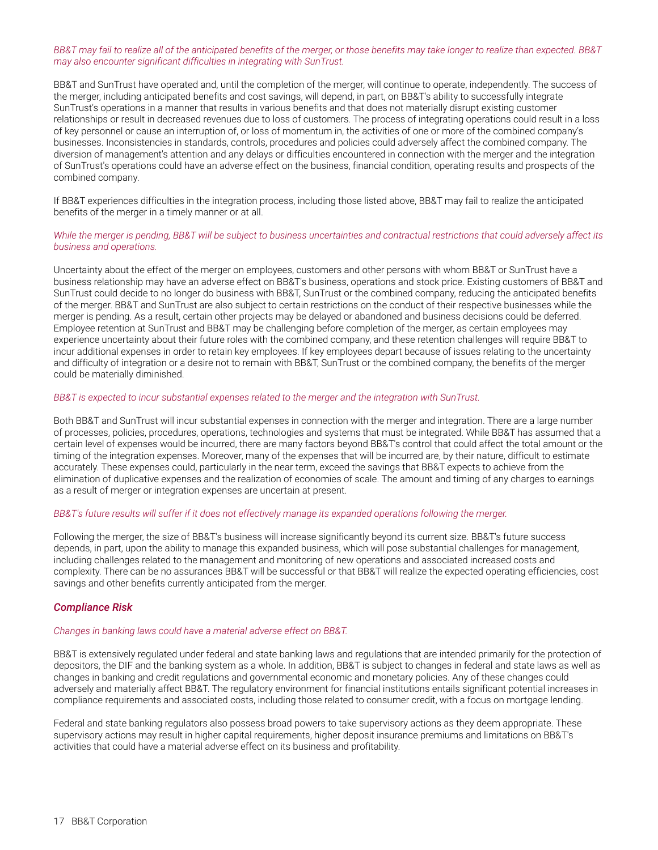#### *BB&T may fail to realize all of the anticipated benefits of the merger, or those benefits may take longer to realize than expected. BB&T may also encounter significant difficulties in integrating with SunTrust.*

BB&T and SunTrust have operated and, until the completion of the merger, will continue to operate, independently. The success of the merger, including anticipated benefits and cost savings, will depend, in part, on BB&T's ability to successfully integrate SunTrust's operations in a manner that results in various benefits and that does not materially disrupt existing customer relationships or result in decreased revenues due to loss of customers. The process of integrating operations could result in a loss of key personnel or cause an interruption of, or loss of momentum in, the activities of one or more of the combined company's businesses. Inconsistencies in standards, controls, procedures and policies could adversely affect the combined company. The diversion of management's attention and any delays or difficulties encountered in connection with the merger and the integration of SunTrust's operations could have an adverse effect on the business, financial condition, operating results and prospects of the combined company.

If BB&T experiences difficulties in the integration process, including those listed above, BB&T may fail to realize the anticipated benefits of the merger in a timely manner or at all.

#### *While the merger is pending, BB&T will be subject to business uncertainties and contractual restrictions that could adversely affect its business and operations.*

Uncertainty about the effect of the merger on employees, customers and other persons with whom BB&T or SunTrust have a business relationship may have an adverse effect on BB&T's business, operations and stock price. Existing customers of BB&T and SunTrust could decide to no longer do business with BB&T, SunTrust or the combined company, reducing the anticipated benefits of the merger. BB&T and SunTrust are also subject to certain restrictions on the conduct of their respective businesses while the merger is pending. As a result, certain other projects may be delayed or abandoned and business decisions could be deferred. Employee retention at SunTrust and BB&T may be challenging before completion of the merger, as certain employees may experience uncertainty about their future roles with the combined company, and these retention challenges will require BB&T to incur additional expenses in order to retain key employees. If key employees depart because of issues relating to the uncertainty and difficulty of integration or a desire not to remain with BB&T, SunTrust or the combined company, the benefits of the merger could be materially diminished.

#### *BB&T is expected to incur substantial expenses related to the merger and the integration with SunTrust.*

Both BB&T and SunTrust will incur substantial expenses in connection with the merger and integration. There are a large number of processes, policies, procedures, operations, technologies and systems that must be integrated. While BB&T has assumed that a certain level of expenses would be incurred, there are many factors beyond BB&T's control that could affect the total amount or the timing of the integration expenses. Moreover, many of the expenses that will be incurred are, by their nature, difficult to estimate accurately. These expenses could, particularly in the near term, exceed the savings that BB&T expects to achieve from the elimination of duplicative expenses and the realization of economies of scale. The amount and timing of any charges to earnings as a result of merger or integration expenses are uncertain at present.

#### *BB&T's future results will suffer if it does not effectively manage its expanded operations following the merger.*

Following the merger, the size of BB&T's business will increase significantly beyond its current size. BB&T's future success depends, in part, upon the ability to manage this expanded business, which will pose substantial challenges for management, including challenges related to the management and monitoring of new operations and associated increased costs and complexity. There can be no assurances BB&T will be successful or that BB&T will realize the expected operating efficiencies, cost savings and other benefits currently anticipated from the merger.

#### *Compliance Risk*

#### *Changes in banking laws could have a material adverse effect on BB&T.*

BB&T is extensively regulated under federal and state banking laws and regulations that are intended primarily for the protection of depositors, the DIF and the banking system as a whole. In addition, BB&T is subject to changes in federal and state laws as well as changes in banking and credit regulations and governmental economic and monetary policies. Any of these changes could adversely and materially affect BB&T. The regulatory environment for financial institutions entails significant potential increases in compliance requirements and associated costs, including those related to consumer credit, with a focus on mortgage lending.

Federal and state banking regulators also possess broad powers to take supervisory actions as they deem appropriate. These supervisory actions may result in higher capital requirements, higher deposit insurance premiums and limitations on BB&T's activities that could have a material adverse effect on its business and profitability.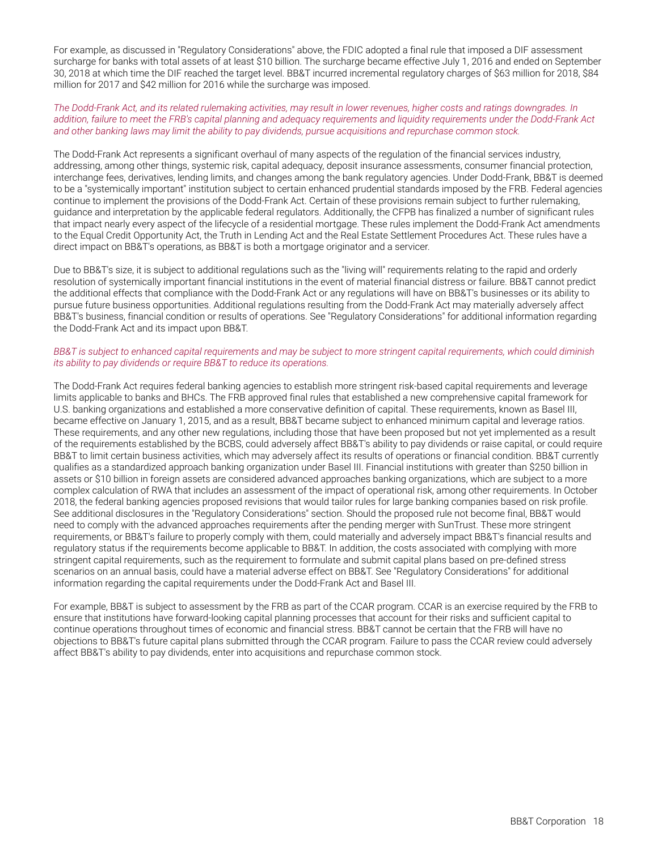For example, as discussed in "Regulatory Considerations" above, the FDIC adopted a final rule that imposed a DIF assessment surcharge for banks with total assets of at least \$10 billion. The surcharge became effective July 1, 2016 and ended on September 30, 2018 at which time the DIF reached the target level. BB&T incurred incremental regulatory charges of \$63 million for 2018, \$84 million for 2017 and \$42 million for 2016 while the surcharge was imposed.

#### *The Dodd-Frank Act, and its related rulemaking activities, may result in lower revenues, higher costs and ratings downgrades. In addition, failure to meet the FRB's capital planning and adequacy requirements and liquidity requirements under the Dodd-Frank Act and other banking laws may limit the ability to pay dividends, pursue acquisitions and repurchase common stock.*

The Dodd-Frank Act represents a significant overhaul of many aspects of the regulation of the financial services industry, addressing, among other things, systemic risk, capital adequacy, deposit insurance assessments, consumer financial protection, interchange fees, derivatives, lending limits, and changes among the bank regulatory agencies. Under Dodd-Frank, BB&T is deemed to be a "systemically important" institution subject to certain enhanced prudential standards imposed by the FRB. Federal agencies continue to implement the provisions of the Dodd-Frank Act. Certain of these provisions remain subject to further rulemaking, guidance and interpretation by the applicable federal regulators. Additionally, the CFPB has finalized a number of significant rules that impact nearly every aspect of the lifecycle of a residential mortgage. These rules implement the Dodd-Frank Act amendments to the Equal Credit Opportunity Act, the Truth in Lending Act and the Real Estate Settlement Procedures Act. These rules have a direct impact on BB&T's operations, as BB&T is both a mortgage originator and a servicer.

Due to BB&T's size, it is subject to additional regulations such as the "living will" requirements relating to the rapid and orderly resolution of systemically important financial institutions in the event of material financial distress or failure. BB&T cannot predict the additional effects that compliance with the Dodd-Frank Act or any regulations will have on BB&T's businesses or its ability to pursue future business opportunities. Additional regulations resulting from the Dodd-Frank Act may materially adversely affect BB&T's business, financial condition or results of operations. See "Regulatory Considerations" for additional information regarding the Dodd-Frank Act and its impact upon BB&T.

#### *BB&T is subject to enhanced capital requirements and may be subject to more stringent capital requirements, which could diminish its ability to pay dividends or require BB&T to reduce its operations.*

The Dodd-Frank Act requires federal banking agencies to establish more stringent risk-based capital requirements and leverage limits applicable to banks and BHCs. The FRB approved final rules that established a new comprehensive capital framework for U.S. banking organizations and established a more conservative definition of capital. These requirements, known as Basel III, became effective on January 1, 2015, and as a result, BB&T became subject to enhanced minimum capital and leverage ratios. These requirements, and any other new regulations, including those that have been proposed but not yet implemented as a result of the requirements established by the BCBS, could adversely affect BB&T's ability to pay dividends or raise capital, or could require BB&T to limit certain business activities, which may adversely affect its results of operations or financial condition. BB&T currently qualifies as a standardized approach banking organization under Basel III. Financial institutions with greater than \$250 billion in assets or \$10 billion in foreign assets are considered advanced approaches banking organizations, which are subject to a more complex calculation of RWA that includes an assessment of the impact of operational risk, among other requirements. In October 2018, the federal banking agencies proposed revisions that would tailor rules for large banking companies based on risk profile. See additional disclosures in the "Regulatory Considerations" section. Should the proposed rule not become final, BB&T would need to comply with the advanced approaches requirements after the pending merger with SunTrust. These more stringent requirements, or BB&T's failure to properly comply with them, could materially and adversely impact BB&T's financial results and regulatory status if the requirements become applicable to BB&T. In addition, the costs associated with complying with more stringent capital requirements, such as the requirement to formulate and submit capital plans based on pre-defined stress scenarios on an annual basis, could have a material adverse effect on BB&T. See "Regulatory Considerations" for additional information regarding the capital requirements under the Dodd-Frank Act and Basel III.

For example, BB&T is subject to assessment by the FRB as part of the CCAR program. CCAR is an exercise required by the FRB to ensure that institutions have forward-looking capital planning processes that account for their risks and sufficient capital to continue operations throughout times of economic and financial stress. BB&T cannot be certain that the FRB will have no objections to BB&T's future capital plans submitted through the CCAR program. Failure to pass the CCAR review could adversely affect BB&T's ability to pay dividends, enter into acquisitions and repurchase common stock.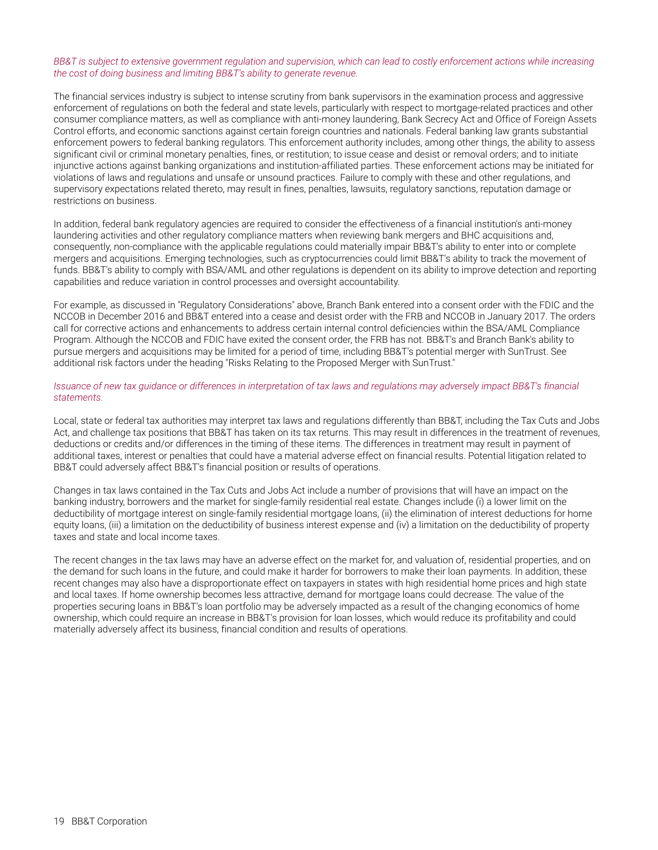#### *BB&T is subject to extensive government regulation and supervision, which can lead to costly enforcement actions while increasing the cost of doing business and limiting BB&T's ability to generate revenue.*

The financial services industry is subject to intense scrutiny from bank supervisors in the examination process and aggressive enforcement of regulations on both the federal and state levels, particularly with respect to mortgage-related practices and other consumer compliance matters, as well as compliance with anti-money laundering, Bank Secrecy Act and Office of Foreign Assets Control efforts, and economic sanctions against certain foreign countries and nationals. Federal banking law grants substantial enforcement powers to federal banking regulators. This enforcement authority includes, among other things, the ability to assess significant civil or criminal monetary penalties, fines, or restitution; to issue cease and desist or removal orders; and to initiate injunctive actions against banking organizations and institution-affiliated parties. These enforcement actions may be initiated for violations of laws and regulations and unsafe or unsound practices. Failure to comply with these and other regulations, and supervisory expectations related thereto, may result in fines, penalties, lawsuits, regulatory sanctions, reputation damage or restrictions on business.

In addition, federal bank regulatory agencies are required to consider the effectiveness of a financial institution's anti-money laundering activities and other regulatory compliance matters when reviewing bank mergers and BHC acquisitions and, consequently, non-compliance with the applicable regulations could materially impair BB&T's ability to enter into or complete mergers and acquisitions. Emerging technologies, such as cryptocurrencies could limit BB&T's ability to track the movement of funds. BB&T's ability to comply with BSA/AML and other regulations is dependent on its ability to improve detection and reporting capabilities and reduce variation in control processes and oversight accountability.

For example, as discussed in "Regulatory Considerations" above, Branch Bank entered into a consent order with the FDIC and the NCCOB in December 2016 and BB&T entered into a cease and desist order with the FRB and NCCOB in January 2017. The orders call for corrective actions and enhancements to address certain internal control deficiencies within the BSA/AML Compliance Program. Although the NCCOB and FDIC have exited the consent order, the FRB has not. BB&T's and Branch Bank's ability to pursue mergers and acquisitions may be limited for a period of time, including BB&T's potential merger with SunTrust. See additional risk factors under the heading "Risks Relating to the Proposed Merger with SunTrust."

#### *Issuance of new tax guidance or differences in interpretation of tax laws and regulations may adversely impact BB&T's financial statements.*

Local, state or federal tax authorities may interpret tax laws and regulations differently than BB&T, including the Tax Cuts and Jobs Act, and challenge tax positions that BB&T has taken on its tax returns. This may result in differences in the treatment of revenues, deductions or credits and/or differences in the timing of these items. The differences in treatment may result in payment of additional taxes, interest or penalties that could have a material adverse effect on financial results. Potential litigation related to BB&T could adversely affect BB&T's financial position or results of operations.

Changes in tax laws contained in the Tax Cuts and Jobs Act include a number of provisions that will have an impact on the banking industry, borrowers and the market for single-family residential real estate. Changes include (i) a lower limit on the deductibility of mortgage interest on single-family residential mortgage loans, (ii) the elimination of interest deductions for home equity loans, (iii) a limitation on the deductibility of business interest expense and (iv) a limitation on the deductibility of property taxes and state and local income taxes.

The recent changes in the tax laws may have an adverse effect on the market for, and valuation of, residential properties, and on the demand for such loans in the future, and could make it harder for borrowers to make their loan payments. In addition, these recent changes may also have a disproportionate effect on taxpayers in states with high residential home prices and high state and local taxes. If home ownership becomes less attractive, demand for mortgage loans could decrease. The value of the properties securing loans in BB&T's loan portfolio may be adversely impacted as a result of the changing economics of home ownership, which could require an increase in BB&T's provision for loan losses, which would reduce its profitability and could materially adversely affect its business, financial condition and results of operations.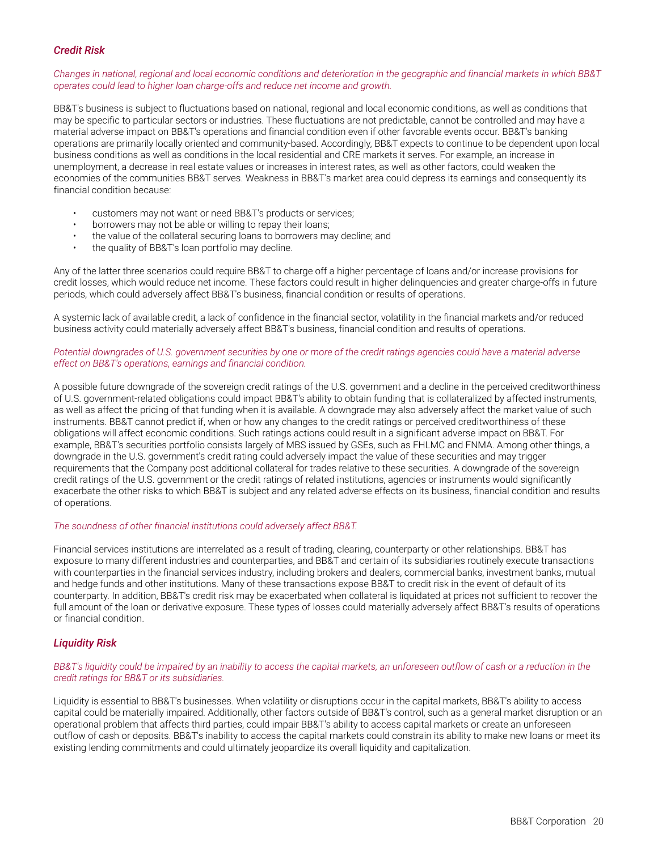# *Credit Risk*

#### *Changes in national, regional and local economic conditions and deterioration in the geographic and financial markets in which BB&T operates could lead to higher loan charge-offs and reduce net income and growth.*

BB&T's business is subject to fluctuations based on national, regional and local economic conditions, as well as conditions that may be specific to particular sectors or industries. These fluctuations are not predictable, cannot be controlled and may have a material adverse impact on BB&T's operations and financial condition even if other favorable events occur. BB&T's banking operations are primarily locally oriented and community-based. Accordingly, BB&T expects to continue to be dependent upon local business conditions as well as conditions in the local residential and CRE markets it serves. For example, an increase in unemployment, a decrease in real estate values or increases in interest rates, as well as other factors, could weaken the economies of the communities BB&T serves. Weakness in BB&T's market area could depress its earnings and consequently its financial condition because:

- customers may not want or need BB&T's products or services;
- borrowers may not be able or willing to repay their loans;
- the value of the collateral securing loans to borrowers may decline; and
- the quality of BB&T's loan portfolio may decline.

Any of the latter three scenarios could require BB&T to charge off a higher percentage of loans and/or increase provisions for credit losses, which would reduce net income. These factors could result in higher delinquencies and greater charge-offs in future periods, which could adversely affect BB&T's business, financial condition or results of operations.

A systemic lack of available credit, a lack of confidence in the financial sector, volatility in the financial markets and/or reduced business activity could materially adversely affect BB&T's business, financial condition and results of operations.

#### *Potential downgrades of U.S. government securities by one or more of the credit ratings agencies could have a material adverse effect on BB&T's operations, earnings and financial condition.*

A possible future downgrade of the sovereign credit ratings of the U.S. government and a decline in the perceived creditworthiness of U.S. government-related obligations could impact BB&T's ability to obtain funding that is collateralized by affected instruments, as well as affect the pricing of that funding when it is available. A downgrade may also adversely affect the market value of such instruments. BB&T cannot predict if, when or how any changes to the credit ratings or perceived creditworthiness of these obligations will affect economic conditions. Such ratings actions could result in a significant adverse impact on BB&T. For example, BB&T's securities portfolio consists largely of MBS issued by GSEs, such as FHLMC and FNMA. Among other things, a downgrade in the U.S. government's credit rating could adversely impact the value of these securities and may trigger requirements that the Company post additional collateral for trades relative to these securities. A downgrade of the sovereign credit ratings of the U.S. government or the credit ratings of related institutions, agencies or instruments would significantly exacerbate the other risks to which BB&T is subject and any related adverse effects on its business, financial condition and results of operations.

#### *The soundness of other financial institutions could adversely affect BB&T.*

Financial services institutions are interrelated as a result of trading, clearing, counterparty or other relationships. BB&T has exposure to many different industries and counterparties, and BB&T and certain of its subsidiaries routinely execute transactions with counterparties in the financial services industry, including brokers and dealers, commercial banks, investment banks, mutual and hedge funds and other institutions. Many of these transactions expose BB&T to credit risk in the event of default of its counterparty. In addition, BB&T's credit risk may be exacerbated when collateral is liquidated at prices not sufficient to recover the full amount of the loan or derivative exposure. These types of losses could materially adversely affect BB&T's results of operations or financial condition.

# *Liquidity Risk*

#### *BB&T's liquidity could be impaired by an inability to access the capital markets, an unforeseen outflow of cash or a reduction in the credit ratings for BB&T or its subsidiaries.*

Liquidity is essential to BB&T's businesses. When volatility or disruptions occur in the capital markets, BB&T's ability to access capital could be materially impaired. Additionally, other factors outside of BB&T's control, such as a general market disruption or an operational problem that affects third parties, could impair BB&T's ability to access capital markets or create an unforeseen outflow of cash or deposits. BB&T's inability to access the capital markets could constrain its ability to make new loans or meet its existing lending commitments and could ultimately jeopardize its overall liquidity and capitalization.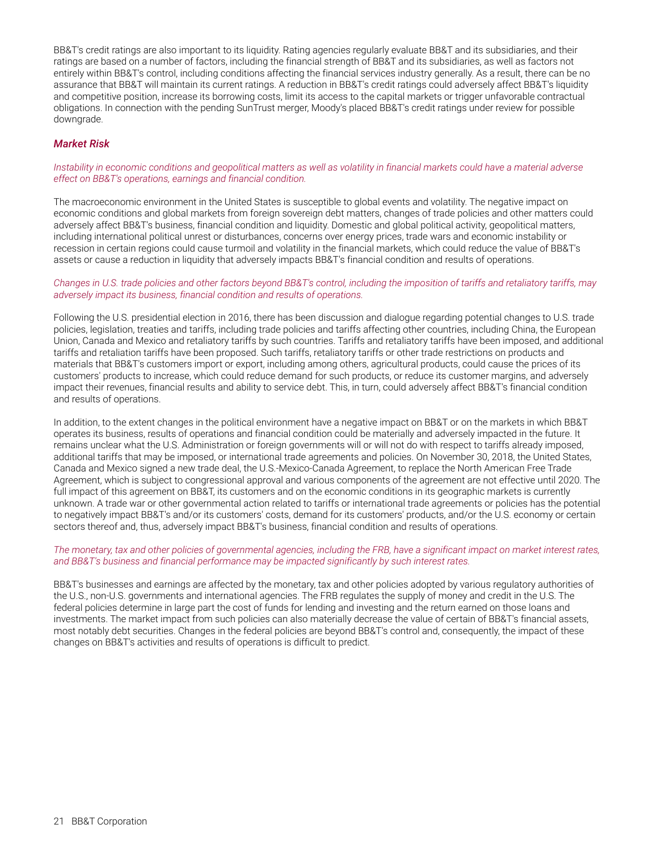BB&T's credit ratings are also important to its liquidity. Rating agencies regularly evaluate BB&T and its subsidiaries, and their ratings are based on a number of factors, including the financial strength of BB&T and its subsidiaries, as well as factors not entirely within BB&T's control, including conditions affecting the financial services industry generally. As a result, there can be no assurance that BB&T will maintain its current ratings. A reduction in BB&T's credit ratings could adversely affect BB&T's liquidity and competitive position, increase its borrowing costs, limit its access to the capital markets or trigger unfavorable contractual obligations. In connection with the pending SunTrust merger, Moody's placed BB&T's credit ratings under review for possible downgrade.

#### *Market Risk*

#### *Instability in economic conditions and geopolitical matters as well as volatility in financial markets could have a material adverse effect on BB&T's operations, earnings and financial condition.*

The macroeconomic environment in the United States is susceptible to global events and volatility. The negative impact on economic conditions and global markets from foreign sovereign debt matters, changes of trade policies and other matters could adversely affect BB&T's business, financial condition and liquidity. Domestic and global political activity, geopolitical matters, including international political unrest or disturbances, concerns over energy prices, trade wars and economic instability or recession in certain regions could cause turmoil and volatility in the financial markets, which could reduce the value of BB&T's assets or cause a reduction in liquidity that adversely impacts BB&T's financial condition and results of operations.

#### *Changes in U.S. trade policies and other factors beyond BB&T's control, including the imposition of tariffs and retaliatory tariffs, may adversely impact its business, financial condition and results of operations.*

Following the U.S. presidential election in 2016, there has been discussion and dialogue regarding potential changes to U.S. trade policies, legislation, treaties and tariffs, including trade policies and tariffs affecting other countries, including China, the European Union, Canada and Mexico and retaliatory tariffs by such countries. Tariffs and retaliatory tariffs have been imposed, and additional tariffs and retaliation tariffs have been proposed. Such tariffs, retaliatory tariffs or other trade restrictions on products and materials that BB&T's customers import or export, including among others, agricultural products, could cause the prices of its customers' products to increase, which could reduce demand for such products, or reduce its customer margins, and adversely impact their revenues, financial results and ability to service debt. This, in turn, could adversely affect BB&T's financial condition and results of operations.

In addition, to the extent changes in the political environment have a negative impact on BB&T or on the markets in which BB&T operates its business, results of operations and financial condition could be materially and adversely impacted in the future. It remains unclear what the U.S. Administration or foreign governments will or will not do with respect to tariffs already imposed, additional tariffs that may be imposed, or international trade agreements and policies. On November 30, 2018, the United States, Canada and Mexico signed a new trade deal, the U.S.-Mexico-Canada Agreement, to replace the North American Free Trade Agreement, which is subject to congressional approval and various components of the agreement are not effective until 2020. The full impact of this agreement on BB&T, its customers and on the economic conditions in its geographic markets is currently unknown. A trade war or other governmental action related to tariffs or international trade agreements or policies has the potential to negatively impact BB&T's and/or its customers' costs, demand for its customers' products, and/or the U.S. economy or certain sectors thereof and, thus, adversely impact BB&T's business, financial condition and results of operations.

#### *The monetary, tax and other policies of governmental agencies, including the FRB, have a significant impact on market interest rates, and BB&T's business and financial performance may be impacted significantly by such interest rates.*

BB&T's businesses and earnings are affected by the monetary, tax and other policies adopted by various regulatory authorities of the U.S., non-U.S. governments and international agencies. The FRB regulates the supply of money and credit in the U.S. The federal policies determine in large part the cost of funds for lending and investing and the return earned on those loans and investments. The market impact from such policies can also materially decrease the value of certain of BB&T's financial assets, most notably debt securities. Changes in the federal policies are beyond BB&T's control and, consequently, the impact of these changes on BB&T's activities and results of operations is difficult to predict.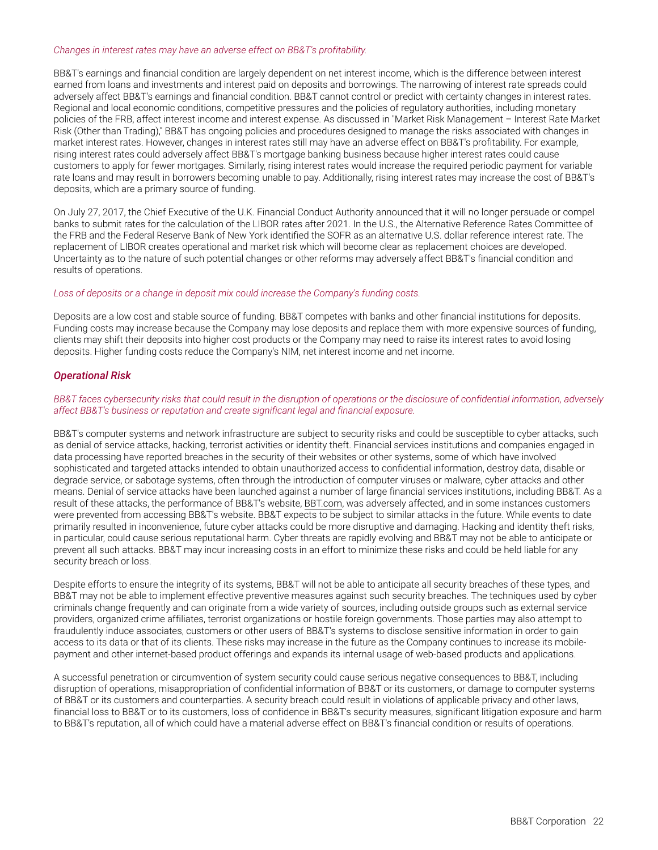#### *Changes in interest rates may have an adverse effect on BB&T's profitability.*

BB&T's earnings and financial condition are largely dependent on net interest income, which is the difference between interest earned from loans and investments and interest paid on deposits and borrowings. The narrowing of interest rate spreads could adversely affect BB&T's earnings and financial condition. BB&T cannot control or predict with certainty changes in interest rates. Regional and local economic conditions, competitive pressures and the policies of regulatory authorities, including monetary policies of the FRB, affect interest income and interest expense. As discussed in "Market Risk Management – Interest Rate Market Risk (Other than Trading)," BB&T has ongoing policies and procedures designed to manage the risks associated with changes in market interest rates. However, changes in interest rates still may have an adverse effect on BB&T's profitability. For example, rising interest rates could adversely affect BB&T's mortgage banking business because higher interest rates could cause customers to apply for fewer mortgages. Similarly, rising interest rates would increase the required periodic payment for variable rate loans and may result in borrowers becoming unable to pay. Additionally, rising interest rates may increase the cost of BB&T's deposits, which are a primary source of funding.

On July 27, 2017, the Chief Executive of the U.K. Financial Conduct Authority announced that it will no longer persuade or compel banks to submit rates for the calculation of the LIBOR rates after 2021. In the U.S., the Alternative Reference Rates Committee of the FRB and the Federal Reserve Bank of New York identified the SOFR as an alternative U.S. dollar reference interest rate. The replacement of LIBOR creates operational and market risk which will become clear as replacement choices are developed. Uncertainty as to the nature of such potential changes or other reforms may adversely affect BB&T's financial condition and results of operations.

#### *Loss of deposits or a change in deposit mix could increase the Company's funding costs.*

Deposits are a low cost and stable source of funding. BB&T competes with banks and other financial institutions for deposits. Funding costs may increase because the Company may lose deposits and replace them with more expensive sources of funding, clients may shift their deposits into higher cost products or the Company may need to raise its interest rates to avoid losing deposits. Higher funding costs reduce the Company's NIM, net interest income and net income.

#### *Operational Risk*

#### *BB&T faces cybersecurity risks that could result in the disruption of operations or the disclosure of confidential information, adversely affect BB&T's business or reputation and create significant legal and financial exposure.*

BB&T's computer systems and network infrastructure are subject to security risks and could be susceptible to cyber attacks, such as denial of service attacks, hacking, terrorist activities or identity theft. Financial services institutions and companies engaged in data processing have reported breaches in the security of their websites or other systems, some of which have involved sophisticated and targeted attacks intended to obtain unauthorized access to confidential information, destroy data, disable or degrade service, or sabotage systems, often through the introduction of computer viruses or malware, cyber attacks and other means. Denial of service attacks have been launched against a number of large financial services institutions, including BB&T. As a result of these attacks, the performance of BB&T's website, BBT.com, was adversely affected, and in some instances customers were prevented from accessing BB&T's website. BB&T expects to be subject to similar attacks in the future. While events to date primarily resulted in inconvenience, future cyber attacks could be more disruptive and damaging. Hacking and identity theft risks, in particular, could cause serious reputational harm. Cyber threats are rapidly evolving and BB&T may not be able to anticipate or prevent all such attacks. BB&T may incur increasing costs in an effort to minimize these risks and could be held liable for any security breach or loss.

Despite efforts to ensure the integrity of its systems, BB&T will not be able to anticipate all security breaches of these types, and BB&T may not be able to implement effective preventive measures against such security breaches. The techniques used by cyber criminals change frequently and can originate from a wide variety of sources, including outside groups such as external service providers, organized crime affiliates, terrorist organizations or hostile foreign governments. Those parties may also attempt to fraudulently induce associates, customers or other users of BB&T's systems to disclose sensitive information in order to gain access to its data or that of its clients. These risks may increase in the future as the Company continues to increase its mobilepayment and other internet-based product offerings and expands its internal usage of web-based products and applications.

A successful penetration or circumvention of system security could cause serious negative consequences to BB&T, including disruption of operations, misappropriation of confidential information of BB&T or its customers, or damage to computer systems of BB&T or its customers and counterparties. A security breach could result in violations of applicable privacy and other laws, financial loss to BB&T or to its customers, loss of confidence in BB&T's security measures, significant litigation exposure and harm to BB&T's reputation, all of which could have a material adverse effect on BB&T's financial condition or results of operations.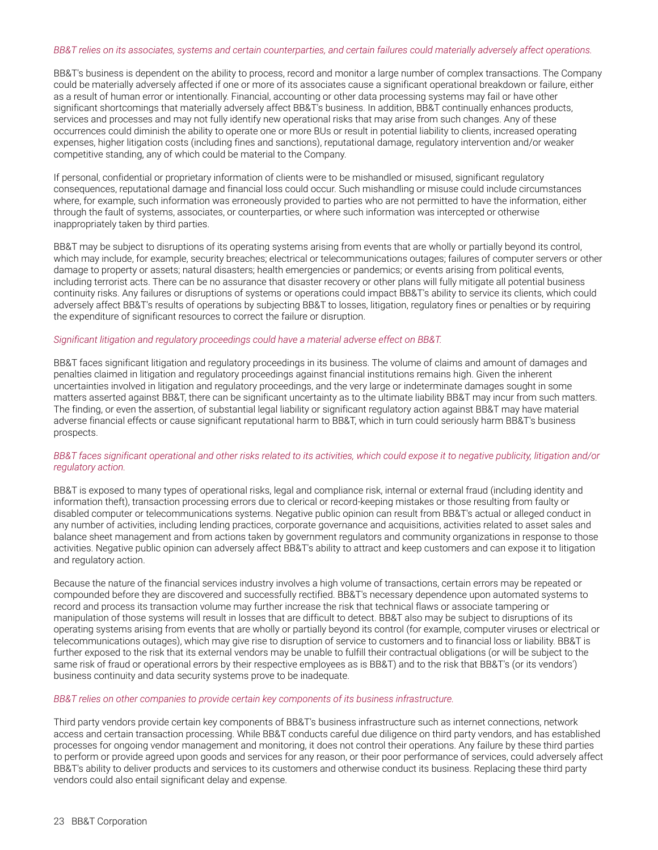#### *BB&T relies on its associates, systems and certain counterparties, and certain failures could materially adversely affect operations.*

BB&T's business is dependent on the ability to process, record and monitor a large number of complex transactions. The Company could be materially adversely affected if one or more of its associates cause a significant operational breakdown or failure, either as a result of human error or intentionally. Financial, accounting or other data processing systems may fail or have other significant shortcomings that materially adversely affect BB&T's business. In addition, BB&T continually enhances products, services and processes and may not fully identify new operational risks that may arise from such changes. Any of these occurrences could diminish the ability to operate one or more BUs or result in potential liability to clients, increased operating expenses, higher litigation costs (including fines and sanctions), reputational damage, regulatory intervention and/or weaker competitive standing, any of which could be material to the Company.

If personal, confidential or proprietary information of clients were to be mishandled or misused, significant regulatory consequences, reputational damage and financial loss could occur. Such mishandling or misuse could include circumstances where, for example, such information was erroneously provided to parties who are not permitted to have the information, either through the fault of systems, associates, or counterparties, or where such information was intercepted or otherwise inappropriately taken by third parties.

BB&T may be subject to disruptions of its operating systems arising from events that are wholly or partially beyond its control, which may include, for example, security breaches; electrical or telecommunications outages; failures of computer servers or other damage to property or assets; natural disasters; health emergencies or pandemics; or events arising from political events, including terrorist acts. There can be no assurance that disaster recovery or other plans will fully mitigate all potential business continuity risks. Any failures or disruptions of systems or operations could impact BB&T's ability to service its clients, which could adversely affect BB&T's results of operations by subjecting BB&T to losses, litigation, regulatory fines or penalties or by requiring the expenditure of significant resources to correct the failure or disruption.

#### *Significant litigation and regulatory proceedings could have a material adverse effect on BB&T.*

BB&T faces significant litigation and regulatory proceedings in its business. The volume of claims and amount of damages and penalties claimed in litigation and regulatory proceedings against financial institutions remains high. Given the inherent uncertainties involved in litigation and regulatory proceedings, and the very large or indeterminate damages sought in some matters asserted against BB&T, there can be significant uncertainty as to the ultimate liability BB&T may incur from such matters. The finding, or even the assertion, of substantial legal liability or significant regulatory action against BB&T may have material adverse financial effects or cause significant reputational harm to BB&T, which in turn could seriously harm BB&T's business prospects.

#### *BB&T faces significant operational and other risks related to its activities, which could expose it to negative publicity, litigation and/or regulatory action.*

BB&T is exposed to many types of operational risks, legal and compliance risk, internal or external fraud (including identity and information theft), transaction processing errors due to clerical or record-keeping mistakes or those resulting from faulty or disabled computer or telecommunications systems. Negative public opinion can result from BB&T's actual or alleged conduct in any number of activities, including lending practices, corporate governance and acquisitions, activities related to asset sales and balance sheet management and from actions taken by government regulators and community organizations in response to those activities. Negative public opinion can adversely affect BB&T's ability to attract and keep customers and can expose it to litigation and regulatory action.

Because the nature of the financial services industry involves a high volume of transactions, certain errors may be repeated or compounded before they are discovered and successfully rectified. BB&T's necessary dependence upon automated systems to record and process its transaction volume may further increase the risk that technical flaws or associate tampering or manipulation of those systems will result in losses that are difficult to detect. BB&T also may be subject to disruptions of its operating systems arising from events that are wholly or partially beyond its control (for example, computer viruses or electrical or telecommunications outages), which may give rise to disruption of service to customers and to financial loss or liability. BB&T is further exposed to the risk that its external vendors may be unable to fulfill their contractual obligations (or will be subject to the same risk of fraud or operational errors by their respective employees as is BB&T) and to the risk that BB&T's (or its vendors') business continuity and data security systems prove to be inadequate.

#### *BB&T relies on other companies to provide certain key components of its business infrastructure.*

Third party vendors provide certain key components of BB&T's business infrastructure such as internet connections, network access and certain transaction processing. While BB&T conducts careful due diligence on third party vendors, and has established processes for ongoing vendor management and monitoring, it does not control their operations. Any failure by these third parties to perform or provide agreed upon goods and services for any reason, or their poor performance of services, could adversely affect BB&T's ability to deliver products and services to its customers and otherwise conduct its business. Replacing these third party vendors could also entail significant delay and expense.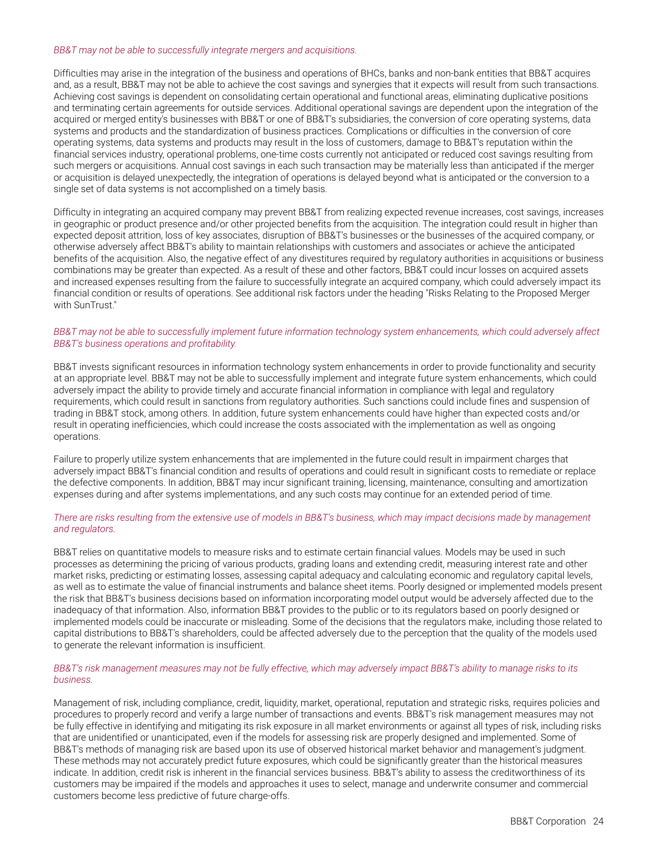#### *BB&T may not be able to successfully integrate mergers and acquisitions.*

Difficulties may arise in the integration of the business and operations of BHCs, banks and non-bank entities that BB&T acquires and, as a result, BB&T may not be able to achieve the cost savings and synergies that it expects will result from such transactions. Achieving cost savings is dependent on consolidating certain operational and functional areas, eliminating duplicative positions and terminating certain agreements for outside services. Additional operational savings are dependent upon the integration of the acquired or merged entity's businesses with BB&T or one of BB&T's subsidiaries, the conversion of core operating systems, data systems and products and the standardization of business practices. Complications or difficulties in the conversion of core operating systems, data systems and products may result in the loss of customers, damage to BB&T's reputation within the financial services industry, operational problems, one-time costs currently not anticipated or reduced cost savings resulting from such mergers or acquisitions. Annual cost savings in each such transaction may be materially less than anticipated if the merger or acquisition is delayed unexpectedly, the integration of operations is delayed beyond what is anticipated or the conversion to a single set of data systems is not accomplished on a timely basis.

Difficulty in integrating an acquired company may prevent BB&T from realizing expected revenue increases, cost savings, increases in geographic or product presence and/or other projected benefits from the acquisition. The integration could result in higher than expected deposit attrition, loss of key associates, disruption of BB&T's businesses or the businesses of the acquired company, or otherwise adversely affect BB&T's ability to maintain relationships with customers and associates or achieve the anticipated benefits of the acquisition. Also, the negative effect of any divestitures required by regulatory authorities in acquisitions or business combinations may be greater than expected. As a result of these and other factors, BB&T could incur losses on acquired assets and increased expenses resulting from the failure to successfully integrate an acquired company, which could adversely impact its financial condition or results of operations. See additional risk factors under the heading "Risks Relating to the Proposed Merger with SunTrust."

#### *BB&T may not be able to successfully implement future information technology system enhancements, which could adversely affect BB&T's business operations and profitability.*

BB&T invests significant resources in information technology system enhancements in order to provide functionality and security at an appropriate level. BB&T may not be able to successfully implement and integrate future system enhancements, which could adversely impact the ability to provide timely and accurate financial information in compliance with legal and regulatory requirements, which could result in sanctions from regulatory authorities. Such sanctions could include fines and suspension of trading in BB&T stock, among others. In addition, future system enhancements could have higher than expected costs and/or result in operating inefficiencies, which could increase the costs associated with the implementation as well as ongoing operations.

Failure to properly utilize system enhancements that are implemented in the future could result in impairment charges that adversely impact BB&T's financial condition and results of operations and could result in significant costs to remediate or replace the defective components. In addition, BB&T may incur significant training, licensing, maintenance, consulting and amortization expenses during and after systems implementations, and any such costs may continue for an extended period of time.

#### *There are risks resulting from the extensive use of models in BB&T's business, which may impact decisions made by management and regulators.*

BB&T relies on quantitative models to measure risks and to estimate certain financial values. Models may be used in such processes as determining the pricing of various products, grading loans and extending credit, measuring interest rate and other market risks, predicting or estimating losses, assessing capital adequacy and calculating economic and regulatory capital levels, as well as to estimate the value of financial instruments and balance sheet items. Poorly designed or implemented models present the risk that BB&T's business decisions based on information incorporating model output would be adversely affected due to the inadequacy of that information. Also, information BB&T provides to the public or to its regulators based on poorly designed or implemented models could be inaccurate or misleading. Some of the decisions that the regulators make, including those related to capital distributions to BB&T's shareholders, could be affected adversely due to the perception that the quality of the models used to generate the relevant information is insufficient.

#### *BB&T's risk management measures may not be fully effective, which may adversely impact BB&T's ability to manage risks to its business.*

Management of risk, including compliance, credit, liquidity, market, operational, reputation and strategic risks, requires policies and procedures to properly record and verify a large number of transactions and events. BB&T's risk management measures may not be fully effective in identifying and mitigating its risk exposure in all market environments or against all types of risk, including risks that are unidentified or unanticipated, even if the models for assessing risk are properly designed and implemented. Some of BB&T's methods of managing risk are based upon its use of observed historical market behavior and management's judgment. These methods may not accurately predict future exposures, which could be significantly greater than the historical measures indicate. In addition, credit risk is inherent in the financial services business. BB&T's ability to assess the creditworthiness of its customers may be impaired if the models and approaches it uses to select, manage and underwrite consumer and commercial customers become less predictive of future charge-offs.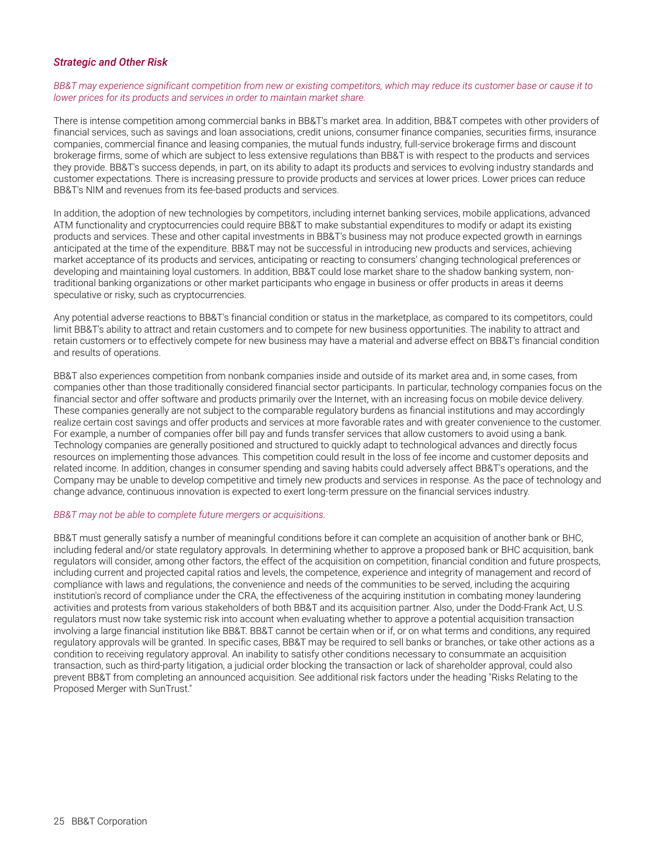#### *Strategic and Other Risk*

#### *BB&T may experience significant competition from new or existing competitors, which may reduce its customer base or cause it to lower prices for its products and services in order to maintain market share.*

There is intense competition among commercial banks in BB&T's market area. In addition, BB&T competes with other providers of financial services, such as savings and loan associations, credit unions, consumer finance companies, securities firms, insurance companies, commercial finance and leasing companies, the mutual funds industry, full-service brokerage firms and discount brokerage firms, some of which are subject to less extensive regulations than BB&T is with respect to the products and services they provide. BB&T's success depends, in part, on its ability to adapt its products and services to evolving industry standards and customer expectations. There is increasing pressure to provide products and services at lower prices. Lower prices can reduce BB&T's NIM and revenues from its fee-based products and services.

In addition, the adoption of new technologies by competitors, including internet banking services, mobile applications, advanced ATM functionality and cryptocurrencies could require BB&T to make substantial expenditures to modify or adapt its existing products and services. These and other capital investments in BB&T's business may not produce expected growth in earnings anticipated at the time of the expenditure. BB&T may not be successful in introducing new products and services, achieving market acceptance of its products and services, anticipating or reacting to consumers' changing technological preferences or developing and maintaining loyal customers. In addition, BB&T could lose market share to the shadow banking system, nontraditional banking organizations or other market participants who engage in business or offer products in areas it deems speculative or risky, such as cryptocurrencies.

Any potential adverse reactions to BB&T's financial condition or status in the marketplace, as compared to its competitors, could limit BB&T's ability to attract and retain customers and to compete for new business opportunities. The inability to attract and retain customers or to effectively compete for new business may have a material and adverse effect on BB&T's financial condition and results of operations.

BB&T also experiences competition from nonbank companies inside and outside of its market area and, in some cases, from companies other than those traditionally considered financial sector participants. In particular, technology companies focus on the financial sector and offer software and products primarily over the Internet, with an increasing focus on mobile device delivery. These companies generally are not subject to the comparable regulatory burdens as financial institutions and may accordingly realize certain cost savings and offer products and services at more favorable rates and with greater convenience to the customer. For example, a number of companies offer bill pay and funds transfer services that allow customers to avoid using a bank. Technology companies are generally positioned and structured to quickly adapt to technological advances and directly focus resources on implementing those advances. This competition could result in the loss of fee income and customer deposits and related income. In addition, changes in consumer spending and saving habits could adversely affect BB&T's operations, and the Company may be unable to develop competitive and timely new products and services in response. As the pace of technology and change advance, continuous innovation is expected to exert long-term pressure on the financial services industry.

#### *BB&T may not be able to complete future mergers or acquisitions.*

BB&T must generally satisfy a number of meaningful conditions before it can complete an acquisition of another bank or BHC, including federal and/or state regulatory approvals. In determining whether to approve a proposed bank or BHC acquisition, bank regulators will consider, among other factors, the effect of the acquisition on competition, financial condition and future prospects, including current and projected capital ratios and levels, the competence, experience and integrity of management and record of compliance with laws and regulations, the convenience and needs of the communities to be served, including the acquiring institution's record of compliance under the CRA, the effectiveness of the acquiring institution in combating money laundering activities and protests from various stakeholders of both BB&T and its acquisition partner. Also, under the Dodd-Frank Act, U.S. regulators must now take systemic risk into account when evaluating whether to approve a potential acquisition transaction involving a large financial institution like BB&T. BB&T cannot be certain when or if, or on what terms and conditions, any required regulatory approvals will be granted. In specific cases, BB&T may be required to sell banks or branches, or take other actions as a condition to receiving regulatory approval. An inability to satisfy other conditions necessary to consummate an acquisition transaction, such as third-party litigation, a judicial order blocking the transaction or lack of shareholder approval, could also prevent BB&T from completing an announced acquisition. See additional risk factors under the heading "Risks Relating to the Proposed Merger with SunTrust."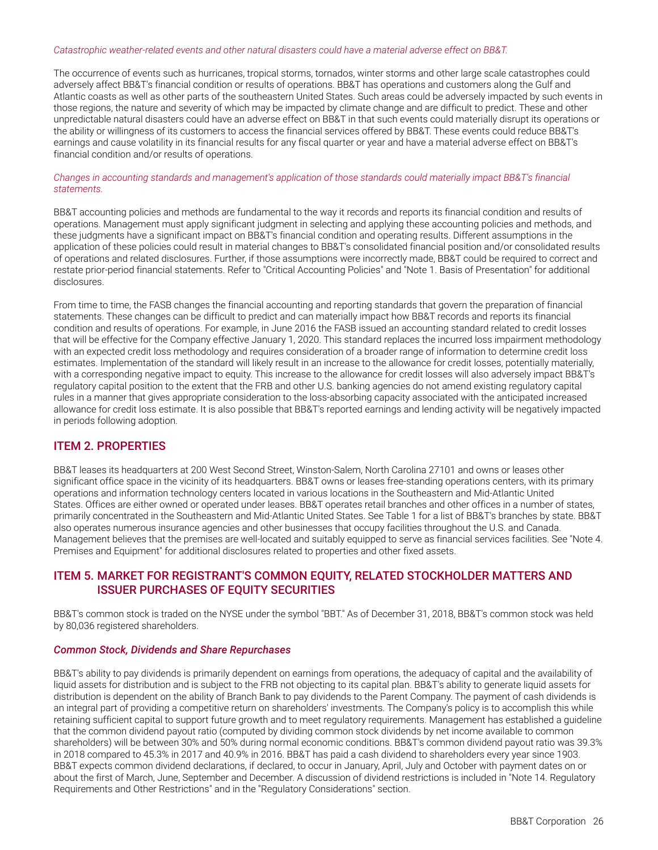#### <span id="page-28-0"></span>*Catastrophic weather-related events and other natural disasters could have a material adverse effect on BB&T.*

The occurrence of events such as hurricanes, tropical storms, tornados, winter storms and other large scale catastrophes could adversely affect BB&T's financial condition or results of operations. BB&T has operations and customers along the Gulf and Atlantic coasts as well as other parts of the southeastern United States. Such areas could be adversely impacted by such events in those regions, the nature and severity of which may be impacted by climate change and are difficult to predict. These and other unpredictable natural disasters could have an adverse effect on BB&T in that such events could materially disrupt its operations or the ability or willingness of its customers to access the financial services offered by BB&T. These events could reduce BB&T's earnings and cause volatility in its financial results for any fiscal quarter or year and have a material adverse effect on BB&T's financial condition and/or results of operations.

#### *Changes in accounting standards and management's application of those standards could materially impact BB&T's financial statements.*

BB&T accounting policies and methods are fundamental to the way it records and reports its financial condition and results of operations. Management must apply significant judgment in selecting and applying these accounting policies and methods, and these judgments have a significant impact on BB&T's financial condition and operating results. Different assumptions in the application of these policies could result in material changes to BB&T's consolidated financial position and/or consolidated results of operations and related disclosures. Further, if those assumptions were incorrectly made, BB&T could be required to correct and restate prior-period financial statements. Refer to "Critical Accounting Policies" and "Note 1. Basis of Presentation" for additional disclosures.

From time to time, the FASB changes the financial accounting and reporting standards that govern the preparation of financial statements. These changes can be difficult to predict and can materially impact how BB&T records and reports its financial condition and results of operations. For example, in June 2016 the FASB issued an accounting standard related to credit losses that will be effective for the Company effective January 1, 2020. This standard replaces the incurred loss impairment methodology with an expected credit loss methodology and requires consideration of a broader range of information to determine credit loss estimates. Implementation of the standard will likely result in an increase to the allowance for credit losses, potentially materially, with a corresponding negative impact to equity. This increase to the allowance for credit losses will also adversely impact BB&T's regulatory capital position to the extent that the FRB and other U.S. banking agencies do not amend existing regulatory capital rules in a manner that gives appropriate consideration to the loss-absorbing capacity associated with the anticipated increased allowance for credit loss estimate. It is also possible that BB&T's reported earnings and lending activity will be negatively impacted in periods following adoption.

# **ITEM 2. PROPERTIES**

BB&T leases its headquarters at 200 West Second Street, Winston-Salem, North Carolina 27101 and owns or leases other significant office space in the vicinity of its headquarters. BB&T owns or leases free-standing operations centers, with its primary operations and information technology centers located in various locations in the Southeastern and Mid-Atlantic United States. Offices are either owned or operated under leases. BB&T operates retail branches and other offices in a number of states, primarily concentrated in the Southeastern and Mid-Atlantic United States. See Table 1 for a list of BB&T's branches by state. BB&T also operates numerous insurance agencies and other businesses that occupy facilities throughout the U.S. and Canada. Management believes that the premises are well-located and suitably equipped to serve as financial services facilities. See "Note 4. Premises and Equipment" for additional disclosures related to properties and other fixed assets.

# **ITEM 5. MARKET FOR REGISTRANT'S COMMON EQUITY, RELATED STOCKHOLDER MATTERS AND ISSUER PURCHASES OF EQUITY SECURITIES**

BB&T's common stock is traded on the NYSE under the symbol "BBT." As of December 31, 2018, BB&T's common stock was held by 80,036 registered shareholders.

#### *Common Stock, Dividends and Share Repurchases*

BB&T's ability to pay dividends is primarily dependent on earnings from operations, the adequacy of capital and the availability of liquid assets for distribution and is subject to the FRB not objecting to its capital plan. BB&T's ability to generate liquid assets for distribution is dependent on the ability of Branch Bank to pay dividends to the Parent Company. The payment of cash dividends is an integral part of providing a competitive return on shareholders' investments. The Company's policy is to accomplish this while retaining sufficient capital to support future growth and to meet regulatory requirements. Management has established a guideline that the common dividend payout ratio (computed by dividing common stock dividends by net income available to common shareholders) will be between 30% and 50% during normal economic conditions. BB&T's common dividend payout ratio was 39.3% in 2018 compared to 45.3% in 2017 and 40.9% in 2016. BB&T has paid a cash dividend to shareholders every year since 1903. BB&T expects common dividend declarations, if declared, to occur in January, April, July and October with payment dates on or about the first of March, June, September and December. A discussion of dividend restrictions is included in "Note 14. Regulatory Requirements and Other Restrictions" and in the "Regulatory Considerations" section.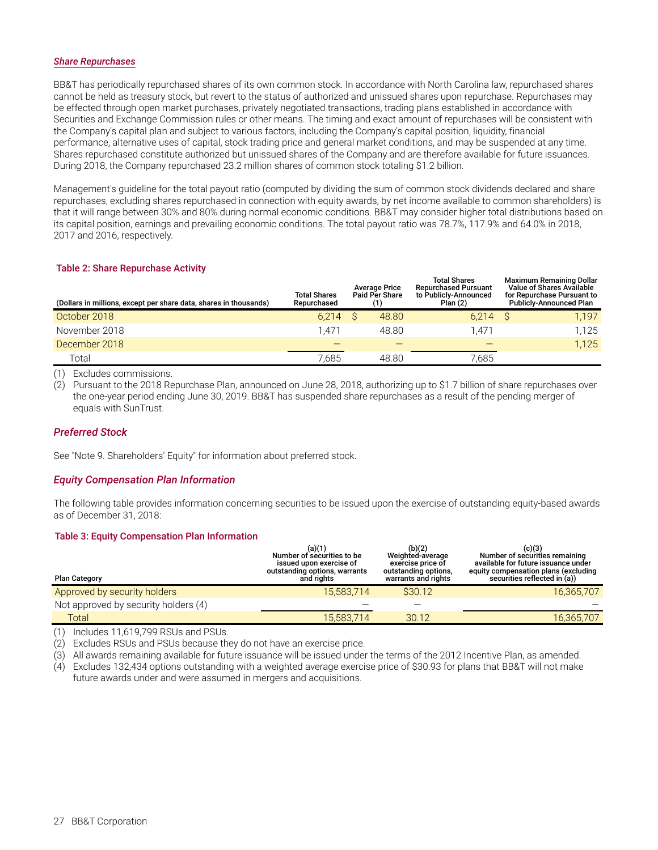#### *Share Repurchases*

BB&T has periodically repurchased shares of its own common stock. In accordance with North Carolina law, repurchased shares cannot be held as treasury stock, but revert to the status of authorized and unissued shares upon repurchase. Repurchases may be effected through open market purchases, privately negotiated transactions, trading plans established in accordance with Securities and Exchange Commission rules or other means. The timing and exact amount of repurchases will be consistent with the Company's capital plan and subject to various factors, including the Company's capital position, liquidity, financial performance, alternative uses of capital, stock trading price and general market conditions, and may be suspended at any time. Shares repurchased constitute authorized but unissued shares of the Company and are therefore available for future issuances. During 2018, the Company repurchased 23.2 million shares of common stock totaling \$1.2 billion.

Management's guideline for the total payout ratio (computed by dividing the sum of common stock dividends declared and share repurchases, excluding shares repurchased in connection with equity awards, by net income available to common shareholders) is that it will range between 30% and 80% during normal economic conditions. BB&T may consider higher total distributions based on its capital position, earnings and prevailing economic conditions. The total payout ratio was 78.7%, 117.9% and 64.0% in 2018, 2017 and 2016, respectively.

#### **Table 2: Share Repurchase Activity**

| (Dollars in millions, except per share data, shares in thousands) | <b>Total Shares</b><br>Repurchased | <b>Average Price</b><br><b>Paid Per Share</b> | <b>Total Shares</b><br><b>Repurchased Pursuant</b><br>to Publicly-Announced<br>Plan(2) | <b>Maximum Remaining Dollar</b><br>Value of Shares Available<br>for Repurchase Pursuant to<br><b>Publicly-Announced Plan</b> |  |  |
|-------------------------------------------------------------------|------------------------------------|-----------------------------------------------|----------------------------------------------------------------------------------------|------------------------------------------------------------------------------------------------------------------------------|--|--|
| October 2018                                                      | 6.214                              | 48.80                                         | $6.214$ S                                                                              | 1,197                                                                                                                        |  |  |
| November 2018                                                     | 1.471                              | 48.80                                         | 1.471                                                                                  | 1,125                                                                                                                        |  |  |
| December 2018                                                     |                                    |                                               |                                                                                        | 1,125                                                                                                                        |  |  |
| Total                                                             | 7.685                              | 48.80                                         | 7.685                                                                                  |                                                                                                                              |  |  |

(1) Excludes commissions.

(2) Pursuant to the 2018 Repurchase Plan, announced on June 28, 2018, authorizing up to \$1.7 billion of share repurchases over the one-year period ending June 30, 2019. BB&T has suspended share repurchases as a result of the pending merger of equals with SunTrust.

#### *Preferred Stock*

See "Note 9. Shareholders' Equity" for information about preferred stock.

#### *Equity Compensation Plan Information*

The following table provides information concerning securities to be issued upon the exercise of outstanding equity-based awards as of December 31, 2018:

#### **Table 3: Equity Compensation Plan Information**

| <b>Plan Category</b>                 | (a)(1)<br>Number of securities to be<br>issued upon exercise of<br>outstanding options, warrants<br>and rights | (b)(2)<br>Weighted-average<br>exercise price of<br>outstanding options.<br>warrants and rights | (c)(3)<br>Number of securities remaining<br>available for future issuance under<br>equity compensation plans (excluding<br>securities reflected in (a)) |
|--------------------------------------|----------------------------------------------------------------------------------------------------------------|------------------------------------------------------------------------------------------------|---------------------------------------------------------------------------------------------------------------------------------------------------------|
| Approved by security holders         | 15.583.714                                                                                                     | \$30.12                                                                                        | 16.365.707                                                                                                                                              |
| Not approved by security holders (4) |                                                                                                                |                                                                                                |                                                                                                                                                         |
| Total                                | 15,583,714                                                                                                     | 30.12                                                                                          | 16,365,707                                                                                                                                              |

(1) Includes 11,619,799 RSUs and PSUs.

(2) Excludes RSUs and PSUs because they do not have an exercise price.

(3) All awards remaining available for future issuance will be issued under the terms of the 2012 Incentive Plan, as amended.

(4) Excludes 132,434 options outstanding with a weighted average exercise price of \$30.93 for plans that BB&T will not make future awards under and were assumed in mergers and acquisitions.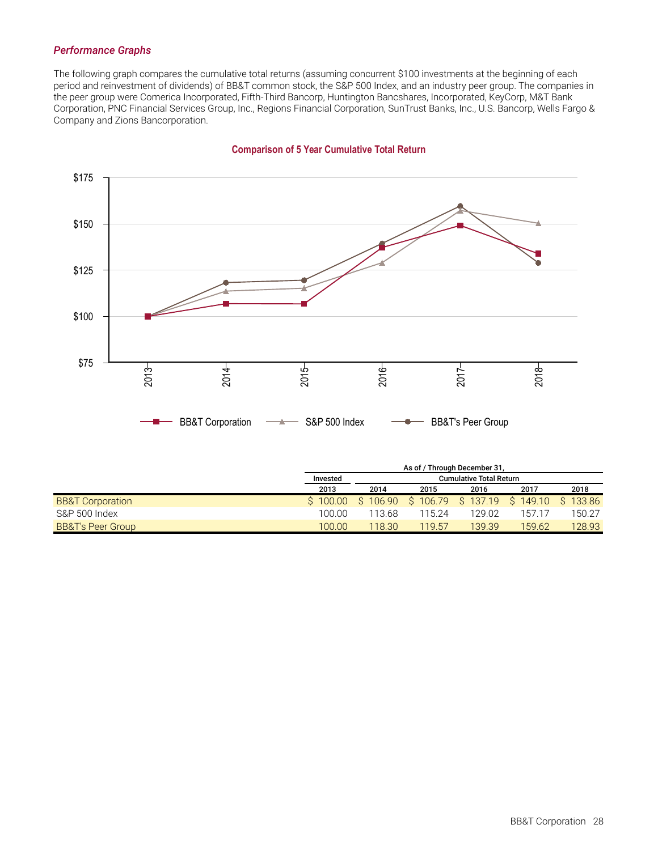# *Performance Graphs*

The following graph compares the cumulative total returns (assuming concurrent \$100 investments at the beginning of each period and reinvestment of dividends) of BB&T common stock, the S&P 500 Index, and an industry peer group. The companies in the peer group were Comerica Incorporated, Fifth-Third Bancorp, Huntington Bancshares, Incorporated, KeyCorp, M&T Bank Corporation, PNC Financial Services Group, Inc., Regions Financial Corporation, SunTrust Banks, Inc., U.S. Bancorp, Wells Fargo & Company and Zions Bancorporation.



#### **Comparison of 5 Year Cumulative Total Return**

|                              | As of / Through December 31,   |        |                      |              |          |  |  |  |  |  |  |
|------------------------------|--------------------------------|--------|----------------------|--------------|----------|--|--|--|--|--|--|
| Invested                     | <b>Cumulative Total Return</b> |        |                      |              |          |  |  |  |  |  |  |
| 2013<br>2014<br>2015<br>2016 |                                |        |                      |              |          |  |  |  |  |  |  |
| \$100.00                     | \$106.90                       |        | S 137.19             | 149.10<br>S. | \$133.86 |  |  |  |  |  |  |
| 100.00                       | 113.68                         | 115.24 | 129.02               | 157.17       | 150.27   |  |  |  |  |  |  |
| 100.00                       | 118.30                         | 119.57 | 139.39               | 159.62       | 128.93   |  |  |  |  |  |  |
|                              |                                |        | $\frac{1}{2}$ 106.79 |              | 2017     |  |  |  |  |  |  |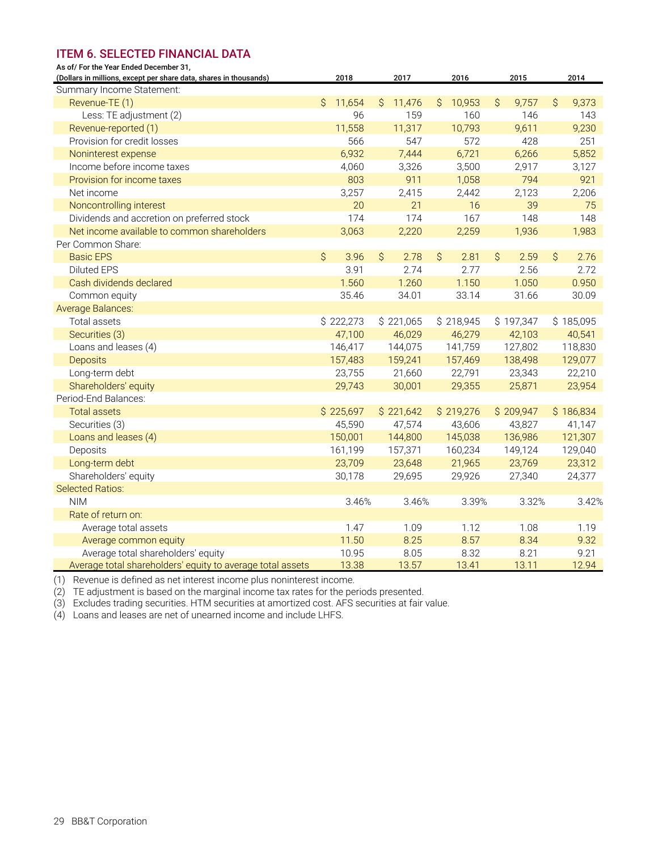# <span id="page-31-0"></span>**ITEM 6. SELECTED FINANCIAL DATA**

| As of/For the Year Ended December 31,                             |                        |             |                   |            |                       |  |  |
|-------------------------------------------------------------------|------------------------|-------------|-------------------|------------|-----------------------|--|--|
| (Dollars in millions, except per share data, shares in thousands) | 2018                   | 2017        | 2016              | 2015       | 2014                  |  |  |
| Summary Income Statement:                                         |                        |             |                   |            |                       |  |  |
| Revenue-TE (1)                                                    | 11,654<br>$\mathsf{S}$ | Ŝ<br>11,476 | 10,953<br>\$      | Ŝ<br>9,757 | $\mathsf{S}$<br>9,373 |  |  |
| Less: TE adjustment (2)                                           | 96                     | 159         | 160               | 146        | 143                   |  |  |
| Revenue-reported (1)                                              | 11,558                 | 11,317      | 10,793            | 9,611      | 9,230                 |  |  |
| Provision for credit losses                                       | 566                    | 547         | 572               | 428        | 251                   |  |  |
| Noninterest expense                                               | 6,932                  | 7,444       | 6,721             | 6,266      | 5,852                 |  |  |
| Income before income taxes                                        | 4,060                  | 3,326       | 3,500             | 2,917      | 3,127                 |  |  |
| Provision for income taxes                                        | 803                    | 911         | 1,058             | 794        | 921                   |  |  |
| Net income                                                        | 3,257                  | 2,415       | 2,442             | 2,123      | 2,206                 |  |  |
| Noncontrolling interest                                           | 20                     | 21          | 16                | 39         | 75                    |  |  |
| Dividends and accretion on preferred stock                        | 174                    | 174         | 167               | 148        | 148                   |  |  |
| Net income available to common shareholders                       | 3,063                  | 2,220       | 2,259             | 1,936      | 1,983                 |  |  |
| Per Common Share:                                                 |                        |             |                   |            |                       |  |  |
| <b>Basic EPS</b>                                                  | $\mathsf{S}$<br>3.96   | 2.78<br>\$  | $\hat{S}$<br>2.81 | \$<br>2.59 | $\mathsf{S}$<br>2.76  |  |  |
| <b>Diluted EPS</b>                                                | 3.91                   | 2.74        | 2.77              | 2.56       | 2.72                  |  |  |
| Cash dividends declared                                           | 1.560                  | 1.260       | 1.150             | 1.050      | 0.950                 |  |  |
| Common equity                                                     | 35.46                  | 34.01       | 33.14             | 31.66      | 30.09                 |  |  |
| <b>Average Balances:</b>                                          |                        |             |                   |            |                       |  |  |
| Total assets                                                      | \$222,273              | \$221,065   | \$218,945         | \$197,347  | \$185,095             |  |  |
| Securities (3)                                                    | 47,100                 | 46,029      | 46,279            | 42,103     | 40,541                |  |  |
| Loans and leases (4)                                              | 146,417                | 144,075     | 141,759           | 127,802    | 118,830               |  |  |
| <b>Deposits</b>                                                   | 157,483                | 159,241     | 157,469           | 138,498    | 129,077               |  |  |
| Long-term debt                                                    | 23,755                 | 21,660      | 22,791            | 23,343     | 22,210                |  |  |
| Shareholders' equity                                              | 29,743                 | 30,001      | 29,355            | 25,871     | 23,954                |  |  |
| Period-End Balances:                                              |                        |             |                   |            |                       |  |  |
| <b>Total assets</b>                                               | \$225,697              | \$221,642   | \$219,276         | \$209,947  | \$186,834             |  |  |
| Securities (3)                                                    | 45,590                 | 47,574      | 43,606            | 43,827     | 41,147                |  |  |
| Loans and leases (4)                                              | 150,001                | 144,800     | 145,038           | 136,986    | 121,307               |  |  |
| Deposits                                                          | 161,199                | 157,371     | 160,234           | 149,124    | 129,040               |  |  |
| Long-term debt                                                    | 23,709                 | 23,648      | 21,965            | 23,769     | 23,312                |  |  |
| Shareholders' equity                                              | 30,178                 | 29,695      | 29,926            | 27,340     | 24,377                |  |  |
| <b>Selected Ratios:</b>                                           |                        |             |                   |            |                       |  |  |
| <b>NIM</b>                                                        | 3.46%                  | 3.46%       | 3.39%             | 3.32%      | 3.42%                 |  |  |
| Rate of return on:                                                |                        |             |                   |            |                       |  |  |
| Average total assets                                              | 1.47                   | 1.09        | 1.12              | 1.08       | 1.19                  |  |  |
| Average common equity                                             | 11.50                  | 8.25        | 8.57              | 8.34       | 9.32                  |  |  |
| Average total shareholders' equity                                | 10.95                  | 8.05        | 8.32              | 8.21       | 9.21                  |  |  |
| Average total shareholders' equity to average total assets        | 13.38                  | 13.57       | 13.41             | 13.11      | 12.94                 |  |  |

(1) Revenue is defined as net interest income plus noninterest income.

 $(2)$  TE adjustment is based on the marginal income tax rates for the periods presented.

(3) Excludes trading securities. HTM securities at amortized cost. AFS securities at fair value.

(4) Loans and leases are net of unearned income and include LHFS.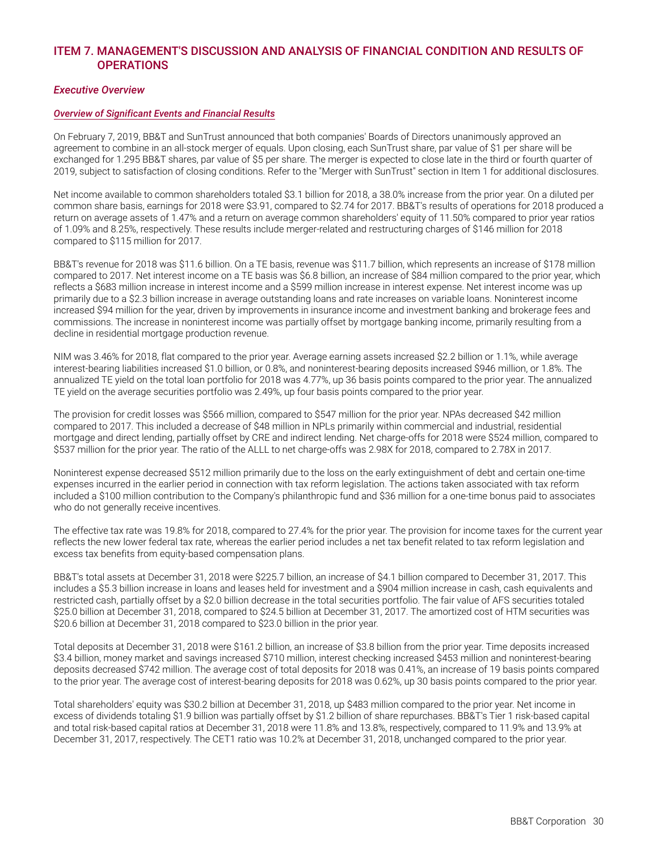# <span id="page-32-0"></span>**ITEM 7. MANAGEMENT'S DISCUSSION AND ANALYSIS OF FINANCIAL CONDITION AND RESULTS OF OPERATIONS**

#### *Executive Overview*

#### *Overview of Significant Events and Financial Results*

On February 7, 2019, BB&T and SunTrust announced that both companies' Boards of Directors unanimously approved an agreement to combine in an all-stock merger of equals. Upon closing, each SunTrust share, par value of \$1 per share will be exchanged for 1.295 BB&T shares, par value of \$5 per share. The merger is expected to close late in the third or fourth quarter of 2019, subject to satisfaction of closing conditions. Refer to the "Merger with SunTrust" section in Item 1 for additional disclosures.

Net income available to common shareholders totaled \$3.1 billion for 2018, a 38.0% increase from the prior year. On a diluted per common share basis, earnings for 2018 were \$3.91, compared to \$2.74 for 2017. BB&T's results of operations for 2018 produced a return on average assets of 1.47% and a return on average common shareholders' equity of 11.50% compared to prior year ratios of 1.09% and 8.25%, respectively. These results include merger-related and restructuring charges of \$146 million for 2018 compared to \$115 million for 2017.

BB&T's revenue for 2018 was \$11.6 billion. On a TE basis, revenue was \$11.7 billion, which represents an increase of \$178 million compared to 2017. Net interest income on a TE basis was \$6.8 billion, an increase of \$84 million compared to the prior year, which reflects a \$683 million increase in interest income and a \$599 million increase in interest expense. Net interest income was up primarily due to a \$2.3 billion increase in average outstanding loans and rate increases on variable loans. Noninterest income increased \$94 million for the year, driven by improvements in insurance income and investment banking and brokerage fees and commissions. The increase in noninterest income was partially offset by mortgage banking income, primarily resulting from a decline in residential mortgage production revenue.

NIM was 3.46% for 2018, flat compared to the prior year. Average earning assets increased \$2.2 billion or 1.1%, while average interest-bearing liabilities increased \$1.0 billion, or 0.8%, and noninterest-bearing deposits increased \$946 million, or 1.8%. The annualized TE yield on the total loan portfolio for 2018 was 4.77%, up 36 basis points compared to the prior year. The annualized TE yield on the average securities portfolio was 2.49%, up four basis points compared to the prior year.

The provision for credit losses was \$566 million, compared to \$547 million for the prior year. NPAs decreased \$42 million compared to 2017. This included a decrease of \$48 million in NPLs primarily within commercial and industrial, residential mortgage and direct lending, partially offset by CRE and indirect lending. Net charge-offs for 2018 were \$524 million, compared to \$537 million for the prior year. The ratio of the ALLL to net charge-offs was 2.98X for 2018, compared to 2.78X in 2017.

Noninterest expense decreased \$512 million primarily due to the loss on the early extinguishment of debt and certain one-time expenses incurred in the earlier period in connection with tax reform legislation. The actions taken associated with tax reform included a \$100 million contribution to the Company's philanthropic fund and \$36 million for a one-time bonus paid to associates who do not generally receive incentives.

The effective tax rate was 19.8% for 2018, compared to 27.4% for the prior year. The provision for income taxes for the current year reflects the new lower federal tax rate, whereas the earlier period includes a net tax benefit related to tax reform legislation and excess tax benefits from equity-based compensation plans.

BB&T's total assets at December 31, 2018 were \$225.7 billion, an increase of \$4.1 billion compared to December 31, 2017. This includes a \$5.3 billion increase in loans and leases held for investment and a \$904 million increase in cash, cash equivalents and restricted cash, partially offset by a \$2.0 billion decrease in the total securities portfolio. The fair value of AFS securities totaled \$25.0 billion at December 31, 2018, compared to \$24.5 billion at December 31, 2017. The amortized cost of HTM securities was \$20.6 billion at December 31, 2018 compared to \$23.0 billion in the prior year.

Total deposits at December 31, 2018 were \$161.2 billion, an increase of \$3.8 billion from the prior year. Time deposits increased \$3.4 billion, money market and savings increased \$710 million, interest checking increased \$453 million and noninterest-bearing deposits decreased \$742 million. The average cost of total deposits for 2018 was 0.41%, an increase of 19 basis points compared to the prior year. The average cost of interest-bearing deposits for 2018 was 0.62%, up 30 basis points compared to the prior year.

Total shareholders' equity was \$30.2 billion at December 31, 2018, up \$483 million compared to the prior year. Net income in excess of dividends totaling \$1.9 billion was partially offset by \$1.2 billion of share repurchases. BB&T's Tier 1 risk-based capital and total risk-based capital ratios at December 31, 2018 were 11.8% and 13.8%, respectively, compared to 11.9% and 13.9% at December 31, 2017, respectively. The CET1 ratio was 10.2% at December 31, 2018, unchanged compared to the prior year.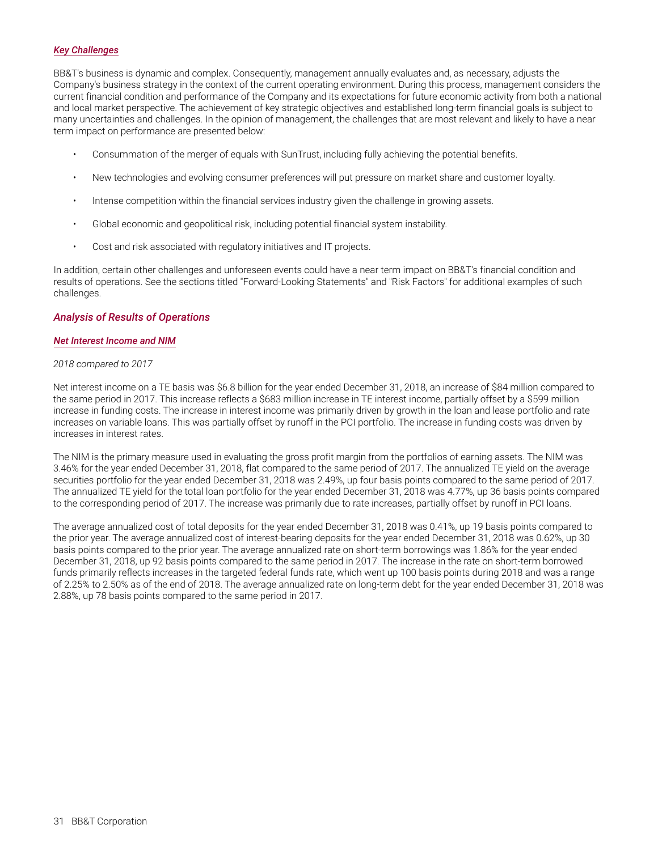#### *Key Challenges*

BB&T's business is dynamic and complex. Consequently, management annually evaluates and, as necessary, adjusts the Company's business strategy in the context of the current operating environment. During this process, management considers the current financial condition and performance of the Company and its expectations for future economic activity from both a national and local market perspective. The achievement of key strategic objectives and established long-term financial goals is subject to many uncertainties and challenges. In the opinion of management, the challenges that are most relevant and likely to have a near term impact on performance are presented below:

- Consummation of the merger of equals with SunTrust, including fully achieving the potential benefits.
- New technologies and evolving consumer preferences will put pressure on market share and customer loyalty.
- Intense competition within the financial services industry given the challenge in growing assets.
- Global economic and geopolitical risk, including potential financial system instability.
- Cost and risk associated with regulatory initiatives and IT projects.

In addition, certain other challenges and unforeseen events could have a near term impact on BB&T's financial condition and results of operations. See the sections titled "Forward-Looking Statements" and "Risk Factors" for additional examples of such challenges.

#### *Analysis of Results of Operations*

#### *Net Interest Income and NIM*

#### *2018 compared to 2017*

Net interest income on a TE basis was \$6.8 billion for the year ended December 31, 2018, an increase of \$84 million compared to the same period in 2017. This increase reflects a \$683 million increase in TE interest income, partially offset by a \$599 million increase in funding costs. The increase in interest income was primarily driven by growth in the loan and lease portfolio and rate increases on variable loans. This was partially offset by runoff in the PCI portfolio. The increase in funding costs was driven by increases in interest rates.

The NIM is the primary measure used in evaluating the gross profit margin from the portfolios of earning assets. The NIM was 3.46% for the year ended December 31, 2018, flat compared to the same period of 2017. The annualized TE yield on the average securities portfolio for the year ended December 31, 2018 was 2.49%, up four basis points compared to the same period of 2017. The annualized TE yield for the total loan portfolio for the year ended December 31, 2018 was 4.77%, up 36 basis points compared to the corresponding period of 2017. The increase was primarily due to rate increases, partially offset by runoff in PCI loans.

The average annualized cost of total deposits for the year ended December 31, 2018 was 0.41%, up 19 basis points compared to the prior year. The average annualized cost of interest-bearing deposits for the year ended December 31, 2018 was 0.62%, up 30 basis points compared to the prior year. The average annualized rate on short-term borrowings was 1.86% for the year ended December 31, 2018, up 92 basis points compared to the same period in 2017. The increase in the rate on short-term borrowed funds primarily reflects increases in the targeted federal funds rate, which went up 100 basis points during 2018 and was a range of 2.25% to 2.50% as of the end of 2018. The average annualized rate on long-term debt for the year ended December 31, 2018 was 2.88%, up 78 basis points compared to the same period in 2017.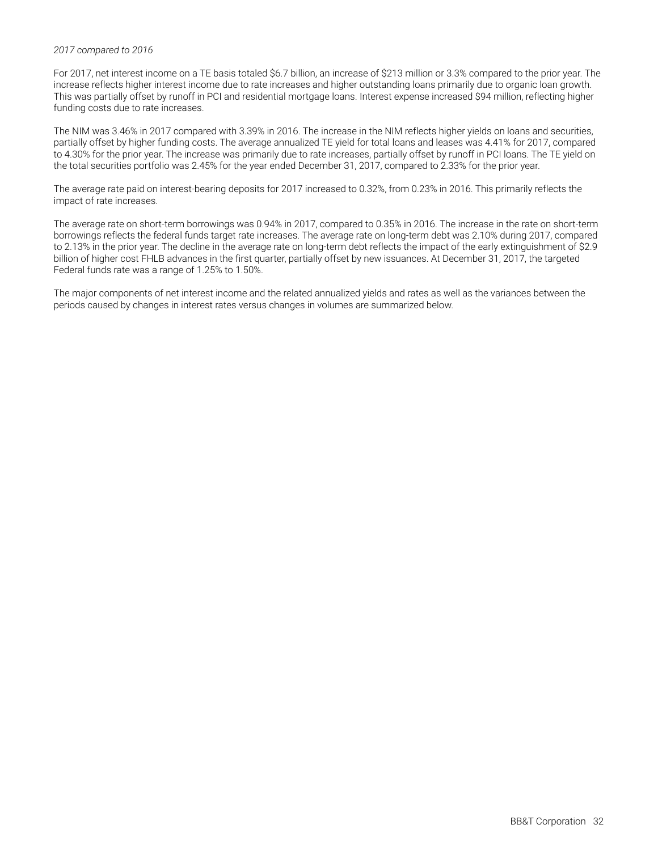#### *2017 compared to 2016*

For 2017, net interest income on a TE basis totaled \$6.7 billion, an increase of \$213 million or 3.3% compared to the prior year. The increase reflects higher interest income due to rate increases and higher outstanding loans primarily due to organic loan growth. This was partially offset by runoff in PCI and residential mortgage loans. Interest expense increased \$94 million, reflecting higher funding costs due to rate increases.

The NIM was 3.46% in 2017 compared with 3.39% in 2016. The increase in the NIM reflects higher yields on loans and securities, partially offset by higher funding costs. The average annualized TE yield for total loans and leases was 4.41% for 2017, compared to 4.30% for the prior year. The increase was primarily due to rate increases, partially offset by runoff in PCI loans. The TE yield on the total securities portfolio was 2.45% for the year ended December 31, 2017, compared to 2.33% for the prior year.

The average rate paid on interest-bearing deposits for 2017 increased to 0.32%, from 0.23% in 2016. This primarily reflects the impact of rate increases.

The average rate on short-term borrowings was 0.94% in 2017, compared to 0.35% in 2016. The increase in the rate on short-term borrowings reflects the federal funds target rate increases. The average rate on long-term debt was 2.10% during 2017, compared to 2.13% in the prior year. The decline in the average rate on long-term debt reflects the impact of the early extinguishment of \$2.9 billion of higher cost FHLB advances in the first quarter, partially offset by new issuances. At December 31, 2017, the targeted Federal funds rate was a range of 1.25% to 1.50%.

The major components of net interest income and the related annualized yields and rates as well as the variances between the periods caused by changes in interest rates versus changes in volumes are summarized below.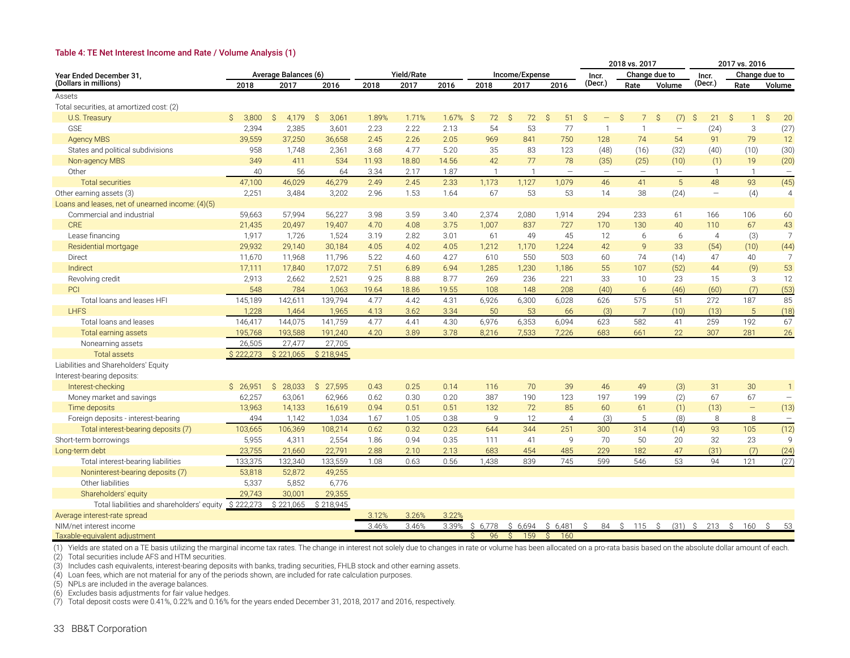#### **Table 4: TE Net Interest Income and Rate / Volume Analysis (1)**

|                                                      |             |                        |              |       |            |       |                     | 2018 vs. 2017  |                          |                                 | 2017 vs. 2016                   |                          |                          |                          |                                 |  |
|------------------------------------------------------|-------------|------------------------|--------------|-------|------------|-------|---------------------|----------------|--------------------------|---------------------------------|---------------------------------|--------------------------|--------------------------|--------------------------|---------------------------------|--|
| Year Ended December 31,                              |             | Average Balances (6)   |              |       | Yield/Rate |       | Income/Expense      |                |                          | Incr.                           |                                 | Change due to            | Incr.                    |                          | Change due to                   |  |
| (Dollars in millions)                                | 2018        | 2017                   | 2016         | 2018  | 2017       | 2016  | 2018                | 2017           | 2016                     | (Decr.)                         | Rate                            | Volume                   | (Decr.)                  | Rate                     | Volume                          |  |
| Assets                                               |             |                        |              |       |            |       |                     |                |                          |                                 |                                 |                          |                          |                          |                                 |  |
| Total securities, at amortized cost: (2)             |             |                        |              |       |            |       |                     |                |                          |                                 |                                 |                          |                          |                          |                                 |  |
| <b>U.S. Treasury</b>                                 | Ŝ.<br>3,800 | Ŝ.<br>4,179            | S.<br>3,061  | 1.89% | 1.71%      | 1.67% | -Ŝ<br>72            | 72<br>S.       | 51<br>S.                 | S.<br>$\overline{\phantom{m}}$  | Ŝ<br>$\overline{7}$             | (7)<br>Ŝ                 | S.<br>21                 | S.<br>$\overline{1}$     | S.<br>20                        |  |
| <b>GSE</b>                                           | 2,394       | 2,385                  | 3,601        | 2.23  | 2.22       | 2.13  | 54                  | 53             | 77                       | $\overline{1}$                  | $\mathbf{1}$                    | $\overline{\phantom{m}}$ | (24)                     | 3                        | (27)                            |  |
| <b>Agency MBS</b>                                    | 39,559      | 37,250                 | 36,658       | 2.45  | 2.26       | 2.05  | 969                 | 841            | 750                      | 128                             | 74                              | 54                       | 91                       | 79                       | 12                              |  |
| States and political subdivisions                    | 958         | 1,748                  | 2,361        | 3.68  | 4.77       | 5.20  | 35                  | 83             | 123                      | (48)                            | (16)                            | (32)                     | (40)                     | (10)                     | (30)                            |  |
| Non-agency MBS                                       | 349         | 411                    | 534          | 11.93 | 18.80      | 14.56 | 42                  | 77             | 78                       | (35)                            | (25)                            | (10)                     | (1)                      | 19                       | (20)                            |  |
| Other                                                | 40          | 56                     | 64           | 3.34  | 2.17       | 1.87  | $\mathbf{1}$        | $\overline{1}$ | $\overline{\phantom{0}}$ | $\hspace{0.1mm}-\hspace{0.1mm}$ | $\hspace{0.1mm}-\hspace{0.1mm}$ | $\qquad \qquad -$        | $\overline{1}$           | $\overline{1}$           | $\overline{\phantom{m}}$        |  |
| <b>Total securities</b>                              | 47.100      | 46,029                 | 46,279       | 2.49  | 2.45       | 2.33  | 1.173               | 1.127          | 1.079                    | 46                              | 41                              | 5 <sup>5</sup>           | 48                       | 93                       | (45)                            |  |
| Other earning assets (3)                             | 2,251       | 3,484                  | 3,202        | 2.96  | 1.53       | 1.64  | 67                  | 53             | 53                       | 14                              | 38                              | (24)                     | $\overline{\phantom{m}}$ | (4)                      | $\overline{4}$                  |  |
| Loans and leases, net of unearned income: (4)(5)     |             |                        |              |       |            |       |                     |                |                          |                                 |                                 |                          |                          |                          |                                 |  |
| Commercial and industrial                            | 59,663      | 57,994                 | 56,227       | 3.98  | 3.59       | 3.40  | 2,374               | 2,080          | 1.914                    | 294                             | 233                             | 61                       | 166                      | 106                      | 60                              |  |
| <b>CRE</b>                                           | 21,435      | 20,497                 | 19,407       | 4.70  | 4.08       | 3.75  | 1,007               | 837            | 727                      | 170                             | 130                             | 40                       | 110                      | 67                       | 43                              |  |
| Lease financing                                      | 1,917       | 1,726                  | 1,524        | 3.19  | 2.82       | 3.01  | 61                  | 49             | 45                       | 12                              | 6                               | 6                        | $\overline{4}$           | (3)                      | $\overline{7}$                  |  |
| Residential mortgage                                 | 29,932      | 29,140                 | 30,184       | 4.05  | 4.02       | 4.05  | 1,212               | 1,170          | 1,224                    | 42                              | 9                               | 33                       | (54)                     | (10)                     | (44)                            |  |
| Direct                                               | 11,670      | 11,968                 | 11,796       | 5.22  | 4.60       | 4.27  | 610                 | 550            | 503                      | 60                              | 74                              | (14)                     | 47                       | 40                       | 7                               |  |
| Indirect                                             | 17,111      | 17,840                 | 17,072       | 7.51  | 6.89       | 6.94  | 1,285               | 1,230          | 1,186                    | 55                              | 107                             | (52)                     | 44                       | (9)                      | 53                              |  |
| Revolving credit                                     | 2,913       | 2,662                  | 2,521        | 9.25  | 8.88       | 8.77  | 269                 | 236            | 221                      | 33                              | 10                              | 23                       | 15                       | 3                        | 12                              |  |
| PCI                                                  | 548         | 784                    | 1,063        | 19.64 | 18.86      | 19.55 | 108                 | 148            | 208                      | (40)                            | 6                               | (46)                     | (60)                     | (7)                      | (53)                            |  |
| Total loans and leases HFI                           | 145,189     | 142,611                | 139,794      | 4.77  | 4.42       | 4.31  | 6,926               | 6,300          | 6,028                    | 626                             | 575                             | 51                       | 272                      | 187                      | 85                              |  |
| <b>I HFS</b>                                         | 1,228       | 1,464                  | 1,965        | 4.13  | 3.62       | 3.34  | 50                  | 53             | 66                       | (3)                             | 7                               | (10)                     | (13)                     | 5                        | (18)                            |  |
| Total loans and leases                               | 146.417     | 144,075                | 141,759      | 4.77  | 4.41       | 4.30  | 6.976               | 6,353          | 6,094                    | 623                             | 582                             | 41                       | 259                      | 192                      | 67                              |  |
| Total earning assets                                 | 195,768     | 193,588                | 191,240      | 4.20  | 3.89       | 3.78  | 8,216               | 7,533          | 7,226                    | 683                             | 661                             | 22                       | 307                      | 281                      | 26                              |  |
| Nonearning assets                                    | 26,505      | 27.477                 | 27,705       |       |            |       |                     |                |                          |                                 |                                 |                          |                          |                          |                                 |  |
| <b>Total assets</b>                                  | \$222,273   | \$221,065              | \$218,945    |       |            |       |                     |                |                          |                                 |                                 |                          |                          |                          |                                 |  |
| Liabilities and Shareholders' Equity                 |             |                        |              |       |            |       |                     |                |                          |                                 |                                 |                          |                          |                          |                                 |  |
| Interest-bearing deposits:                           |             |                        |              |       |            |       |                     |                |                          |                                 |                                 |                          |                          |                          |                                 |  |
| Interest-checking                                    | \$26,951    | $\mathsf{S}$<br>28,033 | 27,595<br>S. | 0.43  | 0.25       | 0.14  | 116                 | 70             | 39                       | 46                              | 49                              | (3)                      | 31                       | 30                       | $\mathbf{1}$                    |  |
| Money market and savings                             | 62,257      | 63,061                 | 62,966       | 0.62  | 0.30       | 0.20  | 387                 | 190            | 123                      | 197                             | 199                             | (2)                      | 67                       | 67                       | $\overline{\phantom{0}}$        |  |
| Time deposits                                        | 13,963      | 14,133                 | 16,619       | 0.94  | 0.51       | 0.51  | 132                 | 72             | 85                       | 60                              | 61                              | (1)                      | (13)                     | $\overline{\phantom{m}}$ | (13)                            |  |
| Foreign deposits - interest-bearing                  | 494         | 1,142                  | 1,034        | 1.67  | 1.05       | 0.38  | 9                   | 12             | $\overline{4}$           | (3)                             | 5                               | (8)                      | 8                        | 8                        | $\hspace{0.1mm}-\hspace{0.1mm}$ |  |
| Total interest-bearing deposits (7)                  | 103,665     | 106,369                | 108,214      | 0.62  | 0.32       | 0.23  | 644                 | 344            | 251                      | 300                             | 314                             | (14)                     | 93                       | 105                      | (12)                            |  |
| Short-term borrowings                                | 5,955       | 4,311                  | 2,554        | 1.86  | 0.94       | 0.35  | 111                 | 41             | 9                        | 70                              | 50                              | 20                       | 32                       | 23                       | 9                               |  |
| Long-term debt                                       | 23,755      | 21,660                 | 22.791       | 2.88  | 2.10       | 2.13  | 683                 | 454            | 485                      | 229                             | 182                             | 47                       | (31)                     | (7)                      | (24)                            |  |
| Total interest-bearing liabilities                   | 133,375     | 132,340                | 133,559      | 1.08  | 0.63       | 0.56  | 1,438               | 839            | 745                      | 599                             | 546                             | 53                       | 94                       | 121                      | (27)                            |  |
| Noninterest-bearing deposits (7)                     | 53,818      | 52,872                 | 49,255       |       |            |       |                     |                |                          |                                 |                                 |                          |                          |                          |                                 |  |
| Other liabilities                                    | 5,337       | 5,852                  | 6,776        |       |            |       |                     |                |                          |                                 |                                 |                          |                          |                          |                                 |  |
| Shareholders' equity                                 | 29,743      | 30,001                 | 29,355       |       |            |       |                     |                |                          |                                 |                                 |                          |                          |                          |                                 |  |
| Total liabilities and shareholders' equity \$222,273 |             | \$221,065              | \$218,945    |       |            |       |                     |                |                          |                                 |                                 |                          |                          |                          |                                 |  |
| Average interest-rate spread                         |             |                        |              | 3.12% | 3.26%      | 3.22% |                     |                |                          |                                 |                                 |                          |                          |                          |                                 |  |
| NIM/net interest income                              |             |                        |              | 3.46% | 3.46%      | 3.39% | \$6,778             | \$6.694        | \$6,481                  | S.                              | 84 \$ 115                       | S.                       | $(31)$ \$ 213 \$ 160     |                          | 53<br>-S                        |  |
| Taxable-equivalent adjustment                        |             |                        |              |       |            |       | $\mathcal{S}$<br>96 | 159<br>S.      | Ŝ.<br>160                |                                 |                                 |                          |                          |                          |                                 |  |

(1) Yields are stated on a TE basis utilizing the marginal income tax rates. The change in interest not solely due to changes in rate or volume has been allocated on a pro-rata basis based on the absolute dollar amount of (2) Total securities include AFS and HTM securities.

(3) Includes cash equivalents, interest-bearing deposits with banks, trading securities, FHLB stock and other earning assets.

(4) Loan fees, which are not material for any of the periods shown, are included for rate calculation purposes.

(5) NPLs are included in the average balances.

(6) Excludes basis adjustments for fair value hedges.

 $(7)$  Total deposit costs were 0.41%, 0.22% and 0.16% for the years ended December 31, 2018, 2017 and 2016, respectively.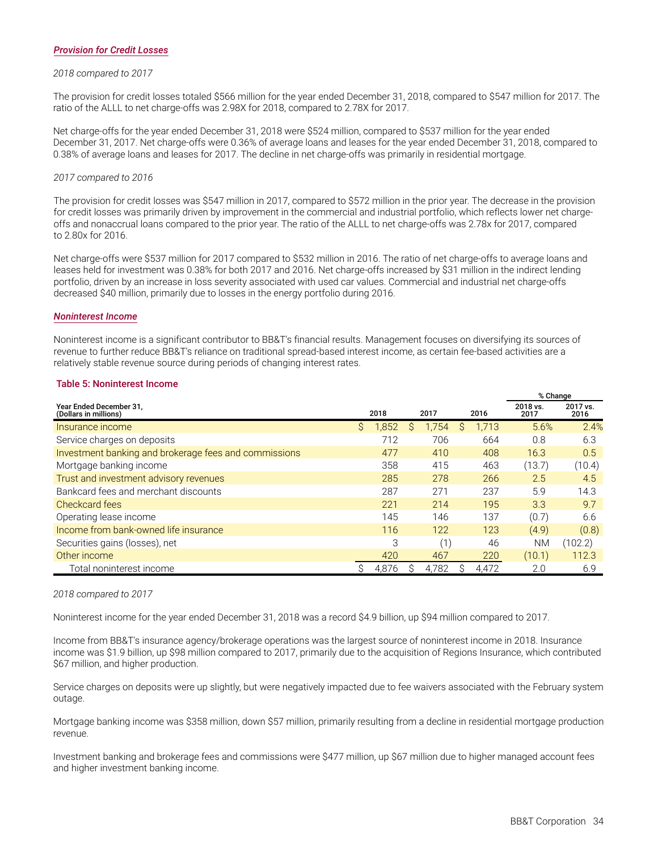#### *Provision for Credit Losses*

#### *2018 compared to 2017*

The provision for credit losses totaled \$566 million for the year ended December 31, 2018, compared to \$547 million for 2017. The ratio of the ALLL to net charge-offs was 2.98X for 2018, compared to 2.78X for 2017.

Net charge-offs for the year ended December 31, 2018 were \$524 million, compared to \$537 million for the year ended December 31, 2017. Net charge-offs were 0.36% of average loans and leases for the year ended December 31, 2018, compared to 0.38% of average loans and leases for 2017. The decline in net charge-offs was primarily in residential mortgage.

#### *2017 compared to 2016*

The provision for credit losses was \$547 million in 2017, compared to \$572 million in the prior year. The decrease in the provision for credit losses was primarily driven by improvement in the commercial and industrial portfolio, which reflects lower net chargeoffs and nonaccrual loans compared to the prior year. The ratio of the ALLL to net charge-offs was 2.78x for 2017, compared to 2.80x for 2016.

Net charge-offs were \$537 million for 2017 compared to \$532 million in 2016. The ratio of net charge-offs to average loans and leases held for investment was 0.38% for both 2017 and 2016. Net charge-offs increased by \$31 million in the indirect lending portfolio, driven by an increase in loss severity associated with used car values. Commercial and industrial net charge-offs decreased \$40 million, primarily due to losses in the energy portfolio during 2016.

#### *Noninterest Income*

Noninterest income is a significant contributor to BB&T's financial results. Management focuses on diversifying its sources of revenue to further reduce BB&T's reliance on traditional spread-based interest income, as certain fee-based activities are a relatively stable revenue source during periods of changing interest rates.

#### **Table 5: Noninterest Income**

|                                                       |    |       |   |       |   |       | % Change         |                  |
|-------------------------------------------------------|----|-------|---|-------|---|-------|------------------|------------------|
| Year Ended December 31,<br>(Dollars in millions)      |    | 2018  |   | 2017  |   | 2016  | 2018 vs.<br>2017 | 2017 vs.<br>2016 |
| Insurance income                                      | S. | 1,852 | S | 1,754 | S | 1,713 | 5.6%             | 2.4%             |
| Service charges on deposits                           |    | 712   |   | 706   |   | 664   | 0.8              | 6.3              |
| Investment banking and brokerage fees and commissions |    | 477   |   | 410   |   | 408   | 16.3             | 0.5              |
| Mortgage banking income                               |    | 358   |   | 415   |   | 463   | (13.7)           | (10.4)           |
| Trust and investment advisory revenues                |    | 285   |   | 278   |   | 266   | 2.5              | 4.5              |
| Bankcard fees and merchant discounts                  |    | 287   |   | 271   |   | 237   | 5.9              | 14.3             |
| Checkcard fees                                        |    | 221   |   | 214   |   | 195   | 3.3              | 9.7              |
| Operating lease income                                |    | 145   |   | 146   |   | 137   | (0.7)            | 6.6              |
| Income from bank-owned life insurance                 |    | 116   |   | 122   |   | 123   | (4.9)            | (0.8)            |
| Securities gains (losses), net                        |    | 3     |   | (1)   |   | 46    | ΝM               | (102.2)          |
| Other income                                          |    | 420   |   | 467   |   | 220   | (10.1)           | 112.3            |
| Total noninterest income                              |    | 4,876 |   | 4,782 |   | 4,472 | 2.0              | 6.9              |

#### *2018 compared to 2017*

Noninterest income for the year ended December 31, 2018 was a record \$4.9 billion, up \$94 million compared to 2017.

Income from BB&T's insurance agency/brokerage operations was the largest source of noninterest income in 2018. Insurance income was \$1.9 billion, up \$98 million compared to 2017, primarily due to the acquisition of Regions Insurance, which contributed \$67 million, and higher production.

Service charges on deposits were up slightly, but were negatively impacted due to fee waivers associated with the February system outage.

Mortgage banking income was \$358 million, down \$57 million, primarily resulting from a decline in residential mortgage production revenue.

Investment banking and brokerage fees and commissions were \$477 million, up \$67 million due to higher managed account fees and higher investment banking income.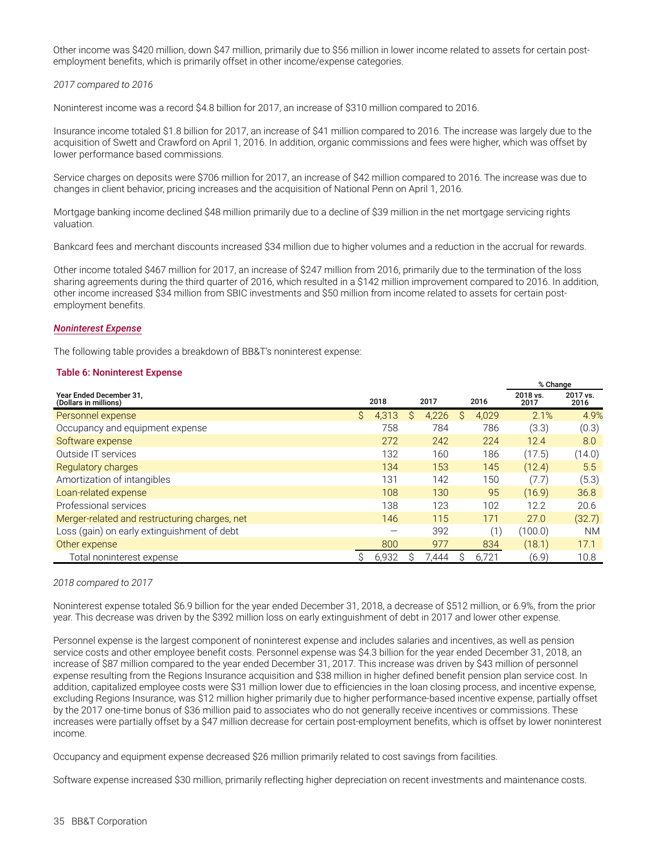Other income was \$420 million, down \$47 million, primarily due to \$56 million in lower income related to assets for certain postemployment benefits, which is primarily offset in other income/expense categories.

#### *2017 compared to 2016*

Noninterest income was a record \$4.8 billion for 2017, an increase of \$310 million compared to 2016.

Insurance income totaled \$1.8 billion for 2017, an increase of \$41 million compared to 2016. The increase was largely due to the acquisition of Swett and Crawford on April 1, 2016. In addition, organic commissions and fees were higher, which was offset by lower performance based commissions.

Service charges on deposits were \$706 million for 2017, an increase of \$42 million compared to 2016. The increase was due to changes in client behavior, pricing increases and the acquisition of National Penn on April 1, 2016.

Mortgage banking income declined \$48 million primarily due to a decline of \$39 million in the net mortgage servicing rights valuation.

Bankcard fees and merchant discounts increased \$34 million due to higher volumes and a reduction in the accrual for rewards.

Other income totaled \$467 million for 2017, an increase of \$247 million from 2016, primarily due to the termination of the loss sharing agreements during the third quarter of 2016, which resulted in a \$142 million improvement compared to 2016. In addition, other income increased \$34 million from SBIC investments and \$50 million from income related to assets for certain postemployment benefits.

#### *Noninterest Expense*

The following table provides a breakdown of BB&T's noninterest expense:

#### **Table 6: Noninterest Expense**

|                                                  |    |       |   |       |   |       | % Change         |                  |
|--------------------------------------------------|----|-------|---|-------|---|-------|------------------|------------------|
| Year Ended December 31,<br>(Dollars in millions) |    | 2018  |   | 2017  |   | 2016  | 2018 vs.<br>2017 | 2017 vs.<br>2016 |
| Personnel expense                                | Ŝ. | 4,313 | S | 4,226 | S | 4,029 | 2.1%             | 4.9%             |
| Occupancy and equipment expense                  |    | 758   |   | 784   |   | 786   | (3.3)            | (0.3)            |
| Software expense                                 |    | 272   |   | 242   |   | 224   | 12.4             | 8.0              |
| Outside IT services                              |    | 132   |   | 160   |   | 186   | (17.5)           | (14.0)           |
| Regulatory charges                               |    | 134   |   | 153   |   | 145   | (12.4)           | 5.5              |
| Amortization of intangibles                      |    | 131   |   | 142   |   | 150   | (7.7)            | (5.3)            |
| Loan-related expense                             |    | 108   |   | 130   |   | 95    | (16.9)           | 36.8             |
| Professional services                            |    | 138   |   | 123   |   | 102   | 12.2             | 20.6             |
| Merger-related and restructuring charges, net    |    | 146   |   | 115   |   | 171   | 27.0             | (32.7)           |
| Loss (gain) on early extinguishment of debt      |    |       |   | 392   |   | (1)   | (100.0)          | <b>NM</b>        |
| Other expense                                    |    | 800   |   | 977   |   | 834   | (18.1)           | 17.1             |
| Total noninterest expense                        |    | 6,932 |   | 7,444 |   | 6.721 | (6.9)            | 10.8             |

#### *2018 compared to 2017*

Noninterest expense totaled \$6.9 billion for the year ended December 31, 2018, a decrease of \$512 million, or 6.9%, from the prior year. This decrease was driven by the \$392 million loss on early extinguishment of debt in 2017 and lower other expense.

Personnel expense is the largest component of noninterest expense and includes salaries and incentives, as well as pension service costs and other employee benefit costs. Personnel expense was \$4.3 billion for the year ended December 31, 2018, an increase of \$87 million compared to the year ended December 31, 2017. This increase was driven by \$43 million of personnel expense resulting from the Regions Insurance acquisition and \$38 million in higher defined benefit pension plan service cost. In addition, capitalized employee costs were \$31 million lower due to efficiencies in the loan closing process, and incentive expense, excluding Regions Insurance, was \$12 million higher primarily due to higher performance-based incentive expense, partially offset by the 2017 one-time bonus of \$36 million paid to associates who do not generally receive incentives or commissions. These increases were partially offset by a \$47 million decrease for certain post-employment benefits, which is offset by lower noninterest income.

Occupancy and equipment expense decreased \$26 million primarily related to cost savings from facilities.

Software expense increased \$30 million, primarily reflecting higher depreciation on recent investments and maintenance costs.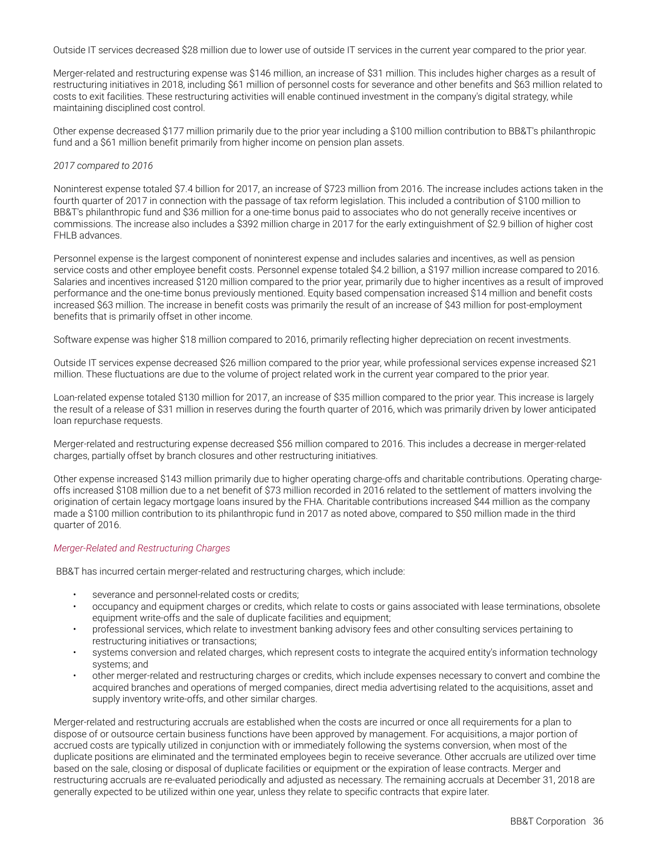Outside IT services decreased \$28 million due to lower use of outside IT services in the current year compared to the prior year.

Merger-related and restructuring expense was \$146 million, an increase of \$31 million. This includes higher charges as a result of restructuring initiatives in 2018, including \$61 million of personnel costs for severance and other benefits and \$63 million related to costs to exit facilities. These restructuring activities will enable continued investment in the company's digital strategy, while maintaining disciplined cost control.

Other expense decreased \$177 million primarily due to the prior year including a \$100 million contribution to BB&T's philanthropic fund and a \$61 million benefit primarily from higher income on pension plan assets.

#### *2017 compared to 2016*

Noninterest expense totaled \$7.4 billion for 2017, an increase of \$723 million from 2016. The increase includes actions taken in the fourth quarter of 2017 in connection with the passage of tax reform legislation. This included a contribution of \$100 million to BB&T's philanthropic fund and \$36 million for a one-time bonus paid to associates who do not generally receive incentives or commissions. The increase also includes a \$392 million charge in 2017 for the early extinguishment of \$2.9 billion of higher cost FHLB advances.

Personnel expense is the largest component of noninterest expense and includes salaries and incentives, as well as pension service costs and other employee benefit costs. Personnel expense totaled \$4.2 billion, a \$197 million increase compared to 2016. Salaries and incentives increased \$120 million compared to the prior year, primarily due to higher incentives as a result of improved performance and the one-time bonus previously mentioned. Equity based compensation increased \$14 million and benefit costs increased \$63 million. The increase in benefit costs was primarily the result of an increase of \$43 million for post-employment benefits that is primarily offset in other income.

Software expense was higher \$18 million compared to 2016, primarily reflecting higher depreciation on recent investments.

Outside IT services expense decreased \$26 million compared to the prior year, while professional services expense increased \$21 million. These fluctuations are due to the volume of project related work in the current year compared to the prior year.

Loan-related expense totaled \$130 million for 2017, an increase of \$35 million compared to the prior year. This increase is largely the result of a release of \$31 million in reserves during the fourth quarter of 2016, which was primarily driven by lower anticipated loan repurchase requests.

Merger-related and restructuring expense decreased \$56 million compared to 2016. This includes a decrease in merger-related charges, partially offset by branch closures and other restructuring initiatives.

Other expense increased \$143 million primarily due to higher operating charge-offs and charitable contributions. Operating chargeoffs increased \$108 million due to a net benefit of \$73 million recorded in 2016 related to the settlement of matters involving the origination of certain legacy mortgage loans insured by the FHA. Charitable contributions increased \$44 million as the company made a \$100 million contribution to its philanthropic fund in 2017 as noted above, compared to \$50 million made in the third quarter of 2016.

#### *Merger-Related and Restructuring Charges*

BB&T has incurred certain merger-related and restructuring charges, which include:

- severance and personnel-related costs or credits;
- occupancy and equipment charges or credits, which relate to costs or gains associated with lease terminations, obsolete equipment write-offs and the sale of duplicate facilities and equipment;
- professional services, which relate to investment banking advisory fees and other consulting services pertaining to restructuring initiatives or transactions;
- systems conversion and related charges, which represent costs to integrate the acquired entity's information technology systems; and
- other merger-related and restructuring charges or credits, which include expenses necessary to convert and combine the acquired branches and operations of merged companies, direct media advertising related to the acquisitions, asset and supply inventory write-offs, and other similar charges.

Merger-related and restructuring accruals are established when the costs are incurred or once all requirements for a plan to dispose of or outsource certain business functions have been approved by management. For acquisitions, a major portion of accrued costs are typically utilized in conjunction with or immediately following the systems conversion, when most of the duplicate positions are eliminated and the terminated employees begin to receive severance. Other accruals are utilized over time based on the sale, closing or disposal of duplicate facilities or equipment or the expiration of lease contracts. Merger and restructuring accruals are re-evaluated periodically and adjusted as necessary. The remaining accruals at December 31, 2018 are generally expected to be utilized within one year, unless they relate to specific contracts that expire later.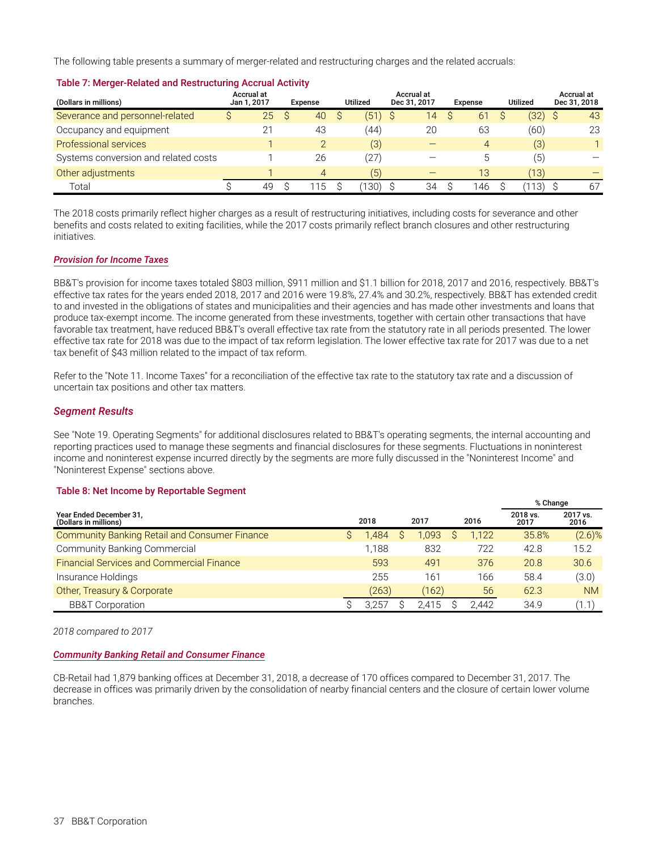The following table presents a summary of merger-related and restructuring charges and the related accruals:

| (Dollars in millions)                | Accrual at<br>Jan 1, 2017 |    | <b>Expense</b> | <b>Utilized</b> | Accrual at<br>Dec 31, 2017 | <b>Expense</b> | <b>Utilized</b> | Accrual at<br>Dec 31, 2018 |    |
|--------------------------------------|---------------------------|----|----------------|-----------------|----------------------------|----------------|-----------------|----------------------------|----|
| Severance and personnel-related      |                           | 25 | 40             | (51) \$         | 14                         | 61             | (32)            |                            | 43 |
| Occupancy and equipment              |                           |    | 43             | (44)            | 20                         | 63             | (60)            |                            | 23 |
| Professional services                |                           |    |                | (3)             |                            | 4              | (3)             |                            |    |
| Systems conversion and related costs |                           |    | 26             | $^{\prime}27)$  |                            |                | (5)             |                            |    |
| Other adjustments                    |                           |    | 4              | (5)             |                            | 13             | (13)            |                            |    |
| Total                                |                           | 49 | -15            | 30)             | 34                         | -46            | 13)             |                            | 67 |

#### **Table 7: Merger-Related and Restructuring Accrual Activity**

The 2018 costs primarily reflect higher charges as a result of restructuring initiatives, including costs for severance and other benefits and costs related to exiting facilities, while the 2017 costs primarily reflect branch closures and other restructuring initiatives.

### *Provision for Income Taxes*

BB&T's provision for income taxes totaled \$803 million, \$911 million and \$1.1 billion for 2018, 2017 and 2016, respectively. BB&T's effective tax rates for the years ended 2018, 2017 and 2016 were 19.8%, 27.4% and 30.2%, respectively. BB&T has extended credit to and invested in the obligations of states and municipalities and their agencies and has made other investments and loans that produce tax-exempt income. The income generated from these investments, together with certain other transactions that have favorable tax treatment, have reduced BB&T's overall effective tax rate from the statutory rate in all periods presented. The lower effective tax rate for 2018 was due to the impact of tax reform legislation. The lower effective tax rate for 2017 was due to a net tax benefit of \$43 million related to the impact of tax reform.

Refer to the "Note 11. Income Taxes" for a reconciliation of the effective tax rate to the statutory tax rate and a discussion of uncertain tax positions and other tax matters.

#### *Segment Results*

See "Note 19. Operating Segments" for additional disclosures related to BB&T's operating segments, the internal accounting and reporting practices used to manage these segments and financial disclosures for these segments. Fluctuations in noninterest income and noninterest expense incurred directly by the segments are more fully discussed in the "Noninterest Income" and "Noninterest Expense" sections above.

#### **Table 8: Net Income by Reportable Segment**

|                                                      |       |       |       | % Change         |                  |
|------------------------------------------------------|-------|-------|-------|------------------|------------------|
| Year Ended December 31,<br>(Dollars in millions)     | 2018  | 2017  | 2016  | 2018 vs.<br>2017 | 2017 vs.<br>2016 |
| <b>Community Banking Retail and Consumer Finance</b> | .484  | .093  | 1.122 | 35.8%            | (2.6)%           |
| Community Banking Commercial                         | 1.188 | 832   | 722   | 42.8             | 15.2             |
| <b>Financial Services and Commercial Finance</b>     | 593   | 491   | 376   | 20.8             | 30.6             |
| Insurance Holdings                                   | 255   | 161   | 166   | 58.4             | (3.0)            |
| Other, Treasury & Corporate                          | (263) | (162) | 56    | 62.3             | <b>NM</b>        |
| <b>BB&amp;T Corporation</b>                          | 3.257 | 2.415 | 2.442 | 34.9             | (1.1)            |

*2018 compared to 2017*

#### *Community Banking Retail and Consumer Finance*

CB-Retail had 1,879 banking offices at December 31, 2018, a decrease of 170 offices compared to December 31, 2017. The decrease in offices was primarily driven by the consolidation of nearby financial centers and the closure of certain lower volume branches.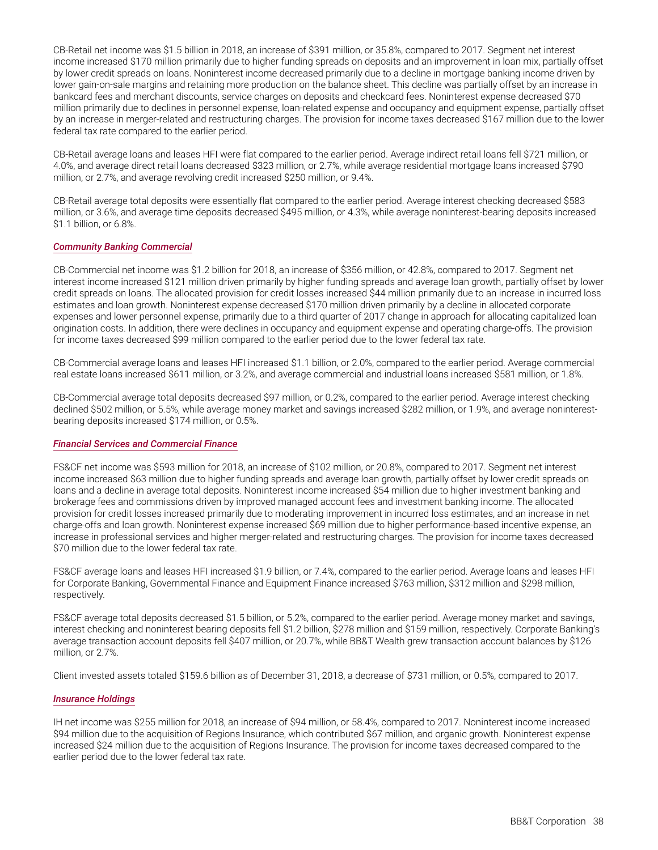CB-Retail net income was \$1.5 billion in 2018, an increase of \$391 million, or 35.8%, compared to 2017. Segment net interest income increased \$170 million primarily due to higher funding spreads on deposits and an improvement in loan mix, partially offset by lower credit spreads on loans. Noninterest income decreased primarily due to a decline in mortgage banking income driven by lower gain-on-sale margins and retaining more production on the balance sheet. This decline was partially offset by an increase in bankcard fees and merchant discounts, service charges on deposits and checkcard fees. Noninterest expense decreased \$70 million primarily due to declines in personnel expense, loan-related expense and occupancy and equipment expense, partially offset by an increase in merger-related and restructuring charges. The provision for income taxes decreased \$167 million due to the lower federal tax rate compared to the earlier period.

CB-Retail average loans and leases HFI were flat compared to the earlier period. Average indirect retail loans fell \$721 million, or 4.0%, and average direct retail loans decreased \$323 million, or 2.7%, while average residential mortgage loans increased \$790 million, or 2.7%, and average revolving credit increased \$250 million, or 9.4%.

CB-Retail average total deposits were essentially flat compared to the earlier period. Average interest checking decreased \$583 million, or 3.6%, and average time deposits decreased \$495 million, or 4.3%, while average noninterest-bearing deposits increased \$1.1 billion, or 6.8%.

### *Community Banking Commercial*

CB-Commercial net income was \$1.2 billion for 2018, an increase of \$356 million, or 42.8%, compared to 2017. Segment net interest income increased \$121 million driven primarily by higher funding spreads and average loan growth, partially offset by lower credit spreads on loans. The allocated provision for credit losses increased \$44 million primarily due to an increase in incurred loss estimates and loan growth. Noninterest expense decreased \$170 million driven primarily by a decline in allocated corporate expenses and lower personnel expense, primarily due to a third quarter of 2017 change in approach for allocating capitalized loan origination costs. In addition, there were declines in occupancy and equipment expense and operating charge-offs. The provision for income taxes decreased \$99 million compared to the earlier period due to the lower federal tax rate.

CB-Commercial average loans and leases HFI increased \$1.1 billion, or 2.0%, compared to the earlier period. Average commercial real estate loans increased \$611 million, or 3.2%, and average commercial and industrial loans increased \$581 million, or 1.8%.

CB-Commercial average total deposits decreased \$97 million, or 0.2%, compared to the earlier period. Average interest checking declined \$502 million, or 5.5%, while average money market and savings increased \$282 million, or 1.9%, and average noninterestbearing deposits increased \$174 million, or 0.5%.

#### *Financial Services and Commercial Finance*

FS&CF net income was \$593 million for 2018, an increase of \$102 million, or 20.8%, compared to 2017. Segment net interest income increased \$63 million due to higher funding spreads and average loan growth, partially offset by lower credit spreads on loans and a decline in average total deposits. Noninterest income increased \$54 million due to higher investment banking and brokerage fees and commissions driven by improved managed account fees and investment banking income. The allocated provision for credit losses increased primarily due to moderating improvement in incurred loss estimates, and an increase in net charge-offs and loan growth. Noninterest expense increased \$69 million due to higher performance-based incentive expense, an increase in professional services and higher merger-related and restructuring charges. The provision for income taxes decreased \$70 million due to the lower federal tax rate.

FS&CF average loans and leases HFI increased \$1.9 billion, or 7.4%, compared to the earlier period. Average loans and leases HFI for Corporate Banking, Governmental Finance and Equipment Finance increased \$763 million, \$312 million and \$298 million, respectively.

FS&CF average total deposits decreased \$1.5 billion, or 5.2%, compared to the earlier period. Average money market and savings, interest checking and noninterest bearing deposits fell \$1.2 billion, \$278 million and \$159 million, respectively. Corporate Banking's average transaction account deposits fell \$407 million, or 20.7%, while BB&T Wealth grew transaction account balances by \$126 million, or 2.7%.

Client invested assets totaled \$159.6 billion as of December 31, 2018, a decrease of \$731 million, or 0.5%, compared to 2017.

#### *Insurance Holdings*

IH net income was \$255 million for 2018, an increase of \$94 million, or 58.4%, compared to 2017. Noninterest income increased \$94 million due to the acquisition of Regions Insurance, which contributed \$67 million, and organic growth. Noninterest expense increased \$24 million due to the acquisition of Regions Insurance. The provision for income taxes decreased compared to the earlier period due to the lower federal tax rate.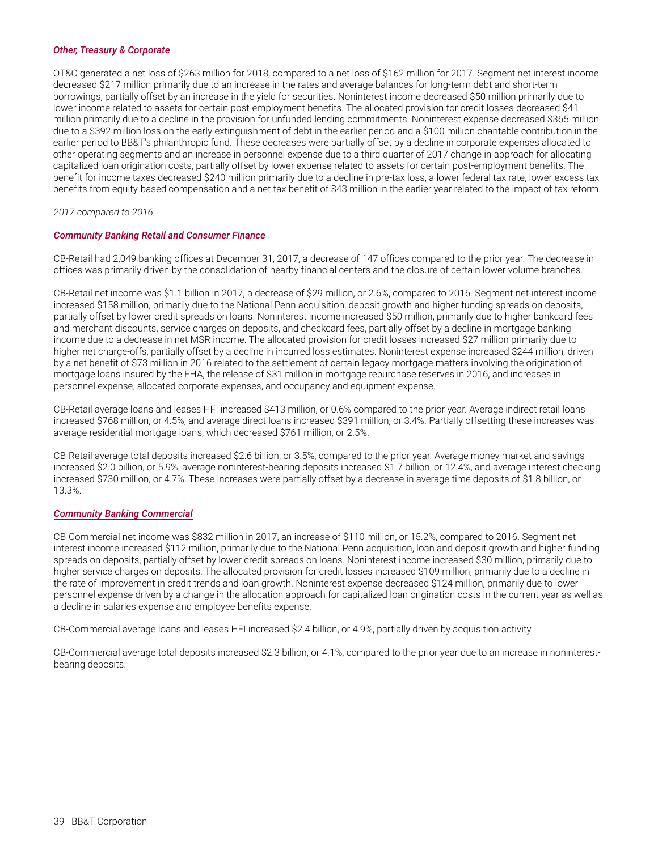#### *Other, Treasury & Corporate*

OT&C generated a net loss of \$263 million for 2018, compared to a net loss of \$162 million for 2017. Segment net interest income decreased \$217 million primarily due to an increase in the rates and average balances for long-term debt and short-term borrowings, partially offset by an increase in the yield for securities. Noninterest income decreased \$50 million primarily due to lower income related to assets for certain post-employment benefits. The allocated provision for credit losses decreased \$41 million primarily due to a decline in the provision for unfunded lending commitments. Noninterest expense decreased \$365 million due to a \$392 million loss on the early extinguishment of debt in the earlier period and a \$100 million charitable contribution in the earlier period to BB&T's philanthropic fund. These decreases were partially offset by a decline in corporate expenses allocated to other operating segments and an increase in personnel expense due to a third quarter of 2017 change in approach for allocating capitalized loan origination costs, partially offset by lower expense related to assets for certain post-employment benefits. The benefit for income taxes decreased \$240 million primarily due to a decline in pre-tax loss, a lower federal tax rate, lower excess tax benefits from equity-based compensation and a net tax benefit of \$43 million in the earlier year related to the impact of tax reform.

#### *2017 compared to 2016*

#### *Community Banking Retail and Consumer Finance*

CB-Retail had 2,049 banking offices at December 31, 2017, a decrease of 147 offices compared to the prior year. The decrease in offices was primarily driven by the consolidation of nearby financial centers and the closure of certain lower volume branches.

CB-Retail net income was \$1.1 billion in 2017, a decrease of \$29 million, or 2.6%, compared to 2016. Segment net interest income increased \$158 million, primarily due to the National Penn acquisition, deposit growth and higher funding spreads on deposits, partially offset by lower credit spreads on loans. Noninterest income increased \$50 million, primarily due to higher bankcard fees and merchant discounts, service charges on deposits, and checkcard fees, partially offset by a decline in mortgage banking income due to a decrease in net MSR income. The allocated provision for credit losses increased \$27 million primarily due to higher net charge-offs, partially offset by a decline in incurred loss estimates. Noninterest expense increased \$244 million, driven by a net benefit of \$73 million in 2016 related to the settlement of certain legacy mortgage matters involving the origination of mortgage loans insured by the FHA, the release of \$31 million in mortgage repurchase reserves in 2016, and increases in personnel expense, allocated corporate expenses, and occupancy and equipment expense.

CB-Retail average loans and leases HFI increased \$413 million, or 0.6% compared to the prior year. Average indirect retail loans increased \$768 million, or 4.5%, and average direct loans increased \$391 million, or 3.4%. Partially offsetting these increases was average residential mortgage loans, which decreased \$761 million, or 2.5%.

CB-Retail average total deposits increased \$2.6 billion, or 3.5%, compared to the prior year. Average money market and savings increased \$2.0 billion, or 5.9%, average noninterest-bearing deposits increased \$1.7 billion, or 12.4%, and average interest checking increased \$730 million, or 4.7%. These increases were partially offset by a decrease in average time deposits of \$1.8 billion, or 13.3%.

#### *Community Banking Commercial*

CB-Commercial net income was \$832 million in 2017, an increase of \$110 million, or 15.2%, compared to 2016. Segment net interest income increased \$112 million, primarily due to the National Penn acquisition, loan and deposit growth and higher funding spreads on deposits, partially offset by lower credit spreads on loans. Noninterest income increased \$30 million, primarily due to higher service charges on deposits. The allocated provision for credit losses increased \$109 million, primarily due to a decline in the rate of improvement in credit trends and loan growth. Noninterest expense decreased \$124 million, primarily due to lower personnel expense driven by a change in the allocation approach for capitalized loan origination costs in the current year as well as a decline in salaries expense and employee benefits expense.

CB-Commercial average loans and leases HFI increased \$2.4 billion, or 4.9%, partially driven by acquisition activity.

CB-Commercial average total deposits increased \$2.3 billion, or 4.1%, compared to the prior year due to an increase in noninterestbearing deposits.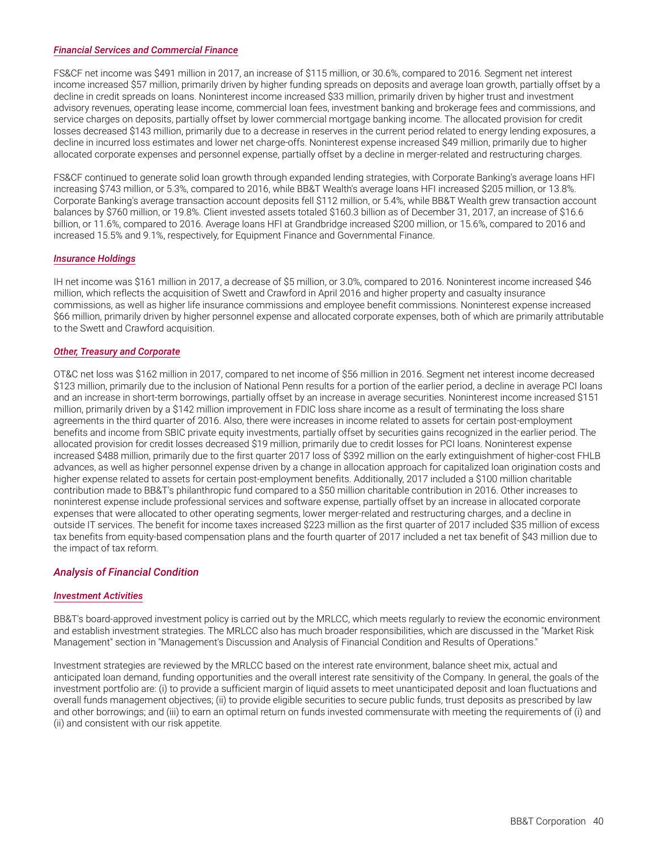#### *Financial Services and Commercial Finance*

FS&CF net income was \$491 million in 2017, an increase of \$115 million, or 30.6%, compared to 2016. Segment net interest income increased \$57 million, primarily driven by higher funding spreads on deposits and average loan growth, partially offset by a decline in credit spreads on loans. Noninterest income increased \$33 million, primarily driven by higher trust and investment advisory revenues, operating lease income, commercial loan fees, investment banking and brokerage fees and commissions, and service charges on deposits, partially offset by lower commercial mortgage banking income. The allocated provision for credit losses decreased \$143 million, primarily due to a decrease in reserves in the current period related to energy lending exposures, a decline in incurred loss estimates and lower net charge-offs. Noninterest expense increased \$49 million, primarily due to higher allocated corporate expenses and personnel expense, partially offset by a decline in merger-related and restructuring charges.

FS&CF continued to generate solid loan growth through expanded lending strategies, with Corporate Banking's average loans HFI increasing \$743 million, or 5.3%, compared to 2016, while BB&T Wealth's average loans HFI increased \$205 million, or 13.8%. Corporate Banking's average transaction account deposits fell \$112 million, or 5.4%, while BB&T Wealth grew transaction account balances by \$760 million, or 19.8%. Client invested assets totaled \$160.3 billion as of December 31, 2017, an increase of \$16.6 billion, or 11.6%, compared to 2016. Average loans HFI at Grandbridge increased \$200 million, or 15.6%, compared to 2016 and increased 15.5% and 9.1%, respectively, for Equipment Finance and Governmental Finance.

#### *Insurance Holdings*

IH net income was \$161 million in 2017, a decrease of \$5 million, or 3.0%, compared to 2016. Noninterest income increased \$46 million, which reflects the acquisition of Swett and Crawford in April 2016 and higher property and casualty insurance commissions, as well as higher life insurance commissions and employee benefit commissions. Noninterest expense increased \$66 million, primarily driven by higher personnel expense and allocated corporate expenses, both of which are primarily attributable to the Swett and Crawford acquisition.

#### *Other, Treasury and Corporate*

OT&C net loss was \$162 million in 2017, compared to net income of \$56 million in 2016. Segment net interest income decreased \$123 million, primarily due to the inclusion of National Penn results for a portion of the earlier period, a decline in average PCI loans and an increase in short-term borrowings, partially offset by an increase in average securities. Noninterest income increased \$151 million, primarily driven by a \$142 million improvement in FDIC loss share income as a result of terminating the loss share agreements in the third quarter of 2016. Also, there were increases in income related to assets for certain post-employment benefits and income from SBIC private equity investments, partially offset by securities gains recognized in the earlier period. The allocated provision for credit losses decreased \$19 million, primarily due to credit losses for PCI loans. Noninterest expense increased \$488 million, primarily due to the first quarter 2017 loss of \$392 million on the early extinguishment of higher-cost FHLB advances, as well as higher personnel expense driven by a change in allocation approach for capitalized loan origination costs and higher expense related to assets for certain post-employment benefits. Additionally, 2017 included a \$100 million charitable contribution made to BB&T's philanthropic fund compared to a \$50 million charitable contribution in 2016. Other increases to noninterest expense include professional services and software expense, partially offset by an increase in allocated corporate expenses that were allocated to other operating segments, lower merger-related and restructuring charges, and a decline in outside IT services. The benefit for income taxes increased \$223 million as the first quarter of 2017 included \$35 million of excess tax benefits from equity-based compensation plans and the fourth quarter of 2017 included a net tax benefit of \$43 million due to the impact of tax reform.

### *Analysis of Financial Condition*

#### *Investment Activities*

BB&T's board-approved investment policy is carried out by the MRLCC, which meets regularly to review the economic environment and establish investment strategies. The MRLCC also has much broader responsibilities, which are discussed in the "Market Risk Management" section in "Management's Discussion and Analysis of Financial Condition and Results of Operations."

Investment strategies are reviewed by the MRLCC based on the interest rate environment, balance sheet mix, actual and anticipated loan demand, funding opportunities and the overall interest rate sensitivity of the Company. In general, the goals of the investment portfolio are: (i) to provide a sufficient margin of liquid assets to meet unanticipated deposit and loan fluctuations and overall funds management objectives; (ii) to provide eligible securities to secure public funds, trust deposits as prescribed by law and other borrowings; and (iii) to earn an optimal return on funds invested commensurate with meeting the requirements of (i) and (ii) and consistent with our risk appetite.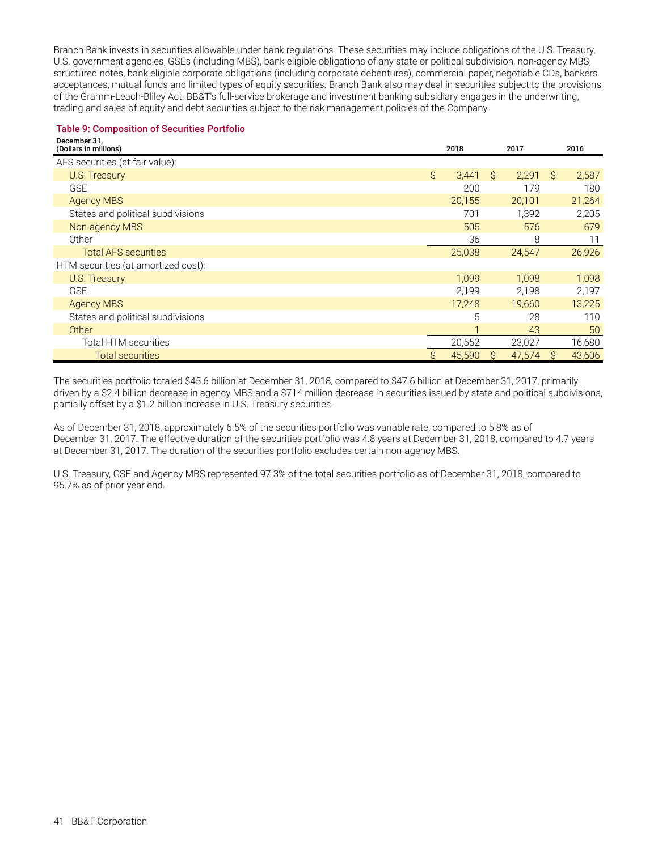Branch Bank invests in securities allowable under bank regulations. These securities may include obligations of the U.S. Treasury, U.S. government agencies, GSEs (including MBS), bank eligible obligations of any state or political subdivision, non-agency MBS, structured notes, bank eligible corporate obligations (including corporate debentures), commercial paper, negotiable CDs, bankers acceptances, mutual funds and limited types of equity securities. Branch Bank also may deal in securities subject to the provisions of the Gramm-Leach-Bliley Act. BB&T's full-service brokerage and investment banking subsidiary engages in the underwriting, trading and sales of equity and debt securities subject to the risk management policies of the Company.

### **Table 9: Composition of Securities Portfolio**

| December 31,<br>(Dollars in millions) | 2018        |    | 2017   |    | 2016   |
|---------------------------------------|-------------|----|--------|----|--------|
| AFS securities (at fair value):       |             |    |        |    |        |
| U.S. Treasury                         | \$<br>3,441 | S. | 2,291  | Ŝ. | 2,587  |
| <b>GSE</b>                            | 200         |    | 179    |    | 180    |
| <b>Agency MBS</b>                     | 20,155      |    | 20,101 |    | 21,264 |
| States and political subdivisions     | 701         |    | 1,392  |    | 2,205  |
| Non-agency MBS                        | 505         |    | 576    |    | 679    |
| Other                                 | 36          |    | 8      |    | 11     |
| <b>Total AFS securities</b>           | 25,038      |    | 24,547 |    | 26,926 |
| HTM securities (at amortized cost):   |             |    |        |    |        |
| U.S. Treasury                         | 1.099       |    | 1.098  |    | 1,098  |
| <b>GSE</b>                            | 2,199       |    | 2,198  |    | 2,197  |
| <b>Agency MBS</b>                     | 17,248      |    | 19,660 |    | 13,225 |
| States and political subdivisions     | 5           |    | 28     |    | 110    |
| Other                                 |             |    | 43     |    | 50     |
| Total HTM securities                  | 20,552      |    | 23,027 |    | 16,680 |
| <b>Total securities</b>               | 45,590      |    | 47,574 | S. | 43,606 |

The securities portfolio totaled \$45.6 billion at December 31, 2018, compared to \$47.6 billion at December 31, 2017, primarily driven by a \$2.4 billion decrease in agency MBS and a \$714 million decrease in securities issued by state and political subdivisions, partially offset by a \$1.2 billion increase in U.S. Treasury securities.

As of December 31, 2018, approximately 6.5% of the securities portfolio was variable rate, compared to 5.8% as of December 31, 2017. The effective duration of the securities portfolio was 4.8 years at December 31, 2018, compared to 4.7 years at December 31, 2017. The duration of the securities portfolio excludes certain non-agency MBS.

U.S. Treasury, GSE and Agency MBS represented 97.3% of the total securities portfolio as of December 31, 2018, compared to 95.7% as of prior year end.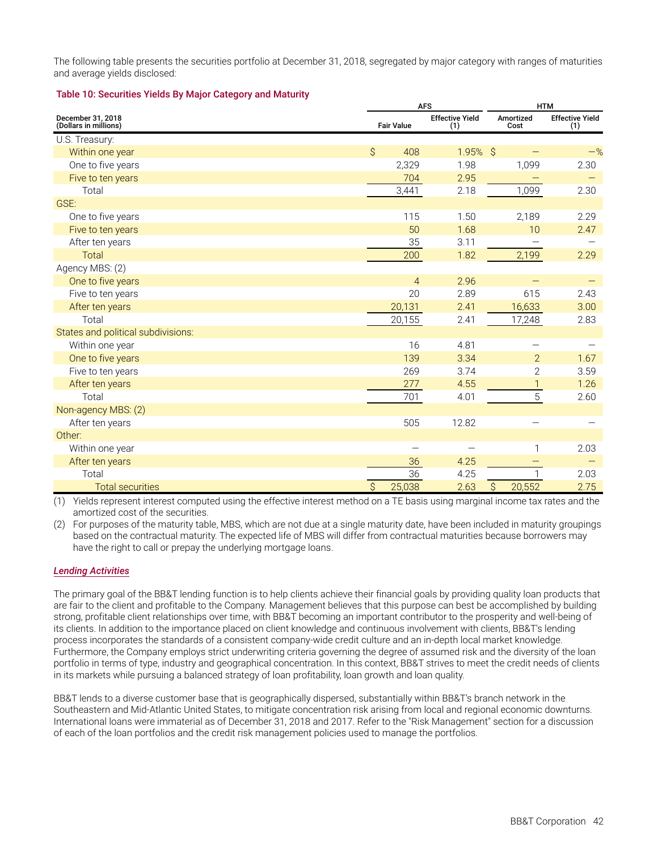The following table presents the securities portfolio at December 31, 2018, segregated by major category with ranges of maturities and average yields disclosed:

### **Table 10: Securities Yields By Major Category and Maturity**

|                                            |           | <b>AFS</b>                      |                               |                               | <b>HTM</b>     |                               |
|--------------------------------------------|-----------|---------------------------------|-------------------------------|-------------------------------|----------------|-------------------------------|
| December 31, 2018<br>(Dollars in millions) |           | <b>Fair Value</b>               | <b>Effective Yield</b><br>(1) | Amortized<br>Cost             |                | <b>Effective Yield</b><br>(1) |
| U.S. Treasury:                             |           |                                 |                               |                               |                |                               |
| Within one year                            | \$        | 408                             | $1.95%$ \$                    |                               |                | $-$ %                         |
| One to five years                          |           | 2,329                           | 1.98                          | 1,099                         |                | 2.30                          |
| Five to ten years                          |           | 704                             | 2.95                          |                               |                |                               |
| Total                                      |           | 3,441                           | 2.18                          | 1,099                         |                | 2.30                          |
| GSE:                                       |           |                                 |                               |                               |                |                               |
| One to five years                          |           | 115                             | 1.50                          | 2,189                         |                | 2.29                          |
| Five to ten years                          |           | 50                              | 1.68                          |                               | 10             | 2.47                          |
| After ten years                            |           | 35                              | 3.11                          |                               |                |                               |
| Total                                      |           | 200                             | 1.82                          | 2,199                         |                | 2.29                          |
| Agency MBS: (2)                            |           |                                 |                               |                               |                |                               |
| One to five years                          |           | $\overline{4}$                  | 2.96                          |                               |                |                               |
| Five to ten years                          |           | 20                              | 2.89                          |                               | 615            | 2.43                          |
| After ten years                            |           | 20,131                          | 2.41                          | 16,633                        |                | 3.00                          |
| Total                                      |           | 20,155                          | 2.41                          | 17,248                        |                | 2.83                          |
| States and political subdivisions:         |           |                                 |                               |                               |                |                               |
| Within one year                            |           | 16                              | 4.81                          |                               |                |                               |
| One to five years                          |           | 139                             | 3.34                          |                               | $\overline{2}$ | 1.67                          |
| Five to ten years                          |           | 269                             | 3.74                          |                               | $\mathbf{2}$   | 3.59                          |
| After ten years                            |           | 277                             | 4.55                          |                               | 1              | 1.26                          |
| Total                                      |           | 701                             | 4.01                          |                               | $\overline{5}$ | 2.60                          |
| Non-agency MBS: (2)                        |           |                                 |                               |                               |                |                               |
| After ten years                            |           | 505                             | 12.82                         |                               |                |                               |
| Other:                                     |           |                                 |                               |                               |                |                               |
| Within one year                            |           | $\overbrace{\phantom{1232211}}$ |                               |                               | 1              | 2.03                          |
| After ten years                            |           | 36                              | 4.25                          |                               |                |                               |
| Total                                      |           | 36                              | 4.25                          |                               |                | 2.03                          |
| <b>Total securities</b>                    | $\hat{S}$ | 25,038                          | 2.63                          | $\hat{\mathcal{S}}$<br>20,552 |                | 2.75                          |

(1) Yields represent interest computed using the effective interest method on a TE basis using marginal income tax rates and the amortized cost of the securities.

(2) For purposes of the maturity table, MBS, which are not due at a single maturity date, have been included in maturity groupings based on the contractual maturity. The expected life of MBS will differ from contractual maturities because borrowers may have the right to call or prepay the underlying mortgage loans.

### *Lending Activities*

The primary goal of the BB&T lending function is to help clients achieve their financial goals by providing quality loan products that are fair to the client and profitable to the Company. Management believes that this purpose can best be accomplished by building strong, profitable client relationships over time, with BB&T becoming an important contributor to the prosperity and well-being of its clients. In addition to the importance placed on client knowledge and continuous involvement with clients, BB&T's lending process incorporates the standards of a consistent company-wide credit culture and an in-depth local market knowledge. Furthermore, the Company employs strict underwriting criteria governing the degree of assumed risk and the diversity of the loan portfolio in terms of type, industry and geographical concentration. In this context, BB&T strives to meet the credit needs of clients in its markets while pursuing a balanced strategy of loan profitability, loan growth and loan quality.

BB&T lends to a diverse customer base that is geographically dispersed, substantially within BB&T's branch network in the Southeastern and Mid-Atlantic United States, to mitigate concentration risk arising from local and regional economic downturns. International loans were immaterial as of December 31, 2018 and 2017. Refer to the "Risk Management" section for a discussion of each of the loan portfolios and the credit risk management policies used to manage the portfolios.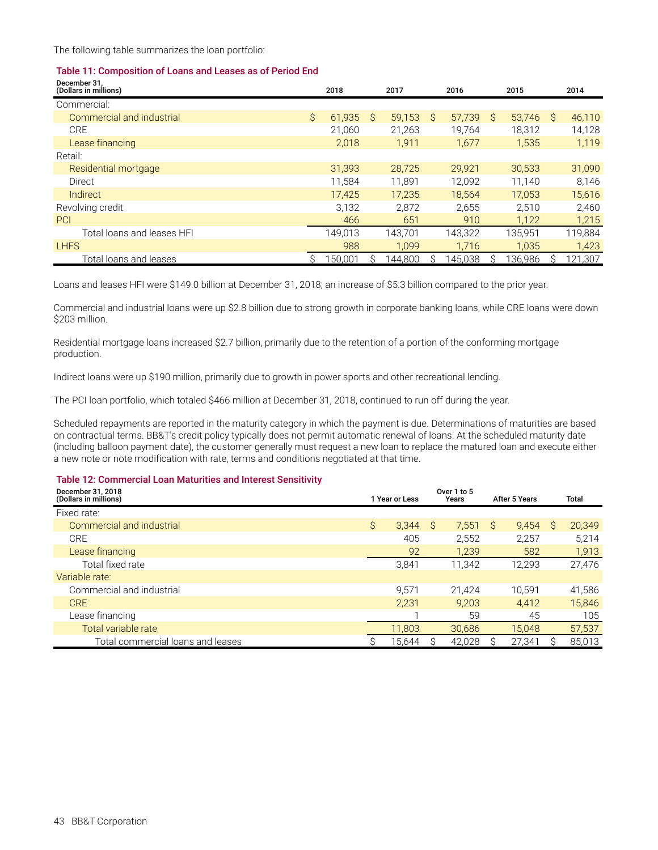The following table summarizes the loan portfolio:

| Table 11: Composition of Loans and Leases as of Period End |  |
|------------------------------------------------------------|--|
|------------------------------------------------------------|--|

| December 31,<br>(Dollars in millions) |    | 2018    |   | 2017    |   | 2016    |    | 2015    |    | 2014    |
|---------------------------------------|----|---------|---|---------|---|---------|----|---------|----|---------|
| Commercial:                           |    |         |   |         |   |         |    |         |    |         |
| Commercial and industrial             | Ŝ. | 61,935  | S | 59.153  | Ŝ | 57.739  | Ŝ. | 53.746  | Ŝ. | 46,110  |
| <b>CRE</b>                            |    | 21.060  |   | 21.263  |   | 19.764  |    | 18,312  |    | 14.128  |
| Lease financing                       |    | 2,018   |   | 1.911   |   | 1.677   |    | 1,535   |    | 1,119   |
| Retail:                               |    |         |   |         |   |         |    |         |    |         |
| Residential mortgage                  |    | 31.393  |   | 28.725  |   | 29.921  |    | 30,533  |    | 31,090  |
| Direct                                |    | 11.584  |   | 11,891  |   | 12.092  |    | 11.140  |    | 8,146   |
| Indirect                              |    | 17.425  |   | 17,235  |   | 18,564  |    | 17,053  |    | 15,616  |
| Revolving credit                      |    | 3,132   |   | 2,872   |   | 2,655   |    | 2,510   |    | 2,460   |
| <b>PCI</b>                            |    | 466     |   | 651     |   | 910     |    | 1.122   |    | 1,215   |
| Total loans and leases HFI            |    | 149.013 |   | 143.701 |   | 143.322 |    | 135.951 |    | 119,884 |
| <b>LHFS</b>                           |    | 988     |   | 1.099   |   | 1.716   |    | 1,035   |    | 1,423   |
| Total loans and leases                |    | 50.001  |   | 144.800 |   | 145,038 |    | 136.986 |    | 121,307 |

Loans and leases HFI were \$149.0 billion at December 31, 2018, an increase of \$5.3 billion compared to the prior year.

Commercial and industrial loans were up \$2.8 billion due to strong growth in corporate banking loans, while CRE loans were down \$203 million.

Residential mortgage loans increased \$2.7 billion, primarily due to the retention of a portion of the conforming mortgage production.

Indirect loans were up \$190 million, primarily due to growth in power sports and other recreational lending.

The PCI loan portfolio, which totaled \$466 million at December 31, 2018, continued to run off during the year.

Scheduled repayments are reported in the maturity category in which the payment is due. Determinations of maturities are based on contractual terms. BB&T's credit policy typically does not permit automatic renewal of loans. At the scheduled maturity date (including balloon payment date), the customer generally must request a new loan to replace the matured loan and execute either a new note or note modification with rate, terms and conditions negotiated at that time.

#### **Table 12: Commercial Loan Maturities and Interest Sensitivity**

| December 31, 2018<br>(Dollars in millions) | 1 Year or Less |    | Over 1 to 5<br>Years |    | <b>After 5 Years</b> |    | Total  |
|--------------------------------------------|----------------|----|----------------------|----|----------------------|----|--------|
| Fixed rate:                                |                |    |                      |    |                      |    |        |
| Commercial and industrial                  | \$<br>3,344    | -S | 7,551                | Ŝ. | 9,454                | S. | 20,349 |
| <b>CRE</b>                                 | 405            |    | 2,552                |    | 2,257                |    | 5,214  |
| Lease financing                            | 92             |    | 1,239                |    | 582                  |    | 1,913  |
| Total fixed rate                           | 3,841          |    | 11,342               |    | 12,293               |    | 27,476 |
| Variable rate:                             |                |    |                      |    |                      |    |        |
| Commercial and industrial                  | 9.571          |    | 21.424               |    | 10.591               |    | 41,586 |
| CRE.                                       | 2,231          |    | 9,203                |    | 4.412                |    | 15,846 |
| Lease financing                            |                |    | 59                   |    | 45                   |    | 105    |
| Total variable rate                        | 11,803         |    | 30,686               |    | 15,048               |    | 57,537 |
| Total commercial loans and leases          | 15,644         |    | 42,028               |    | 27,341               |    | 85,013 |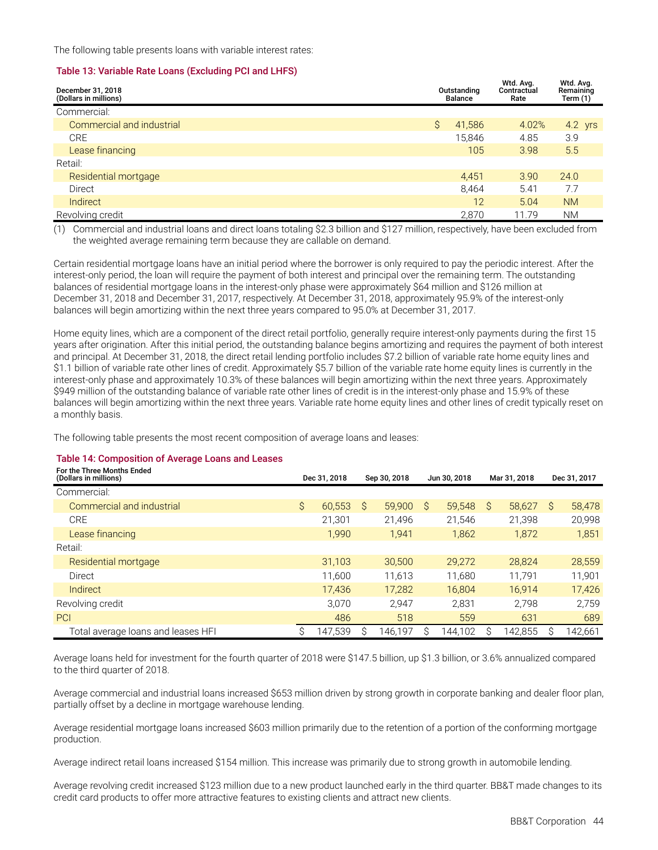The following table presents loans with variable interest rates:

#### **Table 13: Variable Rate Loans (Excluding PCI and LHFS)**

| Commercial:<br>\$<br>Commercial and industrial<br>4.02%<br>41,586<br>4.2 yrs<br>15,846<br><b>CRE</b><br>4.85<br>3.9<br>Lease financing<br>105<br>5.5<br>3.98<br>Retail:<br>4,451<br>24.0<br>Residential mortgage<br>3.90<br>8,464<br>7.7<br>Direct<br>5.41<br>12 | December 31, 2018<br>(Dollars in millions) | Outstanding<br><b>Balance</b> | Wtd. Avg.<br>Contractual<br>Rate | Wtd. Avg.<br>Remaining<br>Term $(1)$ |
|------------------------------------------------------------------------------------------------------------------------------------------------------------------------------------------------------------------------------------------------------------------|--------------------------------------------|-------------------------------|----------------------------------|--------------------------------------|
|                                                                                                                                                                                                                                                                  |                                            |                               |                                  |                                      |
|                                                                                                                                                                                                                                                                  |                                            |                               |                                  |                                      |
|                                                                                                                                                                                                                                                                  |                                            |                               |                                  |                                      |
|                                                                                                                                                                                                                                                                  |                                            |                               |                                  |                                      |
|                                                                                                                                                                                                                                                                  |                                            |                               |                                  |                                      |
|                                                                                                                                                                                                                                                                  |                                            |                               |                                  |                                      |
|                                                                                                                                                                                                                                                                  |                                            |                               |                                  |                                      |
|                                                                                                                                                                                                                                                                  | Indirect                                   |                               | 5.04                             | <b>NM</b>                            |
| 2,870<br>11.79<br><b>NM</b><br>Revolving credit                                                                                                                                                                                                                  |                                            |                               |                                  |                                      |

(1) Commercial and industrial loans and direct loans totaling \$2.3 billion and \$127 million, respectively, have been excluded from the weighted average remaining term because they are callable on demand.

Certain residential mortgage loans have an initial period where the borrower is only required to pay the periodic interest. After the interest-only period, the loan will require the payment of both interest and principal over the remaining term. The outstanding balances of residential mortgage loans in the interest-only phase were approximately \$64 million and \$126 million at December 31, 2018 and December 31, 2017, respectively. At December 31, 2018, approximately 95.9% of the interest-only balances will begin amortizing within the next three years compared to 95.0% at December 31, 2017.

Home equity lines, which are a component of the direct retail portfolio, generally require interest-only payments during the first 15 years after origination. After this initial period, the outstanding balance begins amortizing and requires the payment of both interest and principal. At December 31, 2018, the direct retail lending portfolio includes \$7.2 billion of variable rate home equity lines and \$1.1 billion of variable rate other lines of credit. Approximately \$5.7 billion of the variable rate home equity lines is currently in the interest-only phase and approximately 10.3% of these balances will begin amortizing within the next three years. Approximately \$949 million of the outstanding balance of variable rate other lines of credit is in the interest-only phase and 15.9% of these balances will begin amortizing within the next three years. Variable rate home equity lines and other lines of credit typically reset on a monthly basis.

The following table presents the most recent composition of average loans and leases:

### **Table 14: Composition of Average Loans and Leases**

| For the Three Months Ended<br>(Dollars in millions) |              | Dec 31, 2018 |   | Sep 30, 2018 |   | Jun 30, 2018 |    | Mar 31, 2018 |   | Dec 31, 2017 |
|-----------------------------------------------------|--------------|--------------|---|--------------|---|--------------|----|--------------|---|--------------|
| Commercial:                                         |              |              |   |              |   |              |    |              |   |              |
| Commercial and industrial                           | $\mathsf{S}$ | 60.553       | Ŝ | 59,900       | S | 59,548       | S. | 58,627       | Ŝ | 58,478       |
| CRE                                                 |              | 21.301       |   | 21.496       |   | 21,546       |    | 21.398       |   | 20,998       |
| Lease financing                                     |              | 1,990        |   | 1,941        |   | 1,862        |    | 1,872        |   | 1,851        |
| Retail:                                             |              |              |   |              |   |              |    |              |   |              |
| Residential mortgage                                |              | 31.103       |   | 30,500       |   | 29.272       |    | 28.824       |   | 28,559       |
| Direct                                              |              | 11.600       |   | 11.613       |   | 11.680       |    | 11.791       |   | 11.901       |
| Indirect                                            |              | 17.436       |   | 17.282       |   | 16.804       |    | 16.914       |   | 17,426       |
| Revolving credit                                    |              | 3.070        |   | 2.947        |   | 2.831        |    | 2.798        |   | 2.759        |
| PCI                                                 |              | 486          |   | 518          |   | 559          |    | 631          |   | 689          |
| Total average loans and leases HFI                  |              | 147.539      |   | 146.197      |   | 144.102      |    | 142.855      |   | 142.661      |

Average loans held for investment for the fourth quarter of 2018 were \$147.5 billion, up \$1.3 billion, or 3.6% annualized compared to the third quarter of 2018.

Average commercial and industrial loans increased \$653 million driven by strong growth in corporate banking and dealer floor plan, partially offset by a decline in mortgage warehouse lending.

Average residential mortgage loans increased \$603 million primarily due to the retention of a portion of the conforming mortgage production.

Average indirect retail loans increased \$154 million. This increase was primarily due to strong growth in automobile lending.

Average revolving credit increased \$123 million due to a new product launched early in the third quarter. BB&T made changes to its credit card products to offer more attractive features to existing clients and attract new clients.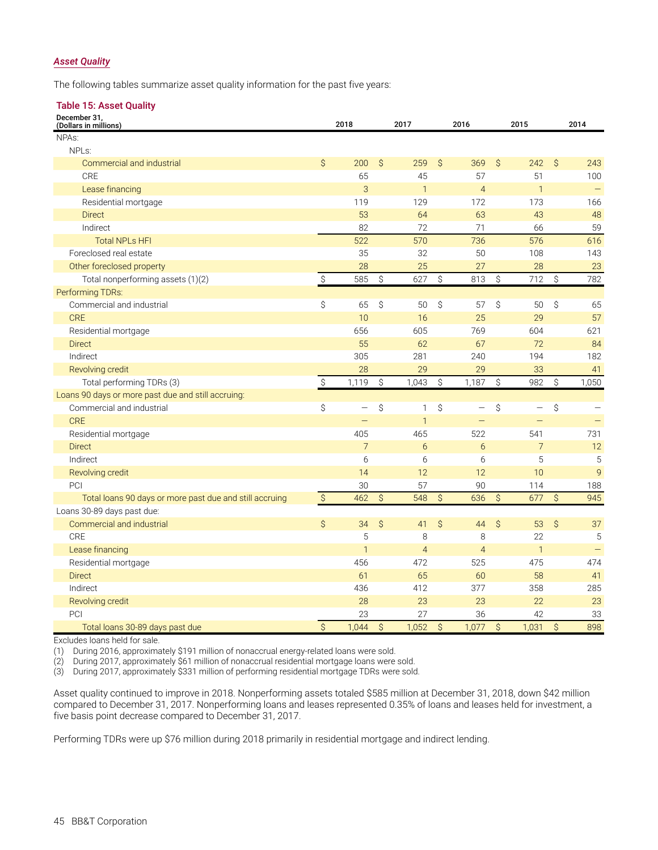### *Asset Quality*

The following tables summarize asset quality information for the past five years:

### **Table 15: Asset Quality**

| December 31<br>(Dollars in millions)                    |                     | 2018           |              | 2017           |              | 2016           |              | 2015           |    | 2014     |
|---------------------------------------------------------|---------------------|----------------|--------------|----------------|--------------|----------------|--------------|----------------|----|----------|
| NPA <sub>S</sub> :                                      |                     |                |              |                |              |                |              |                |    |          |
| NPLs:                                                   |                     |                |              |                |              |                |              |                |    |          |
| Commercial and industrial                               | $\mathsf{S}$        | 200            | $\mathsf{S}$ | 259            | \$           | 369            | $\mathsf{S}$ | 242            | \$ | 243      |
| <b>CRE</b>                                              |                     | 65             |              | 45             |              | 57             |              | 51             |    | 100      |
| Lease financing                                         |                     | 3              |              | $\mathbf{1}$   |              | $\overline{4}$ |              | $\mathbf{1}$   |    | $\equiv$ |
| Residential mortgage                                    |                     | 119            |              | 129            |              | 172            |              | 173            |    | 166      |
| <b>Direct</b>                                           |                     | 53             |              | 64             |              | 63             |              | 43             |    | 48       |
| Indirect                                                |                     | 82             |              | 72             |              | 71             |              | 66             |    | 59       |
| <b>Total NPLs HFI</b>                                   |                     | 522            |              | 570            |              | 736            |              | 576            |    | 616      |
| Foreclosed real estate                                  |                     | 35             |              | 32             |              | 50             |              | 108            |    | 143      |
| Other foreclosed property                               |                     | 28             |              | 25             |              | 27             |              | 28             |    | 23       |
| Total nonperforming assets (1)(2)                       | \$                  | 585            | Ŝ            | 627            | Ŝ            | 813            | \$           | 712            | Ŝ  | 782      |
| Performing TDRs:                                        |                     |                |              |                |              |                |              |                |    |          |
| Commercial and industrial                               | \$                  | 65             | \$           | 50             | \$           | 57             | \$           | 50             | \$ | 65       |
| <b>CRE</b>                                              |                     | 10             |              | 16             |              | 25             |              | 29             |    | 57       |
| Residential mortgage                                    |                     | 656            |              | 605            |              | 769            |              | 604            |    | 621      |
| <b>Direct</b>                                           |                     | 55             |              | 62             |              | 67             |              | 72             |    | 84       |
| Indirect                                                |                     | 305            |              | 281            |              | 240            |              | 194            |    | 182      |
| Revolving credit                                        |                     | 28             |              | 29             |              | 29             |              | 33             |    | 41       |
| Total performing TDRs (3)                               | $\hat{\mathcal{S}}$ | 1,119          | \$           | 1,043          | \$           | 1,187          | $\hat{S}$    | 982            | \$ | 1,050    |
| Loans 90 days or more past due and still accruing:      |                     |                |              |                |              |                |              |                |    |          |
| Commercial and industrial                               | \$                  | —              | \$           | 1              | \$           |                | \$           |                | \$ |          |
| <b>CRE</b>                                              |                     |                |              | $\mathbf{1}$   |              |                |              |                |    |          |
| Residential mortgage                                    |                     | 405            |              | 465            |              | 522            |              | 541            |    | 731      |
| <b>Direct</b>                                           |                     | $\overline{7}$ |              | 6              |              | 6              |              | $\overline{7}$ |    | 12       |
| Indirect                                                |                     | 6              |              | 6              |              | 6              |              | 5              |    | 5        |
| Revolving credit                                        |                     | 14             |              | 12             |              | 12             |              | 10             |    | 9        |
| PCI                                                     |                     | 30             |              | 57             |              | 90             |              | 114            |    | 188      |
| Total loans 90 days or more past due and still accruing | $\mathcal{S}$       | 462            | \$           | 548            | \$           | 636            | $\hat{S}$    | 677            | \$ | 945      |
| Loans 30-89 days past due:                              |                     |                |              |                |              |                |              |                |    |          |
| Commercial and industrial                               | $\hat{S}$           | 34             | $\mathsf{S}$ | 41             | $\mathsf{S}$ | 44             | $\mathsf{S}$ | 53             | \$ | 37       |
| <b>CRE</b>                                              |                     | 5              |              | 8              |              | 8              |              | 22             |    | 5        |
| Lease financing                                         |                     | $\mathbf{1}$   |              | $\overline{4}$ |              | $\overline{4}$ |              | $\mathbf{1}$   |    |          |
| Residential mortgage                                    |                     | 456            |              | 472            |              | 525            |              | 475            |    | 474      |
| <b>Direct</b>                                           |                     | 61             |              | 65             |              | 60             |              | 58             |    | 41       |
| Indirect                                                |                     | 436            |              | 412            |              | 377            |              | 358            |    | 285      |
| Revolving credit                                        |                     | 28             |              | 23             |              | 23             |              | 22             |    | 23       |
| PCI                                                     |                     |                |              |                |              |                |              |                |    |          |
|                                                         |                     | 23             |              | 27             |              | 36             |              | 42             |    | 33       |

Excludes loans held for sale.

(1) During 2016, approximately \$191 million of nonaccrual energy-related loans were sold.

(2) During 2017, approximately \$61 million of nonaccrual residential mortgage loans were sold.

(3) During 2017, approximately \$331 million of performing residential mortgage TDRs were sold.

Asset quality continued to improve in 2018. Nonperforming assets totaled \$585 million at December 31, 2018, down \$42 million compared to December 31, 2017. Nonperforming loans and leases represented 0.35% of loans and leases held for investment, a five basis point decrease compared to December 31, 2017.

Performing TDRs were up \$76 million during 2018 primarily in residential mortgage and indirect lending.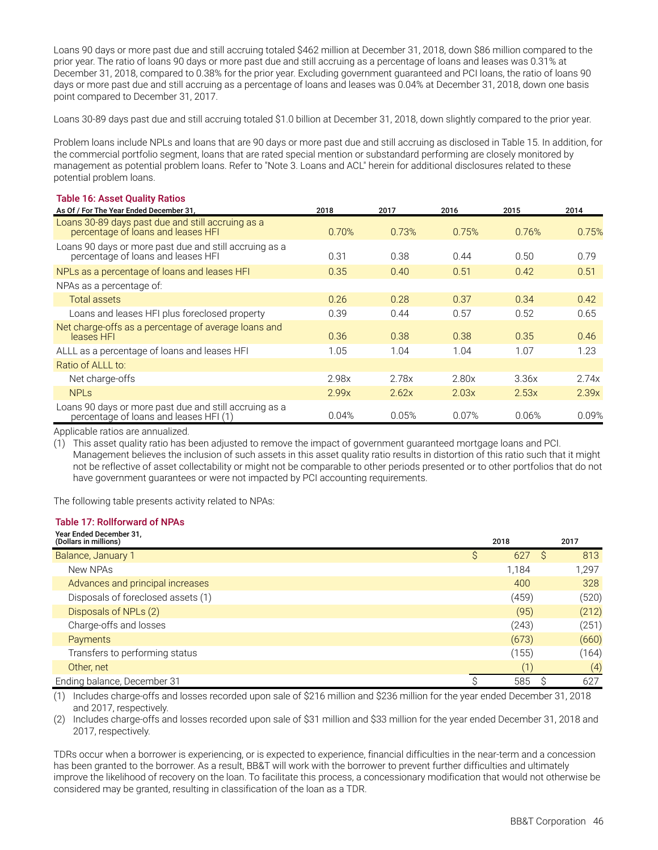Loans 90 days or more past due and still accruing totaled \$462 million at December 31, 2018, down \$86 million compared to the prior year. The ratio of loans 90 days or more past due and still accruing as a percentage of loans and leases was 0.31% at December 31, 2018, compared to 0.38% for the prior year. Excluding government guaranteed and PCI loans, the ratio of loans 90 days or more past due and still accruing as a percentage of loans and leases was 0.04% at December 31, 2018, down one basis point compared to December 31, 2017.

Loans 30-89 days past due and still accruing totaled \$1.0 billion at December 31, 2018, down slightly compared to the prior year.

Problem loans include NPLs and loans that are 90 days or more past due and still accruing as disclosed in Table 15. In addition, for the commercial portfolio segment, loans that are rated special mention or substandard performing are closely monitored by management as potential problem loans. Refer to "Note 3. Loans and ACL" herein for additional disclosures related to these potential problem loans.

#### **Table 16: Asset Quality Ratios**

| As Of / For The Year Ended December 31.                                                          | 2018  | 2017  | 2016  | 2015  | 2014  |
|--------------------------------------------------------------------------------------------------|-------|-------|-------|-------|-------|
| Loans 30-89 days past due and still accruing as a<br>percentage of loans and leases HFI          | 0.70% | 0.73% | 0.75% | 0.76% | 0.75% |
| Loans 90 days or more past due and still accruing as a<br>percentage of loans and leases HFI     | 0.31  | 0.38  | 0.44  | 0.50  | 0.79  |
| NPLs as a percentage of loans and leases HFI                                                     | 0.35  | 0.40  | 0.51  | 0.42  | 0.51  |
| NPAs as a percentage of:                                                                         |       |       |       |       |       |
| <b>Total assets</b>                                                                              | 0.26  | 0.28  | 0.37  | 0.34  | 0.42  |
| Loans and leases HFI plus foreclosed property                                                    | 0.39  | 0.44  | 0.57  | 0.52  | 0.65  |
| Net charge-offs as a percentage of average loans and<br>leases HFI                               | 0.36  | 0.38  | 0.38  | 0.35  | 0.46  |
| ALLL as a percentage of loans and leases HFI                                                     | 1.05  | 1.04  | 1.04  | 1.07  | 1.23  |
| Ratio of ALLL to:                                                                                |       |       |       |       |       |
| Net charge-offs                                                                                  | 2.98x | 2.78x | 2.80x | 3.36x | 2.74x |
| <b>NPLS</b>                                                                                      | 2.99x | 2.62x | 2.03x | 2.53x | 2.39x |
| Loans 90 days or more past due and still accruing as a<br>percentage of loans and leases HFI (1) | 0.04% | 0.05% | 0.07% | 0.06% | 0.09% |

Applicable ratios are annualized.

(1) This asset quality ratio has been adjusted to remove the impact of government guaranteed mortgage loans and PCI. Management believes the inclusion of such assets in this asset quality ratio results in distortion of this ratio such that it might not be reflective of asset collectability or might not be comparable to other periods presented or to other portfolios that do not have government guarantees or were not impacted by PCI accounting requirements.

The following table presents activity related to NPAs:

#### **Table 17: Rollforward of NPAs Year Ended December 31,**

| Year Ended December 31,<br>(Dollars in millions) | 2018     |    | 2017  |
|--------------------------------------------------|----------|----|-------|
| Balance, January 1                               | 627<br>S | -S | 813   |
| New NPAs                                         | 1,184    |    | 1,297 |
| Advances and principal increases                 | 400      |    | 328   |
| Disposals of foreclosed assets (1)               | (459)    |    | (520) |
| Disposals of NPLs (2)                            | (95)     |    | (212) |
| Charge-offs and losses                           | (243)    |    | (251) |
| Payments                                         | (673)    |    | (660) |
| Transfers to performing status                   | (155)    |    | (164) |
| Other, net                                       |          |    | (4)   |
| Ending balance, December 31                      | 585      |    | 627   |

(1) Includes charge-offs and losses recorded upon sale of \$216 million and \$236 million for the year ended December 31, 2018 and 2017, respectively.

(2) Includes charge-offs and losses recorded upon sale of \$31 million and \$33 million for the year ended December 31, 2018 and 2017, respectively.

TDRs occur when a borrower is experiencing, or is expected to experience, financial difficulties in the near-term and a concession has been granted to the borrower. As a result, BB&T will work with the borrower to prevent further difficulties and ultimately improve the likelihood of recovery on the loan. To facilitate this process, a concessionary modification that would not otherwise be considered may be granted, resulting in classification of the loan as a TDR.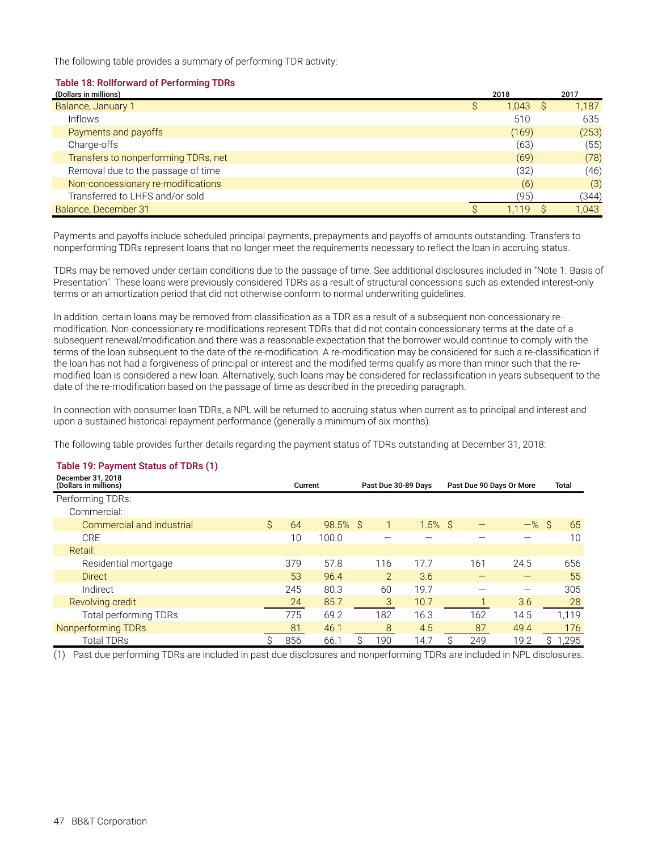The following table provides a summary of performing TDR activity:

### **Table 18: Rollforward of Performing TDRs**

| (Dollars in millions)                | 2018  | 2017  |
|--------------------------------------|-------|-------|
| Balance, January 1                   | 1,043 | 1,187 |
| <b>Inflows</b>                       | 510   | 635   |
| Payments and payoffs                 | (169) | (253) |
| Charge-offs                          | (63)  | (55)  |
| Transfers to nonperforming TDRs, net | (69)  | (78)  |
| Removal due to the passage of time   | (32)  | (46)  |
| Non-concessionary re-modifications   | (6)   | (3)   |
| Transferred to LHFS and/or sold      | (95)  | (344) |
| Balance, December 31                 | 1.119 | 1,043 |

Payments and payoffs include scheduled principal payments, prepayments and payoffs of amounts outstanding. Transfers to nonperforming TDRs represent loans that no longer meet the requirements necessary to reflect the loan in accruing status.

TDRs may be removed under certain conditions due to the passage of time. See additional disclosures included in "Note 1. Basis of Presentation". These loans were previously considered TDRs as a result of structural concessions such as extended interest-only terms or an amortization period that did not otherwise conform to normal underwriting guidelines.

In addition, certain loans may be removed from classification as a TDR as a result of a subsequent non-concessionary remodification. Non-concessionary re-modifications represent TDRs that did not contain concessionary terms at the date of a subsequent renewal/modification and there was a reasonable expectation that the borrower would continue to comply with the terms of the loan subsequent to the date of the re-modification. A re-modification may be considered for such a re-classification if the loan has not had a forgiveness of principal or interest and the modified terms qualify as more than minor such that the remodified loan is considered a new loan. Alternatively, such loans may be considered for reclassification in years subsequent to the date of the re-modification based on the passage of time as described in the preceding paragraph.

In connection with consumer loan TDRs, a NPL will be returned to accruing status when current as to principal and interest and upon a sustained historical repayment performance (generally a minimum of six months).

The following table provides further details regarding the payment status of TDRs outstanding at December 31, 2018:

### **Table 19: Payment Status of TDRs (1)**

| December 31, 2018<br>(Dollars in millions) |    | Current |          | Past Due 30-89 Days |           | Past Due 90 Days Or More |          | <b>Total</b> |
|--------------------------------------------|----|---------|----------|---------------------|-----------|--------------------------|----------|--------------|
| Performing TDRs:                           |    |         |          |                     |           |                          |          |              |
| Commercial:                                |    |         |          |                     |           |                          |          |              |
| Commercial and industrial                  | Ŝ. | 64      | 98.5% \$ |                     | $1.5%$ \$ | —                        | $-$ % \$ | 65           |
| <b>CRE</b>                                 |    | 10      | 100.0    |                     |           |                          |          | 10           |
| Retail:                                    |    |         |          |                     |           |                          |          |              |
| Residential mortgage                       |    | 379     | 57.8     | 116                 | 17.7      | 161                      | 24.5     | 656          |
| <b>Direct</b>                              |    | 53      | 96.4     | $\overline{2}$      | 3.6       |                          |          | 55           |
| Indirect                                   |    | 245     | 80.3     | 60                  | 19.7      |                          |          | 305          |
| Revolving credit                           |    | 24      | 85.7     | 3                   | 10.7      |                          | 3.6      | 28           |
| <b>Total performing TDRs</b>               |    | 775     | 69.2     | 182                 | 16.3      | 162                      | 14.5     | 1.119        |
| Nonperforming TDRs                         |    | 81      | 46.1     | 8                   | 4.5       | 87                       | 49.4     | 176          |
| <b>Total TDRs</b>                          | Ś  | 856     | 66.1     | 190                 | 14.7      | 249                      | 19.2     | ,295         |

(1) Past due performing TDRs are included in past due disclosures and nonperforming TDRs are included in NPL disclosures.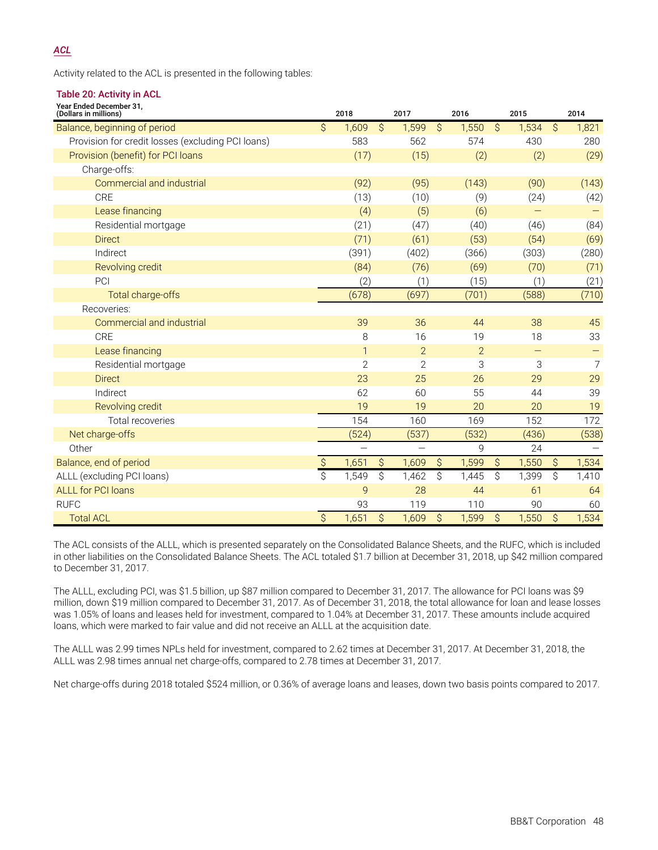### *ACL*

Activity related to the ACL is presented in the following tables:

| <b>Table 20: Activity in ACL</b>                  |                          |                          |                          |                          |              |                |              |       |              |                          |
|---------------------------------------------------|--------------------------|--------------------------|--------------------------|--------------------------|--------------|----------------|--------------|-------|--------------|--------------------------|
| Year Ended December 31,<br>(Dollars in millions)  |                          | 2018                     |                          | 2017                     |              | 2016           |              | 2015  |              | 2014                     |
| Balance, beginning of period                      | $\mathsf{S}$             | 1,609                    | $\mathsf{S}$             | 1,599                    | $\mathsf{S}$ | 1,550          | $\mathsf{S}$ | 1,534 | $\mathsf{S}$ | 1,821                    |
| Provision for credit losses (excluding PCI loans) |                          | 583                      |                          | 562                      |              | 574            |              | 430   |              | 280                      |
| Provision (benefit) for PCI loans                 |                          | (17)                     |                          | (15)                     |              | (2)            |              | (2)   |              | (29)                     |
| Charge-offs:                                      |                          |                          |                          |                          |              |                |              |       |              |                          |
| <b>Commercial and industrial</b>                  |                          | (92)                     |                          | (95)                     |              | (143)          |              | (90)  |              | (143)                    |
| <b>CRE</b>                                        |                          | (13)                     |                          | (10)                     |              | (9)            |              | (24)  |              | (42)                     |
| Lease financing                                   |                          | (4)                      |                          | (5)                      |              | (6)            |              |       |              |                          |
| Residential mortgage                              |                          | (21)                     |                          | (47)                     |              | (40)           |              | (46)  |              | (84)                     |
| <b>Direct</b>                                     |                          | (71)                     |                          | (61)                     |              | (53)           |              | (54)  |              | (69)                     |
| Indirect                                          |                          | (391)                    |                          | (402)                    |              | (366)          |              | (303) |              | (280)                    |
| Revolving credit                                  |                          | (84)                     |                          | (76)                     |              | (69)           |              | (70)  |              | (71)                     |
| PCI                                               |                          | (2)                      |                          | (1)                      |              | (15)           |              | (1)   |              | (21)                     |
| Total charge-offs                                 |                          | (678)                    |                          | (697)                    |              | (701)          |              | (588) |              | (710)                    |
| Recoveries:                                       |                          |                          |                          |                          |              |                |              |       |              |                          |
| Commercial and industrial                         |                          | 39                       |                          | 36                       |              | 44             |              | 38    |              | 45                       |
| <b>CRE</b>                                        |                          | 8                        |                          | 16                       |              | 19             |              | 18    |              | 33                       |
| Lease financing                                   |                          | $\mathbf{1}$             |                          | $\overline{2}$           |              | $\overline{2}$ |              |       |              |                          |
| Residential mortgage                              |                          | $\overline{2}$           |                          | $\overline{2}$           |              | 3              |              | 3     |              | $\overline{7}$           |
| <b>Direct</b>                                     |                          | 23                       |                          | 25                       |              | 26             |              | 29    |              | 29                       |
| Indirect                                          |                          | 62                       |                          | 60                       |              | 55             |              | 44    |              | 39                       |
| Revolving credit                                  |                          | 19                       |                          | 19                       |              | 20             |              | 20    |              | 19                       |
| Total recoveries                                  |                          | 154                      |                          | 160                      |              | 169            |              | 152   |              | 172                      |
| Net charge-offs                                   |                          | (524)                    |                          | (537)                    |              | (532)          |              | (436) |              | (538)                    |
| Other                                             |                          | $\overline{\phantom{0}}$ |                          | $\overline{\phantom{0}}$ |              | 9              |              | 24    |              | $\overline{\phantom{0}}$ |
| Balance, end of period                            | $\hat{\mathcal{S}}$      | 1,651                    | $\mathcal{S}$            | 1,609                    | \$           | 1,599          | $\mathsf{S}$ | 1,550 | \$           | 1,534                    |
| ALLL (excluding PCI loans)                        | Ś                        | 1,549                    | $\overline{\mathcal{S}}$ | 1,462                    | \$           | 1,445          | \$           | 1,399 | \$           | 1,410                    |
| <b>ALLL for PCI loans</b>                         |                          | 9                        |                          | 28                       |              | 44             |              | 61    |              | 64                       |
| <b>RUFC</b>                                       |                          | 93                       |                          | 119                      |              | 110            |              | 90    |              | 60                       |
| <b>Total ACL</b>                                  | $\overline{\mathcal{S}}$ | 1,651                    | $\mathcal{S}$            | 1,609                    | $\hat{S}$    | 1,599          | $\mathsf{S}$ | 1,550 | \$           | 1,534                    |

The ACL consists of the ALLL, which is presented separately on the Consolidated Balance Sheets, and the RUFC, which is included in other liabilities on the Consolidated Balance Sheets. The ACL totaled \$1.7 billion at December 31, 2018, up \$42 million compared to December 31, 2017.

The ALLL, excluding PCI, was \$1.5 billion, up \$87 million compared to December 31, 2017. The allowance for PCI loans was \$9 million, down \$19 million compared to December 31, 2017. As of December 31, 2018, the total allowance for loan and lease losses was 1.05% of loans and leases held for investment, compared to 1.04% at December 31, 2017. These amounts include acquired loans, which were marked to fair value and did not receive an ALLL at the acquisition date.

The ALLL was 2.99 times NPLs held for investment, compared to 2.62 times at December 31, 2017. At December 31, 2018, the ALLL was 2.98 times annual net charge-offs, compared to 2.78 times at December 31, 2017.

Net charge-offs during 2018 totaled \$524 million, or 0.36% of average loans and leases, down two basis points compared to 2017.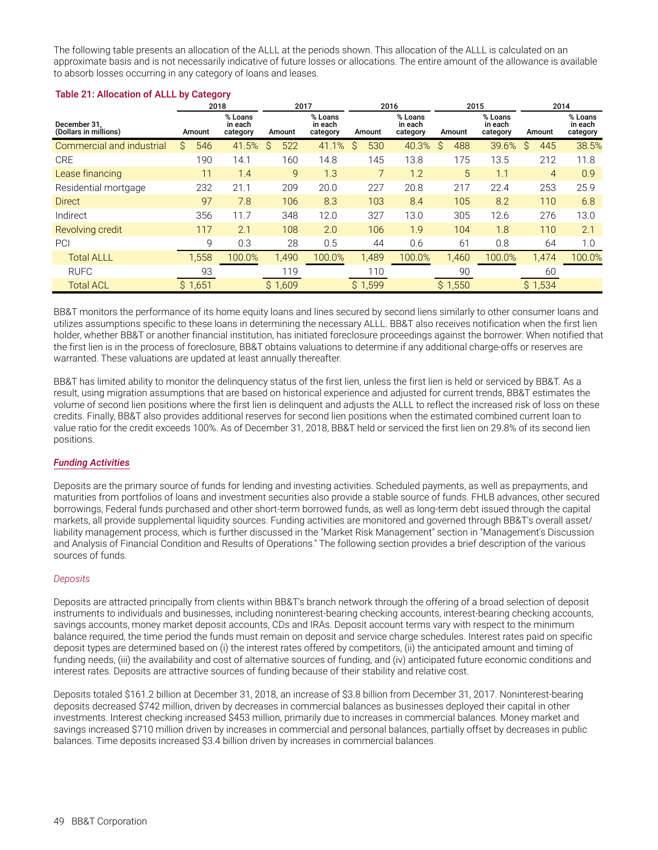The following table presents an allocation of the ALLL at the periods shown. This allocation of the ALLL is calculated on an approximate basis and is not necessarily indicative of future losses or allocations. The entire amount of the allowance is available to absorb losses occurring in any category of loans and leases.

|                                       | 2017<br>2018 |                                | 2016     |                                |          | 2015                           | 2014     |                                |                |                                |
|---------------------------------------|--------------|--------------------------------|----------|--------------------------------|----------|--------------------------------|----------|--------------------------------|----------------|--------------------------------|
| December 31.<br>(Dollars in millions) | Amount       | % Loans<br>in each<br>category | Amount   | % Loans<br>in each<br>category | Amount   | % Loans<br>in each<br>category | Amount   | % Loans<br>in each<br>category | Amount         | % Loans<br>in each<br>category |
| Commercial and industrial             | S<br>546     | 41.5%                          | Ŝ<br>522 | 41.1%                          | Ŝ<br>530 | 40.3%                          | 488<br>S | 39.6%                          | Ŝ<br>445       | 38.5%                          |
| <b>CRE</b>                            | 190          | 14.1                           | 160      | 14.8                           | 145      | 13.8                           | 175      | 13.5                           | 212            | 11.8                           |
| Lease financing                       | 11           | 1.4                            | 9        | 1.3                            | 7        | 1.2                            | 5        | 1.1                            | $\overline{4}$ | 0.9                            |
| Residential mortgage                  | 232          | 21.1                           | 209      | 20.0                           | 227      | 20.8                           | 217      | 22.4                           | 253            | 25.9                           |
| <b>Direct</b>                         | 97           | 7.8                            | 106      | 8.3                            | 103      | 8.4                            | 105      | 8.2                            | 110            | 6.8                            |
| Indirect                              | 356          | 11.7                           | 348      | 12.0                           | 327      | 13.0                           | 305      | 12.6                           | 276            | 13.0                           |
| Revolving credit                      | 117          | 2.1                            | 108      | 2.0                            | 106      | 1.9                            | 104      | 1.8                            | 110            | 2.1                            |
| <b>PCI</b>                            | 9            | 0.3                            | 28       | 0.5                            | 44       | 0.6                            | 61       | 0.8                            | 64             | 1.0                            |
| <b>Total ALLL</b>                     | 1,558        | 100.0%                         | 1,490    | 100.0%                         | 1,489    | 100.0%                         | 1,460    | 100.0%                         | 1,474          | 100.0%                         |
| <b>RUFC</b>                           | 93           |                                | 119      |                                | 110      |                                | 90       |                                | 60             |                                |
| <b>Total ACL</b>                      | \$1,651      |                                | \$1,609  |                                | \$1,599  |                                | \$1,550  |                                | \$1,534        |                                |

### **Table 21: Allocation of ALLL by Category**

BB&T monitors the performance of its home equity loans and lines secured by second liens similarly to other consumer loans and utilizes assumptions specific to these loans in determining the necessary ALLL. BB&T also receives notification when the first lien holder, whether BB&T or another financial institution, has initiated foreclosure proceedings against the borrower. When notified that the first lien is in the process of foreclosure, BB&T obtains valuations to determine if any additional charge-offs or reserves are warranted. These valuations are updated at least annually thereafter.

BB&T has limited ability to monitor the delinquency status of the first lien, unless the first lien is held or serviced by BB&T. As a result, using migration assumptions that are based on historical experience and adjusted for current trends, BB&T estimates the volume of second lien positions where the first lien is delinquent and adjusts the ALLL to reflect the increased risk of loss on these credits. Finally, BB&T also provides additional reserves for second lien positions when the estimated combined current loan to value ratio for the credit exceeds 100%. As of December 31, 2018, BB&T held or serviced the first lien on 29.8% of its second lien positions.

### *Funding Activities*

Deposits are the primary source of funds for lending and investing activities. Scheduled payments, as well as prepayments, and maturities from portfolios of loans and investment securities also provide a stable source of funds. FHLB advances, other secured borrowings, Federal funds purchased and other short-term borrowed funds, as well as long-term debt issued through the capital markets, all provide supplemental liquidity sources. Funding activities are monitored and governed through BB&T's overall asset/ liability management process, which is further discussed in the "Market Risk Management" section in "Management's Discussion and Analysis of Financial Condition and Results of Operations." The following section provides a brief description of the various sources of funds.

### *Deposits*

Deposits are attracted principally from clients within BB&T's branch network through the offering of a broad selection of deposit instruments to individuals and businesses, including noninterest-bearing checking accounts, interest-bearing checking accounts, savings accounts, money market deposit accounts, CDs and IRAs. Deposit account terms vary with respect to the minimum balance required, the time period the funds must remain on deposit and service charge schedules. Interest rates paid on specific deposit types are determined based on (i) the interest rates offered by competitors, (ii) the anticipated amount and timing of funding needs, (iii) the availability and cost of alternative sources of funding, and (iv) anticipated future economic conditions and interest rates. Deposits are attractive sources of funding because of their stability and relative cost.

Deposits totaled \$161.2 billion at December 31, 2018, an increase of \$3.8 billion from December 31, 2017. Noninterest-bearing deposits decreased \$742 million, driven by decreases in commercial balances as businesses deployed their capital in other investments. Interest checking increased \$453 million, primarily due to increases in commercial balances. Money market and savings increased \$710 million driven by increases in commercial and personal balances, partially offset by decreases in public balances. Time deposits increased \$3.4 billion driven by increases in commercial balances.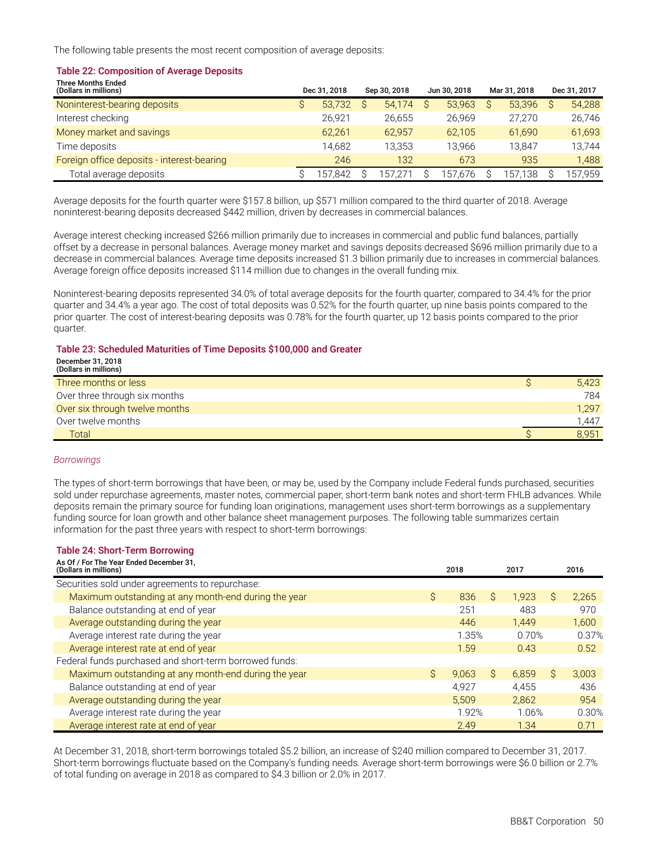The following table presents the most recent composition of average deposits:

#### **Table 22: Composition of Average Deposits** .<br>Three Coded<sup>3</sup>

| THEE MONTRE ENGED<br>(Dollars in millions) | Dec 31, 2018 |         | Sep 30, 2018 |         | Jun 30, 2018 |         | Mar 31, 2018 |         | Dec 31, 2017 |         |
|--------------------------------------------|--------------|---------|--------------|---------|--------------|---------|--------------|---------|--------------|---------|
| Noninterest-bearing deposits               |              | 53.732  | Ś            | 54.174  |              | 53,963  |              | 53,396  | c            | 54,288  |
| Interest checking                          |              | 26.921  |              | 26.655  |              | 26.969  |              | 27.270  |              | 26,746  |
| Money market and savings                   |              | 62.261  |              | 62.957  |              | 62.105  |              | 61.690  |              | 61,693  |
| Time deposits                              |              | 14.682  |              | 13.353  |              | 13.966  |              | 13.847  |              | 13,744  |
| Foreign office deposits - interest-bearing |              | 246     |              | 132     |              | 673     |              | 935     |              | 1,488   |
| Total average deposits                     |              | 157.842 |              | 157.271 |              | 157.676 |              | 157.138 |              | 157.959 |

Average deposits for the fourth quarter were \$157.8 billion, up \$571 million compared to the third quarter of 2018. Average noninterest-bearing deposits decreased \$442 million, driven by decreases in commercial balances.

Average interest checking increased \$266 million primarily due to increases in commercial and public fund balances, partially offset by a decrease in personal balances. Average money market and savings deposits decreased \$696 million primarily due to a decrease in commercial balances. Average time deposits increased \$1.3 billion primarily due to increases in commercial balances. Average foreign office deposits increased \$114 million due to changes in the overall funding mix.

Noninterest-bearing deposits represented 34.0% of total average deposits for the fourth quarter, compared to 34.4% for the prior quarter and 34.4% a year ago. The cost of total deposits was 0.52% for the fourth quarter, up nine basis points compared to the prior quarter. The cost of interest-bearing deposits was 0.78% for the fourth quarter, up 12 basis points compared to the prior quarter.

#### **Table 23: Scheduled Maturities of Time Deposits \$100,000 and Greater**

| December 31, 2018<br>(Dollars in millions) |       |
|--------------------------------------------|-------|
| Three months or less                       | 5,423 |
| Over three through six months              | 784   |
| Over six through twelve months             | 1,297 |
| Over twelve months                         | 1,447 |
| Total                                      | 8,951 |

#### *Borrowings*

The types of short-term borrowings that have been, or may be, used by the Company include Federal funds purchased, securities sold under repurchase agreements, master notes, commercial paper, short-term bank notes and short-term FHLB advances. While deposits remain the primary source for funding loan originations, management uses short-term borrowings as a supplementary funding source for loan growth and other balance sheet management purposes. The following table summarizes certain information for the past three years with respect to short-term borrowings:

### **Table 24: Short-Term Borrowing**

| As Of / For The Year Ended December 31,<br>(Dollars in millions) |    | 2018  |              | 2017  |    | 2016  |
|------------------------------------------------------------------|----|-------|--------------|-------|----|-------|
| Securities sold under agreements to repurchase:                  |    |       |              |       |    |       |
| Maximum outstanding at any month-end during the year             | S. | 836   | S            | 1.923 | Ŝ. | 2,265 |
| Balance outstanding at end of year                               |    | 251   |              | 483   |    | 970   |
| Average outstanding during the year                              |    | 446   |              | 1.449 |    | 1,600 |
| Average interest rate during the year                            |    | 1.35% |              | 0.70% |    | 0.37% |
| Average interest rate at end of year                             |    | 1.59  |              | 0.43  |    | 0.52  |
| Federal funds purchased and short-term borrowed funds:           |    |       |              |       |    |       |
| Maximum outstanding at any month-end during the year             | Ŝ  | 9.063 | <sub>S</sub> | 6.859 | Ŝ. | 3,003 |
| Balance outstanding at end of year                               |    | 4.927 |              | 4.455 |    | 436   |
| Average outstanding during the year                              |    | 5.509 |              | 2,862 |    | 954   |
| Average interest rate during the year                            |    | 1.92% |              | 1.06% |    | 0.30% |
| Average interest rate at end of year                             |    | 2.49  |              | 1.34  |    | 0.71  |

At December 31, 2018, short-term borrowings totaled \$5.2 billion, an increase of \$240 million compared to December 31, 2017. Short-term borrowings fluctuate based on the Company's funding needs. Average short-term borrowings were \$6.0 billion or 2.7% of total funding on average in 2018 as compared to \$4.3 billion or 2.0% in 2017.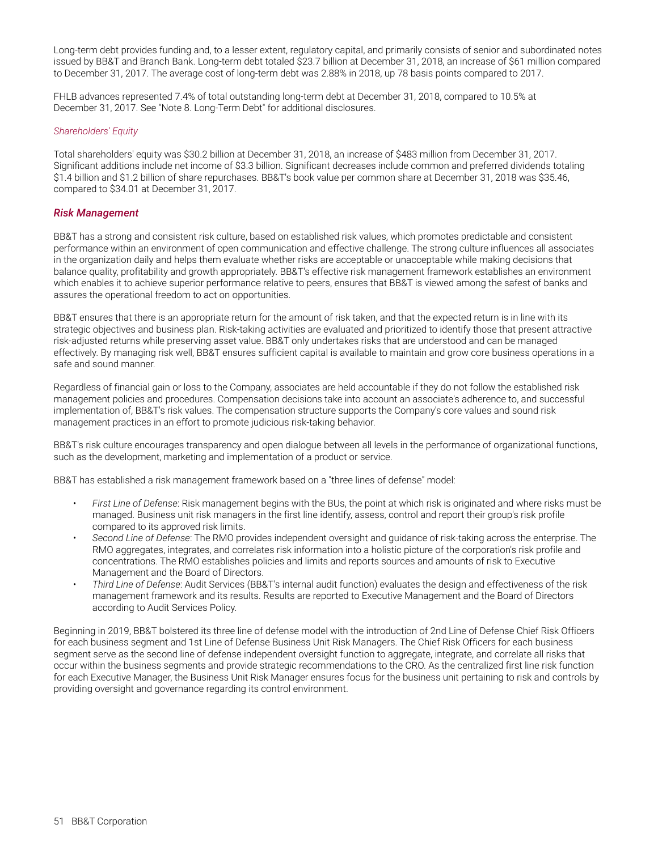Long-term debt provides funding and, to a lesser extent, regulatory capital, and primarily consists of senior and subordinated notes issued by BB&T and Branch Bank. Long-term debt totaled \$23.7 billion at December 31, 2018, an increase of \$61 million compared to December 31, 2017. The average cost of long-term debt was 2.88% in 2018, up 78 basis points compared to 2017.

FHLB advances represented 7.4% of total outstanding long-term debt at December 31, 2018, compared to 10.5% at December 31, 2017. See "Note 8. Long-Term Debt" for additional disclosures.

#### *Shareholders' Equity*

Total shareholders' equity was \$30.2 billion at December 31, 2018, an increase of \$483 million from December 31, 2017. Significant additions include net income of \$3.3 billion. Significant decreases include common and preferred dividends totaling \$1.4 billion and \$1.2 billion of share repurchases. BB&T's book value per common share at December 31, 2018 was \$35.46, compared to \$34.01 at December 31, 2017.

#### *Risk Management*

BB&T has a strong and consistent risk culture, based on established risk values, which promotes predictable and consistent performance within an environment of open communication and effective challenge. The strong culture influences all associates in the organization daily and helps them evaluate whether risks are acceptable or unacceptable while making decisions that balance quality, profitability and growth appropriately. BB&T's effective risk management framework establishes an environment which enables it to achieve superior performance relative to peers, ensures that BB&T is viewed among the safest of banks and assures the operational freedom to act on opportunities.

BB&T ensures that there is an appropriate return for the amount of risk taken, and that the expected return is in line with its strategic objectives and business plan. Risk-taking activities are evaluated and prioritized to identify those that present attractive risk-adjusted returns while preserving asset value. BB&T only undertakes risks that are understood and can be managed effectively. By managing risk well, BB&T ensures sufficient capital is available to maintain and grow core business operations in a safe and sound manner.

Regardless of financial gain or loss to the Company, associates are held accountable if they do not follow the established risk management policies and procedures. Compensation decisions take into account an associate's adherence to, and successful implementation of, BB&T's risk values. The compensation structure supports the Company's core values and sound risk management practices in an effort to promote judicious risk-taking behavior.

BB&T's risk culture encourages transparency and open dialogue between all levels in the performance of organizational functions, such as the development, marketing and implementation of a product or service.

BB&T has established a risk management framework based on a "three lines of defense" model:

- *First Line of Defense*: Risk management begins with the BUs, the point at which risk is originated and where risks must be managed. Business unit risk managers in the first line identify, assess, control and report their group's risk profile compared to its approved risk limits.
- *Second Line of Defense*: The RMO provides independent oversight and guidance of risk-taking across the enterprise. The RMO aggregates, integrates, and correlates risk information into a holistic picture of the corporation's risk profile and concentrations. The RMO establishes policies and limits and reports sources and amounts of risk to Executive Management and the Board of Directors.
- *Third Line of Defense*: Audit Services (BB&T's internal audit function) evaluates the design and effectiveness of the risk management framework and its results. Results are reported to Executive Management and the Board of Directors according to Audit Services Policy.

Beginning in 2019, BB&T bolstered its three line of defense model with the introduction of 2nd Line of Defense Chief Risk Officers for each business segment and 1st Line of Defense Business Unit Risk Managers. The Chief Risk Officers for each business segment serve as the second line of defense independent oversight function to aggregate, integrate, and correlate all risks that occur within the business segments and provide strategic recommendations to the CRO. As the centralized first line risk function for each Executive Manager, the Business Unit Risk Manager ensures focus for the business unit pertaining to risk and controls by providing oversight and governance regarding its control environment.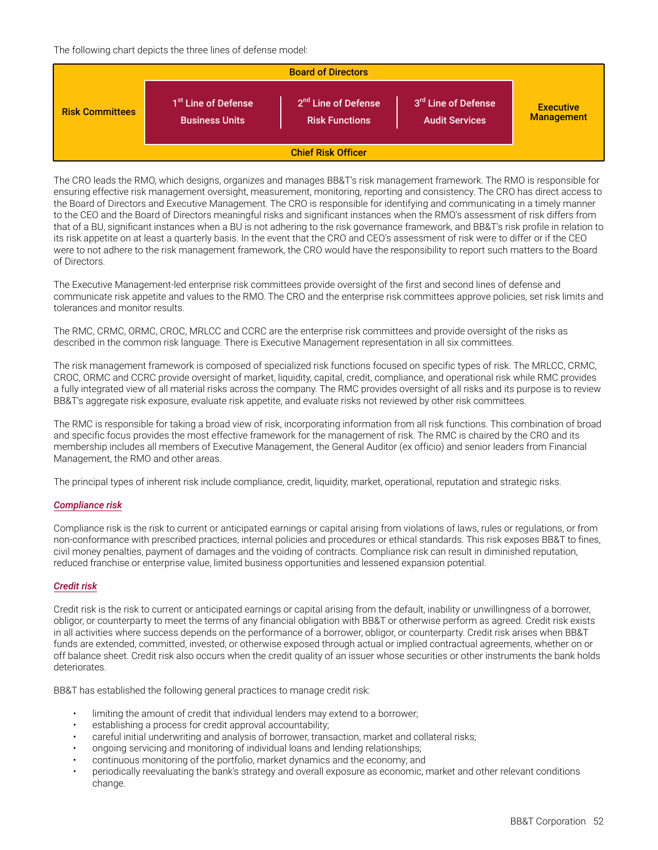The following chart depicts the three lines of defense model:

|                        |                                                          | <b>Board of Directors</b>                                |                                              |                                       |
|------------------------|----------------------------------------------------------|----------------------------------------------------------|----------------------------------------------|---------------------------------------|
| <b>Risk Committees</b> | 1 <sup>st</sup> Line of Defense<br><b>Business Units</b> | 2 <sup>nd</sup> Line of Defense<br><b>Risk Functions</b> | 3rd Line of Defense<br><b>Audit Services</b> | <b>Executive</b><br><b>Management</b> |
|                        |                                                          | <b>Chief Risk Officer</b>                                |                                              |                                       |

The CRO leads the RMO, which designs, organizes and manages BB&T's risk management framework. The RMO is responsible for ensuring effective risk management oversight, measurement, monitoring, reporting and consistency. The CRO has direct access to the Board of Directors and Executive Management. The CRO is responsible for identifying and communicating in a timely manner to the CEO and the Board of Directors meaningful risks and significant instances when the RMO's assessment of risk differs from that of a BU, significant instances when a BU is not adhering to the risk governance framework, and BB&T's risk profile in relation to its risk appetite on at least a quarterly basis. In the event that the CRO and CEO's assessment of risk were to differ or if the CEO were to not adhere to the risk management framework, the CRO would have the responsibility to report such matters to the Board of Directors.

The Executive Management-led enterprise risk committees provide oversight of the first and second lines of defense and communicate risk appetite and values to the RMO. The CRO and the enterprise risk committees approve policies, set risk limits and tolerances and monitor results.

The RMC, CRMC, ORMC, CROC, MRLCC and CCRC are the enterprise risk committees and provide oversight of the risks as described in the common risk language. There is Executive Management representation in all six committees.

The risk management framework is composed of specialized risk functions focused on specific types of risk. The MRLCC, CRMC, CROC, ORMC and CCRC provide oversight of market, liquidity, capital, credit, compliance, and operational risk while RMC provides a fully integrated view of all material risks across the company. The RMC provides oversight of all risks and its purpose is to review BB&T's aggregate risk exposure, evaluate risk appetite, and evaluate risks not reviewed by other risk committees.

The RMC is responsible for taking a broad view of risk, incorporating information from all risk functions. This combination of broad and specific focus provides the most effective framework for the management of risk. The RMC is chaired by the CRO and its membership includes all members of Executive Management, the General Auditor (ex officio) and senior leaders from Financial Management, the RMO and other areas.

The principal types of inherent risk include compliance, credit, liquidity, market, operational, reputation and strategic risks.

#### *Compliance risk*

Compliance risk is the risk to current or anticipated earnings or capital arising from violations of laws, rules or regulations, or from non-conformance with prescribed practices, internal policies and procedures or ethical standards. This risk exposes BB&T to fines, civil money penalties, payment of damages and the voiding of contracts. Compliance risk can result in diminished reputation, reduced franchise or enterprise value, limited business opportunities and lessened expansion potential.

#### *Credit risk*

Credit risk is the risk to current or anticipated earnings or capital arising from the default, inability or unwillingness of a borrower, obligor, or counterparty to meet the terms of any financial obligation with BB&T or otherwise perform as agreed. Credit risk exists in all activities where success depends on the performance of a borrower, obligor, or counterparty. Credit risk arises when BB&T funds are extended, committed, invested, or otherwise exposed through actual or implied contractual agreements, whether on or off balance sheet. Credit risk also occurs when the credit quality of an issuer whose securities or other instruments the bank holds deteriorates.

BB&T has established the following general practices to manage credit risk:

- limiting the amount of credit that individual lenders may extend to a borrower;
- establishing a process for credit approval accountability;
- careful initial underwriting and analysis of borrower, transaction, market and collateral risks;
- ongoing servicing and monitoring of individual loans and lending relationships;
- continuous monitoring of the portfolio, market dynamics and the economy; and
- periodically reevaluating the bank's strategy and overall exposure as economic, market and other relevant conditions change.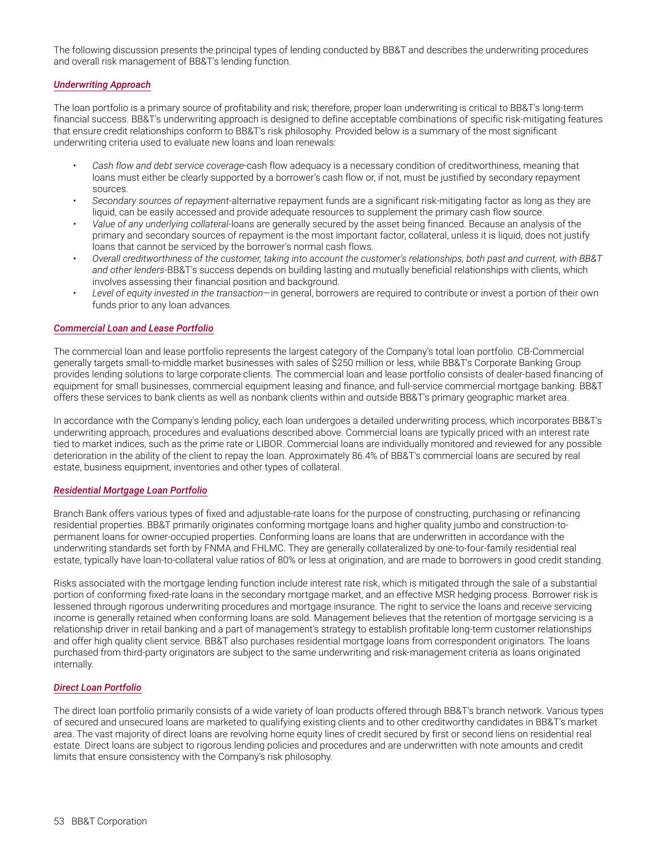The following discussion presents the principal types of lending conducted by BB&T and describes the underwriting procedures and overall risk management of BB&T's lending function.

#### *Underwriting Approach*

The loan portfolio is a primary source of profitability and risk; therefore, proper loan underwriting is critical to BB&T's long-term financial success. BB&T's underwriting approach is designed to define acceptable combinations of specific risk-mitigating features that ensure credit relationships conform to BB&T's risk philosophy. Provided below is a summary of the most significant underwriting criteria used to evaluate new loans and loan renewals:

- *Cash flow and debt service coverage-*cash flow adequacy is a necessary condition of creditworthiness, meaning that loans must either be clearly supported by a borrower's cash flow or, if not, must be justified by secondary repayment sources.
- *Secondary sources of repayment-*alternative repayment funds are a significant risk-mitigating factor as long as they are liquid, can be easily accessed and provide adequate resources to supplement the primary cash flow source.
- *Value of any underlying collateral-*loans are generally secured by the asset being financed. Because an analysis of the primary and secondary sources of repayment is the most important factor, collateral, unless it is liquid, does not justify loans that cannot be serviced by the borrower's normal cash flows.
- *Overall creditworthiness of the customer, taking into account the customer's relationships, both past and current, with BB&T and other lenders-*BB&T's success depends on building lasting and mutually beneficial relationships with clients, which involves assessing their financial position and background.
- *Level of equity invested in the transaction*—in general, borrowers are required to contribute or invest a portion of their own funds prior to any loan advances.

### *Commercial Loan and Lease Portfolio*

The commercial loan and lease portfolio represents the largest category of the Company's total loan portfolio. CB-Commercial generally targets small-to-middle market businesses with sales of \$250 million or less, while BB&T's Corporate Banking Group provides lending solutions to large corporate clients. The commercial loan and lease portfolio consists of dealer-based financing of equipment for small businesses, commercial equipment leasing and finance, and full-service commercial mortgage banking. BB&T offers these services to bank clients as well as nonbank clients within and outside BB&T's primary geographic market area.

In accordance with the Company's lending policy, each loan undergoes a detailed underwriting process, which incorporates BB&T's underwriting approach, procedures and evaluations described above. Commercial loans are typically priced with an interest rate tied to market indices, such as the prime rate or LIBOR. Commercial loans are individually monitored and reviewed for any possible deterioration in the ability of the client to repay the loan. Approximately 86.4% of BB&T's commercial loans are secured by real estate, business equipment, inventories and other types of collateral.

#### *Residential Mortgage Loan Portfolio*

Branch Bank offers various types of fixed and adjustable-rate loans for the purpose of constructing, purchasing or refinancing residential properties. BB&T primarily originates conforming mortgage loans and higher quality jumbo and construction-topermanent loans for owner-occupied properties. Conforming loans are loans that are underwritten in accordance with the underwriting standards set forth by FNMA and FHLMC. They are generally collateralized by one-to-four-family residential real estate, typically have loan-to-collateral value ratios of 80% or less at origination, and are made to borrowers in good credit standing.

Risks associated with the mortgage lending function include interest rate risk, which is mitigated through the sale of a substantial portion of conforming fixed-rate loans in the secondary mortgage market, and an effective MSR hedging process. Borrower risk is lessened through rigorous underwriting procedures and mortgage insurance. The right to service the loans and receive servicing income is generally retained when conforming loans are sold. Management believes that the retention of mortgage servicing is a relationship driver in retail banking and a part of management's strategy to establish profitable long-term customer relationships and offer high quality client service. BB&T also purchases residential mortgage loans from correspondent originators. The loans purchased from third-party originators are subject to the same underwriting and risk-management criteria as loans originated internally.

#### *Direct Loan Portfolio*

The direct loan portfolio primarily consists of a wide variety of loan products offered through BB&T's branch network. Various types of secured and unsecured loans are marketed to qualifying existing clients and to other creditworthy candidates in BB&T's market area. The vast majority of direct loans are revolving home equity lines of credit secured by first or second liens on residential real estate. Direct loans are subject to rigorous lending policies and procedures and are underwritten with note amounts and credit limits that ensure consistency with the Company's risk philosophy.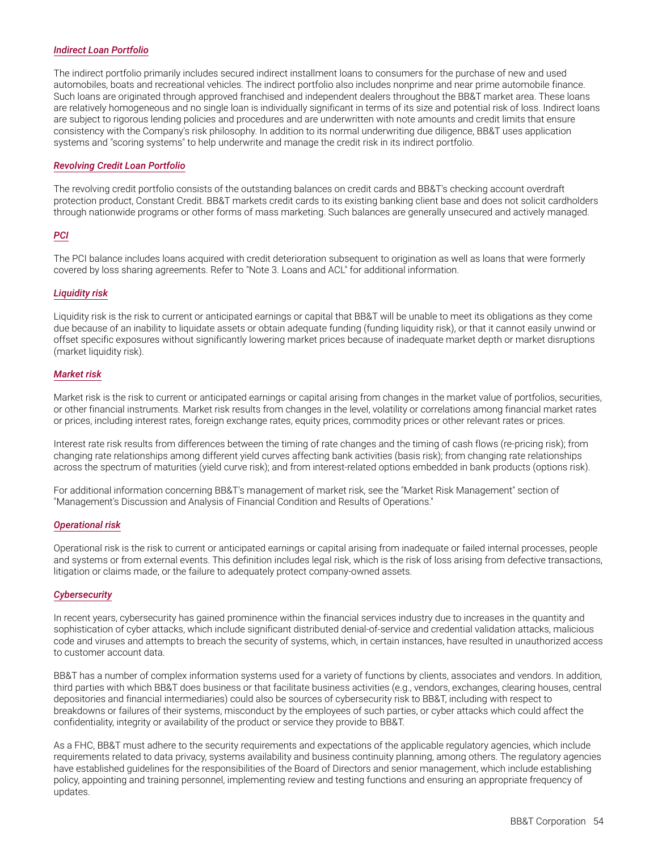#### *Indirect Loan Portfolio*

The indirect portfolio primarily includes secured indirect installment loans to consumers for the purchase of new and used automobiles, boats and recreational vehicles. The indirect portfolio also includes nonprime and near prime automobile finance. Such loans are originated through approved franchised and independent dealers throughout the BB&T market area. These loans are relatively homogeneous and no single loan is individually significant in terms of its size and potential risk of loss. Indirect loans are subject to rigorous lending policies and procedures and are underwritten with note amounts and credit limits that ensure consistency with the Company's risk philosophy. In addition to its normal underwriting due diligence, BB&T uses application systems and "scoring systems" to help underwrite and manage the credit risk in its indirect portfolio.

#### *Revolving Credit Loan Portfolio*

The revolving credit portfolio consists of the outstanding balances on credit cards and BB&T's checking account overdraft protection product, Constant Credit. BB&T markets credit cards to its existing banking client base and does not solicit cardholders through nationwide programs or other forms of mass marketing. Such balances are generally unsecured and actively managed.

### *PCI*

The PCI balance includes loans acquired with credit deterioration subsequent to origination as well as loans that were formerly covered by loss sharing agreements. Refer to "Note 3. Loans and ACL" for additional information.

#### *Liquidity risk*

Liquidity risk is the risk to current or anticipated earnings or capital that BB&T will be unable to meet its obligations as they come due because of an inability to liquidate assets or obtain adequate funding (funding liquidity risk), or that it cannot easily unwind or offset specific exposures without significantly lowering market prices because of inadequate market depth or market disruptions (market liquidity risk).

#### *Market risk*

Market risk is the risk to current or anticipated earnings or capital arising from changes in the market value of portfolios, securities, or other financial instruments. Market risk results from changes in the level, volatility or correlations among financial market rates or prices, including interest rates, foreign exchange rates, equity prices, commodity prices or other relevant rates or prices.

Interest rate risk results from differences between the timing of rate changes and the timing of cash flows (re-pricing risk); from changing rate relationships among different yield curves affecting bank activities (basis risk); from changing rate relationships across the spectrum of maturities (yield curve risk); and from interest-related options embedded in bank products (options risk).

For additional information concerning BB&T's management of market risk, see the "Market Risk Management" section of "Management's Discussion and Analysis of Financial Condition and Results of Operations."

#### *Operational risk*

Operational risk is the risk to current or anticipated earnings or capital arising from inadequate or failed internal processes, people and systems or from external events. This definition includes legal risk, which is the risk of loss arising from defective transactions, litigation or claims made, or the failure to adequately protect company-owned assets.

#### *Cybersecurity*

In recent years, cybersecurity has gained prominence within the financial services industry due to increases in the quantity and sophistication of cyber attacks, which include significant distributed denial-of-service and credential validation attacks, malicious code and viruses and attempts to breach the security of systems, which, in certain instances, have resulted in unauthorized access to customer account data.

BB&T has a number of complex information systems used for a variety of functions by clients, associates and vendors. In addition, third parties with which BB&T does business or that facilitate business activities (e.g., vendors, exchanges, clearing houses, central depositories and financial intermediaries) could also be sources of cybersecurity risk to BB&T, including with respect to breakdowns or failures of their systems, misconduct by the employees of such parties, or cyber attacks which could affect the confidentiality, integrity or availability of the product or service they provide to BB&T.

As a FHC, BB&T must adhere to the security requirements and expectations of the applicable regulatory agencies, which include requirements related to data privacy, systems availability and business continuity planning, among others. The regulatory agencies have established guidelines for the responsibilities of the Board of Directors and senior management, which include establishing policy, appointing and training personnel, implementing review and testing functions and ensuring an appropriate frequency of updates.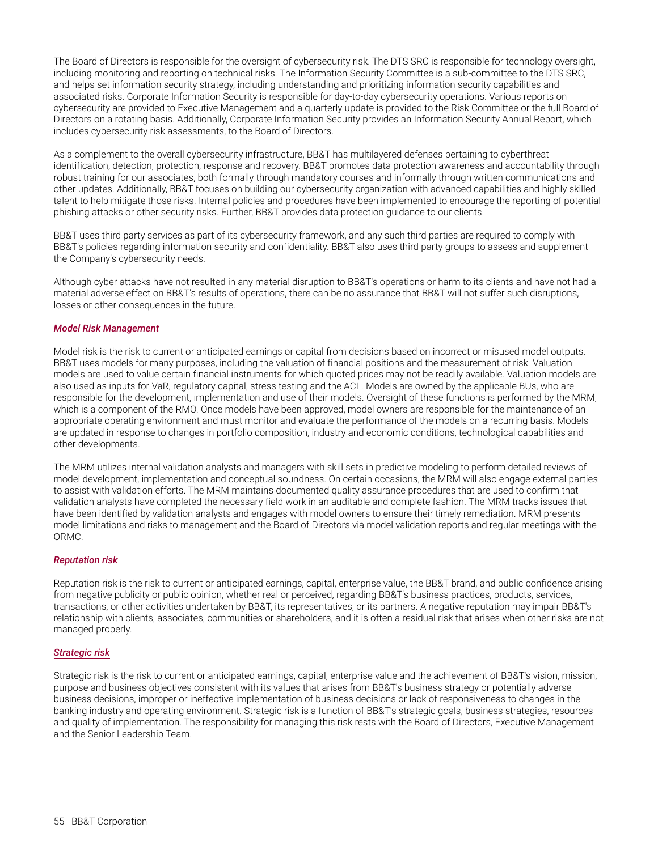The Board of Directors is responsible for the oversight of cybersecurity risk. The DTS SRC is responsible for technology oversight, including monitoring and reporting on technical risks. The Information Security Committee is a sub-committee to the DTS SRC, and helps set information security strategy, including understanding and prioritizing information security capabilities and associated risks. Corporate Information Security is responsible for day-to-day cybersecurity operations. Various reports on cybersecurity are provided to Executive Management and a quarterly update is provided to the Risk Committee or the full Board of Directors on a rotating basis. Additionally, Corporate Information Security provides an Information Security Annual Report, which includes cybersecurity risk assessments, to the Board of Directors.

As a complement to the overall cybersecurity infrastructure, BB&T has multilayered defenses pertaining to cyberthreat identification, detection, protection, response and recovery. BB&T promotes data protection awareness and accountability through robust training for our associates, both formally through mandatory courses and informally through written communications and other updates. Additionally, BB&T focuses on building our cybersecurity organization with advanced capabilities and highly skilled talent to help mitigate those risks. Internal policies and procedures have been implemented to encourage the reporting of potential phishing attacks or other security risks. Further, BB&T provides data protection guidance to our clients.

BB&T uses third party services as part of its cybersecurity framework, and any such third parties are required to comply with BB&T's policies regarding information security and confidentiality. BB&T also uses third party groups to assess and supplement the Company's cybersecurity needs.

Although cyber attacks have not resulted in any material disruption to BB&T's operations or harm to its clients and have not had a material adverse effect on BB&T's results of operations, there can be no assurance that BB&T will not suffer such disruptions, losses or other consequences in the future.

#### *Model Risk Management*

Model risk is the risk to current or anticipated earnings or capital from decisions based on incorrect or misused model outputs. BB&T uses models for many purposes, including the valuation of financial positions and the measurement of risk. Valuation models are used to value certain financial instruments for which quoted prices may not be readily available. Valuation models are also used as inputs for VaR, regulatory capital, stress testing and the ACL. Models are owned by the applicable BUs, who are responsible for the development, implementation and use of their models. Oversight of these functions is performed by the MRM, which is a component of the RMO. Once models have been approved, model owners are responsible for the maintenance of an appropriate operating environment and must monitor and evaluate the performance of the models on a recurring basis. Models are updated in response to changes in portfolio composition, industry and economic conditions, technological capabilities and other developments.

The MRM utilizes internal validation analysts and managers with skill sets in predictive modeling to perform detailed reviews of model development, implementation and conceptual soundness. On certain occasions, the MRM will also engage external parties to assist with validation efforts. The MRM maintains documented quality assurance procedures that are used to confirm that validation analysts have completed the necessary field work in an auditable and complete fashion. The MRM tracks issues that have been identified by validation analysts and engages with model owners to ensure their timely remediation. MRM presents model limitations and risks to management and the Board of Directors via model validation reports and regular meetings with the ORMC.

#### *Reputation risk*

Reputation risk is the risk to current or anticipated earnings, capital, enterprise value, the BB&T brand, and public confidence arising from negative publicity or public opinion, whether real or perceived, regarding BB&T's business practices, products, services, transactions, or other activities undertaken by BB&T, its representatives, or its partners. A negative reputation may impair BB&T's relationship with clients, associates, communities or shareholders, and it is often a residual risk that arises when other risks are not managed properly.

### *Strategic risk*

Strategic risk is the risk to current or anticipated earnings, capital, enterprise value and the achievement of BB&T's vision, mission, purpose and business objectives consistent with its values that arises from BB&T's business strategy or potentially adverse business decisions, improper or ineffective implementation of business decisions or lack of responsiveness to changes in the banking industry and operating environment. Strategic risk is a function of BB&T's strategic goals, business strategies, resources and quality of implementation. The responsibility for managing this risk rests with the Board of Directors, Executive Management and the Senior Leadership Team.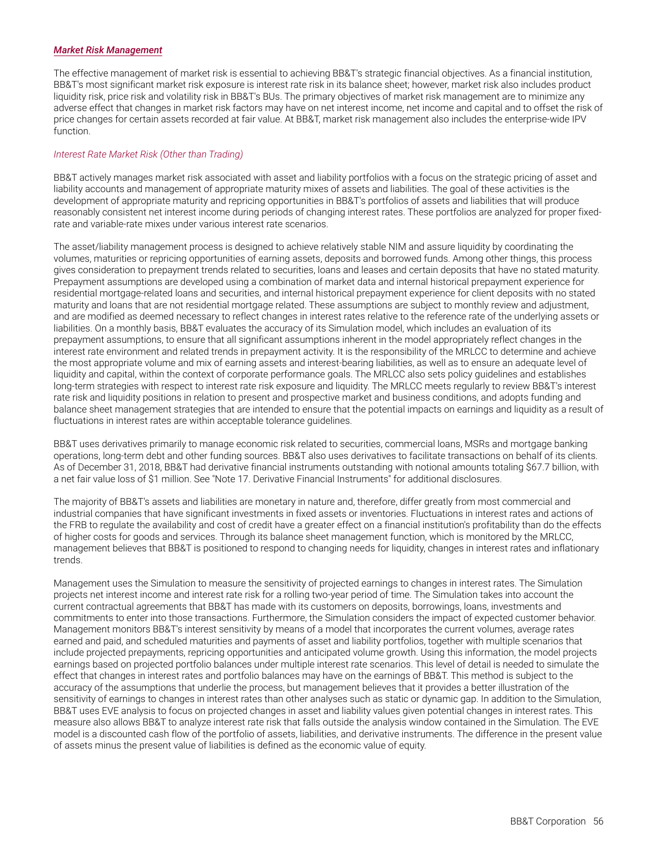#### *Market Risk Management*

The effective management of market risk is essential to achieving BB&T's strategic financial objectives. As a financial institution, BB&T's most significant market risk exposure is interest rate risk in its balance sheet; however, market risk also includes product liquidity risk, price risk and volatility risk in BB&T's BUs. The primary objectives of market risk management are to minimize any adverse effect that changes in market risk factors may have on net interest income, net income and capital and to offset the risk of price changes for certain assets recorded at fair value. At BB&T, market risk management also includes the enterprise-wide IPV function.

#### *Interest Rate Market Risk (Other than Trading)*

BB&T actively manages market risk associated with asset and liability portfolios with a focus on the strategic pricing of asset and liability accounts and management of appropriate maturity mixes of assets and liabilities. The goal of these activities is the development of appropriate maturity and repricing opportunities in BB&T's portfolios of assets and liabilities that will produce reasonably consistent net interest income during periods of changing interest rates. These portfolios are analyzed for proper fixedrate and variable-rate mixes under various interest rate scenarios.

The asset/liability management process is designed to achieve relatively stable NIM and assure liquidity by coordinating the volumes, maturities or repricing opportunities of earning assets, deposits and borrowed funds. Among other things, this process gives consideration to prepayment trends related to securities, loans and leases and certain deposits that have no stated maturity. Prepayment assumptions are developed using a combination of market data and internal historical prepayment experience for residential mortgage-related loans and securities, and internal historical prepayment experience for client deposits with no stated maturity and loans that are not residential mortgage related. These assumptions are subject to monthly review and adjustment, and are modified as deemed necessary to reflect changes in interest rates relative to the reference rate of the underlying assets or liabilities. On a monthly basis, BB&T evaluates the accuracy of its Simulation model, which includes an evaluation of its prepayment assumptions, to ensure that all significant assumptions inherent in the model appropriately reflect changes in the interest rate environment and related trends in prepayment activity. It is the responsibility of the MRLCC to determine and achieve the most appropriate volume and mix of earning assets and interest-bearing liabilities, as well as to ensure an adequate level of liquidity and capital, within the context of corporate performance goals. The MRLCC also sets policy guidelines and establishes long-term strategies with respect to interest rate risk exposure and liquidity. The MRLCC meets regularly to review BB&T's interest rate risk and liquidity positions in relation to present and prospective market and business conditions, and adopts funding and balance sheet management strategies that are intended to ensure that the potential impacts on earnings and liquidity as a result of fluctuations in interest rates are within acceptable tolerance guidelines.

BB&T uses derivatives primarily to manage economic risk related to securities, commercial loans, MSRs and mortgage banking operations, long-term debt and other funding sources. BB&T also uses derivatives to facilitate transactions on behalf of its clients. As of December 31, 2018, BB&T had derivative financial instruments outstanding with notional amounts totaling \$67.7 billion, with a net fair value loss of \$1 million. See "Note 17. Derivative Financial Instruments" for additional disclosures.

The majority of BB&T's assets and liabilities are monetary in nature and, therefore, differ greatly from most commercial and industrial companies that have significant investments in fixed assets or inventories. Fluctuations in interest rates and actions of the FRB to regulate the availability and cost of credit have a greater effect on a financial institution's profitability than do the effects of higher costs for goods and services. Through its balance sheet management function, which is monitored by the MRLCC, management believes that BB&T is positioned to respond to changing needs for liquidity, changes in interest rates and inflationary trends.

Management uses the Simulation to measure the sensitivity of projected earnings to changes in interest rates. The Simulation projects net interest income and interest rate risk for a rolling two-year period of time. The Simulation takes into account the current contractual agreements that BB&T has made with its customers on deposits, borrowings, loans, investments and commitments to enter into those transactions. Furthermore, the Simulation considers the impact of expected customer behavior. Management monitors BB&T's interest sensitivity by means of a model that incorporates the current volumes, average rates earned and paid, and scheduled maturities and payments of asset and liability portfolios, together with multiple scenarios that include projected prepayments, repricing opportunities and anticipated volume growth. Using this information, the model projects earnings based on projected portfolio balances under multiple interest rate scenarios. This level of detail is needed to simulate the effect that changes in interest rates and portfolio balances may have on the earnings of BB&T. This method is subject to the accuracy of the assumptions that underlie the process, but management believes that it provides a better illustration of the sensitivity of earnings to changes in interest rates than other analyses such as static or dynamic gap. In addition to the Simulation, BB&T uses EVE analysis to focus on projected changes in asset and liability values given potential changes in interest rates. This measure also allows BB&T to analyze interest rate risk that falls outside the analysis window contained in the Simulation. The EVE model is a discounted cash flow of the portfolio of assets, liabilities, and derivative instruments. The difference in the present value of assets minus the present value of liabilities is defined as the economic value of equity.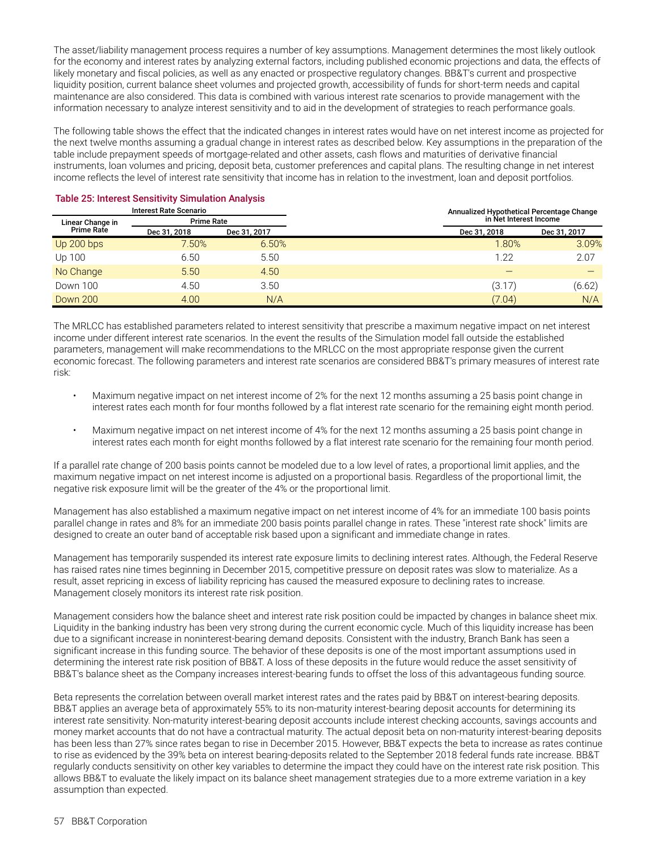The asset/liability management process requires a number of key assumptions. Management determines the most likely outlook for the economy and interest rates by analyzing external factors, including published economic projections and data, the effects of likely monetary and fiscal policies, as well as any enacted or prospective regulatory changes. BB&T's current and prospective liquidity position, current balance sheet volumes and projected growth, accessibility of funds for short-term needs and capital maintenance are also considered. This data is combined with various interest rate scenarios to provide management with the information necessary to analyze interest sensitivity and to aid in the development of strategies to reach performance goals.

The following table shows the effect that the indicated changes in interest rates would have on net interest income as projected for the next twelve months assuming a gradual change in interest rates as described below. Key assumptions in the preparation of the table include prepayment speeds of mortgage-related and other assets, cash flows and maturities of derivative financial instruments, loan volumes and pricing, deposit beta, customer preferences and capital plans. The resulting change in net interest income reflects the level of interest rate sensitivity that income has in relation to the investment, loan and deposit portfolios.

| Interest Rate Scenario |                   |              | Annualized Hypothetical Percentage Change |              |  |  |  |  |
|------------------------|-------------------|--------------|-------------------------------------------|--------------|--|--|--|--|
| Linear Change in       | <b>Prime Rate</b> |              | in Net Interest Income                    |              |  |  |  |  |
| <b>Prime Rate</b>      | Dec 31, 2018      | Dec 31, 2017 | Dec 31, 2018                              | Dec 31, 2017 |  |  |  |  |
| Up 200 bps             | 7.50%             | 6.50%        | 1.80%                                     | 3.09%        |  |  |  |  |
| Up 100                 | 6.50              | 5.50         | 1.22                                      | 2.07         |  |  |  |  |
| No Change              | 5.50              | 4.50         |                                           |              |  |  |  |  |
| Down 100               | 4.50              | 3.50         | (3.17)                                    | (6.62)       |  |  |  |  |
| <b>Down 200</b>        | 4.00              | N/A          | (7.04)                                    | N/A          |  |  |  |  |

#### **Table 25: Interest Sensitivity Simulation Analysis**

The MRLCC has established parameters related to interest sensitivity that prescribe a maximum negative impact on net interest income under different interest rate scenarios. In the event the results of the Simulation model fall outside the established parameters, management will make recommendations to the MRLCC on the most appropriate response given the current economic forecast. The following parameters and interest rate scenarios are considered BB&T's primary measures of interest rate risk:

- Maximum negative impact on net interest income of 2% for the next 12 months assuming a 25 basis point change in interest rates each month for four months followed by a flat interest rate scenario for the remaining eight month period.
- Maximum negative impact on net interest income of 4% for the next 12 months assuming a 25 basis point change in interest rates each month for eight months followed by a flat interest rate scenario for the remaining four month period.

If a parallel rate change of 200 basis points cannot be modeled due to a low level of rates, a proportional limit applies, and the maximum negative impact on net interest income is adjusted on a proportional basis. Regardless of the proportional limit, the negative risk exposure limit will be the greater of the 4% or the proportional limit.

Management has also established a maximum negative impact on net interest income of 4% for an immediate 100 basis points parallel change in rates and 8% for an immediate 200 basis points parallel change in rates. These "interest rate shock" limits are designed to create an outer band of acceptable risk based upon a significant and immediate change in rates.

Management has temporarily suspended its interest rate exposure limits to declining interest rates. Although, the Federal Reserve has raised rates nine times beginning in December 2015, competitive pressure on deposit rates was slow to materialize. As a result, asset repricing in excess of liability repricing has caused the measured exposure to declining rates to increase. Management closely monitors its interest rate risk position.

Management considers how the balance sheet and interest rate risk position could be impacted by changes in balance sheet mix. Liquidity in the banking industry has been very strong during the current economic cycle. Much of this liquidity increase has been due to a significant increase in noninterest-bearing demand deposits. Consistent with the industry, Branch Bank has seen a significant increase in this funding source. The behavior of these deposits is one of the most important assumptions used in determining the interest rate risk position of BB&T. A loss of these deposits in the future would reduce the asset sensitivity of BB&T's balance sheet as the Company increases interest-bearing funds to offset the loss of this advantageous funding source.

Beta represents the correlation between overall market interest rates and the rates paid by BB&T on interest-bearing deposits. BB&T applies an average beta of approximately 55% to its non-maturity interest-bearing deposit accounts for determining its interest rate sensitivity. Non-maturity interest-bearing deposit accounts include interest checking accounts, savings accounts and money market accounts that do not have a contractual maturity. The actual deposit beta on non-maturity interest-bearing deposits has been less than 27% since rates began to rise in December 2015. However, BB&T expects the beta to increase as rates continue to rise as evidenced by the 39% beta on interest bearing-deposits related to the September 2018 federal funds rate increase. BB&T regularly conducts sensitivity on other key variables to determine the impact they could have on the interest rate risk position. This allows BB&T to evaluate the likely impact on its balance sheet management strategies due to a more extreme variation in a key assumption than expected.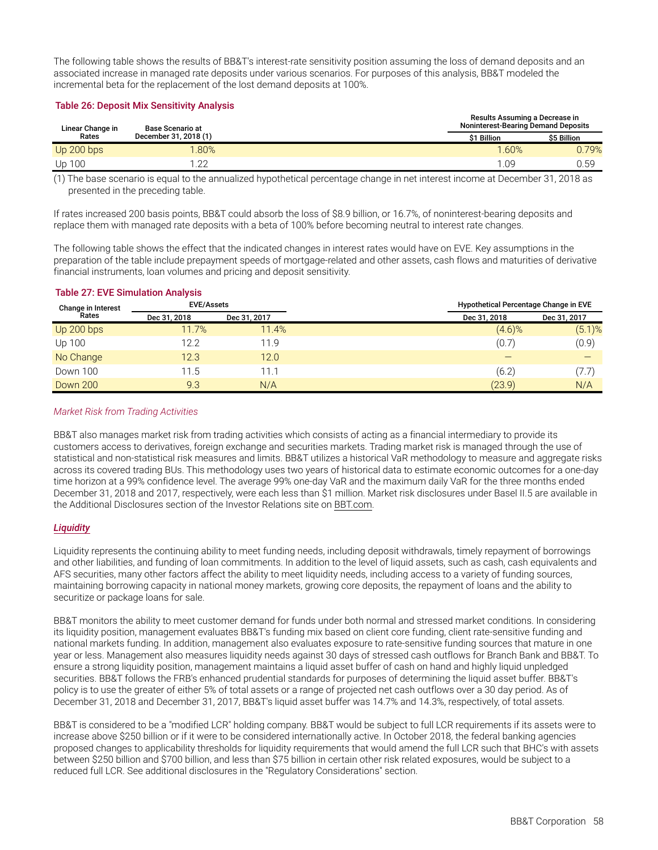The following table shows the results of BB&T's interest-rate sensitivity position assuming the loss of demand deposits and an associated increase in managed rate deposits under various scenarios. For purposes of this analysis, BB&T modeled the incremental beta for the replacement of the lost demand deposits at 100%.

### **Table 26: Deposit Mix Sensitivity Analysis**

| Linear Change in | <b>Base Scenario at</b> |             | Results Assuming a Decrease in<br><b>Noninterest-Bearing Demand Deposits</b> |
|------------------|-------------------------|-------------|------------------------------------------------------------------------------|
| Rates            | December 31, 2018 (1)   | \$1 Billion | \$5 Billion                                                                  |
| Up 200 bps       | $80\%$                  | $1.60\%$    | 0.79%                                                                        |
| Up 100           | ാറ                      | .09         | 0.59                                                                         |

(1) The base scenario is equal to the annualized hypothetical percentage change in net interest income at December 31, 2018 as presented in the preceding table.

If rates increased 200 basis points, BB&T could absorb the loss of \$8.9 billion, or 16.7%, of noninterest-bearing deposits and replace them with managed rate deposits with a beta of 100% before becoming neutral to interest rate changes.

The following table shows the effect that the indicated changes in interest rates would have on EVE. Key assumptions in the preparation of the table include prepayment speeds of mortgage-related and other assets, cash flows and maturities of derivative financial instruments, loan volumes and pricing and deposit sensitivity.

| Change in Interest | <b>EVE/Assets</b> |              | Hypothetical Percentage Change in EVE |
|--------------------|-------------------|--------------|---------------------------------------|
| Rates              | Dec 31, 2018      | Dec 31, 2017 | Dec 31, 2018<br>Dec 31, 2017          |
| Up $200$ bps       | 11.7%             | 11.4%        | (4.6)%<br>(5.1)%                      |
| Up 100             | 12.2              | 11.9         | (0.9)<br>(0.7)                        |
| No Change          | 12.3              | 12.0         |                                       |
| Down 100           | 11.5              | 11.1         | (6.2)<br>(7.7)                        |
| <b>Down 200</b>    | 9.3               | N/A          | (23.9)<br>N/A                         |

### **Table 27: EVE Simulation Analysis**

### *Market Risk from Trading Activities*

BB&T also manages market risk from trading activities which consists of acting as a financial intermediary to provide its customers access to derivatives, foreign exchange and securities markets. Trading market risk is managed through the use of statistical and non-statistical risk measures and limits. BB&T utilizes a historical VaR methodology to measure and aggregate risks across its covered trading BUs. This methodology uses two years of historical data to estimate economic outcomes for a one-day time horizon at a 99% confidence level. The average 99% one-day VaR and the maximum daily VaR for the three months ended December 31, 2018 and 2017, respectively, were each less than \$1 million. Market risk disclosures under Basel II.5 are available in the Additional Disclosures section of the Investor Relations site on BBT.com.

### *Liquidity*

Liquidity represents the continuing ability to meet funding needs, including deposit withdrawals, timely repayment of borrowings and other liabilities, and funding of loan commitments. In addition to the level of liquid assets, such as cash, cash equivalents and AFS securities, many other factors affect the ability to meet liquidity needs, including access to a variety of funding sources, maintaining borrowing capacity in national money markets, growing core deposits, the repayment of loans and the ability to securitize or package loans for sale.

BB&T monitors the ability to meet customer demand for funds under both normal and stressed market conditions. In considering its liquidity position, management evaluates BB&T's funding mix based on client core funding, client rate-sensitive funding and national markets funding. In addition, management also evaluates exposure to rate-sensitive funding sources that mature in one year or less. Management also measures liquidity needs against 30 days of stressed cash outflows for Branch Bank and BB&T. To ensure a strong liquidity position, management maintains a liquid asset buffer of cash on hand and highly liquid unpledged securities. BB&T follows the FRB's enhanced prudential standards for purposes of determining the liquid asset buffer. BB&T's policy is to use the greater of either 5% of total assets or a range of projected net cash outflows over a 30 day period. As of December 31, 2018 and December 31, 2017, BB&T's liquid asset buffer was 14.7% and 14.3%, respectively, of total assets.

BB&T is considered to be a "modified LCR" holding company. BB&T would be subject to full LCR requirements if its assets were to increase above \$250 billion or if it were to be considered internationally active. In October 2018, the federal banking agencies proposed changes to applicability thresholds for liquidity requirements that would amend the full LCR such that BHC's with assets between \$250 billion and \$700 billion, and less than \$75 billion in certain other risk related exposures, would be subject to a reduced full LCR. See additional disclosures in the "Regulatory Considerations" section.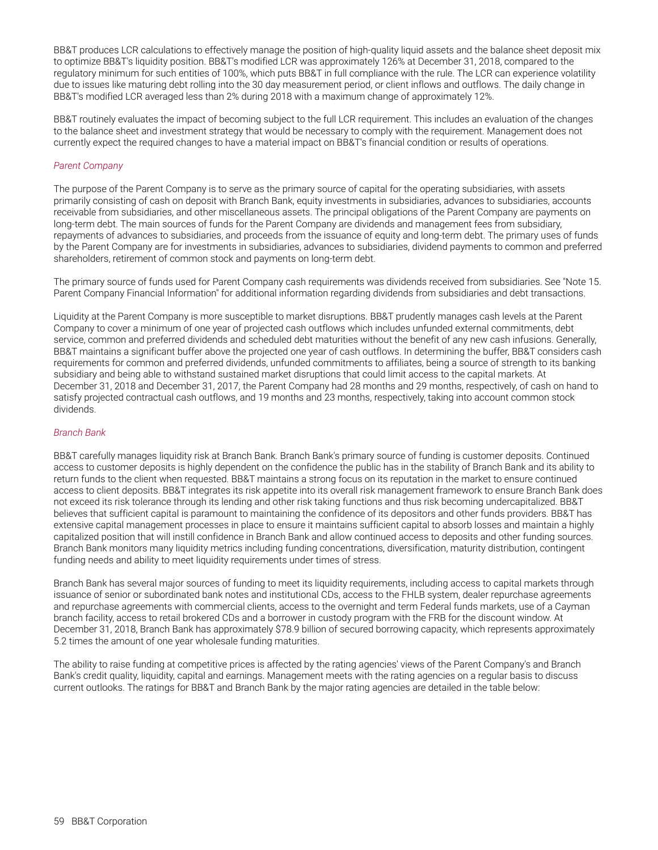BB&T produces LCR calculations to effectively manage the position of high-quality liquid assets and the balance sheet deposit mix to optimize BB&T's liquidity position. BB&T's modified LCR was approximately 126% at December 31, 2018, compared to the regulatory minimum for such entities of 100%, which puts BB&T in full compliance with the rule. The LCR can experience volatility due to issues like maturing debt rolling into the 30 day measurement period, or client inflows and outflows. The daily change in BB&T's modified LCR averaged less than 2% during 2018 with a maximum change of approximately 12%.

BB&T routinely evaluates the impact of becoming subject to the full LCR requirement. This includes an evaluation of the changes to the balance sheet and investment strategy that would be necessary to comply with the requirement. Management does not currently expect the required changes to have a material impact on BB&T's financial condition or results of operations.

### *Parent Company*

The purpose of the Parent Company is to serve as the primary source of capital for the operating subsidiaries, with assets primarily consisting of cash on deposit with Branch Bank, equity investments in subsidiaries, advances to subsidiaries, accounts receivable from subsidiaries, and other miscellaneous assets. The principal obligations of the Parent Company are payments on long-term debt. The main sources of funds for the Parent Company are dividends and management fees from subsidiary, repayments of advances to subsidiaries, and proceeds from the issuance of equity and long-term debt. The primary uses of funds by the Parent Company are for investments in subsidiaries, advances to subsidiaries, dividend payments to common and preferred shareholders, retirement of common stock and payments on long-term debt.

The primary source of funds used for Parent Company cash requirements was dividends received from subsidiaries. See "Note 15. Parent Company Financial Information" for additional information regarding dividends from subsidiaries and debt transactions.

Liquidity at the Parent Company is more susceptible to market disruptions. BB&T prudently manages cash levels at the Parent Company to cover a minimum of one year of projected cash outflows which includes unfunded external commitments, debt service, common and preferred dividends and scheduled debt maturities without the benefit of any new cash infusions. Generally, BB&T maintains a significant buffer above the projected one year of cash outflows. In determining the buffer, BB&T considers cash requirements for common and preferred dividends, unfunded commitments to affiliates, being a source of strength to its banking subsidiary and being able to withstand sustained market disruptions that could limit access to the capital markets. At December 31, 2018 and December 31, 2017, the Parent Company had 28 months and 29 months, respectively, of cash on hand to satisfy projected contractual cash outflows, and 19 months and 23 months, respectively, taking into account common stock dividends.

#### *Branch Bank*

BB&T carefully manages liquidity risk at Branch Bank. Branch Bank's primary source of funding is customer deposits. Continued access to customer deposits is highly dependent on the confidence the public has in the stability of Branch Bank and its ability to return funds to the client when requested. BB&T maintains a strong focus on its reputation in the market to ensure continued access to client deposits. BB&T integrates its risk appetite into its overall risk management framework to ensure Branch Bank does not exceed its risk tolerance through its lending and other risk taking functions and thus risk becoming undercapitalized. BB&T believes that sufficient capital is paramount to maintaining the confidence of its depositors and other funds providers. BB&T has extensive capital management processes in place to ensure it maintains sufficient capital to absorb losses and maintain a highly capitalized position that will instill confidence in Branch Bank and allow continued access to deposits and other funding sources. Branch Bank monitors many liquidity metrics including funding concentrations, diversification, maturity distribution, contingent funding needs and ability to meet liquidity requirements under times of stress.

Branch Bank has several major sources of funding to meet its liquidity requirements, including access to capital markets through issuance of senior or subordinated bank notes and institutional CDs, access to the FHLB system, dealer repurchase agreements and repurchase agreements with commercial clients, access to the overnight and term Federal funds markets, use of a Cayman branch facility, access to retail brokered CDs and a borrower in custody program with the FRB for the discount window. At December 31, 2018, Branch Bank has approximately \$78.9 billion of secured borrowing capacity, which represents approximately 5.2 times the amount of one year wholesale funding maturities.

The ability to raise funding at competitive prices is affected by the rating agencies' views of the Parent Company's and Branch Bank's credit quality, liquidity, capital and earnings. Management meets with the rating agencies on a regular basis to discuss current outlooks. The ratings for BB&T and Branch Bank by the major rating agencies are detailed in the table below: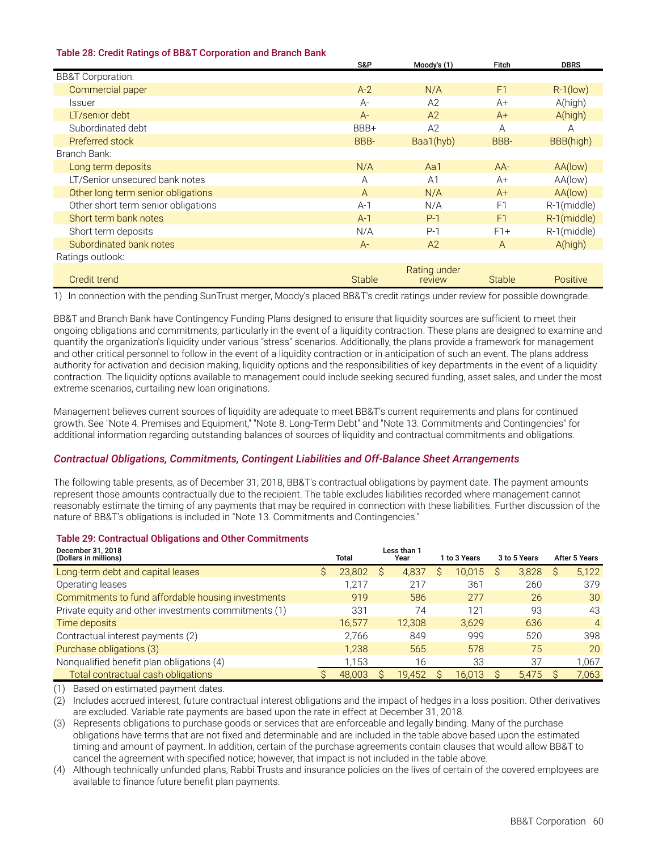#### **Table 28: Credit Ratings of BB&T Corporation and Branch Bank**

|                                     | S&P            | Moody's (1)            | Fitch          | <b>DBRS</b>     |
|-------------------------------------|----------------|------------------------|----------------|-----------------|
| <b>BB&amp;T</b> Corporation:        |                |                        |                |                 |
| Commercial paper                    | $A-2$          | N/A                    | F <sub>1</sub> | $R-1$ (low)     |
| <i>Issuer</i>                       | $A -$          | A2                     | $A+$           | A(high)         |
| LT/senior debt                      | $A -$          | A2                     | $A+$           | A(high)         |
| Subordinated debt                   | BBB+           | A2                     | А              | А               |
| Preferred stock                     | BBB-           | Baa1(hyb)              | BBB-           | BBB(high)       |
| Branch Bank:                        |                |                        |                |                 |
| Long term deposits                  | N/A            | Aa1                    | $AA-$          | AA(low)         |
| LT/Senior unsecured bank notes      | A              | A <sub>1</sub>         | $A+$           | AA(low)         |
| Other long term senior obligations  | $\overline{A}$ | N/A                    | $A+$           | AA(low)         |
| Other short term senior obligations | $A-1$          | N/A                    | F <sub>1</sub> | R-1(middle)     |
| Short term bank notes               | $A-1$          | $P-1$                  | F <sub>1</sub> | R-1(middle)     |
| Short term deposits                 | N/A            | $P-1$                  | $F1+$          | R-1(middle)     |
| Subordinated bank notes             | $A -$          | A2                     | A              | A(high)         |
| Ratings outlook:                    |                |                        |                |                 |
| <b>Credit trend</b>                 | <b>Stable</b>  | Rating under<br>review | Stable         | <b>Positive</b> |

1) In connection with the pending SunTrust merger, Moody's placed BB&T's credit ratings under review for possible downgrade.

BB&T and Branch Bank have Contingency Funding Plans designed to ensure that liquidity sources are sufficient to meet their ongoing obligations and commitments, particularly in the event of a liquidity contraction. These plans are designed to examine and quantify the organization's liquidity under various "stress" scenarios. Additionally, the plans provide a framework for management and other critical personnel to follow in the event of a liquidity contraction or in anticipation of such an event. The plans address authority for activation and decision making, liquidity options and the responsibilities of key departments in the event of a liquidity contraction. The liquidity options available to management could include seeking secured funding, asset sales, and under the most extreme scenarios, curtailing new loan originations.

Management believes current sources of liquidity are adequate to meet BB&T's current requirements and plans for continued growth. See "Note 4. Premises and Equipment," "Note 8. Long-Term Debt" and "Note 13. Commitments and Contingencies" for additional information regarding outstanding balances of sources of liquidity and contractual commitments and obligations.

### *Contractual Obligations, Commitments, Contingent Liabilities and Off-Balance Sheet Arrangements*

The following table presents, as of December 31, 2018, BB&T's contractual obligations by payment date. The payment amounts represent those amounts contractually due to the recipient. The table excludes liabilities recorded where management cannot reasonably estimate the timing of any payments that may be required in connection with these liabilities. Further discussion of the nature of BB&T's obligations is included in "Note 13. Commitments and Contingencies."

#### **Table 29: Contractual Obligations and Other Commitments**

| December 31, 2018<br>(Dollars in millions)           |   | Total  |   | Less than 1<br>Year |   | 1 to 3 Years |  | 3 to 5 Years |   | <b>After 5 Years</b> |
|------------------------------------------------------|---|--------|---|---------------------|---|--------------|--|--------------|---|----------------------|
| Long-term debt and capital leases                    | S | 23,802 | S | 4.837               | S | 10.015       |  | 3,828        | S | 5,122                |
| Operating leases                                     |   | 1,217  |   | 217                 |   | 361          |  | 260          |   | 379                  |
| Commitments to fund affordable housing investments   |   | 919    |   | 586                 |   | 277          |  | 26           |   | 30                   |
| Private equity and other investments commitments (1) |   | 331    |   | 74                  |   | 121          |  | 93           |   | 43                   |
| Time deposits                                        |   | 16.577 |   | 12.308              |   | 3.629        |  | 636          |   | $\overline{4}$       |
| Contractual interest payments (2)                    |   | 2.766  |   | 849                 |   | 999          |  | 520          |   | 398                  |
| Purchase obligations (3)                             |   | 1.238  |   | 565                 |   | 578          |  | 75           |   | 20                   |
| Nonqualified benefit plan obligations (4)            |   | 1.153  |   | 16                  |   | 33           |  | 37           |   | 1,067                |
| Total contractual cash obligations                   |   | 48,003 |   | 19.452              |   | 16.013       |  | 5.475        |   | 7,063                |

(1) Based on estimated payment dates.

(2) Includes accrued interest, future contractual interest obligations and the impact of hedges in a loss position. Other derivatives are excluded. Variable rate payments are based upon the rate in effect at December 31, 2018.

(3) Represents obligations to purchase goods or services that are enforceable and legally binding. Many of the purchase obligations have terms that are not fixed and determinable and are included in the table above based upon the estimated timing and amount of payment. In addition, certain of the purchase agreements contain clauses that would allow BB&T to cancel the agreement with specified notice; however, that impact is not included in the table above.

(4) Although technically unfunded plans, Rabbi Trusts and insurance policies on the lives of certain of the covered employees are available to finance future benefit plan payments.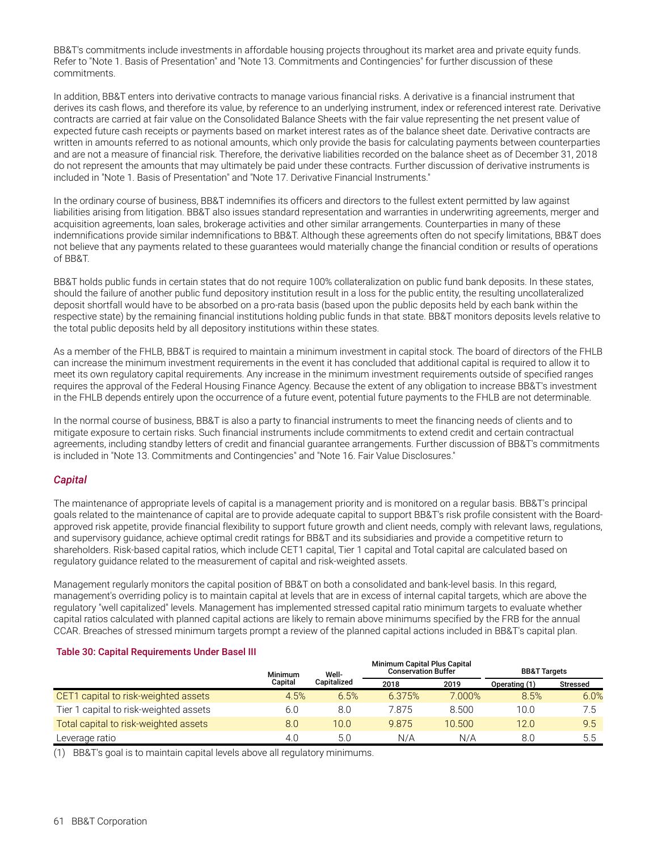BB&T's commitments include investments in affordable housing projects throughout its market area and private equity funds. Refer to "Note 1. Basis of Presentation" and "Note 13. Commitments and Contingencies" for further discussion of these commitments.

In addition, BB&T enters into derivative contracts to manage various financial risks. A derivative is a financial instrument that derives its cash flows, and therefore its value, by reference to an underlying instrument, index or referenced interest rate. Derivative contracts are carried at fair value on the Consolidated Balance Sheets with the fair value representing the net present value of expected future cash receipts or payments based on market interest rates as of the balance sheet date. Derivative contracts are written in amounts referred to as notional amounts, which only provide the basis for calculating payments between counterparties and are not a measure of financial risk. Therefore, the derivative liabilities recorded on the balance sheet as of December 31, 2018 do not represent the amounts that may ultimately be paid under these contracts. Further discussion of derivative instruments is included in "Note 1. Basis of Presentation" and "Note 17. Derivative Financial Instruments."

In the ordinary course of business, BB&T indemnifies its officers and directors to the fullest extent permitted by law against liabilities arising from litigation. BB&T also issues standard representation and warranties in underwriting agreements, merger and acquisition agreements, loan sales, brokerage activities and other similar arrangements. Counterparties in many of these indemnifications provide similar indemnifications to BB&T. Although these agreements often do not specify limitations, BB&T does not believe that any payments related to these guarantees would materially change the financial condition or results of operations of BB&T.

BB&T holds public funds in certain states that do not require 100% collateralization on public fund bank deposits. In these states, should the failure of another public fund depository institution result in a loss for the public entity, the resulting uncollateralized deposit shortfall would have to be absorbed on a pro-rata basis (based upon the public deposits held by each bank within the respective state) by the remaining financial institutions holding public funds in that state. BB&T monitors deposits levels relative to the total public deposits held by all depository institutions within these states.

As a member of the FHLB, BB&T is required to maintain a minimum investment in capital stock. The board of directors of the FHLB can increase the minimum investment requirements in the event it has concluded that additional capital is required to allow it to meet its own regulatory capital requirements. Any increase in the minimum investment requirements outside of specified ranges requires the approval of the Federal Housing Finance Agency. Because the extent of any obligation to increase BB&T's investment in the FHLB depends entirely upon the occurrence of a future event, potential future payments to the FHLB are not determinable.

In the normal course of business, BB&T is also a party to financial instruments to meet the financing needs of clients and to mitigate exposure to certain risks. Such financial instruments include commitments to extend credit and certain contractual agreements, including standby letters of credit and financial guarantee arrangements. Further discussion of BB&T's commitments is included in "Note 13. Commitments and Contingencies" and "Note 16. Fair Value Disclosures."

### *Capital*

The maintenance of appropriate levels of capital is a management priority and is monitored on a regular basis. BB&T's principal goals related to the maintenance of capital are to provide adequate capital to support BB&T's risk profile consistent with the Boardapproved risk appetite, provide financial flexibility to support future growth and client needs, comply with relevant laws, regulations, and supervisory guidance, achieve optimal credit ratings for BB&T and its subsidiaries and provide a competitive return to shareholders. Risk-based capital ratios, which include CET1 capital, Tier 1 capital and Total capital are calculated based on regulatory guidance related to the measurement of capital and risk-weighted assets.

Management regularly monitors the capital position of BB&T on both a consolidated and bank-level basis. In this regard, management's overriding policy is to maintain capital at levels that are in excess of internal capital targets, which are above the regulatory "well capitalized" levels. Management has implemented stressed capital ratio minimum targets to evaluate whether capital ratios calculated with planned capital actions are likely to remain above minimums specified by the FRB for the annual CCAR. Breaches of stressed minimum targets prompt a review of the planned capital actions included in BB&T's capital plan.

#### **Table 30: Capital Requirements Under Basel III**

|                                        | Minimum | Well-       | Minimum Capital Plus Capital<br><b>Conservation Buffer</b> |        | <b>BB&amp;T Targets</b> |                 |
|----------------------------------------|---------|-------------|------------------------------------------------------------|--------|-------------------------|-----------------|
|                                        | Capital | Capitalized |                                                            | 2019   | Operating (1)           | <b>Stressed</b> |
| CET1 capital to risk-weighted assets   | 4.5%    | 6.5%        | 6.375%                                                     | 7.000% | 8.5%                    | 6.0%            |
| Tier 1 capital to risk-weighted assets | 6.C     | 8.0         | 7.875                                                      | 8.500  | 10.0                    | 7.5             |
| Total capital to risk-weighted assets  | 8.0     | 10.0        | 9.875                                                      | 10.500 | 12.0                    | 9.5             |
| Leverage ratio                         | 4.0     | 5.0         | N/A                                                        | N/A    | 8.0                     | 5.5             |

(1) BB&T's goal is to maintain capital levels above all regulatory minimums.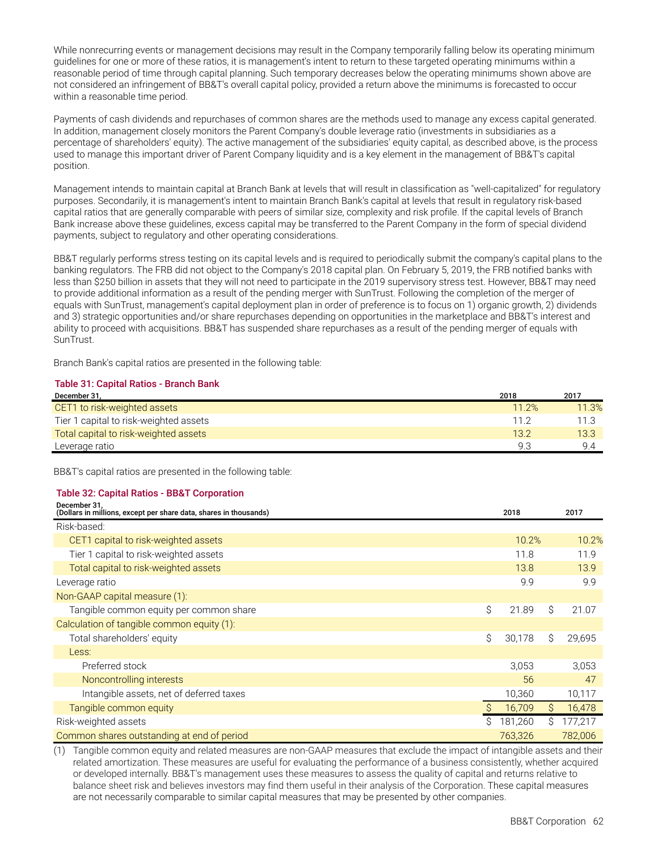While nonrecurring events or management decisions may result in the Company temporarily falling below its operating minimum guidelines for one or more of these ratios, it is management's intent to return to these targeted operating minimums within a reasonable period of time through capital planning. Such temporary decreases below the operating minimums shown above are not considered an infringement of BB&T's overall capital policy, provided a return above the minimums is forecasted to occur within a reasonable time period.

Payments of cash dividends and repurchases of common shares are the methods used to manage any excess capital generated. In addition, management closely monitors the Parent Company's double leverage ratio (investments in subsidiaries as a percentage of shareholders' equity). The active management of the subsidiaries' equity capital, as described above, is the process used to manage this important driver of Parent Company liquidity and is a key element in the management of BB&T's capital position.

Management intends to maintain capital at Branch Bank at levels that will result in classification as "well-capitalized" for regulatory purposes. Secondarily, it is management's intent to maintain Branch Bank's capital at levels that result in regulatory risk-based capital ratios that are generally comparable with peers of similar size, complexity and risk profile. If the capital levels of Branch Bank increase above these guidelines, excess capital may be transferred to the Parent Company in the form of special dividend payments, subject to regulatory and other operating considerations.

BB&T regularly performs stress testing on its capital levels and is required to periodically submit the company's capital plans to the banking regulators. The FRB did not object to the Company's 2018 capital plan. On February 5, 2019, the FRB notified banks with less than \$250 billion in assets that they will not need to participate in the 2019 supervisory stress test. However, BB&T may need to provide additional information as a result of the pending merger with SunTrust. Following the completion of the merger of equals with SunTrust, management's capital deployment plan in order of preference is to focus on 1) organic growth, 2) dividends and 3) strategic opportunities and/or share repurchases depending on opportunities in the marketplace and BB&T's interest and ability to proceed with acquisitions. BB&T has suspended share repurchases as a result of the pending merger of equals with SunTrust.

Branch Bank's capital ratios are presented in the following table:

| <b>Table 31: Capital Ratios - Branch Bank</b> |       |       |
|-----------------------------------------------|-------|-------|
| December 31,                                  | 2018  | 2017  |
| CET1 to risk-weighted assets                  | 11.2% | 11.3% |
| Tier 1 capital to risk-weighted assets        | 11.2  | 11.3  |
| Total capital to risk-weighted assets         | 13.2  | 13.3  |
| Leverage ratio                                | 9.3   | 9.4   |

BB&T's capital ratios are presented in the following table:

#### **Table 32: Capital Ratios - BB&T Corporation**

| December 31.<br>(Dollars in millions, except per share data, shares in thousands) |    | 2018    |   | 2017    |
|-----------------------------------------------------------------------------------|----|---------|---|---------|
| Risk-based:                                                                       |    |         |   |         |
| CET1 capital to risk-weighted assets                                              |    | 10.2%   |   | 10.2%   |
| Tier 1 capital to risk-weighted assets                                            |    | 11.8    |   | 11.9    |
| Total capital to risk-weighted assets                                             |    | 13.8    |   | 13.9    |
| Leverage ratio                                                                    |    | 9.9     |   | 9.9     |
| Non-GAAP capital measure (1):                                                     |    |         |   |         |
| Tangible common equity per common share                                           | \$ | 21.89   | Ŝ | 21.07   |
| Calculation of tangible common equity (1):                                        |    |         |   |         |
| Total shareholders' equity                                                        | \$ | 30,178  | Ŝ | 29,695  |
| Less:                                                                             |    |         |   |         |
| Preferred stock                                                                   |    | 3,053   |   | 3,053   |
| Noncontrolling interests                                                          |    | 56      |   | 47      |
| Intangible assets, net of deferred taxes                                          |    | 10,360  |   | 10,117  |
| Tangible common equity                                                            | Ŝ  | 16,709  | S | 16,478  |
| Risk-weighted assets                                                              | Ś. | 181.260 | Ś | 177,217 |
| Common shares outstanding at end of period                                        |    | 763,326 |   | 782,006 |

(1) Tangible common equity and related measures are non-GAAP measures that exclude the impact of intangible assets and their related amortization. These measures are useful for evaluating the performance of a business consistently, whether acquired or developed internally. BB&T's management uses these measures to assess the quality of capital and returns relative to balance sheet risk and believes investors may find them useful in their analysis of the Corporation. These capital measures are not necessarily comparable to similar capital measures that may be presented by other companies.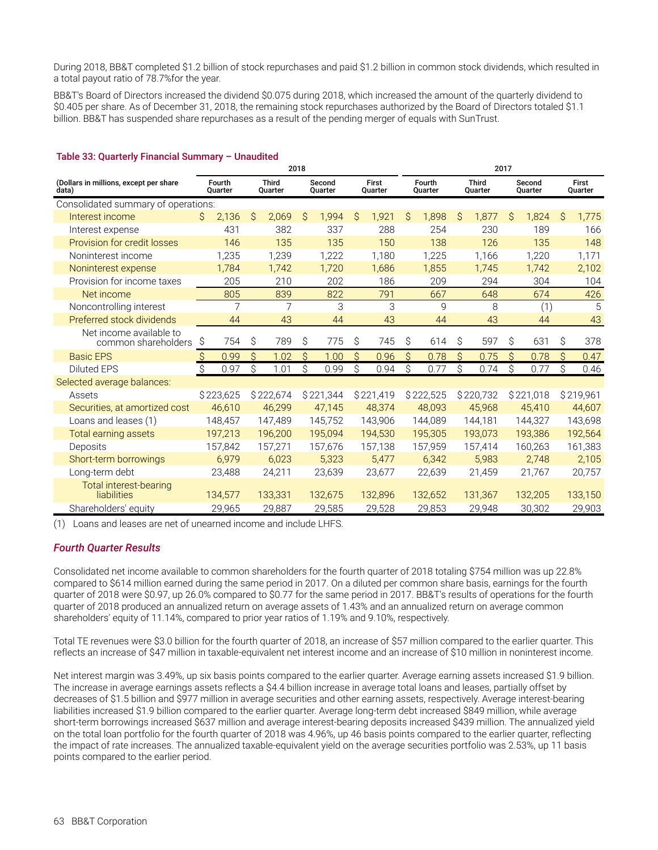During 2018, BB&T completed \$1.2 billion of stock repurchases and paid \$1.2 billion in common stock dividends, which resulted in a total payout ratio of 78.7%for the year.

BB&T's Board of Directors increased the dividend \$0.075 during 2018, which increased the amount of the quarterly dividend to \$0.405 per share. As of December 31, 2018, the remaining stock repurchases authorized by the Board of Directors totaled \$1.1 billion. BB&T has suspended share repurchases as a result of the pending merger of equals with SunTrust.

### **Table 33: Quarterly Financial Summary – Unaudited**

|                                                 | 2018                     |         |                                |           |                          |           |    | 2017                    |         |                          |         |                                |   |                          |       |                         |  |        |
|-------------------------------------------------|--------------------------|---------|--------------------------------|-----------|--------------------------|-----------|----|-------------------------|---------|--------------------------|---------|--------------------------------|---|--------------------------|-------|-------------------------|--|--------|
| (Dollars in millions, except per share<br>data) | Fourth<br><b>Ouarter</b> |         | <b>Third</b><br><b>Ouarter</b> |           | Second<br><b>Ouarter</b> |           |    | First<br><b>Ouarter</b> |         | Fourth<br><b>Ouarter</b> |         | <b>Third</b><br><b>Ouarter</b> |   | Second<br><b>Ouarter</b> |       | First<br><b>Ouarter</b> |  |        |
| Consolidated summary of operations:             |                          |         |                                |           |                          |           |    |                         |         |                          |         |                                |   |                          |       |                         |  |        |
| Interest income                                 | S.                       | 2.136   | Ŝ                              | 2.069     | Ś                        | 1.994     | Ŝ  | 1.921                   | Ŝ       | 1.898                    | Ŝ       | 1.877                          | Ŝ | 1.824                    | Ŝ.    | 1.775                   |  |        |
| Interest expense                                |                          | 431     |                                | 382       |                          | 337       |    | 288                     |         | 254                      |         | 230                            |   | 189                      |       | 166                     |  |        |
| Provision for credit losses                     |                          | 146     |                                | 135       |                          | 135       |    | 150                     |         | 138                      |         | 126                            |   | 135                      |       | 148                     |  |        |
| Noninterest income                              |                          | 1.235   |                                | 1.239     |                          | 1,222     |    | 1.180                   |         | 1.225                    |         | 1.166                          |   | 1.220                    |       | 1.171                   |  |        |
| Noninterest expense                             |                          | 1,784   |                                | 1,742     |                          | 1,720     |    | 1,686                   |         | 1,855                    |         | 1,745                          |   | 1.742                    |       | 2,102                   |  |        |
| Provision for income taxes                      |                          | 205     |                                | 210       |                          | 202       |    | 186                     |         | 209                      |         | 294                            |   | 304                      |       | 104                     |  |        |
| Net income                                      |                          | 805     |                                | 839       |                          | 822       |    | 791                     |         | 667                      |         | 648                            |   | 674                      |       | 426                     |  |        |
| Noncontrolling interest                         |                          | 7       |                                | 7         |                          | 3         |    | 3                       |         | $\mathsf{Q}$             |         | 8                              |   | (1)                      |       | 5                       |  |        |
| Preferred stock dividends                       |                          | 44      |                                | 43        |                          | 44        |    | 43                      |         | 44                       |         | 43                             |   | 44                       |       | 43                      |  |        |
| Net income available to<br>common shareholders  | S                        | 754     | Ŝ                              | 789       | Ŝ                        | 775       | Ŝ  | 745                     | Ŝ       | 614                      | Ŝ       | 597                            | Ŝ | 631                      | Ŝ     | 378                     |  |        |
| <b>Basic EPS</b>                                | \$                       | 0.99    | Ś.                             | 1.02      | Ŝ                        | 1.00      | Ś. | 0.96                    | Ŝ       | 0.78                     | Ś       | 0.75                           | Ŝ | 0.78                     | S.    | 0.47                    |  |        |
| <b>Diluted EPS</b>                              | Ŝ.                       | 0.97    | Ś                              | 1.01      | Ś                        | 0.99      | Ś  | 0.94                    | Ś       | 0.77                     | Ŝ.      | 0.74                           | Ś | 0.77                     | Ŝ.    | 0.46                    |  |        |
| Selected average balances:                      |                          |         |                                |           |                          |           |    |                         |         |                          |         |                                |   |                          |       |                         |  |        |
| Assets                                          | \$223,625                |         |                                | \$222,674 |                          | \$221,344 |    | \$221,419               |         | \$222,525                |         | \$220,732                      |   | \$221,018                |       | \$219,961               |  |        |
| Securities, at amortized cost                   | 46.610                   |         |                                | 46,299    |                          | 47,145    |    | 48.374                  |         | 48.093                   |         | 45,968                         |   |                          |       | 45,410                  |  | 44,607 |
| Loans and leases (1)                            | 148.457                  |         |                                | 147.489   |                          | 145.752   |    | 143.906                 |         | 144.089                  |         | 144.181                        |   | 144.327                  |       | 143.698                 |  |        |
| <b>Total earning assets</b>                     | 197,213                  |         |                                | 196,200   |                          | 195,094   |    | 194,530                 | 195,305 |                          | 193,073 |                                |   | 193,386                  |       | 192,564                 |  |        |
| Deposits                                        |                          | 157,842 |                                | 157,271   |                          | 157,676   |    | 157,138                 |         | 157,959                  | 157,414 |                                |   | 160,263                  |       | 161,383                 |  |        |
| Short-term borrowings                           |                          | 6.979   |                                | 6,023     |                          | 5.323     |    | 5,477                   |         | 6.342                    | 5.983   |                                |   | 2.748                    | 2,105 |                         |  |        |
| Long-term debt                                  |                          | 23,488  |                                | 24,211    |                          | 23,639    |    | 23.677                  |         | 22,639                   |         | 21,459                         |   | 21,767                   |       | 20,757                  |  |        |
| Total interest-bearing<br>liabilities           | 134,577                  |         |                                | 133,331   |                          | 132,675   |    | 132,896                 |         | 132,652                  |         | 131,367                        |   | 132,205                  |       | 133,150                 |  |        |
| Shareholders' equity                            |                          | 29,965  |                                | 29,887    |                          | 29,585    |    | 29,528                  |         | 29,853                   |         | 29,948                         |   | 30,302                   |       | 29,903                  |  |        |

(1) Loans and leases are net of unearned income and include LHFS.

### *Fourth Quarter Results*

Consolidated net income available to common shareholders for the fourth quarter of 2018 totaling \$754 million was up 22.8% compared to \$614 million earned during the same period in 2017. On a diluted per common share basis, earnings for the fourth quarter of 2018 were \$0.97, up 26.0% compared to \$0.77 for the same period in 2017. BB&T's results of operations for the fourth quarter of 2018 produced an annualized return on average assets of 1.43% and an annualized return on average common shareholders' equity of 11.14%, compared to prior year ratios of 1.19% and 9.10%, respectively.

Total TE revenues were \$3.0 billion for the fourth quarter of 2018, an increase of \$57 million compared to the earlier quarter. This reflects an increase of \$47 million in taxable-equivalent net interest income and an increase of \$10 million in noninterest income.

Net interest margin was 3.49%, up six basis points compared to the earlier quarter. Average earning assets increased \$1.9 billion. The increase in average earnings assets reflects a \$4.4 billion increase in average total loans and leases, partially offset by decreases of \$1.5 billion and \$977 million in average securities and other earning assets, respectively. Average interest-bearing liabilities increased \$1.9 billion compared to the earlier quarter. Average long-term debt increased \$849 million, while average short-term borrowings increased \$637 million and average interest-bearing deposits increased \$439 million. The annualized yield on the total loan portfolio for the fourth quarter of 2018 was 4.96%, up 46 basis points compared to the earlier quarter, reflecting the impact of rate increases. The annualized taxable-equivalent yield on the average securities portfolio was 2.53%, up 11 basis points compared to the earlier period.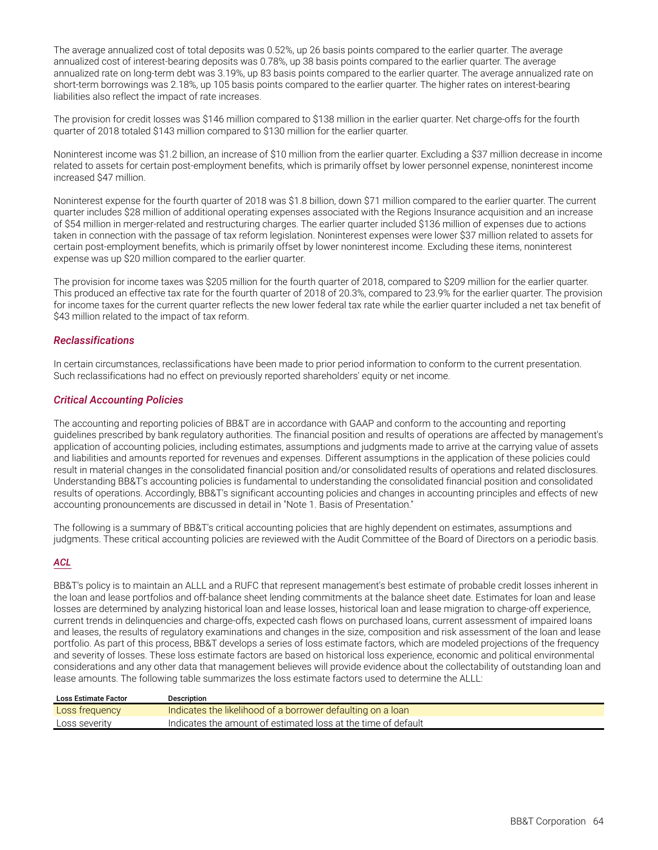The average annualized cost of total deposits was 0.52%, up 26 basis points compared to the earlier quarter. The average annualized cost of interest-bearing deposits was 0.78%, up 38 basis points compared to the earlier quarter. The average annualized rate on long-term debt was 3.19%, up 83 basis points compared to the earlier quarter. The average annualized rate on short-term borrowings was 2.18%, up 105 basis points compared to the earlier quarter. The higher rates on interest-bearing liabilities also reflect the impact of rate increases.

The provision for credit losses was \$146 million compared to \$138 million in the earlier quarter. Net charge-offs for the fourth quarter of 2018 totaled \$143 million compared to \$130 million for the earlier quarter.

Noninterest income was \$1.2 billion, an increase of \$10 million from the earlier quarter. Excluding a \$37 million decrease in income related to assets for certain post-employment benefits, which is primarily offset by lower personnel expense, noninterest income increased \$47 million.

Noninterest expense for the fourth quarter of 2018 was \$1.8 billion, down \$71 million compared to the earlier quarter. The current quarter includes \$28 million of additional operating expenses associated with the Regions Insurance acquisition and an increase of \$54 million in merger-related and restructuring charges. The earlier quarter included \$136 million of expenses due to actions taken in connection with the passage of tax reform legislation. Noninterest expenses were lower \$37 million related to assets for certain post-employment benefits, which is primarily offset by lower noninterest income. Excluding these items, noninterest expense was up \$20 million compared to the earlier quarter.

The provision for income taxes was \$205 million for the fourth quarter of 2018, compared to \$209 million for the earlier quarter. This produced an effective tax rate for the fourth quarter of 2018 of 20.3%, compared to 23.9% for the earlier quarter. The provision for income taxes for the current quarter reflects the new lower federal tax rate while the earlier quarter included a net tax benefit of \$43 million related to the impact of tax reform.

### *Reclassifications*

In certain circumstances, reclassifications have been made to prior period information to conform to the current presentation. Such reclassifications had no effect on previously reported shareholders' equity or net income.

### *Critical Accounting Policies*

The accounting and reporting policies of BB&T are in accordance with GAAP and conform to the accounting and reporting guidelines prescribed by bank regulatory authorities. The financial position and results of operations are affected by management's application of accounting policies, including estimates, assumptions and judgments made to arrive at the carrying value of assets and liabilities and amounts reported for revenues and expenses. Different assumptions in the application of these policies could result in material changes in the consolidated financial position and/or consolidated results of operations and related disclosures. Understanding BB&T's accounting policies is fundamental to understanding the consolidated financial position and consolidated results of operations. Accordingly, BB&T's significant accounting policies and changes in accounting principles and effects of new accounting pronouncements are discussed in detail in "Note 1. Basis of Presentation."

The following is a summary of BB&T's critical accounting policies that are highly dependent on estimates, assumptions and judgments. These critical accounting policies are reviewed with the Audit Committee of the Board of Directors on a periodic basis.

#### *ACL*

BB&T's policy is to maintain an ALLL and a RUFC that represent management's best estimate of probable credit losses inherent in the loan and lease portfolios and off-balance sheet lending commitments at the balance sheet date. Estimates for loan and lease losses are determined by analyzing historical loan and lease losses, historical loan and lease migration to charge-off experience, current trends in delinquencies and charge-offs, expected cash flows on purchased loans, current assessment of impaired loans and leases, the results of regulatory examinations and changes in the size, composition and risk assessment of the loan and lease portfolio. As part of this process, BB&T develops a series of loss estimate factors, which are modeled projections of the frequency and severity of losses. These loss estimate factors are based on historical loss experience, economic and political environmental considerations and any other data that management believes will provide evidence about the collectability of outstanding loan and lease amounts. The following table summarizes the loss estimate factors used to determine the ALLL:

| <b>Loss Estimate Factor</b> | Description                                                   |
|-----------------------------|---------------------------------------------------------------|
| Loss frequency              | Indicates the likelihood of a borrower defaulting on a loan   |
| Loss severity               | Indicates the amount of estimated loss at the time of default |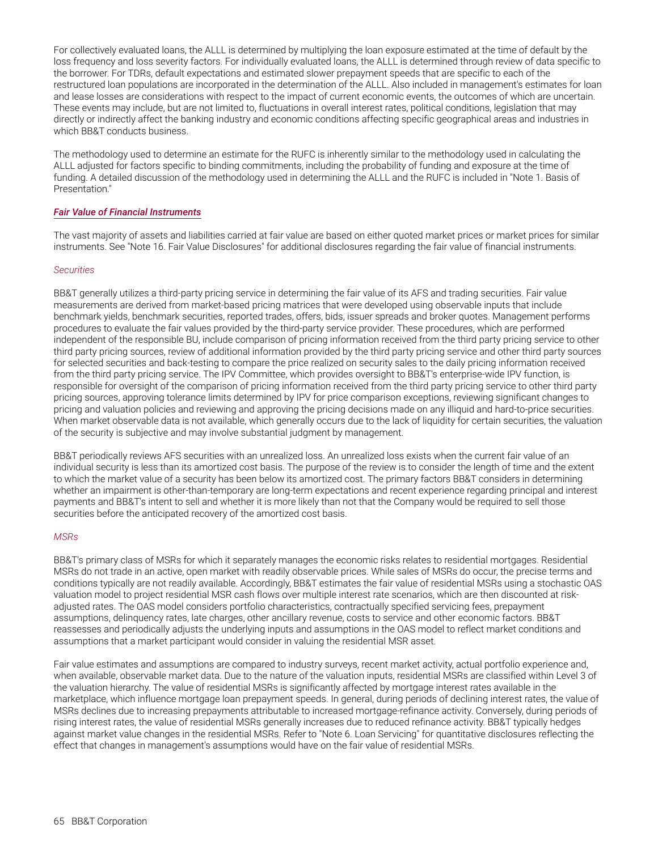For collectively evaluated loans, the ALLL is determined by multiplying the loan exposure estimated at the time of default by the loss frequency and loss severity factors. For individually evaluated loans, the ALLL is determined through review of data specific to the borrower. For TDRs, default expectations and estimated slower prepayment speeds that are specific to each of the restructured loan populations are incorporated in the determination of the ALLL. Also included in management's estimates for loan and lease losses are considerations with respect to the impact of current economic events, the outcomes of which are uncertain. These events may include, but are not limited to, fluctuations in overall interest rates, political conditions, legislation that may directly or indirectly affect the banking industry and economic conditions affecting specific geographical areas and industries in which BB&T conducts business.

The methodology used to determine an estimate for the RUFC is inherently similar to the methodology used in calculating the ALLL adjusted for factors specific to binding commitments, including the probability of funding and exposure at the time of funding. A detailed discussion of the methodology used in determining the ALLL and the RUFC is included in "Note 1. Basis of Presentation."

### *Fair Value of Financial Instruments*

The vast majority of assets and liabilities carried at fair value are based on either quoted market prices or market prices for similar instruments. See "Note 16. Fair Value Disclosures" for additional disclosures regarding the fair value of financial instruments.

#### *Securities*

BB&T generally utilizes a third-party pricing service in determining the fair value of its AFS and trading securities. Fair value measurements are derived from market-based pricing matrices that were developed using observable inputs that include benchmark yields, benchmark securities, reported trades, offers, bids, issuer spreads and broker quotes. Management performs procedures to evaluate the fair values provided by the third-party service provider. These procedures, which are performed independent of the responsible BU, include comparison of pricing information received from the third party pricing service to other third party pricing sources, review of additional information provided by the third party pricing service and other third party sources for selected securities and back-testing to compare the price realized on security sales to the daily pricing information received from the third party pricing service. The IPV Committee, which provides oversight to BB&T's enterprise-wide IPV function, is responsible for oversight of the comparison of pricing information received from the third party pricing service to other third party pricing sources, approving tolerance limits determined by IPV for price comparison exceptions, reviewing significant changes to pricing and valuation policies and reviewing and approving the pricing decisions made on any illiquid and hard-to-price securities. When market observable data is not available, which generally occurs due to the lack of liquidity for certain securities, the valuation of the security is subjective and may involve substantial judgment by management.

BB&T periodically reviews AFS securities with an unrealized loss. An unrealized loss exists when the current fair value of an individual security is less than its amortized cost basis. The purpose of the review is to consider the length of time and the extent to which the market value of a security has been below its amortized cost. The primary factors BB&T considers in determining whether an impairment is other-than-temporary are long-term expectations and recent experience regarding principal and interest payments and BB&T's intent to sell and whether it is more likely than not that the Company would be required to sell those securities before the anticipated recovery of the amortized cost basis.

#### *MSRs*

BB&T's primary class of MSRs for which it separately manages the economic risks relates to residential mortgages. Residential MSRs do not trade in an active, open market with readily observable prices. While sales of MSRs do occur, the precise terms and conditions typically are not readily available. Accordingly, BB&T estimates the fair value of residential MSRs using a stochastic OAS valuation model to project residential MSR cash flows over multiple interest rate scenarios, which are then discounted at riskadjusted rates. The OAS model considers portfolio characteristics, contractually specified servicing fees, prepayment assumptions, delinquency rates, late charges, other ancillary revenue, costs to service and other economic factors. BB&T reassesses and periodically adjusts the underlying inputs and assumptions in the OAS model to reflect market conditions and assumptions that a market participant would consider in valuing the residential MSR asset.

Fair value estimates and assumptions are compared to industry surveys, recent market activity, actual portfolio experience and, when available, observable market data. Due to the nature of the valuation inputs, residential MSRs are classified within Level 3 of the valuation hierarchy. The value of residential MSRs is significantly affected by mortgage interest rates available in the marketplace, which influence mortgage loan prepayment speeds. In general, during periods of declining interest rates, the value of MSRs declines due to increasing prepayments attributable to increased mortgage-refinance activity. Conversely, during periods of rising interest rates, the value of residential MSRs generally increases due to reduced refinance activity. BB&T typically hedges against market value changes in the residential MSRs. Refer to "Note 6. Loan Servicing" for quantitative disclosures reflecting the effect that changes in management's assumptions would have on the fair value of residential MSRs.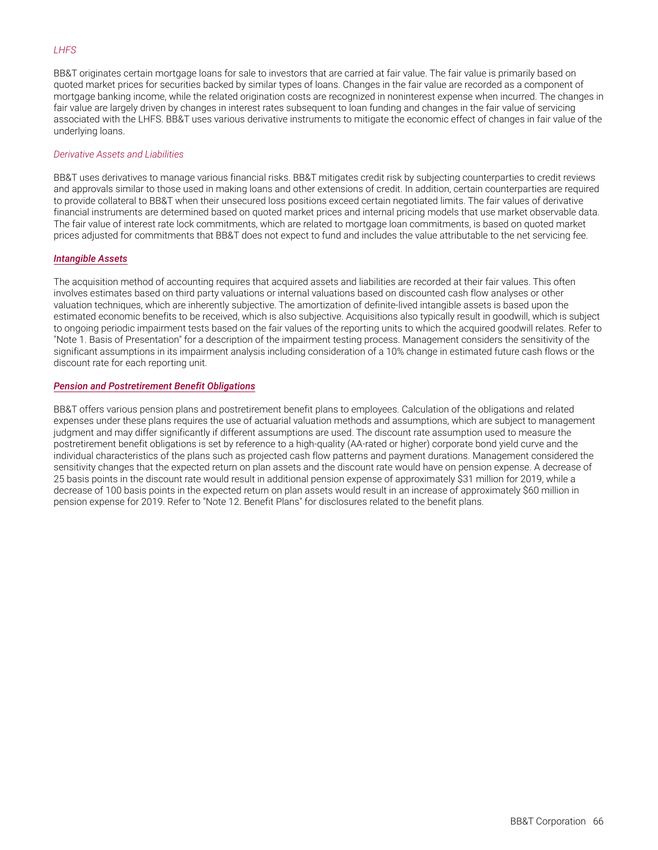### *LHFS*

BB&T originates certain mortgage loans for sale to investors that are carried at fair value. The fair value is primarily based on quoted market prices for securities backed by similar types of loans. Changes in the fair value are recorded as a component of mortgage banking income, while the related origination costs are recognized in noninterest expense when incurred. The changes in fair value are largely driven by changes in interest rates subsequent to loan funding and changes in the fair value of servicing associated with the LHFS. BB&T uses various derivative instruments to mitigate the economic effect of changes in fair value of the underlying loans.

### *Derivative Assets and Liabilities*

BB&T uses derivatives to manage various financial risks. BB&T mitigates credit risk by subjecting counterparties to credit reviews and approvals similar to those used in making loans and other extensions of credit. In addition, certain counterparties are required to provide collateral to BB&T when their unsecured loss positions exceed certain negotiated limits. The fair values of derivative financial instruments are determined based on quoted market prices and internal pricing models that use market observable data. The fair value of interest rate lock commitments, which are related to mortgage loan commitments, is based on quoted market prices adjusted for commitments that BB&T does not expect to fund and includes the value attributable to the net servicing fee.

#### *Intangible Assets*

The acquisition method of accounting requires that acquired assets and liabilities are recorded at their fair values. This often involves estimates based on third party valuations or internal valuations based on discounted cash flow analyses or other valuation techniques, which are inherently subjective. The amortization of definite-lived intangible assets is based upon the estimated economic benefits to be received, which is also subjective. Acquisitions also typically result in goodwill, which is subject to ongoing periodic impairment tests based on the fair values of the reporting units to which the acquired goodwill relates. Refer to "Note 1. Basis of Presentation" for a description of the impairment testing process. Management considers the sensitivity of the significant assumptions in its impairment analysis including consideration of a 10% change in estimated future cash flows or the discount rate for each reporting unit.

#### *Pension and Postretirement Benefit Obligations*

BB&T offers various pension plans and postretirement benefit plans to employees. Calculation of the obligations and related expenses under these plans requires the use of actuarial valuation methods and assumptions, which are subject to management judgment and may differ significantly if different assumptions are used. The discount rate assumption used to measure the postretirement benefit obligations is set by reference to a high-quality (AA-rated or higher) corporate bond yield curve and the individual characteristics of the plans such as projected cash flow patterns and payment durations. Management considered the sensitivity changes that the expected return on plan assets and the discount rate would have on pension expense. A decrease of 25 basis points in the discount rate would result in additional pension expense of approximately \$31 million for 2019, while a decrease of 100 basis points in the expected return on plan assets would result in an increase of approximately \$60 million in pension expense for 2019. Refer to "Note 12. Benefit Plans" for disclosures related to the benefit plans.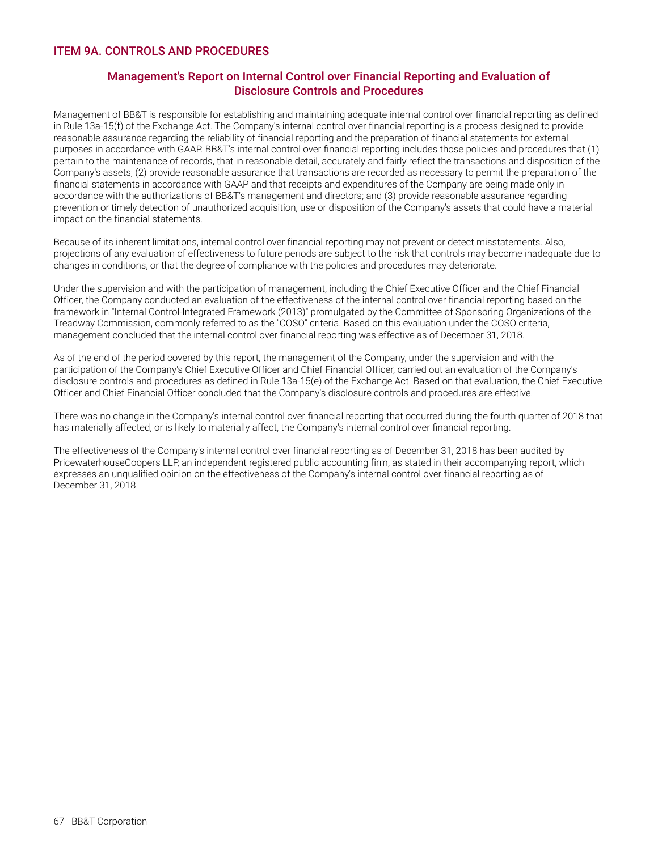## **ITEM 9A. CONTROLS AND PROCEDURES**

## **Management's Report on Internal Control over Financial Reporting and Evaluation of Disclosure Controls and Procedures**

Management of BB&T is responsible for establishing and maintaining adequate internal control over financial reporting as defined in Rule 13a-15(f) of the Exchange Act. The Company's internal control over financial reporting is a process designed to provide reasonable assurance regarding the reliability of financial reporting and the preparation of financial statements for external purposes in accordance with GAAP. BB&T's internal control over financial reporting includes those policies and procedures that (1) pertain to the maintenance of records, that in reasonable detail, accurately and fairly reflect the transactions and disposition of the Company's assets; (2) provide reasonable assurance that transactions are recorded as necessary to permit the preparation of the financial statements in accordance with GAAP and that receipts and expenditures of the Company are being made only in accordance with the authorizations of BB&T's management and directors; and (3) provide reasonable assurance regarding prevention or timely detection of unauthorized acquisition, use or disposition of the Company's assets that could have a material impact on the financial statements.

Because of its inherent limitations, internal control over financial reporting may not prevent or detect misstatements. Also, projections of any evaluation of effectiveness to future periods are subject to the risk that controls may become inadequate due to changes in conditions, or that the degree of compliance with the policies and procedures may deteriorate.

Under the supervision and with the participation of management, including the Chief Executive Officer and the Chief Financial Officer, the Company conducted an evaluation of the effectiveness of the internal control over financial reporting based on the framework in "Internal Control-Integrated Framework (2013)" promulgated by the Committee of Sponsoring Organizations of the Treadway Commission, commonly referred to as the "COSO" criteria. Based on this evaluation under the COSO criteria, management concluded that the internal control over financial reporting was effective as of December 31, 2018.

As of the end of the period covered by this report, the management of the Company, under the supervision and with the participation of the Company's Chief Executive Officer and Chief Financial Officer, carried out an evaluation of the Company's disclosure controls and procedures as defined in Rule 13a-15(e) of the Exchange Act. Based on that evaluation, the Chief Executive Officer and Chief Financial Officer concluded that the Company's disclosure controls and procedures are effective.

There was no change in the Company's internal control over financial reporting that occurred during the fourth quarter of 2018 that has materially affected, or is likely to materially affect, the Company's internal control over financial reporting.

The effectiveness of the Company's internal control over financial reporting as of December 31, 2018 has been audited by PricewaterhouseCoopers LLP, an independent registered public accounting firm, as stated in their accompanying report, which expresses an unqualified opinion on the effectiveness of the Company's internal control over financial reporting as of December 31, 2018.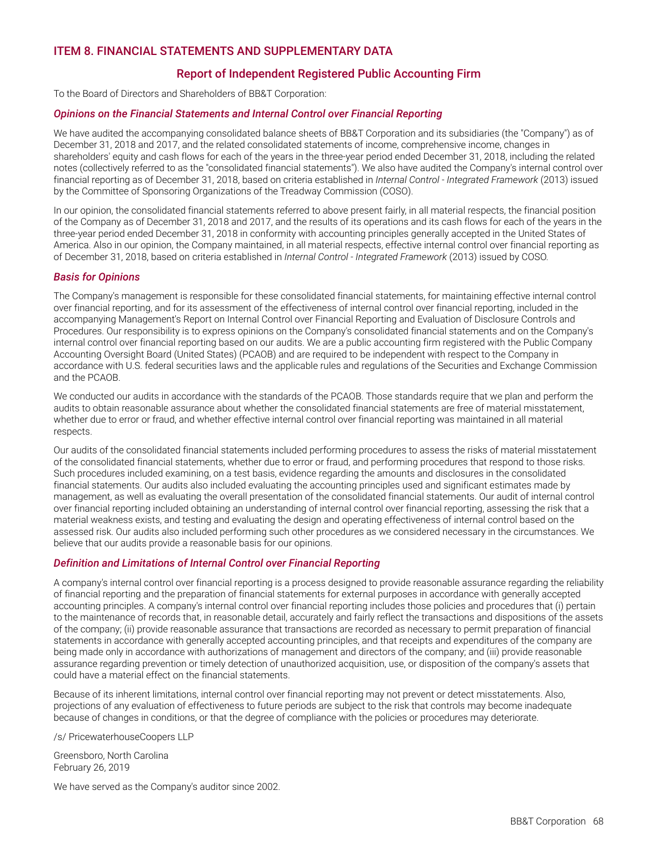### **ITEM 8. FINANCIAL STATEMENTS AND SUPPLEMENTARY DATA**

### **Report of Independent Registered Public Accounting Firm**

To the Board of Directors and Shareholders of BB&T Corporation:

### *Opinions on the Financial Statements and Internal Control over Financial Reporting*

We have audited the accompanying consolidated balance sheets of BB&T Corporation and its subsidiaries (the "Company") as of December 31, 2018 and 2017, and the related consolidated statements of income, comprehensive income, changes in shareholders' equity and cash flows for each of the years in the three-year period ended December 31, 2018, including the related notes (collectively referred to as the "consolidated financial statements"). We also have audited the Company's internal control over financial reporting as of December 31, 2018, based on criteria established in *Internal Control - Integrated Framework* (2013) issued by the Committee of Sponsoring Organizations of the Treadway Commission (COSO).

In our opinion, the consolidated financial statements referred to above present fairly, in all material respects, the financial position of the Company as of December 31, 2018 and 2017**,** and the results of its operations and its cash flows for each of the years in the three-year period ended December 31, 2018 in conformity with accounting principles generally accepted in the United States of America. Also in our opinion, the Company maintained, in all material respects, effective internal control over financial reporting as of December 31, 2018, based on criteria established in *Internal Control - Integrated Framework* (2013) issued by COSO.

### *Basis for Opinions*

The Company's management is responsible for these consolidated financial statements, for maintaining effective internal control over financial reporting, and for its assessment of the effectiveness of internal control over financial reporting, included in the accompanying Management's Report on Internal Control over Financial Reporting and Evaluation of Disclosure Controls and Procedures. Our responsibility is to express opinions on the Company's consolidated financial statements and on the Company's internal control over financial reporting based on our audits. We are a public accounting firm registered with the Public Company Accounting Oversight Board (United States) (PCAOB) and are required to be independent with respect to the Company in accordance with U.S. federal securities laws and the applicable rules and regulations of the Securities and Exchange Commission and the PCAOB.

We conducted our audits in accordance with the standards of the PCAOB. Those standards require that we plan and perform the audits to obtain reasonable assurance about whether the consolidated financial statements are free of material misstatement, whether due to error or fraud, and whether effective internal control over financial reporting was maintained in all material respects.

Our audits of the consolidated financial statements included performing procedures to assess the risks of material misstatement of the consolidated financial statements, whether due to error or fraud, and performing procedures that respond to those risks. Such procedures included examining, on a test basis, evidence regarding the amounts and disclosures in the consolidated financial statements. Our audits also included evaluating the accounting principles used and significant estimates made by management, as well as evaluating the overall presentation of the consolidated financial statements. Our audit of internal control over financial reporting included obtaining an understanding of internal control over financial reporting, assessing the risk that a material weakness exists, and testing and evaluating the design and operating effectiveness of internal control based on the assessed risk. Our audits also included performing such other procedures as we considered necessary in the circumstances. We believe that our audits provide a reasonable basis for our opinions.

### *Definition and Limitations of Internal Control over Financial Reporting*

A company's internal control over financial reporting is a process designed to provide reasonable assurance regarding the reliability of financial reporting and the preparation of financial statements for external purposes in accordance with generally accepted accounting principles. A company's internal control over financial reporting includes those policies and procedures that (i) pertain to the maintenance of records that, in reasonable detail, accurately and fairly reflect the transactions and dispositions of the assets of the company; (ii) provide reasonable assurance that transactions are recorded as necessary to permit preparation of financial statements in accordance with generally accepted accounting principles, and that receipts and expenditures of the company are being made only in accordance with authorizations of management and directors of the company; and (iii) provide reasonable assurance regarding prevention or timely detection of unauthorized acquisition, use, or disposition of the company's assets that could have a material effect on the financial statements.

Because of its inherent limitations, internal control over financial reporting may not prevent or detect misstatements. Also, projections of any evaluation of effectiveness to future periods are subject to the risk that controls may become inadequate because of changes in conditions, or that the degree of compliance with the policies or procedures may deteriorate.

/s/ PricewaterhouseCoopers LLP

Greensboro, North Carolina February 26, 2019

We have served as the Company's auditor since 2002.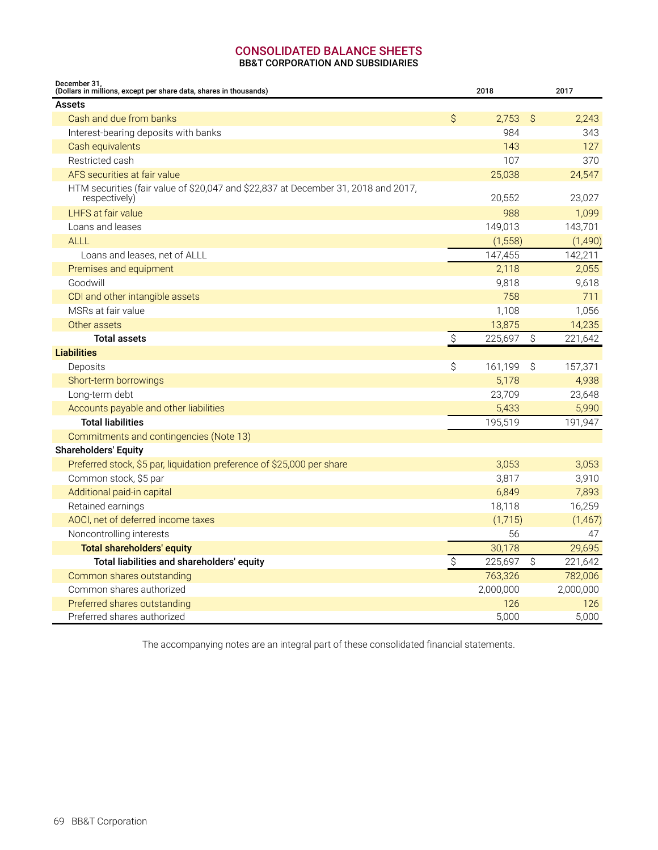# **CONSOLIDATED BALANCE SHEETS**

**BB&T CORPORATION AND SUBSIDIARIES**

| December 31<br>(Dollars in millions, except per share data, shares in thousands)                    |                           | 2018      |    | 2017      |
|-----------------------------------------------------------------------------------------------------|---------------------------|-----------|----|-----------|
| <b>Assets</b>                                                                                       |                           |           |    |           |
| Cash and due from banks                                                                             | \$                        | 2,753     | Ŝ. | 2,243     |
| Interest-bearing deposits with banks                                                                |                           | 984       |    | 343       |
| Cash equivalents                                                                                    |                           | 143       |    | 127       |
| Restricted cash                                                                                     |                           | 107       |    | 370       |
| AFS securities at fair value                                                                        |                           | 25,038    |    | 24,547    |
| HTM securities (fair value of \$20,047 and \$22,837 at December 31, 2018 and 2017,<br>respectively) |                           | 20,552    |    | 23,027    |
| LHFS at fair value                                                                                  |                           | 988       |    | 1,099     |
| Loans and leases                                                                                    |                           | 149,013   |    | 143,701   |
| <b>ALLL</b>                                                                                         |                           | (1, 558)  |    | (1,490)   |
| Loans and leases, net of ALLL                                                                       |                           | 147,455   |    | 142,211   |
| Premises and equipment                                                                              |                           | 2,118     |    | 2,055     |
| Goodwill                                                                                            |                           | 9,818     |    | 9,618     |
| CDI and other intangible assets                                                                     |                           | 758       |    | 711       |
| MSRs at fair value                                                                                  |                           | 1,108     |    | 1,056     |
| Other assets                                                                                        |                           | 13,875    |    | 14,235    |
| <b>Total assets</b>                                                                                 | $\zeta$                   | 225,697   | \$ | 221,642   |
| <b>Liabilities</b>                                                                                  |                           |           |    |           |
| Deposits                                                                                            | \$                        | 161,199   | S  | 157,371   |
| Short-term borrowings                                                                               |                           | 5,178     |    | 4,938     |
| Long-term debt                                                                                      |                           | 23,709    |    | 23,648    |
| Accounts payable and other liabilities                                                              |                           | 5,433     |    | 5,990     |
| <b>Total liabilities</b>                                                                            |                           | 195,519   |    | 191,947   |
| Commitments and contingencies (Note 13)                                                             |                           |           |    |           |
| <b>Shareholders' Equity</b>                                                                         |                           |           |    |           |
| Preferred stock, \$5 par, liquidation preference of \$25,000 per share                              |                           | 3,053     |    | 3,053     |
| Common stock, \$5 par                                                                               |                           | 3,817     |    | 3,910     |
| Additional paid-in capital                                                                          |                           | 6,849     |    | 7,893     |
| Retained earnings                                                                                   |                           | 18,118    |    | 16,259    |
| AOCI, net of deferred income taxes                                                                  |                           | (1,715)   |    | (1, 467)  |
| Noncontrolling interests                                                                            |                           | 56        |    | 47        |
| <b>Total shareholders' equity</b>                                                                   |                           | 30,178    |    | 29.695    |
| Total liabilities and shareholders' equity                                                          | $\boldsymbol{\mathsf{S}}$ | 225,697   | \$ | 221,642   |
| Common shares outstanding                                                                           |                           | 763,326   |    | 782,006   |
| Common shares authorized                                                                            |                           | 2,000,000 |    | 2,000,000 |
| Preferred shares outstanding                                                                        |                           | 126       |    | 126       |
| Preferred shares authorized                                                                         |                           | 5,000     |    | 5,000     |

The accompanying notes are an integral part of these consolidated financial statements.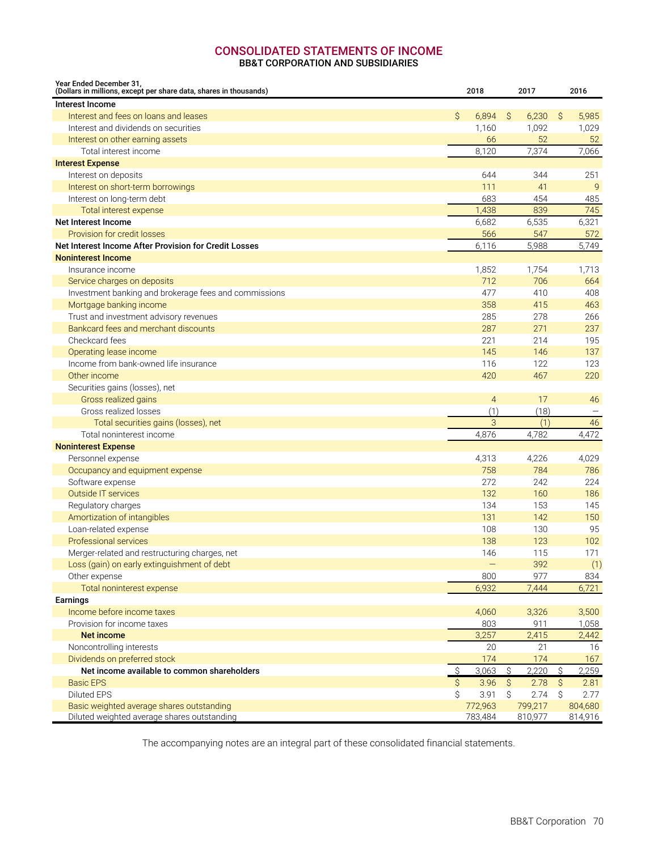# **CONSOLIDATED STATEMENTS OF INCOME**

**BB&T CORPORATION AND SUBSIDIARIES**

| Year Ended December 31,<br>(Dollars in millions, except per share data, shares in thousands) |    | 2018           |                     | 2017    |                     | 2016    |
|----------------------------------------------------------------------------------------------|----|----------------|---------------------|---------|---------------------|---------|
| Interest Income                                                                              |    |                |                     |         |                     |         |
| Interest and fees on loans and leases                                                        | \$ | 6,894          | $\mathsf{S}$        | 6,230   | $\mathcal{S}$       | 5,985   |
| Interest and dividends on securities                                                         |    | 1,160          |                     | 1,092   |                     | 1,029   |
| Interest on other earning assets                                                             |    | 66             |                     | 52      |                     | 52      |
| Total interest income                                                                        |    | 8,120          |                     | 7,374   |                     | 7,066   |
| <b>Interest Expense</b>                                                                      |    |                |                     |         |                     |         |
| Interest on deposits                                                                         |    | 644            |                     | 344     |                     | 251     |
| Interest on short-term borrowings                                                            |    | 111            |                     | 41      |                     | 9       |
| Interest on long-term debt                                                                   |    | 683            |                     | 454     |                     | 485     |
| Total interest expense                                                                       |    | 1,438          |                     | 839     |                     | 745     |
| Net Interest Income                                                                          |    | 6,682          |                     | 6,535   |                     | 6,321   |
| Provision for credit losses                                                                  |    | 566            |                     | 547     |                     | 572     |
| Net Interest Income After Provision for Credit Losses                                        |    | 6,116          |                     | 5,988   |                     | 5,749   |
| <b>Noninterest Income</b>                                                                    |    |                |                     |         |                     |         |
| Insurance income                                                                             |    | 1,852          |                     | 1,754   |                     | 1,713   |
| Service charges on deposits                                                                  |    | 712            |                     | 706     |                     | 664     |
| Investment banking and brokerage fees and commissions                                        |    | 477            |                     | 410     |                     | 408     |
| Mortgage banking income                                                                      |    | 358            |                     | 415     |                     | 463     |
| Trust and investment advisory revenues                                                       |    | 285            |                     | 278     |                     | 266     |
| Bankcard fees and merchant discounts                                                         |    | 287            |                     | 271     |                     | 237     |
| Checkcard fees                                                                               |    | 221            |                     | 214     |                     | 195     |
| Operating lease income                                                                       |    | 145            |                     | 146     |                     | 137     |
| Income from bank-owned life insurance                                                        |    | 116            |                     | 122     |                     | 123     |
| Other income                                                                                 |    | 420            |                     | 467     |                     | 220     |
| Securities gains (losses), net                                                               |    |                |                     |         |                     |         |
| Gross realized gains                                                                         |    | $\overline{4}$ |                     | 17      |                     | 46      |
| Gross realized losses                                                                        |    | (1)            |                     | (18)    |                     |         |
| Total securities gains (losses), net                                                         |    | 3              |                     | (1)     |                     | 46      |
| Total noninterest income                                                                     |    | 4,876          |                     | 4,782   |                     | 4,472   |
| <b>Noninterest Expense</b>                                                                   |    |                |                     |         |                     |         |
| Personnel expense                                                                            |    | 4,313          |                     | 4,226   |                     | 4,029   |
| Occupancy and equipment expense                                                              |    | 758            |                     | 784     |                     | 786     |
| Software expense                                                                             |    | 272            |                     | 242     |                     | 224     |
| <b>Outside IT services</b>                                                                   |    | 132            |                     | 160     |                     | 186     |
| Regulatory charges                                                                           |    | 134            |                     | 153     |                     | 145     |
| Amortization of intangibles                                                                  |    | 131            |                     | 142     |                     | 150     |
| Loan-related expense                                                                         |    | 108            |                     | 130     |                     | 95      |
| <b>Professional services</b>                                                                 |    | 138            |                     | 123     |                     | 102     |
| Merger-related and restructuring charges, net                                                |    | 146            |                     | 115     |                     | 171     |
| Loss (gain) on early extinguishment of debt                                                  |    |                |                     | 392     |                     | (1)     |
| Other expense                                                                                |    | 800            |                     | 977     |                     | 834     |
| Total noninterest expense                                                                    |    | 6,932          |                     | 7,444   |                     | 6,721   |
| Earnings                                                                                     |    |                |                     |         |                     |         |
| Income before income taxes                                                                   |    | 4,060          |                     | 3,326   |                     | 3,500   |
| Provision for income taxes                                                                   |    | 803            |                     | 911     |                     | 1,058   |
| <b>Net income</b>                                                                            |    | 3,257          |                     | 2,415   |                     | 2,442   |
| Noncontrolling interests                                                                     |    | 20             |                     | 21      |                     | 16      |
| Dividends on preferred stock                                                                 |    | 174            |                     | 174     |                     | 167     |
| Net income available to common shareholders                                                  | Ŝ. | 3,063          | \$                  | 2,220   | \$                  | 2,259   |
| <b>Basic EPS</b>                                                                             | \$ | 3.96           | $\hat{\mathcal{S}}$ | 2.78    | $\hat{\mathcal{S}}$ | 2.81    |
| <b>Diluted EPS</b>                                                                           | \$ | 3.91           | Ŝ.                  | 2.74    | \$                  | 2.77    |
| Basic weighted average shares outstanding                                                    |    | 772,963        |                     | 799,217 |                     | 804,680 |
| Diluted weighted average shares outstanding                                                  |    | 783,484        |                     | 810,977 |                     | 814,916 |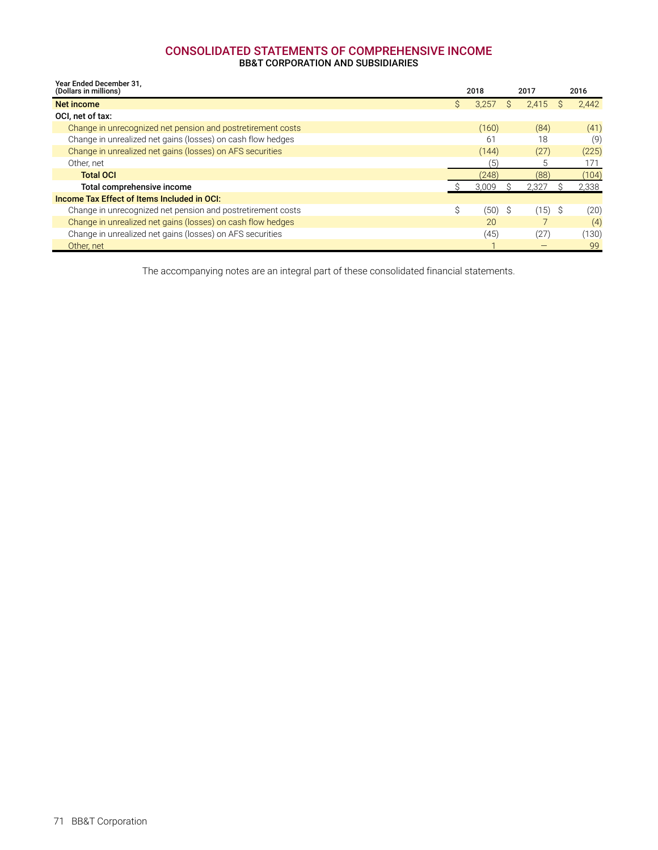## **CONSOLIDATED STATEMENTS OF COMPREHENSIVE INCOME BB&T CORPORATION AND SUBSIDIARIES**

**Year Ended December 31,**

| (Dollars in millions)                                       | 2018 |           |    | 2017  | 2016 |       |
|-------------------------------------------------------------|------|-----------|----|-------|------|-------|
| Net income                                                  | Ŝ.   | 3,257     | S. | 2,415 |      | 2,442 |
| OCI, net of tax:                                            |      |           |    |       |      |       |
| Change in unrecognized net pension and postretirement costs |      | (160)     |    | (84)  |      | (41)  |
| Change in unrealized net gains (losses) on cash flow hedges |      | 61        |    | 18    |      | (9)   |
| Change in unrealized net gains (losses) on AFS securities   |      | (144)     |    | (27)  |      | (225) |
| Other, net                                                  |      | (5)       |    | 5.    |      | 171   |
| <b>Total OCI</b>                                            |      | (248)     |    | (88)  |      | (104) |
| Total comprehensive income                                  |      | 3,009     |    | 2,327 |      | 2,338 |
| Income Tax Effect of Items Included in OCI:                 |      |           |    |       |      |       |
| Change in unrecognized net pension and postretirement costs | Ŝ    | $(50)$ \$ |    | (15)  | - S  | (20)  |
| Change in unrealized net gains (losses) on cash flow hedges |      | 20        |    |       |      | (4)   |
| Change in unrealized net gains (losses) on AFS securities   |      | (45)      |    | (27)  |      | (130) |
| Other, net                                                  |      |           |    |       |      | 99    |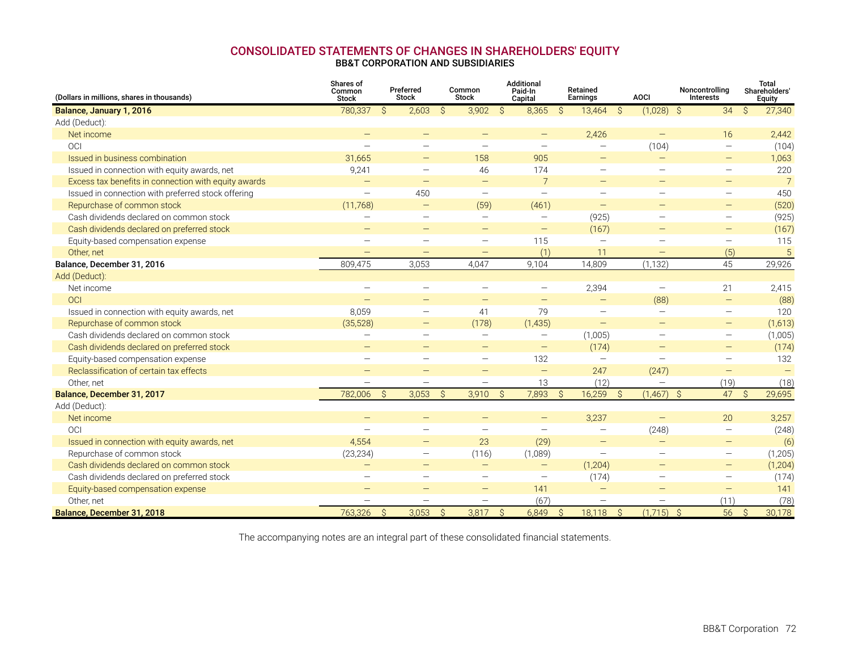#### **CONSOLIDATED STATEMENTS OF CHANGES IN SHAREHOLDERS' EQUITY BB&T CORPORATION AND SUBSIDIARIES**

| (Dollars in millions, shares in thousands)           | Shares of<br>Common<br><b>Stock</b> | Preferred<br><b>Stock</b> | Common<br><b>Stock</b>           | <b>Additional</b><br>Paid-In<br>Capital | Retained<br>Earnings     | <b>AOCI</b>                     | Noncontrolling<br><b>Interests</b> | <b>Total</b><br>Shareholders'<br>Equity |
|------------------------------------------------------|-------------------------------------|---------------------------|----------------------------------|-----------------------------------------|--------------------------|---------------------------------|------------------------------------|-----------------------------------------|
| Balance, January 1, 2016                             | 780,337                             | $\mathsf{S}$<br>2.603     | $\mathsf{S}$<br>3.902            | $\mathsf{S}$<br>8.365                   | Ŝ.<br>13,464             | S.<br>(1,028)                   | $\mathcal{S}$<br>34                | S.<br>27,340                            |
| Add (Deduct):                                        |                                     |                           |                                  |                                         |                          |                                 |                                    |                                         |
| Net income                                           |                                     |                           |                                  | $\qquad \qquad -$                       | 2,426                    | $\qquad \qquad -$               | 16                                 | 2,442                                   |
| OCI                                                  |                                     |                           | $\overline{\phantom{0}}$         | $\overline{\phantom{0}}$                | $\overline{\phantom{0}}$ | (104)                           | $\overline{\phantom{0}}$           | (104)                                   |
| Issued in business combination                       | 31,665                              | $\equiv$                  | 158                              | 905                                     | $\qquad \qquad -$        | $\overline{\phantom{m}}$        | $\qquad \qquad -$                  | 1,063                                   |
| Issued in connection with equity awards, net         | 9,241                               | $\overline{\phantom{0}}$  | 46                               | 174                                     | $\overline{\phantom{0}}$ |                                 | $\overline{\phantom{0}}$           | 220                                     |
| Excess tax benefits in connection with equity awards |                                     | $\equiv$                  | $\equiv$                         | $\overline{7}$                          | $\qquad \qquad -$        | $\equiv$                        | $\overline{\phantom{m}}$           | $\overline{7}$                          |
| Issued in connection with preferred stock offering   | $\overline{\phantom{0}}$            | 450                       | $\overbrace{\phantom{1232211}}$  |                                         | $\overline{\phantom{0}}$ | $\overbrace{\phantom{1232211}}$ | $\overline{\phantom{0}}$           | 450                                     |
| Repurchase of common stock                           | (11,768)                            | $\overline{\phantom{m}}$  | (59)                             | (461)                                   | $\qquad \qquad -$        | $\overline{\phantom{0}}$        | $\overline{\phantom{m}}$           | (520)                                   |
| Cash dividends declared on common stock              |                                     |                           | $\overbrace{\phantom{1232211}}$  | $\qquad \qquad -$                       | (925)                    | $\overbrace{\phantom{1232211}}$ | $\overline{\phantom{m}}$           | (925)                                   |
| Cash dividends declared on preferred stock           |                                     | $\overline{\phantom{m}}$  | $\overline{\phantom{m}}$         | $\qquad \qquad -$                       | (167)                    | $\overline{\phantom{m}}$        | $\overline{\phantom{m}}$           | (167)                                   |
| Equity-based compensation expense                    |                                     | $\overline{\phantom{a}}$  | $\overline{\phantom{0}}$         | 115                                     |                          | $\overline{\phantom{0}}$        | $\equiv$                           | 115                                     |
| Other, net                                           |                                     |                           | $\qquad \qquad -$                | (1)                                     | 11                       | $\qquad \qquad -$               | (5)                                | 5                                       |
| Balance, December 31, 2016                           | 809,475                             | 3,053                     | 4,047                            | 9.104                                   | 14,809                   | (1, 132)                        | 45                                 | 29,926                                  |
| Add (Deduct):                                        |                                     |                           |                                  |                                         |                          |                                 |                                    |                                         |
| Net income                                           |                                     |                           |                                  |                                         | 2,394                    | $\overbrace{\phantom{1232211}}$ | 21                                 | 2,415                                   |
| OCI                                                  |                                     | $\overline{\phantom{m}}$  | $\qquad \qquad -$                | $\overline{\phantom{m}}$                | $\equiv$                 | (88)                            | $\equiv$                           | (88)                                    |
| Issued in connection with equity awards, net         | 8,059                               | $\overline{\phantom{m}}$  | 41                               | 79                                      | $\overline{\phantom{0}}$ | $\overbrace{\phantom{1232211}}$ | $\overline{\phantom{m}}$           | 120                                     |
| Repurchase of common stock                           | (35, 528)                           | $\qquad \qquad -$         | (178)                            | (1, 435)                                | $\equiv$                 | $\qquad \qquad -$               | $\overline{\phantom{m}}$           | (1,613)                                 |
| Cash dividends declared on common stock              |                                     | $\overline{\phantom{a}}$  |                                  | $\overbrace{\phantom{1232211}}$         | (1,005)                  |                                 | $\equiv$                           | (1,005)                                 |
| Cash dividends declared on preferred stock           | $\equiv$                            | $\overline{\phantom{m}}$  | $\qquad \qquad -$                | $\equiv$                                | (174)                    | $\overline{\phantom{m}}$        | $\overline{\phantom{m}}$           | (174)                                   |
| Equity-based compensation expense                    |                                     | $\overline{\phantom{0}}$  | $\overbrace{\phantom{12322111}}$ | 132                                     |                          | $\overline{\phantom{0}}$        | $\overbrace{\phantom{1232211}}$    | 132                                     |
| Reclassification of certain tax effects              |                                     | $\qquad \qquad -$         | $\qquad \qquad -$                | $\equiv$                                | 247                      | (247)                           | $\overline{\phantom{m}}$           | $\qquad \qquad -$                       |
| Other, net                                           |                                     |                           |                                  | 13                                      | (12)                     |                                 | (19)                               | (18)                                    |
| Balance, December 31, 2017                           | 782,006                             | $\mathcal{S}$<br>3,053    | $\mathsf{S}$<br>3,910            | $\mathcal{S}$<br>7,893                  | $\mathcal{S}$<br>16,259  | (1, 467)<br>S.                  | 47<br>S.                           | 29,695<br>$\mathcal{S}$                 |
| Add (Deduct):                                        |                                     |                           |                                  |                                         |                          |                                 |                                    |                                         |
| Net income                                           |                                     | $\qquad \qquad -$         | $\qquad \qquad -$                | $\qquad \qquad -$                       | 3,237                    | $\overline{\phantom{m}}$        | 20                                 | 3,257                                   |
| OCI                                                  |                                     |                           |                                  | $\overline{\phantom{0}}$                | $\overline{\phantom{0}}$ | (248)                           | $\qquad \qquad -$                  | (248)                                   |
| Issued in connection with equity awards, net         | 4,554                               | $\overline{\phantom{m}}$  | 23                               | (29)                                    | $\qquad \qquad -$        | $\qquad \qquad -$               | $\qquad \qquad -$                  | (6)                                     |
| Repurchase of common stock                           | (23, 234)                           | $\overline{\phantom{m}}$  | (116)                            | (1,089)                                 | $\overline{\phantom{0}}$ |                                 | $\overline{\phantom{0}}$           | (1, 205)                                |
| Cash dividends declared on common stock              | $\qquad \qquad -$                   | $\qquad \qquad -$         | $\qquad \qquad -$                | $\overline{\phantom{m}}$                | (1, 204)                 | $\qquad \qquad -$               | $\overline{\phantom{m}}$           | (1, 204)                                |
| Cash dividends declared on preferred stock           | $\overline{\phantom{0}}$            | $\qquad \qquad -$         | $\overbrace{\phantom{1232211}}$  | $\qquad \qquad -$                       | (174)                    | $\overline{\phantom{m}}$        | $\qquad \qquad -$                  | (174)                                   |
| Equity-based compensation expense                    |                                     |                           | $\qquad \qquad -$                | 141                                     | $-$                      | $\qquad \qquad -$               | $\overline{\phantom{m}}$           | 141                                     |
| Other, net                                           |                                     |                           |                                  | (67)                                    | $\overline{\phantom{0}}$ | $\overline{\phantom{0}}$        | (11)                               | (78)                                    |
| Balance, December 31, 2018                           | 763,326                             | S.<br>3,053               | $\mathcal{S}$<br>3.817           | <sup>S</sup><br>6,849                   | 18,118<br><sup>S</sup>   | S.<br>$(1,715)$ \$              | 56                                 | 30,178<br>S.                            |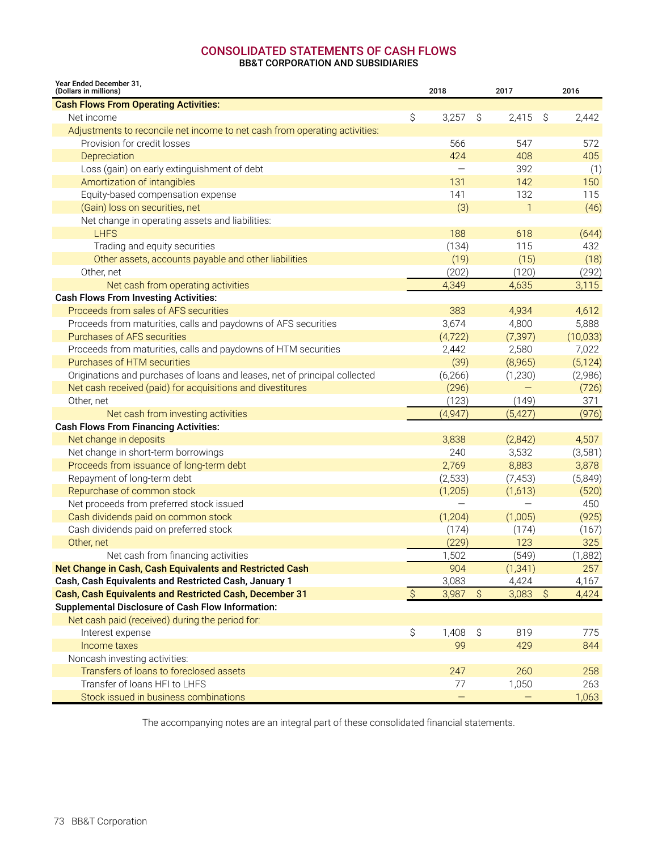# **CONSOLIDATED STATEMENTS OF CASH FLOWS**

**BB&T CORPORATION AND SUBSIDIARIES**

| Year Ended December 31,<br>(Dollars in millions)                           |               | 2018                   | 2017         |               | 2016     |  |
|----------------------------------------------------------------------------|---------------|------------------------|--------------|---------------|----------|--|
| <b>Cash Flows From Operating Activities:</b>                               |               |                        |              |               |          |  |
| Net income                                                                 | \$            | 3,257<br>S,            | 2,415        | $\mathcal{S}$ | 2,442    |  |
| Adjustments to reconcile net income to net cash from operating activities: |               |                        |              |               |          |  |
| Provision for credit losses                                                |               | 566                    | 547          |               | 572      |  |
| Depreciation                                                               |               | 424                    | 408          |               | 405      |  |
| Loss (gain) on early extinguishment of debt                                |               |                        | 392          |               | (1)      |  |
| Amortization of intangibles                                                |               | 131                    | 142          |               | 150      |  |
| Equity-based compensation expense                                          |               | 141                    | 132          |               | 115      |  |
| (Gain) loss on securities, net                                             |               | (3)                    | $\mathbf{1}$ |               | (46)     |  |
| Net change in operating assets and liabilities:                            |               |                        |              |               |          |  |
| <b>LHFS</b>                                                                |               | 188                    | 618          |               | (644)    |  |
| Trading and equity securities                                              |               | (134)                  | 115          |               | 432      |  |
| Other assets, accounts payable and other liabilities                       |               | (19)                   | (15)         |               | (18)     |  |
| Other, net                                                                 |               | (202)                  | (120)        |               | (292)    |  |
| Net cash from operating activities                                         |               | 4,349                  | 4,635        |               | 3,115    |  |
| <b>Cash Flows From Investing Activities:</b>                               |               |                        |              |               |          |  |
| Proceeds from sales of AFS securities                                      |               | 383                    | 4,934        |               | 4,612    |  |
| Proceeds from maturities, calls and paydowns of AFS securities             |               | 3,674                  | 4,800        |               | 5,888    |  |
| Purchases of AFS securities                                                |               | (4, 722)               | (7, 397)     |               | (10,033) |  |
| Proceeds from maturities, calls and paydowns of HTM securities             |               | 2,442                  | 2,580        |               | 7,022    |  |
| Purchases of HTM securities                                                |               | (39)                   | (8,965)      |               | (5, 124) |  |
| Originations and purchases of loans and leases, net of principal collected |               | (6, 266)               | (1,230)      |               | (2,986)  |  |
| Net cash received (paid) for acquisitions and divestitures                 |               | (296)                  |              |               | (726)    |  |
| Other, net                                                                 |               | (123)                  | (149)        |               | 371      |  |
| Net cash from investing activities                                         |               | (4, 947)               | (5, 427)     |               | (976)    |  |
| <b>Cash Flows From Financing Activities:</b>                               |               |                        |              |               |          |  |
| Net change in deposits                                                     |               | 3,838                  | (2,842)      |               | 4,507    |  |
| Net change in short-term borrowings                                        |               | 240                    | 3,532        |               | (3,581)  |  |
| Proceeds from issuance of long-term debt                                   |               | 2,769                  | 8,883        |               | 3,878    |  |
| Repayment of long-term debt                                                |               | (2, 533)               | (7, 453)     |               | (5,849)  |  |
| Repurchase of common stock                                                 |               | (1, 205)               | (1,613)      |               | (520)    |  |
| Net proceeds from preferred stock issued                                   |               |                        |              |               | 450      |  |
| Cash dividends paid on common stock                                        |               | (1, 204)               | (1,005)      |               | (925)    |  |
| Cash dividends paid on preferred stock                                     |               | (174)                  | (174)        |               | (167)    |  |
| Other, net                                                                 |               | (229)                  | 123          |               | 325      |  |
| Net cash from financing activities                                         |               | 1,502                  | (549)        |               | (1,882)  |  |
| Net Change in Cash, Cash Equivalents and Restricted Cash                   |               | 904                    | (1, 341)     |               | 257      |  |
| Cash, Cash Equivalents and Restricted Cash, January 1                      |               | 3,083                  | 4,424        |               | 4,167    |  |
| Cash, Cash Equivalents and Restricted Cash, December 31                    | $\mathcal{S}$ | $\mathcal{S}$<br>3,987 | 3,083        | $\mathcal{S}$ | 4,424    |  |
| <b>Supplemental Disclosure of Cash Flow Information:</b>                   |               |                        |              |               |          |  |
| Net cash paid (received) during the period for:                            |               |                        |              |               |          |  |
| Interest expense                                                           | \$            | 1,408<br>\$            | 819          |               | 775      |  |
| Income taxes                                                               |               | 99                     | 429          |               | 844      |  |
| Noncash investing activities:                                              |               |                        |              |               |          |  |
| Transfers of loans to foreclosed assets                                    |               | 247                    | 260          |               | 258      |  |
| Transfer of loans HFI to LHFS                                              |               | $77\,$                 | 1,050        |               | 263      |  |
| Stock issued in business combinations                                      |               |                        |              |               | 1,063    |  |
|                                                                            |               |                        |              |               |          |  |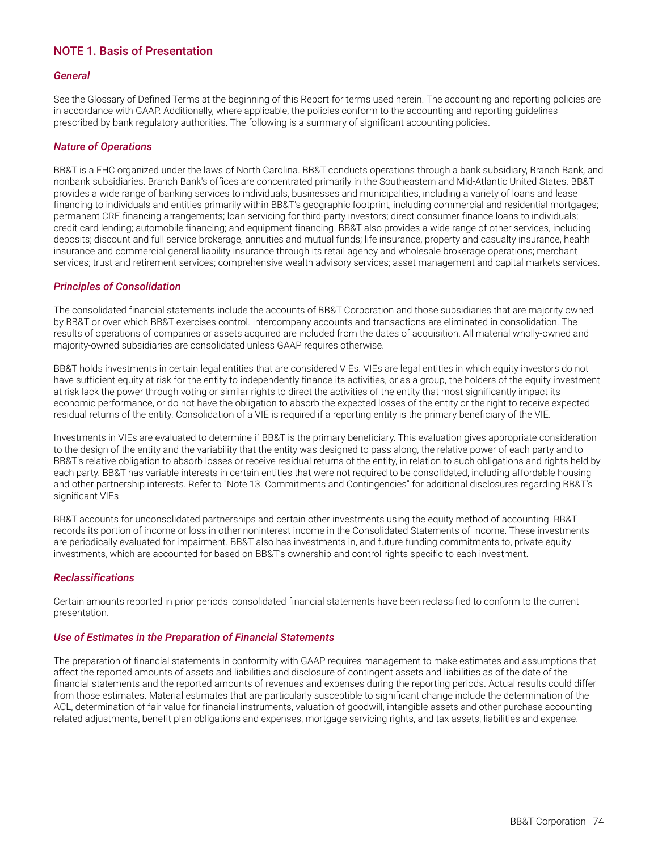## **NOTE 1. Basis of Presentation**

#### *General*

See the Glossary of Defined Terms at the beginning of this Report for terms used herein. The accounting and reporting policies are in accordance with GAAP. Additionally, where applicable, the policies conform to the accounting and reporting guidelines prescribed by bank regulatory authorities. The following is a summary of significant accounting policies.

### *Nature of Operations*

BB&T is a FHC organized under the laws of North Carolina. BB&T conducts operations through a bank subsidiary, Branch Bank, and nonbank subsidiaries. Branch Bank's offices are concentrated primarily in the Southeastern and Mid-Atlantic United States. BB&T provides a wide range of banking services to individuals, businesses and municipalities, including a variety of loans and lease financing to individuals and entities primarily within BB&T's geographic footprint, including commercial and residential mortgages; permanent CRE financing arrangements; loan servicing for third-party investors; direct consumer finance loans to individuals; credit card lending; automobile financing; and equipment financing. BB&T also provides a wide range of other services, including deposits; discount and full service brokerage, annuities and mutual funds; life insurance, property and casualty insurance, health insurance and commercial general liability insurance through its retail agency and wholesale brokerage operations; merchant services; trust and retirement services; comprehensive wealth advisory services; asset management and capital markets services.

### *Principles of Consolidation*

The consolidated financial statements include the accounts of BB&T Corporation and those subsidiaries that are majority owned by BB&T or over which BB&T exercises control. Intercompany accounts and transactions are eliminated in consolidation. The results of operations of companies or assets acquired are included from the dates of acquisition. All material wholly-owned and majority-owned subsidiaries are consolidated unless GAAP requires otherwise.

BB&T holds investments in certain legal entities that are considered VIEs. VIEs are legal entities in which equity investors do not have sufficient equity at risk for the entity to independently finance its activities, or as a group, the holders of the equity investment at risk lack the power through voting or similar rights to direct the activities of the entity that most significantly impact its economic performance, or do not have the obligation to absorb the expected losses of the entity or the right to receive expected residual returns of the entity. Consolidation of a VIE is required if a reporting entity is the primary beneficiary of the VIE.

Investments in VIEs are evaluated to determine if BB&T is the primary beneficiary. This evaluation gives appropriate consideration to the design of the entity and the variability that the entity was designed to pass along, the relative power of each party and to BB&T's relative obligation to absorb losses or receive residual returns of the entity, in relation to such obligations and rights held by each party. BB&T has variable interests in certain entities that were not required to be consolidated, including affordable housing and other partnership interests. Refer to "Note 13. Commitments and Contingencies" for additional disclosures regarding BB&T's significant VIEs.

BB&T accounts for unconsolidated partnerships and certain other investments using the equity method of accounting. BB&T records its portion of income or loss in other noninterest income in the Consolidated Statements of Income. These investments are periodically evaluated for impairment. BB&T also has investments in, and future funding commitments to, private equity investments, which are accounted for based on BB&T's ownership and control rights specific to each investment.

### *Reclassifications*

Certain amounts reported in prior periods' consolidated financial statements have been reclassified to conform to the current presentation.

### *Use of Estimates in the Preparation of Financial Statements*

The preparation of financial statements in conformity with GAAP requires management to make estimates and assumptions that affect the reported amounts of assets and liabilities and disclosure of contingent assets and liabilities as of the date of the financial statements and the reported amounts of revenues and expenses during the reporting periods. Actual results could differ from those estimates. Material estimates that are particularly susceptible to significant change include the determination of the ACL, determination of fair value for financial instruments, valuation of goodwill, intangible assets and other purchase accounting related adjustments, benefit plan obligations and expenses, mortgage servicing rights, and tax assets, liabilities and expense.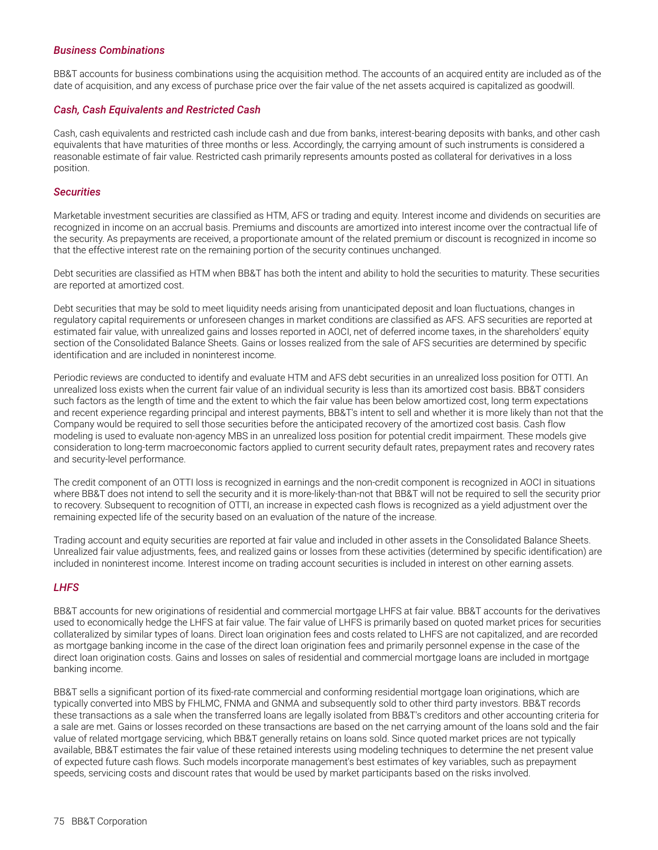#### *Business Combinations*

BB&T accounts for business combinations using the acquisition method. The accounts of an acquired entity are included as of the date of acquisition, and any excess of purchase price over the fair value of the net assets acquired is capitalized as goodwill.

#### *Cash, Cash Equivalents and Restricted Cash*

Cash, cash equivalents and restricted cash include cash and due from banks, interest-bearing deposits with banks, and other cash equivalents that have maturities of three months or less. Accordingly, the carrying amount of such instruments is considered a reasonable estimate of fair value. Restricted cash primarily represents amounts posted as collateral for derivatives in a loss position.

#### *Securities*

Marketable investment securities are classified as HTM, AFS or trading and equity. Interest income and dividends on securities are recognized in income on an accrual basis. Premiums and discounts are amortized into interest income over the contractual life of the security. As prepayments are received, a proportionate amount of the related premium or discount is recognized in income so that the effective interest rate on the remaining portion of the security continues unchanged.

Debt securities are classified as HTM when BB&T has both the intent and ability to hold the securities to maturity. These securities are reported at amortized cost.

Debt securities that may be sold to meet liquidity needs arising from unanticipated deposit and loan fluctuations, changes in regulatory capital requirements or unforeseen changes in market conditions are classified as AFS. AFS securities are reported at estimated fair value, with unrealized gains and losses reported in AOCI, net of deferred income taxes, in the shareholders' equity section of the Consolidated Balance Sheets. Gains or losses realized from the sale of AFS securities are determined by specific identification and are included in noninterest income.

Periodic reviews are conducted to identify and evaluate HTM and AFS debt securities in an unrealized loss position for OTTI. An unrealized loss exists when the current fair value of an individual security is less than its amortized cost basis. BB&T considers such factors as the length of time and the extent to which the fair value has been below amortized cost, long term expectations and recent experience regarding principal and interest payments, BB&T's intent to sell and whether it is more likely than not that the Company would be required to sell those securities before the anticipated recovery of the amortized cost basis. Cash flow modeling is used to evaluate non-agency MBS in an unrealized loss position for potential credit impairment. These models give consideration to long-term macroeconomic factors applied to current security default rates, prepayment rates and recovery rates and security-level performance.

The credit component of an OTTI loss is recognized in earnings and the non-credit component is recognized in AOCI in situations where BB&T does not intend to sell the security and it is more-likely-than-not that BB&T will not be required to sell the security prior to recovery. Subsequent to recognition of OTTI, an increase in expected cash flows is recognized as a yield adjustment over the remaining expected life of the security based on an evaluation of the nature of the increase.

Trading account and equity securities are reported at fair value and included in other assets in the Consolidated Balance Sheets. Unrealized fair value adjustments, fees, and realized gains or losses from these activities (determined by specific identification) are included in noninterest income. Interest income on trading account securities is included in interest on other earning assets.

### *LHFS*

BB&T accounts for new originations of residential and commercial mortgage LHFS at fair value. BB&T accounts for the derivatives used to economically hedge the LHFS at fair value. The fair value of LHFS is primarily based on quoted market prices for securities collateralized by similar types of loans. Direct loan origination fees and costs related to LHFS are not capitalized, and are recorded as mortgage banking income in the case of the direct loan origination fees and primarily personnel expense in the case of the direct loan origination costs. Gains and losses on sales of residential and commercial mortgage loans are included in mortgage banking income.

BB&T sells a significant portion of its fixed-rate commercial and conforming residential mortgage loan originations, which are typically converted into MBS by FHLMC, FNMA and GNMA and subsequently sold to other third party investors. BB&T records these transactions as a sale when the transferred loans are legally isolated from BB&T's creditors and other accounting criteria for a sale are met. Gains or losses recorded on these transactions are based on the net carrying amount of the loans sold and the fair value of related mortgage servicing, which BB&T generally retains on loans sold. Since quoted market prices are not typically available, BB&T estimates the fair value of these retained interests using modeling techniques to determine the net present value of expected future cash flows. Such models incorporate management's best estimates of key variables, such as prepayment speeds, servicing costs and discount rates that would be used by market participants based on the risks involved.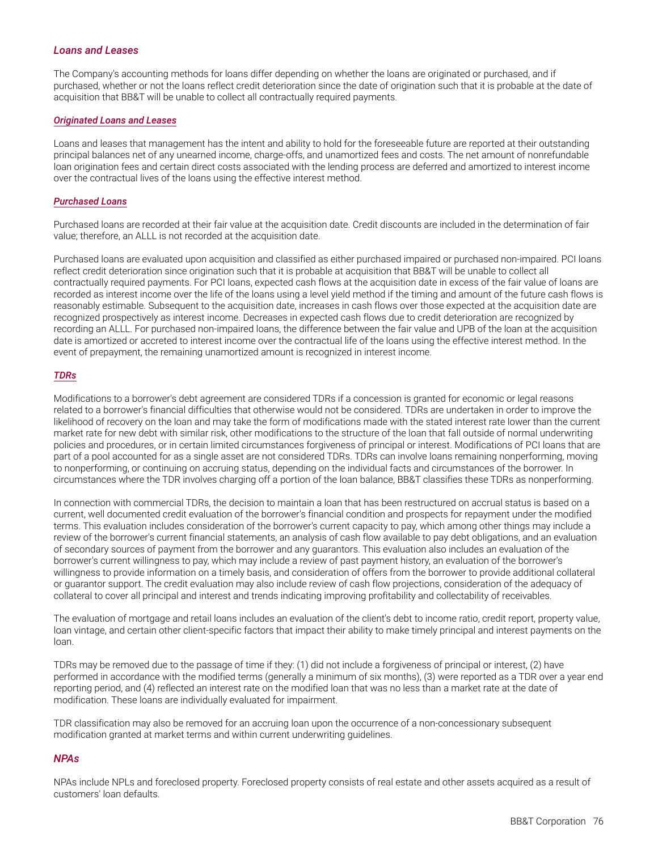### *Loans and Leases*

The Company's accounting methods for loans differ depending on whether the loans are originated or purchased, and if purchased, whether or not the loans reflect credit deterioration since the date of origination such that it is probable at the date of acquisition that BB&T will be unable to collect all contractually required payments.

#### *Originated Loans and Leases*

Loans and leases that management has the intent and ability to hold for the foreseeable future are reported at their outstanding principal balances net of any unearned income, charge-offs, and unamortized fees and costs. The net amount of nonrefundable loan origination fees and certain direct costs associated with the lending process are deferred and amortized to interest income over the contractual lives of the loans using the effective interest method.

#### *Purchased Loans*

Purchased loans are recorded at their fair value at the acquisition date. Credit discounts are included in the determination of fair value; therefore, an ALLL is not recorded at the acquisition date.

Purchased loans are evaluated upon acquisition and classified as either purchased impaired or purchased non-impaired. PCI loans reflect credit deterioration since origination such that it is probable at acquisition that BB&T will be unable to collect all contractually required payments. For PCI loans, expected cash flows at the acquisition date in excess of the fair value of loans are recorded as interest income over the life of the loans using a level yield method if the timing and amount of the future cash flows is reasonably estimable. Subsequent to the acquisition date, increases in cash flows over those expected at the acquisition date are recognized prospectively as interest income. Decreases in expected cash flows due to credit deterioration are recognized by recording an ALLL. For purchased non-impaired loans, the difference between the fair value and UPB of the loan at the acquisition date is amortized or accreted to interest income over the contractual life of the loans using the effective interest method. In the event of prepayment, the remaining unamortized amount is recognized in interest income.

#### *TDRs*

Modifications to a borrower's debt agreement are considered TDRs if a concession is granted for economic or legal reasons related to a borrower's financial difficulties that otherwise would not be considered. TDRs are undertaken in order to improve the likelihood of recovery on the loan and may take the form of modifications made with the stated interest rate lower than the current market rate for new debt with similar risk, other modifications to the structure of the loan that fall outside of normal underwriting policies and procedures, or in certain limited circumstances forgiveness of principal or interest. Modifications of PCI loans that are part of a pool accounted for as a single asset are not considered TDRs. TDRs can involve loans remaining nonperforming, moving to nonperforming, or continuing on accruing status, depending on the individual facts and circumstances of the borrower. In circumstances where the TDR involves charging off a portion of the loan balance, BB&T classifies these TDRs as nonperforming.

In connection with commercial TDRs, the decision to maintain a loan that has been restructured on accrual status is based on a current, well documented credit evaluation of the borrower's financial condition and prospects for repayment under the modified terms. This evaluation includes consideration of the borrower's current capacity to pay, which among other things may include a review of the borrower's current financial statements, an analysis of cash flow available to pay debt obligations, and an evaluation of secondary sources of payment from the borrower and any guarantors. This evaluation also includes an evaluation of the borrower's current willingness to pay, which may include a review of past payment history, an evaluation of the borrower's willingness to provide information on a timely basis, and consideration of offers from the borrower to provide additional collateral or guarantor support. The credit evaluation may also include review of cash flow projections, consideration of the adequacy of collateral to cover all principal and interest and trends indicating improving profitability and collectability of receivables.

The evaluation of mortgage and retail loans includes an evaluation of the client's debt to income ratio, credit report, property value, loan vintage, and certain other client-specific factors that impact their ability to make timely principal and interest payments on the loan.

TDRs may be removed due to the passage of time if they: (1) did not include a forgiveness of principal or interest, (2) have performed in accordance with the modified terms (generally a minimum of six months), (3) were reported as a TDR over a year end reporting period, and (4) reflected an interest rate on the modified loan that was no less than a market rate at the date of modification. These loans are individually evaluated for impairment.

TDR classification may also be removed for an accruing loan upon the occurrence of a non-concessionary subsequent modification granted at market terms and within current underwriting guidelines.

#### *NPAs*

NPAs include NPLs and foreclosed property. Foreclosed property consists of real estate and other assets acquired as a result of customers' loan defaults.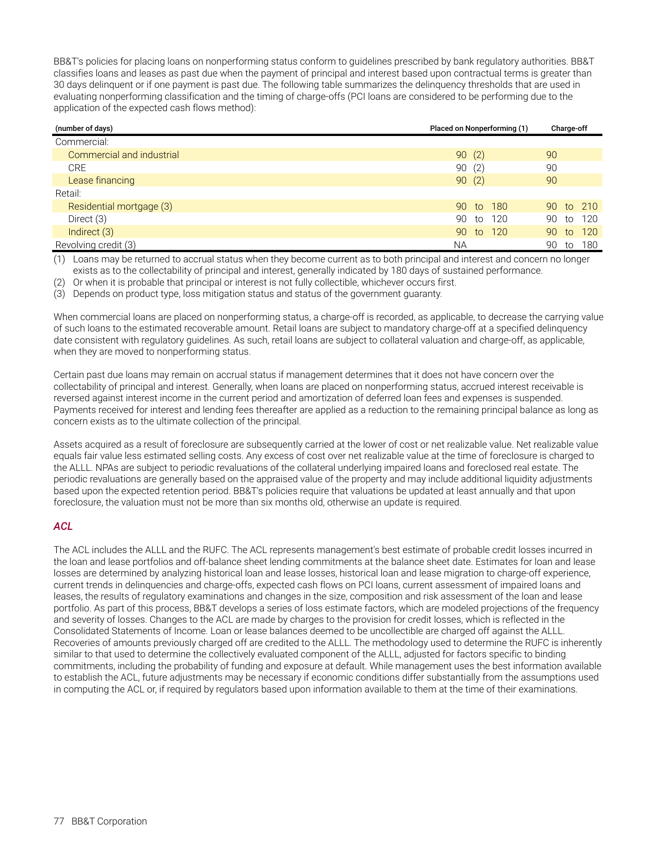BB&T's policies for placing loans on nonperforming status conform to guidelines prescribed by bank regulatory authorities. BB&T classifies loans and leases as past due when the payment of principal and interest based upon contractual terms is greater than 30 days delinquent or if one payment is past due. The following table summarizes the delinquency thresholds that are used in evaluating nonperforming classification and the timing of charge-offs (PCI loans are considered to be performing due to the application of the expected cash flows method):

| (number of days)          | Placed on Nonperforming (1) |                 |  |  |  |  |
|---------------------------|-----------------------------|-----------------|--|--|--|--|
| Commercial:               |                             |                 |  |  |  |  |
| Commercial and industrial | 90(2)                       | 90              |  |  |  |  |
| <b>CRE</b>                | 90<br>(2)                   | 90              |  |  |  |  |
| Lease financing           | 90(2)                       | 90              |  |  |  |  |
| Retail:                   |                             |                 |  |  |  |  |
| Residential mortgage (3)  | 90 to<br>-180               | 90 to 210       |  |  |  |  |
| Direct (3)                | 90<br>120<br>to             | 120<br>90<br>to |  |  |  |  |
| Indirect (3)              | 90<br>120<br>to             | 120<br>90<br>to |  |  |  |  |
| Revolving credit (3)      | <b>NA</b>                   | 90 to<br>180    |  |  |  |  |

(1) Loans may be returned to accrual status when they become current as to both principal and interest and concern no longer exists as to the collectability of principal and interest, generally indicated by 180 days of sustained performance.

Or when it is probable that principal or interest is not fully collectible, whichever occurs first.

(3) Depends on product type, loss mitigation status and status of the government guaranty.

When commercial loans are placed on nonperforming status, a charge-off is recorded, as applicable, to decrease the carrying value of such loans to the estimated recoverable amount. Retail loans are subject to mandatory charge-off at a specified delinquency date consistent with regulatory guidelines. As such, retail loans are subject to collateral valuation and charge-off, as applicable, when they are moved to nonperforming status.

Certain past due loans may remain on accrual status if management determines that it does not have concern over the collectability of principal and interest. Generally, when loans are placed on nonperforming status, accrued interest receivable is reversed against interest income in the current period and amortization of deferred loan fees and expenses is suspended. Payments received for interest and lending fees thereafter are applied as a reduction to the remaining principal balance as long as concern exists as to the ultimate collection of the principal.

Assets acquired as a result of foreclosure are subsequently carried at the lower of cost or net realizable value. Net realizable value equals fair value less estimated selling costs. Any excess of cost over net realizable value at the time of foreclosure is charged to the ALLL. NPAs are subject to periodic revaluations of the collateral underlying impaired loans and foreclosed real estate. The periodic revaluations are generally based on the appraised value of the property and may include additional liquidity adjustments based upon the expected retention period. BB&T's policies require that valuations be updated at least annually and that upon foreclosure, the valuation must not be more than six months old, otherwise an update is required.

### *ACL*

The ACL includes the ALLL and the RUFC. The ACL represents management's best estimate of probable credit losses incurred in the loan and lease portfolios and off-balance sheet lending commitments at the balance sheet date. Estimates for loan and lease losses are determined by analyzing historical loan and lease losses, historical loan and lease migration to charge-off experience, current trends in delinquencies and charge-offs, expected cash flows on PCI loans, current assessment of impaired loans and leases, the results of regulatory examinations and changes in the size, composition and risk assessment of the loan and lease portfolio. As part of this process, BB&T develops a series of loss estimate factors, which are modeled projections of the frequency and severity of losses. Changes to the ACL are made by charges to the provision for credit losses, which is reflected in the Consolidated Statements of Income. Loan or lease balances deemed to be uncollectible are charged off against the ALLL. Recoveries of amounts previously charged off are credited to the ALLL. The methodology used to determine the RUFC is inherently similar to that used to determine the collectively evaluated component of the ALLL, adjusted for factors specific to binding commitments, including the probability of funding and exposure at default. While management uses the best information available to establish the ACL, future adjustments may be necessary if economic conditions differ substantially from the assumptions used in computing the ACL or, if required by regulators based upon information available to them at the time of their examinations.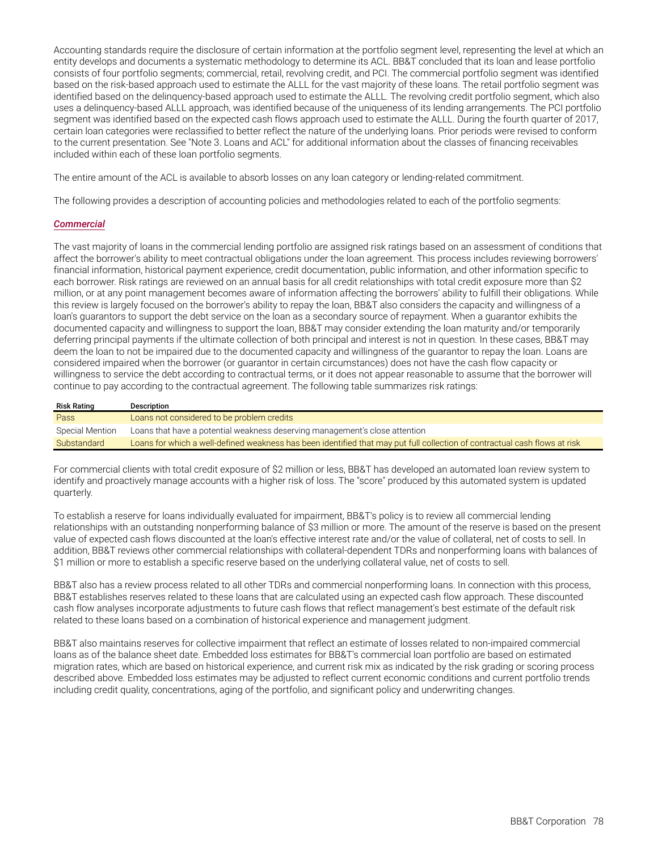Accounting standards require the disclosure of certain information at the portfolio segment level, representing the level at which an entity develops and documents a systematic methodology to determine its ACL. BB&T concluded that its loan and lease portfolio consists of four portfolio segments; commercial, retail, revolving credit, and PCI. The commercial portfolio segment was identified based on the risk-based approach used to estimate the ALLL for the vast majority of these loans. The retail portfolio segment was identified based on the delinquency-based approach used to estimate the ALLL. The revolving credit portfolio segment, which also uses a delinquency-based ALLL approach, was identified because of the uniqueness of its lending arrangements. The PCI portfolio segment was identified based on the expected cash flows approach used to estimate the ALLL. During the fourth quarter of 2017, certain loan categories were reclassified to better reflect the nature of the underlying loans. Prior periods were revised to conform to the current presentation. See "Note 3. Loans and ACL" for additional information about the classes of financing receivables included within each of these loan portfolio segments.

The entire amount of the ACL is available to absorb losses on any loan category or lending-related commitment.

The following provides a description of accounting policies and methodologies related to each of the portfolio segments:

#### *Commercial*

The vast majority of loans in the commercial lending portfolio are assigned risk ratings based on an assessment of conditions that affect the borrower's ability to meet contractual obligations under the loan agreement. This process includes reviewing borrowers' financial information, historical payment experience, credit documentation, public information, and other information specific to each borrower. Risk ratings are reviewed on an annual basis for all credit relationships with total credit exposure more than \$2 million, or at any point management becomes aware of information affecting the borrowers' ability to fulfill their obligations. While this review is largely focused on the borrower's ability to repay the loan, BB&T also considers the capacity and willingness of a loan's guarantors to support the debt service on the loan as a secondary source of repayment. When a guarantor exhibits the documented capacity and willingness to support the loan, BB&T may consider extending the loan maturity and/or temporarily deferring principal payments if the ultimate collection of both principal and interest is not in question. In these cases, BB&T may deem the loan to not be impaired due to the documented capacity and willingness of the guarantor to repay the loan. Loans are considered impaired when the borrower (or guarantor in certain circumstances) does not have the cash flow capacity or willingness to service the debt according to contractual terms, or it does not appear reasonable to assume that the borrower will continue to pay according to the contractual agreement. The following table summarizes risk ratings:

| <b>Risk Rating</b> | Description                                                                                                                |
|--------------------|----------------------------------------------------------------------------------------------------------------------------|
| Pass               | Loans not considered to be problem credits                                                                                 |
| Special Mention    | Loans that have a potential weakness deserving management's close attention                                                |
| Substandard        | Loans for which a well-defined weakness has been identified that may put full collection of contractual cash flows at risk |

For commercial clients with total credit exposure of \$2 million or less, BB&T has developed an automated loan review system to identify and proactively manage accounts with a higher risk of loss. The "score" produced by this automated system is updated quarterly.

To establish a reserve for loans individually evaluated for impairment, BB&T's policy is to review all commercial lending relationships with an outstanding nonperforming balance of \$3 million or more. The amount of the reserve is based on the present value of expected cash flows discounted at the loan's effective interest rate and/or the value of collateral, net of costs to sell. In addition, BB&T reviews other commercial relationships with collateral-dependent TDRs and nonperforming loans with balances of \$1 million or more to establish a specific reserve based on the underlying collateral value, net of costs to sell.

BB&T also has a review process related to all other TDRs and commercial nonperforming loans. In connection with this process, BB&T establishes reserves related to these loans that are calculated using an expected cash flow approach. These discounted cash flow analyses incorporate adjustments to future cash flows that reflect management's best estimate of the default risk related to these loans based on a combination of historical experience and management judgment.

BB&T also maintains reserves for collective impairment that reflect an estimate of losses related to non-impaired commercial loans as of the balance sheet date. Embedded loss estimates for BB&T's commercial loan portfolio are based on estimated migration rates, which are based on historical experience, and current risk mix as indicated by the risk grading or scoring process described above. Embedded loss estimates may be adjusted to reflect current economic conditions and current portfolio trends including credit quality, concentrations, aging of the portfolio, and significant policy and underwriting changes.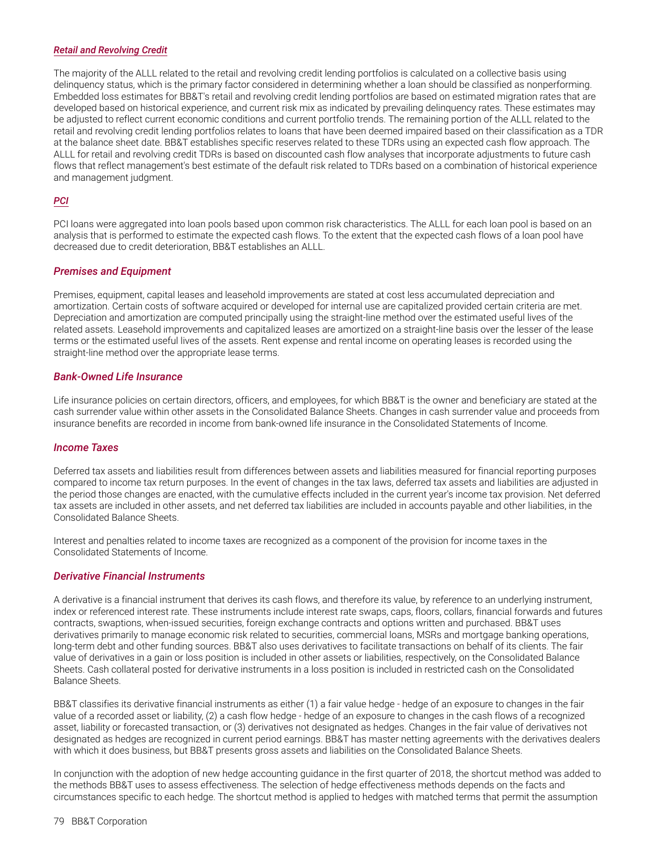#### *Retail and Revolving Credit*

The majority of the ALLL related to the retail and revolving credit lending portfolios is calculated on a collective basis using delinquency status, which is the primary factor considered in determining whether a loan should be classified as nonperforming. Embedded loss estimates for BB&T's retail and revolving credit lending portfolios are based on estimated migration rates that are developed based on historical experience, and current risk mix as indicated by prevailing delinquency rates. These estimates may be adjusted to reflect current economic conditions and current portfolio trends. The remaining portion of the ALLL related to the retail and revolving credit lending portfolios relates to loans that have been deemed impaired based on their classification as a TDR at the balance sheet date. BB&T establishes specific reserves related to these TDRs using an expected cash flow approach. The ALLL for retail and revolving credit TDRs is based on discounted cash flow analyses that incorporate adjustments to future cash flows that reflect management's best estimate of the default risk related to TDRs based on a combination of historical experience and management judgment.

#### *PCI*

PCI loans were aggregated into loan pools based upon common risk characteristics. The ALLL for each loan pool is based on an analysis that is performed to estimate the expected cash flows. To the extent that the expected cash flows of a loan pool have decreased due to credit deterioration, BB&T establishes an ALLL.

#### *Premises and Equipment*

Premises, equipment, capital leases and leasehold improvements are stated at cost less accumulated depreciation and amortization. Certain costs of software acquired or developed for internal use are capitalized provided certain criteria are met. Depreciation and amortization are computed principally using the straight-line method over the estimated useful lives of the related assets. Leasehold improvements and capitalized leases are amortized on a straight-line basis over the lesser of the lease terms or the estimated useful lives of the assets. Rent expense and rental income on operating leases is recorded using the straight-line method over the appropriate lease terms.

#### *Bank-Owned Life Insurance*

Life insurance policies on certain directors, officers, and employees, for which BB&T is the owner and beneficiary are stated at the cash surrender value within other assets in the Consolidated Balance Sheets. Changes in cash surrender value and proceeds from insurance benefits are recorded in income from bank-owned life insurance in the Consolidated Statements of Income.

#### *Income Taxes*

Deferred tax assets and liabilities result from differences between assets and liabilities measured for financial reporting purposes compared to income tax return purposes. In the event of changes in the tax laws, deferred tax assets and liabilities are adjusted in the period those changes are enacted, with the cumulative effects included in the current year's income tax provision. Net deferred tax assets are included in other assets, and net deferred tax liabilities are included in accounts payable and other liabilities, in the Consolidated Balance Sheets.

Interest and penalties related to income taxes are recognized as a component of the provision for income taxes in the Consolidated Statements of Income.

#### *Derivative Financial Instruments*

A derivative is a financial instrument that derives its cash flows, and therefore its value, by reference to an underlying instrument, index or referenced interest rate. These instruments include interest rate swaps, caps, floors, collars, financial forwards and futures contracts, swaptions, when-issued securities, foreign exchange contracts and options written and purchased. BB&T uses derivatives primarily to manage economic risk related to securities, commercial loans, MSRs and mortgage banking operations, long-term debt and other funding sources. BB&T also uses derivatives to facilitate transactions on behalf of its clients. The fair value of derivatives in a gain or loss position is included in other assets or liabilities, respectively, on the Consolidated Balance Sheets. Cash collateral posted for derivative instruments in a loss position is included in restricted cash on the Consolidated Balance Sheets.

BB&T classifies its derivative financial instruments as either (1) a fair value hedge - hedge of an exposure to changes in the fair value of a recorded asset or liability, (2) a cash flow hedge - hedge of an exposure to changes in the cash flows of a recognized asset, liability or forecasted transaction, or (3) derivatives not designated as hedges. Changes in the fair value of derivatives not designated as hedges are recognized in current period earnings. BB&T has master netting agreements with the derivatives dealers with which it does business, but BB&T presents gross assets and liabilities on the Consolidated Balance Sheets.

In conjunction with the adoption of new hedge accounting guidance in the first quarter of 2018, the shortcut method was added to the methods BB&T uses to assess effectiveness. The selection of hedge effectiveness methods depends on the facts and circumstances specific to each hedge. The shortcut method is applied to hedges with matched terms that permit the assumption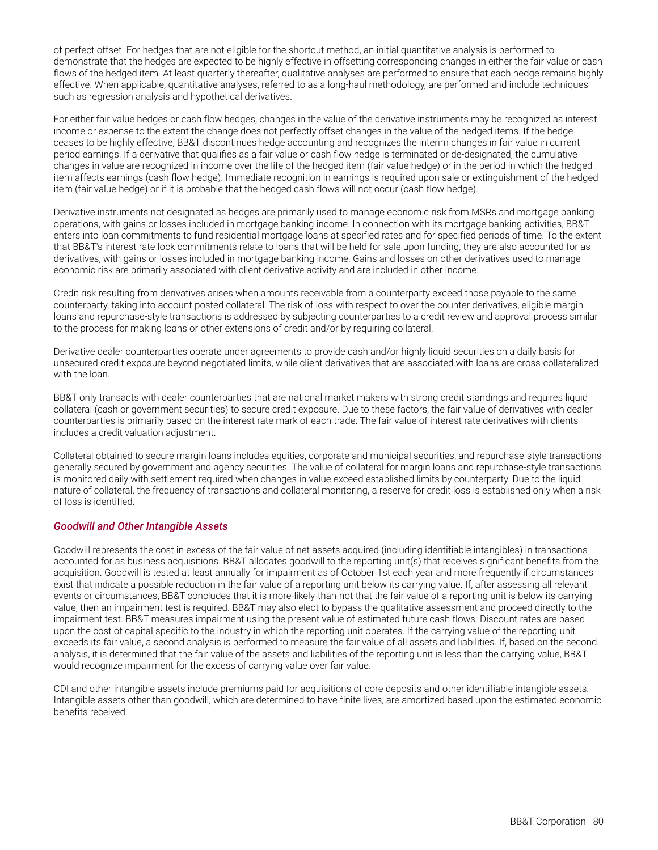of perfect offset. For hedges that are not eligible for the shortcut method, an initial quantitative analysis is performed to demonstrate that the hedges are expected to be highly effective in offsetting corresponding changes in either the fair value or cash flows of the hedged item. At least quarterly thereafter, qualitative analyses are performed to ensure that each hedge remains highly effective. When applicable, quantitative analyses, referred to as a long-haul methodology, are performed and include techniques such as regression analysis and hypothetical derivatives.

For either fair value hedges or cash flow hedges, changes in the value of the derivative instruments may be recognized as interest income or expense to the extent the change does not perfectly offset changes in the value of the hedged items. If the hedge ceases to be highly effective, BB&T discontinues hedge accounting and recognizes the interim changes in fair value in current period earnings. If a derivative that qualifies as a fair value or cash flow hedge is terminated or de-designated, the cumulative changes in value are recognized in income over the life of the hedged item (fair value hedge) or in the period in which the hedged item affects earnings (cash flow hedge). Immediate recognition in earnings is required upon sale or extinguishment of the hedged item (fair value hedge) or if it is probable that the hedged cash flows will not occur (cash flow hedge).

Derivative instruments not designated as hedges are primarily used to manage economic risk from MSRs and mortgage banking operations, with gains or losses included in mortgage banking income. In connection with its mortgage banking activities, BB&T enters into loan commitments to fund residential mortgage loans at specified rates and for specified periods of time. To the extent that BB&T's interest rate lock commitments relate to loans that will be held for sale upon funding, they are also accounted for as derivatives, with gains or losses included in mortgage banking income. Gains and losses on other derivatives used to manage economic risk are primarily associated with client derivative activity and are included in other income.

Credit risk resulting from derivatives arises when amounts receivable from a counterparty exceed those payable to the same counterparty, taking into account posted collateral. The risk of loss with respect to over-the-counter derivatives, eligible margin loans and repurchase-style transactions is addressed by subjecting counterparties to a credit review and approval process similar to the process for making loans or other extensions of credit and/or by requiring collateral.

Derivative dealer counterparties operate under agreements to provide cash and/or highly liquid securities on a daily basis for unsecured credit exposure beyond negotiated limits, while client derivatives that are associated with loans are cross-collateralized with the loan.

BB&T only transacts with dealer counterparties that are national market makers with strong credit standings and requires liquid collateral (cash or government securities) to secure credit exposure. Due to these factors, the fair value of derivatives with dealer counterparties is primarily based on the interest rate mark of each trade. The fair value of interest rate derivatives with clients includes a credit valuation adjustment.

Collateral obtained to secure margin loans includes equities, corporate and municipal securities, and repurchase-style transactions generally secured by government and agency securities. The value of collateral for margin loans and repurchase-style transactions is monitored daily with settlement required when changes in value exceed established limits by counterparty. Due to the liquid nature of collateral, the frequency of transactions and collateral monitoring, a reserve for credit loss is established only when a risk of loss is identified.

### *Goodwill and Other Intangible Assets*

Goodwill represents the cost in excess of the fair value of net assets acquired (including identifiable intangibles) in transactions accounted for as business acquisitions. BB&T allocates goodwill to the reporting unit(s) that receives significant benefits from the acquisition. Goodwill is tested at least annually for impairment as of October 1st each year and more frequently if circumstances exist that indicate a possible reduction in the fair value of a reporting unit below its carrying value. If, after assessing all relevant events or circumstances, BB&T concludes that it is more-likely-than-not that the fair value of a reporting unit is below its carrying value, then an impairment test is required. BB&T may also elect to bypass the qualitative assessment and proceed directly to the impairment test. BB&T measures impairment using the present value of estimated future cash flows. Discount rates are based upon the cost of capital specific to the industry in which the reporting unit operates. If the carrying value of the reporting unit exceeds its fair value, a second analysis is performed to measure the fair value of all assets and liabilities. If, based on the second analysis, it is determined that the fair value of the assets and liabilities of the reporting unit is less than the carrying value, BB&T would recognize impairment for the excess of carrying value over fair value.

CDI and other intangible assets include premiums paid for acquisitions of core deposits and other identifiable intangible assets. Intangible assets other than goodwill, which are determined to have finite lives, are amortized based upon the estimated economic benefits received.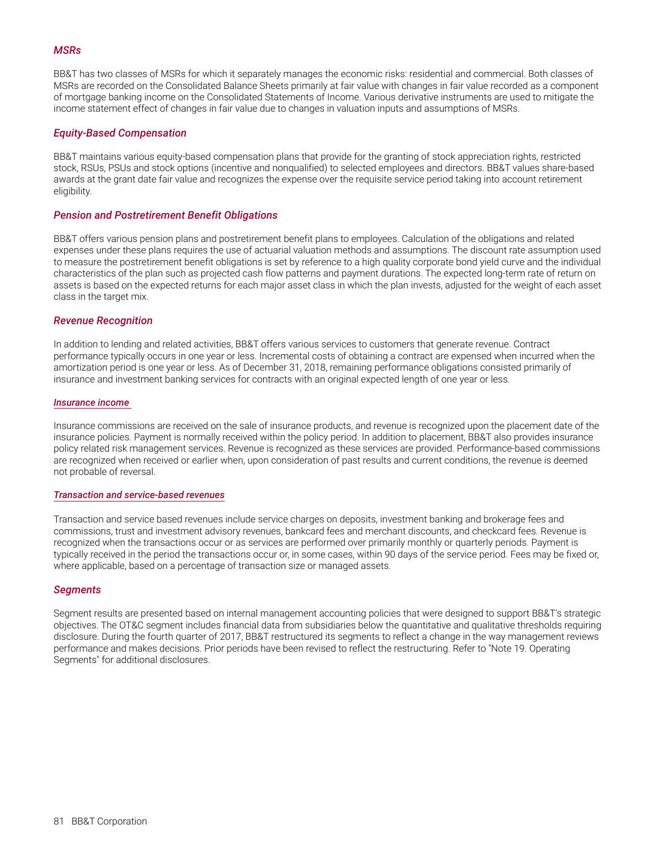### *MSRs*

BB&T has two classes of MSRs for which it separately manages the economic risks: residential and commercial. Both classes of MSRs are recorded on the Consolidated Balance Sheets primarily at fair value with changes in fair value recorded as a component of mortgage banking income on the Consolidated Statements of Income. Various derivative instruments are used to mitigate the income statement effect of changes in fair value due to changes in valuation inputs and assumptions of MSRs.

### *Equity-Based Compensation*

BB&T maintains various equity-based compensation plans that provide for the granting of stock appreciation rights, restricted stock, RSUs, PSUs and stock options (incentive and nonqualified) to selected employees and directors. BB&T values share-based awards at the grant date fair value and recognizes the expense over the requisite service period taking into account retirement eligibility.

#### *Pension and Postretirement Benefit Obligations*

BB&T offers various pension plans and postretirement benefit plans to employees. Calculation of the obligations and related expenses under these plans requires the use of actuarial valuation methods and assumptions. The discount rate assumption used to measure the postretirement benefit obligations is set by reference to a high quality corporate bond yield curve and the individual characteristics of the plan such as projected cash flow patterns and payment durations. The expected long-term rate of return on assets is based on the expected returns for each major asset class in which the plan invests, adjusted for the weight of each asset class in the target mix.

#### *Revenue Recognition*

In addition to lending and related activities, BB&T offers various services to customers that generate revenue. Contract performance typically occurs in one year or less. Incremental costs of obtaining a contract are expensed when incurred when the amortization period is one year or less. As of December 31, 2018, remaining performance obligations consisted primarily of insurance and investment banking services for contracts with an original expected length of one year or less.

#### *Insurance income*

Insurance commissions are received on the sale of insurance products, and revenue is recognized upon the placement date of the insurance policies. Payment is normally received within the policy period. In addition to placement, BB&T also provides insurance policy related risk management services. Revenue is recognized as these services are provided. Performance-based commissions are recognized when received or earlier when, upon consideration of past results and current conditions, the revenue is deemed not probable of reversal.

#### *Transaction and service-based revenues*

Transaction and service based revenues include service charges on deposits, investment banking and brokerage fees and commissions, trust and investment advisory revenues, bankcard fees and merchant discounts, and checkcard fees. Revenue is recognized when the transactions occur or as services are performed over primarily monthly or quarterly periods. Payment is typically received in the period the transactions occur or, in some cases, within 90 days of the service period. Fees may be fixed or, where applicable, based on a percentage of transaction size or managed assets.

#### *Segments*

Segment results are presented based on internal management accounting policies that were designed to support BB&T's strategic objectives. The OT&C segment includes financial data from subsidiaries below the quantitative and qualitative thresholds requiring disclosure. During the fourth quarter of 2017, BB&T restructured its segments to reflect a change in the way management reviews performance and makes decisions. Prior periods have been revised to reflect the restructuring. Refer to "Note 19. Operating Segments" for additional disclosures.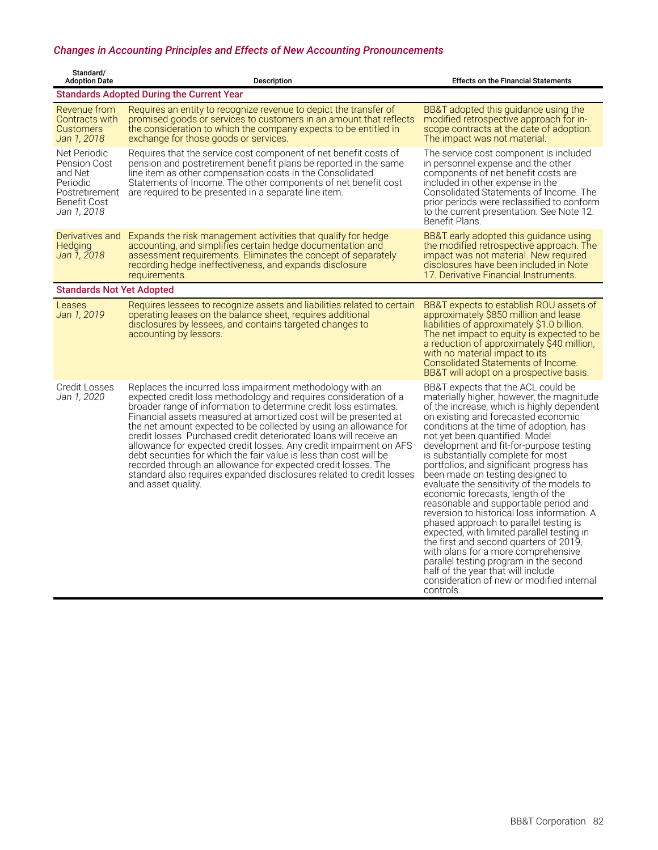## *Changes in Accounting Principles and Effects of New Accounting Pronouncements*

| Standard/<br><b>Adoption Date</b>                                                                    | Description                                                                                                                                                                                                                                                                                                                                                                                                                                                                                                                                                                                                                                                                                                                 | <b>Effects on the Financial Statements</b>                                                                                                                                                                                                                                                                                                                                                                                                                                                                                                                                                                                                                                                                                                                                                                                                                                                                      |  |  |  |  |  |
|------------------------------------------------------------------------------------------------------|-----------------------------------------------------------------------------------------------------------------------------------------------------------------------------------------------------------------------------------------------------------------------------------------------------------------------------------------------------------------------------------------------------------------------------------------------------------------------------------------------------------------------------------------------------------------------------------------------------------------------------------------------------------------------------------------------------------------------------|-----------------------------------------------------------------------------------------------------------------------------------------------------------------------------------------------------------------------------------------------------------------------------------------------------------------------------------------------------------------------------------------------------------------------------------------------------------------------------------------------------------------------------------------------------------------------------------------------------------------------------------------------------------------------------------------------------------------------------------------------------------------------------------------------------------------------------------------------------------------------------------------------------------------|--|--|--|--|--|
|                                                                                                      | <b>Standards Adopted During the Current Year</b>                                                                                                                                                                                                                                                                                                                                                                                                                                                                                                                                                                                                                                                                            |                                                                                                                                                                                                                                                                                                                                                                                                                                                                                                                                                                                                                                                                                                                                                                                                                                                                                                                 |  |  |  |  |  |
| Revenue from<br>Contracts with<br>Customers<br>Jan 1, 2018                                           | Requires an entity to recognize revenue to depict the transfer of<br>promised goods or services to customers in an amount that reflects<br>the consideration to which the company expects to be entitled in<br>exchange for those goods or services.                                                                                                                                                                                                                                                                                                                                                                                                                                                                        | BB&T adopted this guidance using the<br>modified retrospective approach for in-<br>scope contracts at the date of adoption.<br>The impact was not material.                                                                                                                                                                                                                                                                                                                                                                                                                                                                                                                                                                                                                                                                                                                                                     |  |  |  |  |  |
| Net Periodic<br>Pension Cost<br>and Net<br>Periodic<br>Postretirement<br>Benefit Cost<br>Jan 1, 2018 | Requires that the service cost component of net benefit costs of<br>pension and postretirement benefit plans be reported in the same<br>line item as other compensation costs in the Consolidated<br>Statements of Income. The other components of net benefit cost<br>are required to be presented in a separate line item.                                                                                                                                                                                                                                                                                                                                                                                                | The service cost component is included<br>in personnel expense and the other<br>components of net benefit costs are<br>included in other expense in the<br>Consolidated Statements of Income. The<br>prior periods were reclassified to conform<br>to the current presentation. See Note 12.<br>Benefit Plans.                                                                                                                                                                                                                                                                                                                                                                                                                                                                                                                                                                                                  |  |  |  |  |  |
| Derivatives and<br><b>Hedging</b><br>Jan 1, 2018                                                     | Expands the risk management activities that qualify for hedge<br>accounting, and simplifies certain hedge documentation and<br>assessment requirements. Eliminates the concept of separately<br>recording hedge ineffectiveness, and expands disclosure<br>requirements.                                                                                                                                                                                                                                                                                                                                                                                                                                                    | BB&T early adopted this guidance using<br>the modified retrospective approach. The<br>impact was not material. New required<br>disclosures have been included in Note<br>17. Derivative Financial Instruments.                                                                                                                                                                                                                                                                                                                                                                                                                                                                                                                                                                                                                                                                                                  |  |  |  |  |  |
| <b>Standards Not Yet Adopted</b>                                                                     |                                                                                                                                                                                                                                                                                                                                                                                                                                                                                                                                                                                                                                                                                                                             |                                                                                                                                                                                                                                                                                                                                                                                                                                                                                                                                                                                                                                                                                                                                                                                                                                                                                                                 |  |  |  |  |  |
| Leases<br>Jan 1, 2019                                                                                | Requires lessees to recognize assets and liabilities related to certain<br>operating leases on the balance sheet, requires additional<br>disclosures by lessees, and contains targeted changes to<br>accounting by lessors.                                                                                                                                                                                                                                                                                                                                                                                                                                                                                                 | BB&T expects to establish ROU assets of<br>approximately \$850 million and lease<br>liabilities of approximately \$1.0 billion.<br>The net impact to equity is expected to be<br>a reduction of approximately \$40 million,<br>with no material impact to its<br>Consolidated Statements of Income.<br>BB&T will adopt on a prospective basis.                                                                                                                                                                                                                                                                                                                                                                                                                                                                                                                                                                  |  |  |  |  |  |
| <b>Credit Losses</b><br>Jan 1, 2020                                                                  | Replaces the incurred loss impairment methodology with an<br>expected credit loss methodology and requires consideration of a<br>broader range of information to determine credit loss estimates.<br>Financial assets measured at amortized cost will be presented at<br>the net amount expected to be collected by using an allowance for<br>credit losses. Purchased credit deteriorated loans will receive an<br>allowance for expected credit losses. Any credit impairment on AFS<br>debt securities for which the fair value is less than cost will be<br>recorded through an allowance for expected credit losses. The<br>standard also requires expanded disclosures related to credit losses<br>and asset quality. | BB&T expects that the ACL could be<br>materially higher; however, the magnitude<br>of the increase, which is highly dependent<br>on existing and forecasted economic<br>conditions at the time of adoption, has<br>not yet been quantified. Model<br>development and fit-for-purpose testing<br>is substantially complete for most<br>portfolios, and significant progress has<br>been made on testing designed to<br>evaluate the sensitivity of the models to<br>economic forecasts, length of the<br>reasonable and supportable period and<br>reversion to historical loss information. A<br>phased approach to parallel testing is<br>expected, with limited parallel testing in<br>the first and second quarters of 2019,<br>with plans for a more comprehensive<br>parallel testing program in the second<br>half of the year that will include<br>consideration of new or modified internal<br>controls. |  |  |  |  |  |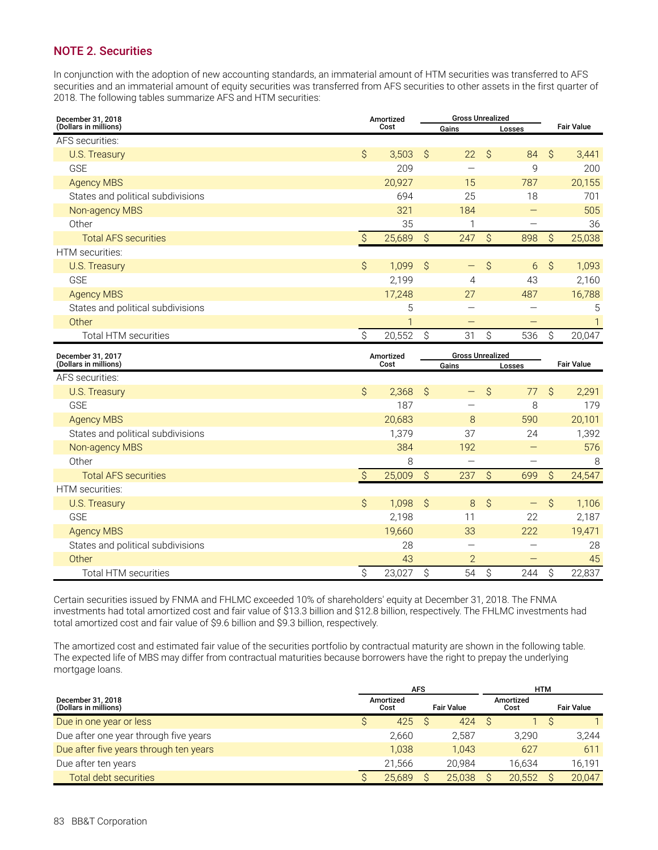## **NOTE 2. Securities**

In conjunction with the adoption of new accounting standards, an immaterial amount of HTM securities was transferred to AFS securities and an immaterial amount of equity securities was transferred from AFS securities to other assets in the first quarter of 2018. The following tables summarize AFS and HTM securities:

| December 31, 2018                          | Amortized           |                   |               | <b>Gross Unrealized</b>          |                     |                          |                     |                   |
|--------------------------------------------|---------------------|-------------------|---------------|----------------------------------|---------------------|--------------------------|---------------------|-------------------|
| (Dollars in millions)                      |                     | Cost              |               | Gains                            |                     | Losses                   |                     | <b>Fair Value</b> |
| AFS securities:                            |                     |                   |               |                                  |                     |                          |                     |                   |
| U.S. Treasury                              | \$                  | 3,503             | $\mathsf{S}$  | 22                               | $\mathsf{S}$        | 84                       | $\mathcal{S}$       | 3,441             |
| <b>GSE</b>                                 |                     | 209               |               |                                  |                     | 9                        |                     | 200               |
| <b>Agency MBS</b>                          |                     | 20,927            |               | 15                               |                     | 787                      |                     | 20,155            |
| States and political subdivisions          |                     | 694               |               | 25                               |                     | 18                       |                     | 701               |
| Non-agency MBS                             |                     | 321               |               | 184                              |                     | $\overline{\phantom{0}}$ |                     | 505               |
| Other                                      |                     | 35                |               | 1                                |                     |                          |                     | 36                |
| <b>Total AFS securities</b>                | $\hat{\mathcal{S}}$ | 25,689            | $\varsigma$   | 247                              | $\hat{\mathcal{S}}$ | 898                      | $\hat{\mathcal{S}}$ | 25,038            |
| HTM securities:                            |                     |                   |               |                                  |                     |                          |                     |                   |
| <b>U.S. Treasury</b>                       | $\mathsf{S}$        | 1,099             | \$            | —                                | \$                  | 6                        | $\hat{\mathcal{S}}$ | 1,093             |
| <b>GSE</b>                                 |                     | 2,199             |               | 4                                |                     | 43                       |                     | 2,160             |
| <b>Agency MBS</b>                          |                     | 17,248            |               | 27                               |                     | 487                      |                     | 16,788            |
| States and political subdivisions          |                     | 5                 |               |                                  |                     |                          |                     | 5                 |
| Other                                      |                     | $\mathbf{1}$      |               |                                  |                     |                          |                     | $\mathbf{1}$      |
| Total HTM securities                       | \$                  | 20,552            | $\mathcal{S}$ | 31                               | \$                  | 536                      | \$                  | 20,047            |
|                                            |                     |                   |               |                                  |                     |                          |                     |                   |
|                                            |                     |                   |               |                                  |                     |                          |                     |                   |
| December 31, 2017<br>(Dollars in millions) |                     | Amortized<br>Cost |               | <b>Gross Unrealized</b><br>Gains |                     | Losses                   |                     | <b>Fair Value</b> |
| AFS securities:                            |                     |                   |               |                                  |                     |                          |                     |                   |
| U.S. Treasury                              | $\hat{S}$           | 2,368             | \$            | —                                | \$                  | 77                       | $\hat{S}$           | 2,291             |
| <b>GSE</b>                                 |                     | 187               |               |                                  |                     | 8                        |                     | 179               |
| <b>Agency MBS</b>                          |                     | 20,683            |               | 8                                |                     | 590                      |                     | 20,101            |
| States and political subdivisions          |                     | 1,379             |               | 37                               |                     | 24                       |                     | 1,392             |
| Non-agency MBS                             |                     | 384               |               | 192                              |                     | $\overline{\phantom{0}}$ |                     | 576               |
| Other                                      |                     | 8                 |               |                                  |                     | $\overline{\phantom{0}}$ |                     | 8                 |
| <b>Total AFS securities</b>                | $\mathcal{S}$       | 25,009            | $\mathsf{S}$  | 237                              | $\hat{S}$           | 699                      | $\hat{S}$           | 24,547            |
| HTM securities:                            |                     |                   |               |                                  |                     |                          |                     |                   |
|                                            | $\mathsf{S}$        | 1,098             | $\mathsf{S}$  | 8                                | \$                  | -                        | Ŝ                   | 1,106             |
| <b>U.S. Treasury</b><br><b>GSE</b>         |                     | 2,198             |               | 11                               |                     | 22                       |                     | 2,187             |
|                                            |                     | 19,660            |               | 33                               |                     | 222                      |                     | 19,471            |
| <b>Agency MBS</b>                          |                     | 28                |               |                                  |                     |                          |                     | 28                |
| States and political subdivisions<br>Other |                     | 43                |               | $\overline{2}$                   |                     |                          |                     | 45                |

Certain securities issued by FNMA and FHLMC exceeded 10% of shareholders' equity at December 31, 2018. The FNMA investments had total amortized cost and fair value of \$13.3 billion and \$12.8 billion, respectively. The FHLMC investments had total amortized cost and fair value of \$9.6 billion and \$9.3 billion, respectively.

The amortized cost and estimated fair value of the securities portfolio by contractual maturity are shown in the following table. The expected life of MBS may differ from contractual maturities because borrowers have the right to prepay the underlying mortgage loans.

|                                            | <b>AFS</b>        |        |  |                   |  | <b>HTM</b>        |                   |
|--------------------------------------------|-------------------|--------|--|-------------------|--|-------------------|-------------------|
| December 31, 2018<br>(Dollars in millions) | Amortized<br>Cost |        |  | <b>Fair Value</b> |  | Amortized<br>Cost | <b>Fair Value</b> |
| Due in one year or less                    | S                 | 425    |  | 424               |  |                   |                   |
| Due after one year through five years      |                   | 2.660  |  | 2.587             |  | 3,290             | 3,244             |
| Due after five years through ten years     |                   | 1.038  |  | 1.043             |  | 627               | 611               |
| Due after ten years                        |                   | 21.566 |  | 20.984            |  | 16.634            | 16,191            |
| Total debt securities                      |                   | 25,689 |  | 25,038            |  | 20,552            | 20,047            |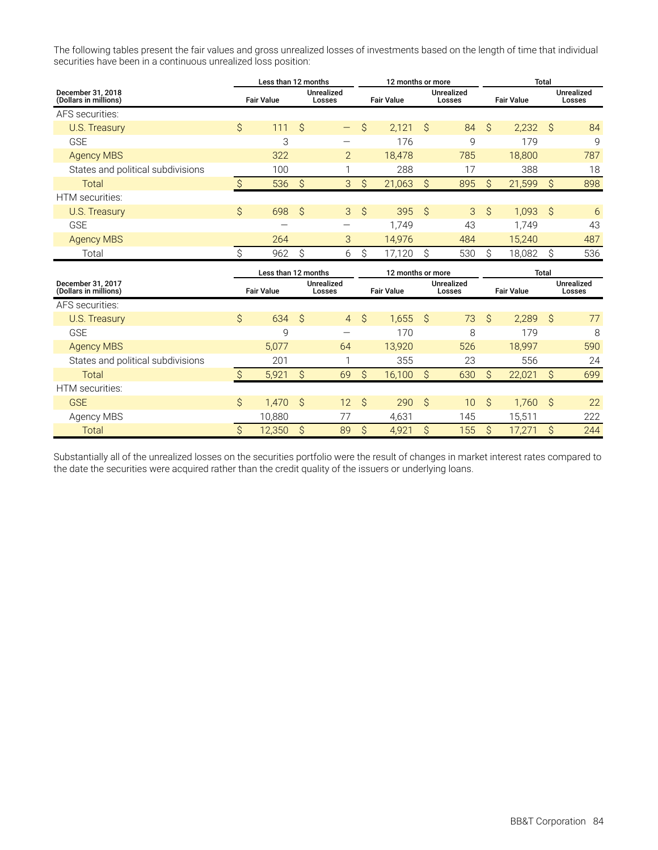The following tables present the fair values and gross unrealized losses of investments based on the length of time that individual securities have been in a continuous unrealized loss position:

|                                            |               | Less than 12 months |               |                             | 12 months or more |                   |                      |                      | <b>Total</b>      |                   |               |                             |  |  |
|--------------------------------------------|---------------|---------------------|---------------|-----------------------------|-------------------|-------------------|----------------------|----------------------|-------------------|-------------------|---------------|-----------------------------|--|--|
| December 31, 2018<br>(Dollars in millions) |               | <b>Fair Value</b>   |               | <b>Unrealized</b><br>Losses |                   | <b>Fair Value</b> |                      | Unrealized<br>Losses |                   | <b>Fair Value</b> |               | <b>Unrealized</b><br>Losses |  |  |
| AFS securities:                            |               |                     |               |                             |                   |                   |                      |                      |                   |                   |               |                             |  |  |
| <b>U.S. Treasury</b>                       | $\mathsf{S}$  | 111                 | $\mathsf{S}$  |                             | $\mathsf{S}$      | 2,121             | Ŝ                    | 84                   | Ŝ                 | 2.232             | Ŝ             | 84                          |  |  |
| <b>GSE</b>                                 |               | 3                   |               |                             |                   | 176               |                      | $\mathsf{Q}$         |                   | 179               |               | $\mathsf{Q}$                |  |  |
| <b>Agency MBS</b>                          |               | 322                 |               | $\overline{2}$              |                   | 18,478            |                      | 785                  |                   | 18,800            |               | 787                         |  |  |
| States and political subdivisions          |               | 100                 |               | 1                           |                   | 288               |                      | 17                   |                   | 388               |               | 18                          |  |  |
| <b>Total</b>                               | Ŝ.            | 536                 | $\mathsf{S}$  | 3                           | Ŝ                 | 21,063            | Ŝ                    | 895                  | Ŝ                 | 21,599            | Ŝ.            | 898                         |  |  |
| <b>HTM</b> securities:                     |               |                     |               |                             |                   |                   |                      |                      |                   |                   |               |                             |  |  |
| U.S. Treasury                              | $\hat{S}$     | 698                 | $\hat{S}$     | 3                           | $\mathsf{S}$      | 395               | \$                   | 3                    | $\hat{S}$         | 1,093             | $\mathcal{S}$ | 6                           |  |  |
| <b>GSE</b>                                 |               |                     |               |                             |                   | 1,749             |                      | 43                   |                   | 1.749             |               | 43                          |  |  |
| <b>Agency MBS</b>                          |               | 264                 |               | 3                           |                   | 14,976            |                      | 484                  |                   | 15,240            |               | 487                         |  |  |
| Total                                      | Ś.            | 962                 | $\hat{S}$     | 6                           | Ŝ                 | 17,120            | Ŝ                    | 530                  | Ŝ                 | 18,082            | Ŝ             | 536                         |  |  |
|                                            |               | Less than 12 months |               |                             | 12 months or more |                   |                      |                      |                   | Total             |               |                             |  |  |
| December 31, 2017<br>(Dollars in millions) |               | <b>Fair Value</b>   |               | <b>Unrealized</b><br>Losses | <b>Fair Value</b> |                   | Unrealized<br>Losses |                      | <b>Fair Value</b> |                   |               | Unrealized<br>Losses        |  |  |
| AFS securities:                            |               |                     |               |                             |                   |                   |                      |                      |                   |                   |               |                             |  |  |
| U.S. Treasury                              | $\mathsf{S}$  | 634                 | $\mathcal{S}$ | $\overline{4}$              | Ŝ                 | 1,655             | Ŝ                    | 73                   | Ŝ                 | 2,289             | Ŝ             | 77                          |  |  |
| GSE                                        |               | $\mathsf{Q}$        |               |                             |                   | 170               |                      | 8                    |                   | 179               |               | 8                           |  |  |
| <b>Agency MBS</b>                          |               | 5,077               |               | 64                          |                   | 13,920            |                      | 526                  |                   | 18,997            |               | 590                         |  |  |
| States and political subdivisions          |               | 201                 |               |                             |                   | 355               |                      | 23                   |                   | 556               |               | 24                          |  |  |
| <b>Total</b>                               | $\mathcal{S}$ | 5,921               | $\hat{S}$     | 69                          | $\mathcal{S}$     | 16,100            | \$                   | 630                  | $\mathsf{S}$      | 22,021            | $\mathsf{S}$  | 699                         |  |  |
| HTM securities:                            |               |                     |               |                             |                   |                   |                      |                      |                   |                   |               |                             |  |  |
| <b>GSE</b>                                 | $\mathsf{S}$  | 1,470               | $\mathcal{S}$ | 12                          | \$                | 290               | Ŝ                    | 10                   | $\mathsf{S}$      | 1,760             | $\mathcal{S}$ | 22                          |  |  |
| <b>Agency MBS</b>                          |               | 10.880              |               | 77                          |                   | 4,631             |                      | 145                  |                   | 15,511            |               | 222                         |  |  |
| <b>Total</b>                               | $\mathcal{S}$ | 12,350              | $\mathsf{S}$  | 89                          | $\mathsf{S}$      | 4,921             | \$                   | 155                  | Ŝ                 | 17,271            | \$            | 244                         |  |  |

Substantially all of the unrealized losses on the securities portfolio were the result of changes in market interest rates compared to the date the securities were acquired rather than the credit quality of the issuers or underlying loans.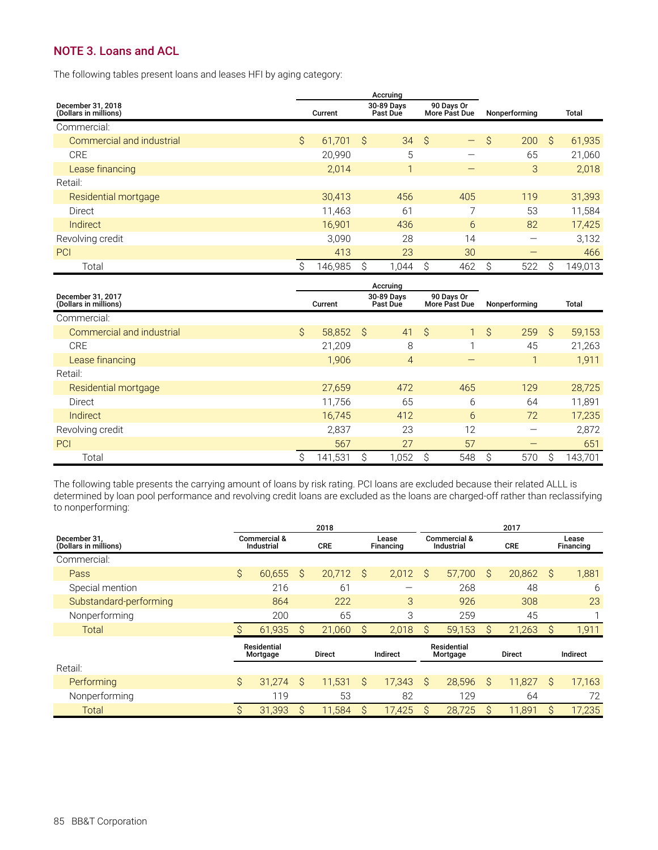## **NOTE 3. Loans and ACL**

The following tables present loans and leases HFI by aging category:

|                                            |         |         | Accruing               |                          |                             |                          |               |     |    |         |
|--------------------------------------------|---------|---------|------------------------|--------------------------|-----------------------------|--------------------------|---------------|-----|----|---------|
| December 31, 2018<br>(Dollars in millions) | Current |         | 30-89 Davs<br>Past Due |                          | 90 Days Or<br>More Past Due |                          | Nonperforming |     |    | Total   |
| Commercial:                                |         |         |                        |                          |                             |                          |               |     |    |         |
| Commercial and industrial                  | \$      | 61.701  | - \$                   | 34                       | -Ŝ                          | $\overline{\phantom{m}}$ | \$            | 200 | Ŝ. | 61,935  |
| <b>CRE</b>                                 |         | 20,990  |                        | 5                        |                             |                          |               | 65  |    | 21,060  |
| Lease financing                            |         | 2,014   |                        | $\overline{\phantom{0}}$ |                             |                          |               | 3   |    | 2,018   |
| Retail:                                    |         |         |                        |                          |                             |                          |               |     |    |         |
| Residential mortgage                       |         | 30,413  |                        | 456                      |                             | 405                      |               | 119 |    | 31,393  |
| Direct                                     |         | 11.463  |                        | 61                       |                             |                          |               | 53  |    | 11,584  |
| Indirect                                   |         | 16,901  |                        | 436                      |                             | 6                        |               | 82  |    | 17,425  |
| Revolving credit                           |         | 3,090   |                        | 28                       |                             | 14                       |               |     |    | 3,132   |
| PCI                                        |         | 413     |                        | 23                       |                             | 30                       |               |     |    | 466     |
| Total                                      | S       | 146,985 | S                      | 1,044                    | S                           | 462                      | S             | 522 | S. | 149,013 |

|                                            |           |           |                        | Accruing       |                             |              |               |     |               |              |
|--------------------------------------------|-----------|-----------|------------------------|----------------|-----------------------------|--------------|---------------|-----|---------------|--------------|
| December 31, 2017<br>(Dollars in millions) | Current   |           | 30-89 Days<br>Past Due |                | 90 Days Or<br>More Past Due |              | Nonperforming |     |               | <b>Total</b> |
| Commercial:                                |           |           |                        |                |                             |              |               |     |               |              |
| Commercial and industrial                  | $\hat{S}$ | 58,852 \$ |                        | 41             | S,                          | $\mathbf{1}$ | \$            | 259 | $\mathcal{S}$ | 59,153       |
| <b>CRE</b>                                 |           | 21,209    |                        | 8              |                             |              |               | 45  |               | 21,263       |
| Lease financing                            |           | 1,906     |                        | $\overline{4}$ |                             |              |               | h   |               | 1,911        |
| Retail:                                    |           |           |                        |                |                             |              |               |     |               |              |
| Residential mortgage                       |           | 27,659    |                        | 472            |                             | 465          |               | 129 |               | 28,725       |
| Direct                                     |           | 11.756    |                        | 65             |                             | 6            |               | 64  |               | 11,891       |
| <b>Indirect</b>                            |           | 16.745    |                        | 412            |                             | 6            |               | 72  |               | 17.235       |
| Revolving credit                           |           | 2,837     |                        | 23             |                             | 12           |               |     |               | 2,872        |
| <b>PCI</b>                                 |           | 567       |                        | 27             |                             | 57           |               |     |               | 651          |
| Total                                      | Ś         | 141,531   | S                      | 1,052          |                             | 548          | S             | 570 | S             | 143,701      |

The following table presents the carrying amount of loans by risk rating. PCI loans are excluded because their related ALLL is determined by loan pool performance and revolving credit loans are excluded as the loans are charged-off rather than reclassifying to nonperforming:

|                                       | 2018         |                                |              |               |   |                    |    | 2017                           |    |               |              |                    |  |  |  |  |
|---------------------------------------|--------------|--------------------------------|--------------|---------------|---|--------------------|----|--------------------------------|----|---------------|--------------|--------------------|--|--|--|--|
| December 31.<br>(Dollars in millions) |              | Commercial &<br>Industrial     |              | <b>CRE</b>    |   | Lease<br>Financing |    | Commercial &<br>Industrial     |    | <b>CRE</b>    |              | Lease<br>Financing |  |  |  |  |
| Commercial:                           |              |                                |              |               |   |                    |    |                                |    |               |              |                    |  |  |  |  |
| Pass                                  | $\mathsf{S}$ | 60.655                         | Ŝ.           | 20,712        | Ŝ | 2,012              | -Ŝ | 57,700                         | Ŝ  | 20,862        | -Ŝ           | 1,881              |  |  |  |  |
| Special mention                       |              | 216                            |              | 61            |   |                    |    | 268                            |    | 48            |              | 6                  |  |  |  |  |
| Substandard-performing                |              | 864                            |              | 222           |   | 3                  |    | 926                            |    | 308           |              | 23                 |  |  |  |  |
| Nonperforming                         |              | 200                            |              | 65            |   | 3                  |    | 259                            |    | 45            |              |                    |  |  |  |  |
| Total                                 | Ś            | 61,935                         | S            | 21,060        | S | 2,018              | S  | 59,153                         | S  | 21,263        | S            | 1,911              |  |  |  |  |
|                                       |              | <b>Residential</b><br>Mortgage |              | <b>Direct</b> |   | Indirect           |    | <b>Residential</b><br>Mortgage |    | <b>Direct</b> |              | Indirect           |  |  |  |  |
| Retail:                               |              |                                |              |               |   |                    |    |                                |    |               |              |                    |  |  |  |  |
| Performing                            | Ŝ.           | 31.274                         | <sup>S</sup> | 11,531        | Ŝ | 17.343             | S  | 28.596                         | Ŝ. | 11.827        | <sup>S</sup> | 17,163             |  |  |  |  |
| Nonperforming                         |              | 119                            |              | 53            |   | 82                 |    | 129                            |    | 64            |              | 72                 |  |  |  |  |
| Total                                 | Ŝ            | 31.393                         | Ŝ            | 11.584        | Ŝ | 17.425             | S  | 28,725                         | S  | 11.891        | Ŝ            | 17,235             |  |  |  |  |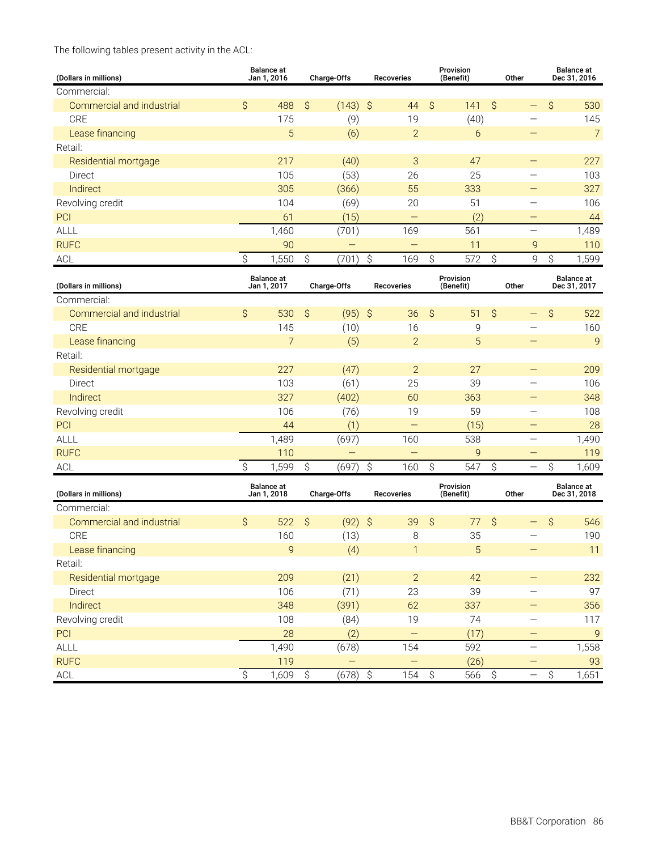The following tables present activity in the ACL:

| (Dollars in millions)     |                          | <b>Balance</b> at<br>Jan 1, 2016 | Charge-Offs              |               | <b>Recoveries</b>        |           | Provision<br>(Benefit) |                     | Other                    |                           | <b>Balance</b> at<br>Dec 31, 2016 |
|---------------------------|--------------------------|----------------------------------|--------------------------|---------------|--------------------------|-----------|------------------------|---------------------|--------------------------|---------------------------|-----------------------------------|
| Commercial:               |                          |                                  |                          |               |                          |           |                        |                     |                          |                           |                                   |
| Commercial and industrial | $\hat{\mathcal{S}}$      | 488                              | \$<br>$(143)$ \$         |               | 44                       | \$        | 141                    | $\hat{S}$           |                          | \$                        | 530                               |
| CRE                       |                          | 175                              | (9)                      |               | 19                       |           | (40)                   |                     |                          |                           | 145                               |
| Lease financing           |                          | 5                                | (6)                      |               | $\overline{2}$           |           | 6                      |                     |                          |                           | $\overline{7}$                    |
| Retail:                   |                          |                                  |                          |               |                          |           |                        |                     |                          |                           |                                   |
| Residential mortgage      |                          | 217                              | (40)                     |               | 3                        |           | 47                     |                     |                          |                           | 227                               |
| Direct                    |                          | 105                              | (53)                     |               | 26                       |           | 25                     |                     | $\overline{\phantom{0}}$ |                           | 103                               |
| Indirect                  |                          | 305                              | (366)                    |               | 55                       |           | 333                    |                     |                          |                           | 327                               |
| Revolving credit          |                          | 104                              | (69)                     |               | 20                       |           | 51                     |                     | $\overline{\phantom{0}}$ |                           | 106                               |
| PCI                       |                          | 61                               | (15)                     |               | $\overline{\phantom{0}}$ |           | (2)                    |                     | -                        |                           | 44                                |
| ALLL                      |                          | 1,460                            | (701)                    |               | 169                      |           | 561                    |                     | $\overline{\phantom{0}}$ |                           | 1,489                             |
| <b>RUFC</b>               |                          | 90                               | -                        |               | -                        |           | 11                     |                     | 9                        |                           | 110                               |
| <b>ACL</b>                | \$                       | 1,550                            | \$<br>(701)              | \$            | 169                      | \$        | 572                    | \$                  | 9                        | \$                        | 1,599                             |
| (Dollars in millions)     |                          | <b>Balance</b> at<br>Jan 1, 2017 | Charge-Offs              |               | <b>Recoveries</b>        |           | Provision<br>(Benefit) |                     | Other                    |                           | <b>Balance</b> at<br>Dec 31, 2017 |
| Commercial:               |                          |                                  |                          |               |                          |           |                        |                     |                          |                           |                                   |
| Commercial and industrial | \$                       | 530                              | \$<br>(95)               | $\mathcal{S}$ | 36                       | \$        | 51                     | Ŝ                   |                          | \$                        | 522                               |
| <b>CRE</b>                |                          | 145                              | (10)                     |               | 16                       |           | 9                      |                     |                          |                           | 160                               |
| Lease financing           |                          | $\overline{7}$                   | (5)                      |               | $\overline{2}$           |           | 5                      |                     |                          |                           | $\overline{9}$                    |
| Retail:                   |                          |                                  |                          |               |                          |           |                        |                     |                          |                           |                                   |
| Residential mortgage      |                          | 227                              | (47)                     |               | $\overline{2}$           |           | 27                     |                     |                          |                           | 209                               |
| Direct                    |                          | 103                              | (61)                     |               | 25                       |           | 39                     |                     |                          |                           | 106                               |
| Indirect                  |                          | 327                              | (402)                    |               | 60                       |           | 363                    |                     |                          |                           | 348                               |
| Revolving credit          |                          | 106                              | (76)                     |               | 19                       |           | 59                     |                     |                          |                           | 108                               |
| PCI                       |                          | 44                               | (1)                      |               | $\overline{\phantom{0}}$ |           | (15)                   |                     | $\qquad \qquad -$        |                           | 28                                |
| <b>ALLL</b>               |                          | 1,489                            | (697)                    |               | 160                      |           | 538                    |                     | $\qquad \qquad -$        |                           | 1,490                             |
| <b>RUFC</b>               |                          | 110                              | $\overline{\phantom{0}}$ |               |                          |           | 9                      |                     |                          |                           | 119                               |
| ACL                       | $\overline{\mathcal{S}}$ | 1,599                            | \$<br>(697)              | \$            | 160                      | $\hat{S}$ | 547                    | $\hat{S}$           | $\overline{\phantom{0}}$ | \$                        | 1,609                             |
| (Dollars in millions)     |                          | <b>Balance</b> at<br>Jan 1, 2018 | Charge-Offs              |               | <b>Recoveries</b>        |           | Provision<br>(Benefit) |                     | Other                    |                           | <b>Balance</b> at<br>Dec 31, 2018 |
| Commercial:               |                          |                                  |                          |               |                          |           |                        |                     |                          |                           |                                   |
| Commercial and industrial | \$                       | 522                              | \$<br>(92)               | \$            | 39                       | \$        | 77                     | $\mathsf{S}$        |                          | \$                        | 546                               |
| CRE                       |                          | 160                              | (13)                     |               | 8                        |           | 35                     |                     |                          |                           | 190                               |
| Lease financing           |                          | $\overline{9}$                   | (4)                      |               | $\mathbf{1}$             |           | 5                      |                     |                          |                           | 11                                |
| Retail:                   |                          |                                  |                          |               |                          |           |                        |                     |                          |                           |                                   |
| Residential mortgage      |                          | 209                              | (21)                     |               | $\overline{2}$           |           | 42                     |                     |                          |                           | 232                               |
| Direct                    |                          | 106                              | (71)                     |               | 23                       |           | 39                     |                     |                          |                           | 97                                |
| Indirect                  |                          | 348                              | (391)                    |               | 62                       |           | 337                    |                     | —                        |                           | 356                               |
| Revolving credit          |                          | 108                              | (84)                     |               | 19                       |           | 74                     |                     | $\qquad \qquad -$        |                           | 117                               |
| PCI                       |                          | 28                               | (2)                      |               |                          |           | (17)                   |                     |                          |                           | $\overline{9}$                    |
| ALLL                      |                          | 1,490                            | (678)                    |               | 154                      |           | 592                    |                     | $\qquad \qquad -$        |                           | 1,558                             |
| <b>RUFC</b>               |                          | 119                              |                          |               |                          |           | (26)                   |                     |                          |                           | 93                                |
| $\mathsf{ACL}$            | \$                       | 1,609                            | \$<br>$(678)$ \$         |               | 154                      | \$        | 566                    | $\hat{\mathcal{S}}$ | $\qquad \qquad -$        | $\boldsymbol{\mathsf{S}}$ | 1,651                             |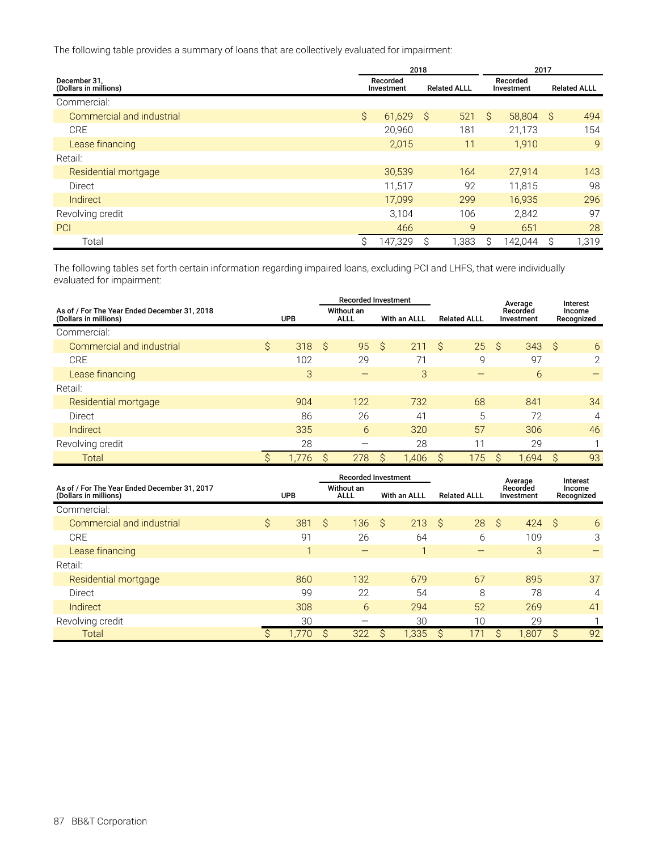The following table provides a summary of loans that are collectively evaluated for impairment:

|                                       |           |                        | 2018 |                     | 2017 |                        |    |                     |  |  |
|---------------------------------------|-----------|------------------------|------|---------------------|------|------------------------|----|---------------------|--|--|
| December 31,<br>(Dollars in millions) |           | Recorded<br>Investment |      | <b>Related ALLL</b> |      | Recorded<br>Investment |    | <b>Related ALLL</b> |  |  |
| Commercial:                           |           |                        |      |                     |      |                        |    |                     |  |  |
| Commercial and industrial             | $\hat{S}$ | 61,629                 | -Ŝ   | 521                 | \$   | 58,804                 | S. | 494                 |  |  |
| <b>CRE</b>                            |           | 20,960                 |      | 181                 |      | 21.173                 |    | 154                 |  |  |
| Lease financing                       |           | 2,015                  |      | 11                  |      | 1.910                  |    | 9                   |  |  |
| Retail:                               |           |                        |      |                     |      |                        |    |                     |  |  |
| Residential mortgage                  |           | 30,539                 |      | 164                 |      | 27,914                 |    | 143                 |  |  |
| Direct                                |           | 11,517                 |      | 92                  |      | 11,815                 |    | 98                  |  |  |
| Indirect                              |           | 17,099                 |      | 299                 |      | 16,935                 |    | 296                 |  |  |
| Revolving credit                      |           | 3,104                  |      | 106                 |      | 2,842                  |    | 97                  |  |  |
| PCI                                   |           | 466                    |      | 9                   |      | 651                    |    | 28                  |  |  |
| Total                                 | Ŝ         | 147,329                |      | 1,383               |      | 142.044                | S  | 1,319               |  |  |

The following tables set forth certain information regarding impaired loans, excluding PCI and LHFS, that were individually evaluated for impairment:

|                                                                       |            |      | <b>Recorded Investment</b> |                           |    |              |    |                     |   | Average                |                      | Interest       |
|-----------------------------------------------------------------------|------------|------|----------------------------|---------------------------|----|--------------|----|---------------------|---|------------------------|----------------------|----------------|
| As of / For The Year Ended December 31, 2018<br>(Dollars in millions) | <b>UPB</b> |      |                            | Without an<br><b>ALLL</b> |    | With an ALLL |    | <b>Related ALLL</b> |   | Recorded<br>Investment | Income<br>Recognized |                |
| Commercial:                                                           |            |      |                            |                           |    |              |    |                     |   |                        |                      |                |
| Commercial and industrial                                             | \$         | 318  | S.                         | 95                        | -Ŝ | 211          | -Ŝ | 25                  | Ŝ | 343                    | -Ŝ                   | 6              |
| <b>CRE</b>                                                            |            | 102  |                            | 29                        |    | 71           |    | 9                   |   | 97                     |                      | $\overline{2}$ |
| Lease financing                                                       |            | 3    |                            |                           |    | 3            |    |                     |   | 6                      |                      |                |
| Retail:                                                               |            |      |                            |                           |    |              |    |                     |   |                        |                      |                |
| Residential mortgage                                                  |            | 904  |                            | 122                       |    | 732          |    | 68                  |   | 841                    |                      | 34             |
| Direct                                                                |            | 86   |                            | 26                        |    | 41           |    | 5                   |   | 72                     |                      | 4              |
| Indirect                                                              |            | 335  |                            | 6                         |    | 320          |    | 57                  |   | 306                    |                      | 46             |
| Revolving credit                                                      |            | 28   |                            | —                         |    | 28           |    |                     |   | 29                     |                      |                |
| Total                                                                 |            | .776 |                            | 278                       | S  | 1.406        |    | 175                 |   | 1,694                  | <sub>S</sub>         | 93             |

|                                                                       |            |                          |   | <b>Recorded Investment</b> |     |              |     |                     |   | Average                | Interest             |    |  |
|-----------------------------------------------------------------------|------------|--------------------------|---|----------------------------|-----|--------------|-----|---------------------|---|------------------------|----------------------|----|--|
| As of / For The Year Ended December 31, 2017<br>(Dollars in millions) | <b>UPB</b> |                          |   | Without an<br><b>ALLL</b>  |     | With an ALLL |     | <b>Related ALLL</b> |   | Recorded<br>Investment | Income<br>Recognized |    |  |
| Commercial:                                                           |            |                          |   |                            |     |              |     |                     |   |                        |                      |    |  |
| Commercial and industrial                                             | \$         | 381                      | Ŝ | 136                        | - S | 213          | - S | 28                  | Ŝ | 424                    | -Ŝ                   | 6  |  |
| <b>CRE</b>                                                            |            | 91                       |   | 26                         |     | 64           |     | 6                   |   | 109                    |                      | 3  |  |
| Lease financing                                                       |            | $\overline{\phantom{a}}$ |   |                            |     | 1            |     |                     |   | 3                      |                      |    |  |
| Retail:                                                               |            |                          |   |                            |     |              |     |                     |   |                        |                      |    |  |
| Residential mortgage                                                  |            | 860                      |   | 132                        |     | 679          |     | 67                  |   | 895                    |                      | 37 |  |
| Direct                                                                |            | 99                       |   | 22                         |     | 54           |     | 8                   |   | 78                     |                      | 4  |  |
| Indirect                                                              |            | 308                      |   | 6                          |     | 294          |     | 52                  |   | 269                    |                      | 41 |  |
| Revolving credit                                                      |            | 30                       |   |                            |     | 30           |     | 10                  |   | 29                     |                      |    |  |
| Total                                                                 |            | 1.770                    |   | 322                        |     | 1,335        |     | 171                 |   | 1,807                  | <sub>S</sub>         | 92 |  |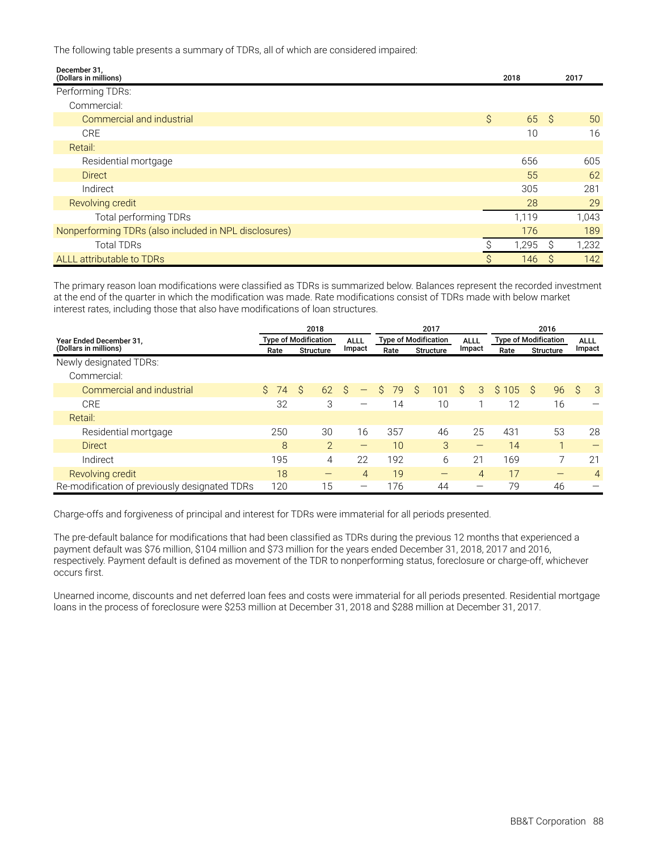The following table presents a summary of TDRs, all of which are considered impaired:

| December 31,<br>(Dollars in millions)                 |           | 2018       |   | 2017  |
|-------------------------------------------------------|-----------|------------|---|-------|
| Performing TDRs:                                      |           |            |   |       |
| Commercial:                                           |           |            |   |       |
| Commercial and industrial                             | $\hat{S}$ | $65 \quad$ |   | 50    |
| <b>CRE</b>                                            |           | 10         |   | 16    |
| Retail:                                               |           |            |   |       |
| Residential mortgage                                  |           | 656        |   | 605   |
| <b>Direct</b>                                         |           | 55         |   | 62    |
| Indirect                                              |           | 305        |   | 281   |
| Revolving credit                                      |           | 28         |   | 29    |
| <b>Total performing TDRs</b>                          |           | 1,119      |   | 1,043 |
| Nonperforming TDRs (also included in NPL disclosures) |           | 176        |   | 189   |
| <b>Total TDRs</b>                                     |           | 1,295      | S | 1,232 |
| ALLL attributable to TDRs                             |           | 146        | S | 142   |

The primary reason loan modifications were classified as TDRs is summarized below. Balances represent the recorded investment at the end of the quarter in which the modification was made. Rate modifications consist of TDRs made with below market interest rates, including those that also have modifications of loan structures.

|                                               |                          | 2018                        |                          | 2016     |                             |                   |       |                             |                |
|-----------------------------------------------|--------------------------|-----------------------------|--------------------------|----------|-----------------------------|-------------------|-------|-----------------------------|----------------|
| Year Ended December 31.                       |                          | <b>Type of Modification</b> | <b>ALLL</b>              |          | <b>Type of Modification</b> | <b>ALLL</b>       |       | <b>Type of Modification</b> | <b>ALLL</b>    |
| (Dollars in millions)                         | <b>Structure</b><br>Rate |                             | Impact                   | Rate     | <b>Structure</b>            | Impact            | Rate  | Structure                   | Impact         |
| Newly designated TDRs:                        |                          |                             |                          |          |                             |                   |       |                             |                |
| Commercial:                                   |                          |                             |                          |          |                             |                   |       |                             |                |
| Commercial and industrial                     | 74<br>S.                 | -S<br>62                    | S.<br>$\qquad \qquad -$  | 79<br>S. | S<br>101                    | 3<br><sub>S</sub> | \$105 | 96<br>S                     | Ŝ.<br>-3       |
| <b>CRE</b>                                    | 32                       | 3                           |                          | 14       | 10                          |                   | 12    | 16                          |                |
| Retail:                                       |                          |                             |                          |          |                             |                   |       |                             |                |
| Residential mortgage                          | 250                      | 30                          | 16                       | 357      | 46                          | 25                | 431   | 53                          | 28             |
| <b>Direct</b>                                 | 8                        | $\overline{2}$              | $\overline{\phantom{0}}$ | 10       | 3                           | —                 | 14    |                             |                |
| Indirect                                      | 195                      | 4                           | 22                       | 192      | 6                           | 21                | 169   |                             | 21             |
| Revolving credit                              | 18                       | —                           | $\overline{4}$           | 19       | –                           | $\overline{4}$    | 17    |                             | $\overline{4}$ |
| Re-modification of previously designated TDRs | 120                      | 15                          | —                        | 176      | 44                          | —                 | 79    | 46                          |                |

Charge-offs and forgiveness of principal and interest for TDRs were immaterial for all periods presented.

The pre-default balance for modifications that had been classified as TDRs during the previous 12 months that experienced a payment default was \$76 million, \$104 million and \$73 million for the years ended December 31, 2018, 2017 and 2016, respectively. Payment default is defined as movement of the TDR to nonperforming status, foreclosure or charge-off, whichever occurs first.

Unearned income, discounts and net deferred loan fees and costs were immaterial for all periods presented. Residential mortgage loans in the process of foreclosure were \$253 million at December 31, 2018 and \$288 million at December 31, 2017.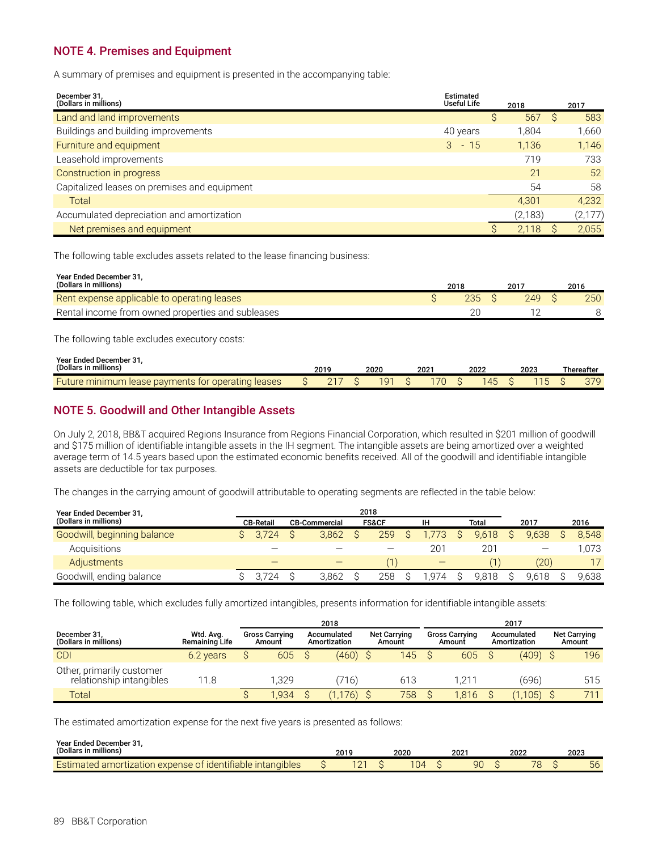## **NOTE 4. Premises and Equipment**

A summary of premises and equipment is presented in the accompanying table:

| December 31,<br>(Dollars in millions)        | Estimated<br><b>Useful Life</b> |    | 2018    |   | 2017    |
|----------------------------------------------|---------------------------------|----|---------|---|---------|
| Land and land improvements                   |                                 | S. | 567     | S | 583     |
| Buildings and building improvements          | 40 years                        |    | 1,804   |   | 1,660   |
| Furniture and equipment                      | $3 - 15$                        |    | 1.136   |   | 1,146   |
| Leasehold improvements                       |                                 |    | 719     |   | 733.    |
| Construction in progress                     |                                 |    | 21      |   | 52      |
| Capitalized leases on premises and equipment |                                 |    | 54      |   | 58      |
| Total                                        |                                 |    | 4.301   |   | 4,232   |
| Accumulated depreciation and amortization    |                                 |    | (2,183) |   | (2,177) |
| Net premises and equipment                   |                                 |    | 2.118   |   | 2,055   |

The following table excludes assets related to the lease financing business:

#### **Year Ended December 31,**

| (Dollars in millions)                             | 2018 | 201 | 2016 |
|---------------------------------------------------|------|-----|------|
| Rent expense applicable to operating leases       |      | 249 | 250  |
| Rental income from owned properties and subleases |      |     |      |

The following table excludes executory costs:

| Year Ended December 31.<br>(Dollars in millions)               | 2019 | 2020 | 202 | 2022 | 2023 | <b>Thereatte</b> |
|----------------------------------------------------------------|------|------|-----|------|------|------------------|
| . minimum lease payments for operating leases<br><b>Future</b> |      |      |     |      |      | $\cup$           |

## **NOTE 5. Goodwill and Other Intangible Assets**

On July 2, 2018, BB&T acquired Regions Insurance from Regions Financial Corporation, which resulted in \$201 million of goodwill and \$175 million of identifiable intangible assets in the IH segment. The intangible assets are being amortized over a weighted average term of 14.5 years based upon the estimated economic benefits received. All of the goodwill and identifiable intangible assets are deductible for tax purposes.

The changes in the carrying amount of goodwill attributable to operating segments are reflected in the table below:

| Year Ended December 31,     | 2018                                     |    |  |       |  |                  |    |      |       |       |  |       |       |
|-----------------------------|------------------------------------------|----|--|-------|--|------------------|----|------|-------|-------|--|-------|-------|
| (Dollars in millions)       | <b>CB-Retail</b><br><b>CB-Commercial</b> |    |  |       |  | <b>FS&amp;CF</b> | IН |      | Total |       |  | 2017  | 2016  |
| Goodwill, beginning balance |                                          |    |  | 3.862 |  | 259              |    |      |       | 9.618 |  | 9.638 | 8,548 |
| Acquisitions                |                                          |    |  |       |  |                  |    | 201  |       | 201   |  |       | 1.073 |
| <b>Adjustments</b>          |                                          |    |  |       |  |                  |    |      |       |       |  | (20)  |       |
| Goodwill, ending balance    |                                          | 24 |  | 3,862 |  | 258              |    | .974 |       |       |  | .618  | 9.638 |

The following table, which excludes fully amortized intangibles, presents information for identifiable intangible assets:

|                                                       |                             |                                 | 2018                        |                               | 2017 |                                 |  |                             |  |                               |  |  |
|-------------------------------------------------------|-----------------------------|---------------------------------|-----------------------------|-------------------------------|------|---------------------------------|--|-----------------------------|--|-------------------------------|--|--|
| December 31,<br>(Dollars in millions)                 | Wtd. Avg.<br>Remaining Life | <b>Gross Carrying</b><br>Amount | Accumulated<br>Amortization | <b>Net Carrying</b><br>Amount |      | <b>Gross Carrying</b><br>Amount |  | Accumulated<br>Amortization |  | <b>Net Carrying</b><br>Amount |  |  |
| <b>CDI</b>                                            | 6.2 years                   | 605                             | $(460)$ \$                  | 145                           |      | 605                             |  | (409)                       |  | 196                           |  |  |
| Other, primarily customer<br>relationship intangibles | 1.8                         | 1.329                           | 716)                        | 613                           |      | .21                             |  | (696)                       |  | 515                           |  |  |
| Total                                                 |                             | .934                            | 76)                         | 758                           |      | .816                            |  | 1,105)                      |  |                               |  |  |

The estimated amortization expense for the next five years is presented as follows:

| <b>Year Ended December 31</b><br>(Dollars in millions)                               | 2019   | 2020   |  | 2021      |  | 2022    | 2023 |    |
|--------------------------------------------------------------------------------------|--------|--------|--|-----------|--|---------|------|----|
| Julidentity<br>tangibles<br>fiable<br>Fctir<br>$\sim$<br>tization<br>expense<br>—⊃UL | $\sim$ | $\sim$ |  | ററ<br>7U. |  | --<br>ີ |      | ჂႦ |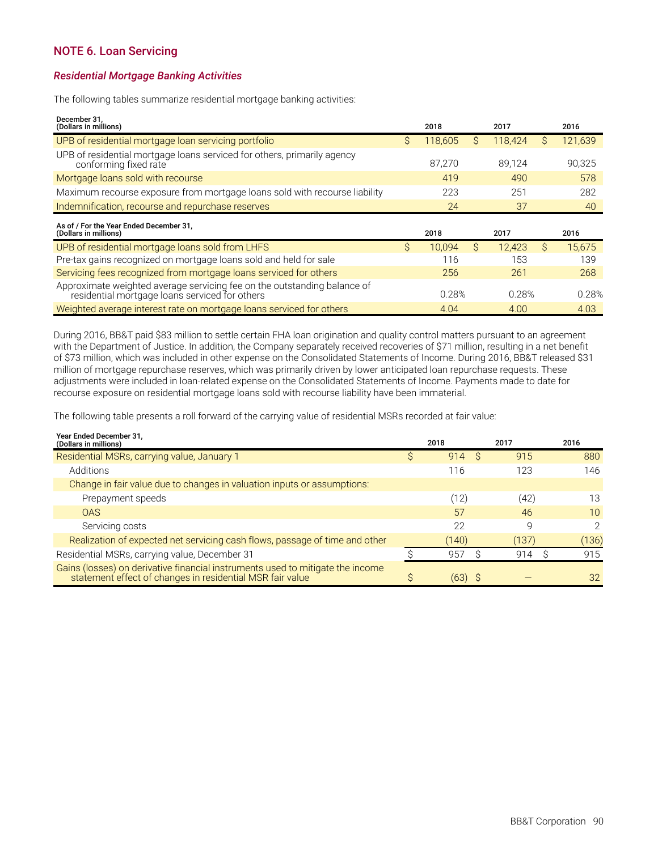## **NOTE 6. Loan Servicing**

## *Residential Mortgage Banking Activities*

The following tables summarize residential mortgage banking activities:

| December 31,<br>(Dollars in millions)                                                                                      |    | 2018    |   | 2017    |    | 2016    |
|----------------------------------------------------------------------------------------------------------------------------|----|---------|---|---------|----|---------|
| UPB of residential mortgage loan servicing portfolio                                                                       | S. | 118,605 | S | 118,424 | S. | 121,639 |
| UPB of residential mortgage loans serviced for others, primarily agency<br>conforming fixed rate                           |    | 87.270  |   | 89.124  |    | 90,325  |
| Mortgage loans sold with recourse                                                                                          |    | 419     |   | 490     |    | 578     |
| Maximum recourse exposure from mortgage loans sold with recourse liability                                                 |    | 223     |   | 251     |    | 282     |
| Indemnification, recourse and repurchase reserves                                                                          |    | 24      |   | 37      |    | 40      |
|                                                                                                                            |    |         |   |         |    |         |
| As of / For the Year Ended December 31,<br>(Dollars in millions)                                                           |    | 2018    |   | 2017    |    | 2016    |
| UPB of residential mortgage loans sold from LHFS                                                                           | Ś. | 10.094  | Ś | 12.423  | S  | 15,675  |
| Pre-tax gains recognized on mortgage loans sold and held for sale                                                          |    | 116     |   | 153     |    | 139     |
| Servicing fees recognized from mortgage loans serviced for others                                                          |    | 256     |   | 261     |    | 268     |
| Approximate weighted average servicing fee on the outstanding balance of<br>residential mortgage loans serviced for others |    | 0.28%   |   | 0.28%   |    | 0.28%   |

During 2016, BB&T paid \$83 million to settle certain FHA loan origination and quality control matters pursuant to an agreement with the Department of Justice. In addition, the Company separately received recoveries of \$71 million, resulting in a net benefit of \$73 million, which was included in other expense on the Consolidated Statements of Income. During 2016, BB&T released \$31 million of mortgage repurchase reserves, which was primarily driven by lower anticipated loan repurchase requests. These adjustments were included in loan-related expense on the Consolidated Statements of Income. Payments made to date for recourse exposure on residential mortgage loans sold with recourse liability have been immaterial.

The following table presents a roll forward of the carrying value of residential MSRs recorded at fair value:

| Year Ended December 31,<br>(Dollars in millions)                                                                                            |   | 2018      | 2017  | 2016  |
|---------------------------------------------------------------------------------------------------------------------------------------------|---|-----------|-------|-------|
| Residential MSRs, carrying value, January 1                                                                                                 | S | 914<br>-S | 915   | 880   |
| Additions                                                                                                                                   |   | 116       | 123   | 146   |
| Change in fair value due to changes in valuation inputs or assumptions:                                                                     |   |           |       |       |
| Prepayment speeds                                                                                                                           |   | (12)      | (42)  | 13    |
| <b>OAS</b>                                                                                                                                  |   | 57        | 46    | 10    |
| Servicing costs                                                                                                                             |   | 22        | 9     | 2     |
| Realization of expected net servicing cash flows, passage of time and other                                                                 |   | (140)     | (137) | (136) |
| Residential MSRs, carrying value, December 31                                                                                               |   | 957       | 914   | 915   |
| Gains (losses) on derivative financial instruments used to mitigate the income<br>statement effect of changes in residential MSR fair value | S | (63) S    |       | 32    |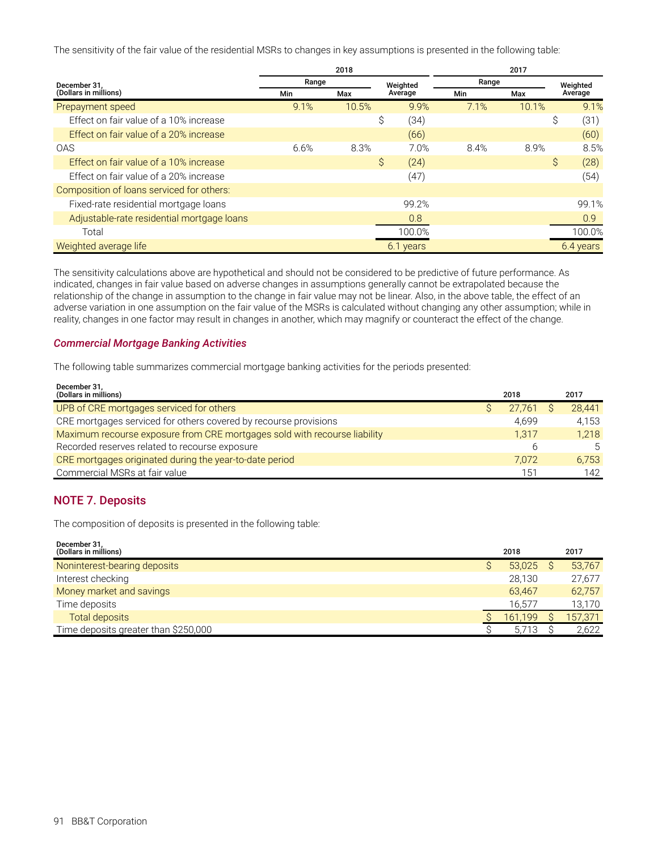The sensitivity of the fair value of the residential MSRs to changes in key assumptions is presented in the following table:

|                                            |       | 2018  |         |           |       | 2017     |    |           |
|--------------------------------------------|-------|-------|---------|-----------|-------|----------|----|-----------|
| December 31,                               | Range |       |         | Weighted  | Range | Weighted |    |           |
| (Dollars in millions)                      | Min   | Max   | Average |           | Min   | Max      |    | Average   |
| Prepayment speed                           | 9.1%  | 10.5% |         | 9.9%      | 7.1%  | 10.1%    |    | 9.1%      |
| Effect on fair value of a 10% increase     |       |       | \$      | (34)      |       |          | Ŝ  | (31)      |
| Effect on fair value of a 20% increase     |       |       |         | (66)      |       |          |    | (60)      |
| <b>OAS</b>                                 | 6.6%  | 8.3%  |         | 7.0%      | 8.4%  | 8.9%     |    | 8.5%      |
| Effect on fair value of a 10% increase     |       |       | \$      | (24)      |       |          | \$ | (28)      |
| Effect on fair value of a 20% increase     |       |       |         | (47)      |       |          |    | (54)      |
| Composition of loans serviced for others:  |       |       |         |           |       |          |    |           |
| Fixed-rate residential mortgage loans      |       |       |         | 99.2%     |       |          |    | 99.1%     |
| Adjustable-rate residential mortgage loans |       |       |         | 0.8       |       |          |    | 0.9       |
| Total                                      |       |       |         | 100.0%    |       |          |    | 100.0%    |
| Weighted average life                      |       |       |         | 6.1 years |       |          |    | 6.4 years |

The sensitivity calculations above are hypothetical and should not be considered to be predictive of future performance. As indicated, changes in fair value based on adverse changes in assumptions generally cannot be extrapolated because the relationship of the change in assumption to the change in fair value may not be linear. Also, in the above table, the effect of an adverse variation in one assumption on the fair value of the MSRs is calculated without changing any other assumption; while in reality, changes in one factor may result in changes in another, which may magnify or counteract the effect of the change.

### *Commercial Mortgage Banking Activities*

The following table summarizes commercial mortgage banking activities for the periods presented:

| December 31,<br>(Dollars in millions)                                     | 2018   | 2017   |
|---------------------------------------------------------------------------|--------|--------|
| UPB of CRE mortgages serviced for others                                  | 27.761 | 28.441 |
| CRE mortgages serviced for others covered by recourse provisions          | 4.699  | 4.153  |
| Maximum recourse exposure from CRE mortgages sold with recourse liability | 1.317  | 1.218  |
| Recorded reserves related to recourse exposure                            |        | .5     |
| CRE mortgages originated during the year-to-date period                   | 7.072  | 6.753  |
| Commercial MSRs at fair value                                             | 151    | 142    |

## **NOTE 7. Deposits**

The composition of deposits is presented in the following table:

| December 31,<br>(Dollars in millions) | 2018    | 2017    |
|---------------------------------------|---------|---------|
| Noninterest-bearing deposits          | 53,025  | 53,767  |
| Interest checking                     | 28.130  | 27,677  |
| Money market and savings              | 63.467  | 62.757  |
| Time deposits                         | 16.577  | 13,170  |
| Total deposits                        | 161,199 | 157,371 |
| Time deposits greater than \$250,000  | 5,713   | 2,622   |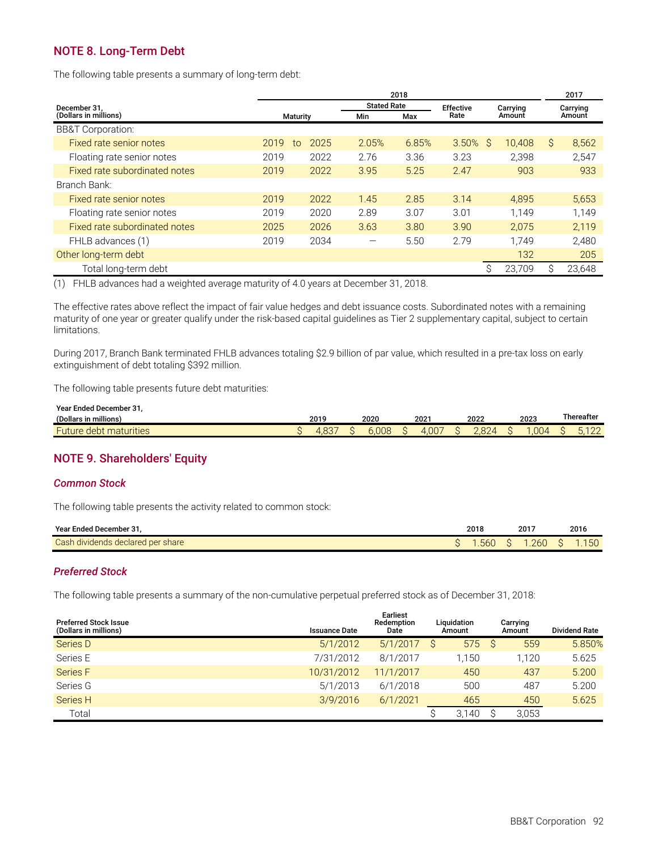## **NOTE 8. Long-Term Debt**

The following table presents a summary of long-term debt:

|                               | 2018            |            |                    |       |                              |        |        |        |          |
|-------------------------------|-----------------|------------|--------------------|-------|------------------------------|--------|--------|--------|----------|
| December 31.                  |                 |            | <b>Stated Rate</b> |       | <b>Effective</b><br>Carrying |        |        |        | Carrying |
| (Dollars in millions)         | <b>Maturity</b> |            | Min                | Max   | Rate                         | Amount |        | Amount |          |
| <b>BB&amp;T Corporation:</b>  |                 |            |                    |       |                              |        |        |        |          |
| Fixed rate senior notes       | 2019            | 2025<br>to | 2.05%              | 6.85% | 3.50%                        | Ŝ.     | 10,408 | Ŝ.     | 8,562    |
| Floating rate senior notes    | 2019            | 2022       | 2.76               | 3.36  | 3.23                         |        | 2.398  |        | 2,547    |
| Fixed rate subordinated notes | 2019            | 2022       | 3.95               | 5.25  | 2.47                         |        | 903    |        | 933      |
| Branch Bank:                  |                 |            |                    |       |                              |        |        |        |          |
| Fixed rate senior notes       | 2019            | 2022       | 1.45               | 2.85  | 3.14                         |        | 4.895  |        | 5,653    |
| Floating rate senior notes    | 2019            | 2020       | 2.89               | 3.07  | 3.01                         |        | 1.149  |        | 1.149    |
| Fixed rate subordinated notes | 2025            | 2026       | 3.63               | 3.80  | 3.90                         |        | 2.075  |        | 2.119    |
| FHLB advances (1)             | 2019            | 2034       |                    | 5.50  | 2.79                         |        | 1.749  |        | 2,480    |
| Other long-term debt          |                 |            |                    |       |                              |        | 132    |        | 205      |
| Total long-term debt          |                 |            |                    |       |                              |        | 23,709 | S.     | 23,648   |

(1) FHLB advances had a weighted average maturity of 4.0 years at December 31, 2018.

The effective rates above reflect the impact of fair value hedges and debt issuance costs. Subordinated notes with a remaining maturity of one year or greater qualify under the risk-based capital guidelines as Tier 2 supplementary capital, subject to certain limitations.

During 2017, Branch Bank terminated FHLB advances totaling \$2.9 billion of par value, which resulted in a pre-tax loss on early extinguishment of debt totaling \$392 million.

The following table presents future debt maturities:

| Year Ended December 31,          |      |                    |      |       |      |      |      |  |      |      |            |           |
|----------------------------------|------|--------------------|------|-------|------|------|------|--|------|------|------------|-----------|
| (Dollars in millions)            | 2019 |                    | 2020 |       | 2021 |      | 2022 |  | 2023 |      | Thereafter |           |
| <b>Future debt</b><br>maturities |      | $\cap$ $\cap$<br>ں |      | 6.008 |      | .007 |      |  |      | .004 |            | 100<br>U. |

## **NOTE 9. Shareholders' Equity**

#### *Common Stock*

The following table presents the activity related to common stock:

| Year Ended December 31.           | 2018<br>___ | 2017 | 2016 |
|-----------------------------------|-------------|------|------|
| Cash dividends declared per share | .560        | .260 | .150 |

### *Preferred Stock*

The following table presents a summary of the non-cumulative perpetual preferred stock as of December 31, 2018:

| <b>Preferred Stock Issue</b><br>(Dollars in millions) | <b>Issuance Date</b> | Earliest<br><b>Redemption</b><br>Date |   | Liauidation<br>Amount |                |       |        |  |  |  |  |  |  |  |  |  |  |  |  |  |  | Carrying<br>Amount | <b>Dividend Rate</b> |
|-------------------------------------------------------|----------------------|---------------------------------------|---|-----------------------|----------------|-------|--------|--|--|--|--|--|--|--|--|--|--|--|--|--|--|--------------------|----------------------|
| Series D                                              | 5/1/2012             | 5/1/2017                              | S | 575                   | S <sup>-</sup> | 559   | 5.850% |  |  |  |  |  |  |  |  |  |  |  |  |  |  |                    |                      |
| Series E                                              | 7/31/2012            | 8/1/2017                              |   | 1.150                 |                | 1.120 | 5.625  |  |  |  |  |  |  |  |  |  |  |  |  |  |  |                    |                      |
| Series F                                              | 10/31/2012           | 11/1/2017                             |   | 450                   |                | 437   | 5.200  |  |  |  |  |  |  |  |  |  |  |  |  |  |  |                    |                      |
| Series G                                              | 5/1/2013             | 6/1/2018                              |   | 500                   |                | 487   | 5.200  |  |  |  |  |  |  |  |  |  |  |  |  |  |  |                    |                      |
| Series H                                              | 3/9/2016             | 6/1/2021                              |   | 465                   |                | 450   | 5.625  |  |  |  |  |  |  |  |  |  |  |  |  |  |  |                    |                      |
| Total                                                 |                      |                                       |   | 3,140                 | ⌒              | 3,053 |        |  |  |  |  |  |  |  |  |  |  |  |  |  |  |                    |                      |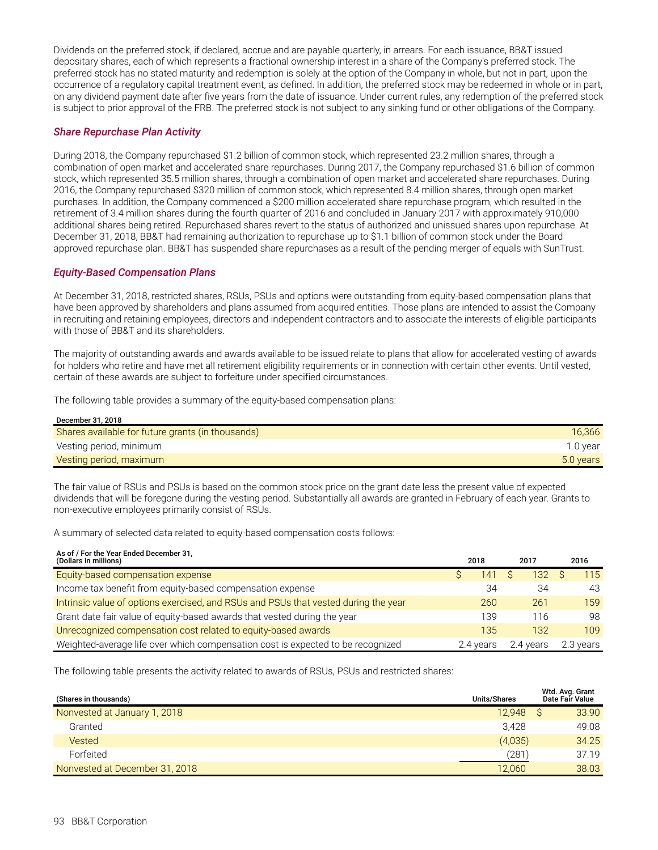Dividends on the preferred stock, if declared, accrue and are payable quarterly, in arrears. For each issuance, BB&T issued depositary shares, each of which represents a fractional ownership interest in a share of the Company's preferred stock. The preferred stock has no stated maturity and redemption is solely at the option of the Company in whole, but not in part, upon the occurrence of a regulatory capital treatment event, as defined. In addition, the preferred stock may be redeemed in whole or in part, on any dividend payment date after five years from the date of issuance. Under current rules, any redemption of the preferred stock is subject to prior approval of the FRB. The preferred stock is not subject to any sinking fund or other obligations of the Company.

### *Share Repurchase Plan Activity*

During 2018, the Company repurchased \$1.2 billion of common stock, which represented 23.2 million shares, through a combination of open market and accelerated share repurchases. During 2017, the Company repurchased \$1.6 billion of common stock, which represented 35.5 million shares, through a combination of open market and accelerated share repurchases. During 2016, the Company repurchased \$320 million of common stock, which represented 8.4 million shares, through open market purchases. In addition, the Company commenced a \$200 million accelerated share repurchase program, which resulted in the retirement of 3.4 million shares during the fourth quarter of 2016 and concluded in January 2017 with approximately 910,000 additional shares being retired. Repurchased shares revert to the status of authorized and unissued shares upon repurchase. At December 31, 2018, BB&T had remaining authorization to repurchase up to \$1.1 billion of common stock under the Board approved repurchase plan. BB&T has suspended share repurchases as a result of the pending merger of equals with SunTrust.

## *Equity-Based Compensation Plans*

At December 31, 2018, restricted shares, RSUs, PSUs and options were outstanding from equity-based compensation plans that have been approved by shareholders and plans assumed from acquired entities. Those plans are intended to assist the Company in recruiting and retaining employees, directors and independent contractors and to associate the interests of eligible participants with those of BB&T and its shareholders.

The majority of outstanding awards and awards available to be issued relate to plans that allow for accelerated vesting of awards for holders who retire and have met all retirement eligibility requirements or in connection with certain other events. Until vested, certain of these awards are subject to forfeiture under specified circumstances.

The following table provides a summary of the equity-based compensation plans:

| December 31, 2018                                 |           |
|---------------------------------------------------|-----------|
| Shares available for future grants (in thousands) | 16.366    |
| Vesting period, minimum                           | 1.0 year  |
| Vesting period, maximum                           | 5.0 years |

The fair value of RSUs and PSUs is based on the common stock price on the grant date less the present value of expected dividends that will be foregone during the vesting period. Substantially all awards are granted in February of each year. Grants to non-executive employees primarily consist of RSUs.

A summary of selected data related to equity-based compensation costs follows:

| As of / For the Year Ended December 31,<br>(Dollars in millions)                    | 2018      | 2017      | 2016      |
|-------------------------------------------------------------------------------------|-----------|-----------|-----------|
| Equity-based compensation expense                                                   | 141       | 132       | 115       |
| Income tax benefit from equity-based compensation expense                           | 34        | 34        | 43        |
| Intrinsic value of options exercised, and RSUs and PSUs that vested during the year | 260       | 261       | 159       |
| Grant date fair value of equity-based awards that vested during the year            | 139       | 116       | 98        |
| Unrecognized compensation cost related to equity-based awards                       | 135       | 132       | 109       |
| Weighted-average life over which compensation cost is expected to be recognized     | 2.4 years | 2.4 years | 2.3 years |

The following table presents the activity related to awards of RSUs, PSUs and restricted shares:

| (Shares in thousands)          | Units/Shares | Wtd. Avg. Grant<br>Date Fair Value |
|--------------------------------|--------------|------------------------------------|
| Nonvested at January 1, 2018   | 12.948       | 33.90                              |
| Granted                        | 3.428        | 49.08                              |
| Vested                         | (4,035)      | 34.25                              |
| Forfeited                      | (281)        | 37.19                              |
| Nonvested at December 31, 2018 | 12.060       | 38.03                              |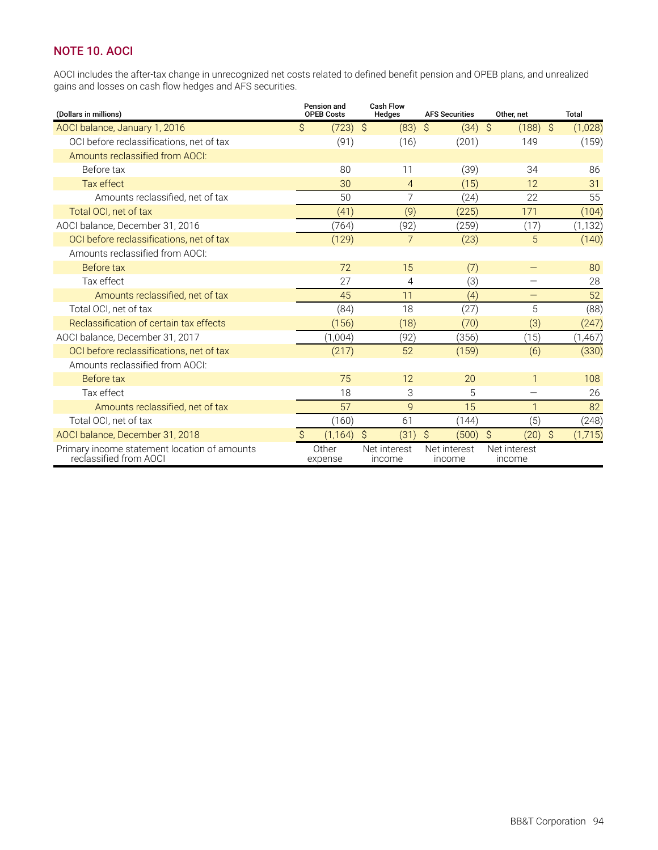# **NOTE 10. AOCI**

AOCI includes the after-tax change in unrecognized net costs related to defined benefit pension and OPEB plans, and unrealized gains and losses on cash flow hedges and AFS securities.

| (Dollars in millions)                                                  | Pension and<br><b>OPEB Costs</b> | <b>Cash Flow</b><br>Hedges | <b>AFS Securities</b>  | Other, net               | <b>Total</b>             |
|------------------------------------------------------------------------|----------------------------------|----------------------------|------------------------|--------------------------|--------------------------|
| AOCI balance, January 1, 2016                                          | S.<br>(723)                      | $\mathcal{S}$<br>(83)      | $\mathcal{S}$<br>(34)  | $\hat{S}$<br>(188)       | $\mathcal{S}$<br>(1,028) |
| OCI before reclassifications, net of tax                               | (91)                             | (16)                       | (201)                  | 149                      | (159)                    |
| Amounts reclassified from AOCI:                                        |                                  |                            |                        |                          |                          |
| Before tax                                                             | 80                               | 11                         | (39)                   | 34                       | 86                       |
| Tax effect                                                             | 30                               | $\overline{4}$             | (15)                   | 12                       | 31                       |
| Amounts reclassified, net of tax                                       | 50                               | 7                          | (24)                   | 22                       | 55                       |
| Total OCI, net of tax                                                  | (41)                             | (9)                        | (225)                  | 171                      | (104)                    |
| AOCI balance, December 31, 2016                                        | (764)                            | (92)                       | (259)                  | (17)                     | (1, 132)                 |
| OCI before reclassifications, net of tax                               | (129)                            | 7                          | (23)                   | 5                        | (140)                    |
| Amounts reclassified from AOCI:                                        |                                  |                            |                        |                          |                          |
| Before tax                                                             | 72                               | 15                         | (7)                    |                          | 80                       |
| Tax effect                                                             | 27                               | 4                          | (3)                    | $\overline{\phantom{0}}$ | 28                       |
| Amounts reclassified, net of tax                                       | 45                               | 11                         | (4)                    | $\qquad \qquad -$        | 52                       |
| Total OCI, net of tax                                                  | (84)                             | 18                         | (27)                   | 5                        | (88)                     |
| Reclassification of certain tax effects                                | (156)                            | (18)                       | (70)                   | (3)                      | (247)                    |
| AOCI balance, December 31, 2017                                        | (1,004)                          | (92)                       | (356)                  | (15)                     | (1, 467)                 |
| OCI before reclassifications, net of tax                               | (217)                            | 52                         | (159)                  | (6)                      | (330)                    |
| Amounts reclassified from AOCI:                                        |                                  |                            |                        |                          |                          |
| Before tax                                                             | 75                               | 12                         | 20                     | $\mathbf{1}$             | 108                      |
| Tax effect                                                             | 18                               | 3                          | 5                      |                          | 26                       |
| Amounts reclassified, net of tax                                       | 57                               | 9                          | 15                     | 1                        | 82                       |
| Total OCI, net of tax                                                  | (160)                            | 61                         | (144)                  | (5)                      | (248)                    |
| AOCI balance, December 31, 2018                                        | S.<br>(1, 164)                   | Ŝ.<br>(31)                 | $\mathcal{S}$<br>(500) | $\mathcal{S}$<br>(20)    | Ŝ.<br>(1,715)            |
| Primary income statement location of amounts<br>reclassified from AOCI | Other<br>expense                 | Net interest<br>income     | Net interest<br>income | Net interest<br>income   |                          |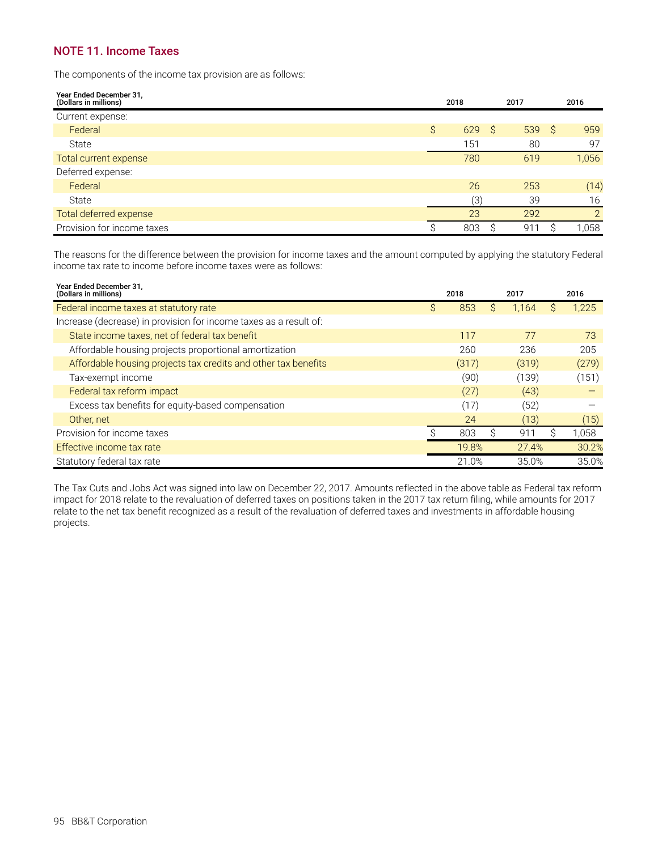## **NOTE 11. Income Taxes**

The components of the income tax provision are as follows:

| Year Ended December 31,<br>(Dollars in millions) |              | 2018 | 2017 |           |     | 2016          |
|--------------------------------------------------|--------------|------|------|-----------|-----|---------------|
| Current expense:                                 |              |      |      |           |     |               |
| Federal                                          | $\mathsf{S}$ | 629  | S.   | 539       | - S | 959           |
| State                                            |              | 151  |      | 80        |     | 97            |
| Total current expense                            |              | 780  |      | 619       |     | 1,056         |
| Deferred expense:                                |              |      |      |           |     |               |
| Federal                                          |              | 26   |      | 253       |     | (14)          |
| State                                            |              | (3)  |      | 39        |     | 16            |
| Total deferred expense                           |              | 23   |      | 292       |     | $\mathcal{P}$ |
| Provision for income taxes                       |              | 803  | S    | -91<br>-1 |     | 1,058         |

The reasons for the difference between the provision for income taxes and the amount computed by applying the statutory Federal income tax rate to income before income taxes were as follows:

| Year Ended December 31,<br>(Dollars in millions)                  |                | 2018  |    | 2017  |   | 2016  |  |
|-------------------------------------------------------------------|----------------|-------|----|-------|---|-------|--|
| Federal income taxes at statutory rate                            | Ŝ              | 853   | S  | 1,164 | S | 1,225 |  |
| Increase (decrease) in provision for income taxes as a result of: |                |       |    |       |   |       |  |
| State income taxes, net of federal tax benefit                    |                | 117   |    | 77    |   | 73    |  |
| Affordable housing projects proportional amortization             |                | 260   |    | 236   |   | 205   |  |
| Affordable housing projects tax credits and other tax benefits    |                | (317) |    | (319) |   | (279) |  |
| Tax-exempt income                                                 |                | (90)  |    | (139) |   | (151) |  |
| Federal tax reform impact                                         |                | (27)  |    | (43)  |   |       |  |
| Excess tax benefits for equity-based compensation                 |                | (17)  |    | (52)  |   |       |  |
| Other, net                                                        |                | 24    |    | (13)  |   | (15)  |  |
| Provision for income taxes                                        |                | 803   | Ŝ. | 911   | S | 1,058 |  |
| Effective income tax rate                                         |                | 19.8% |    | 27.4% |   | 30.2% |  |
| Statutory federal tax rate                                        | 35.0%<br>21.0% |       |    | 35.0% |   |       |  |

The Tax Cuts and Jobs Act was signed into law on December 22, 2017. Amounts reflected in the above table as Federal tax reform impact for 2018 relate to the revaluation of deferred taxes on positions taken in the 2017 tax return filing, while amounts for 2017 relate to the net tax benefit recognized as a result of the revaluation of deferred taxes and investments in affordable housing projects.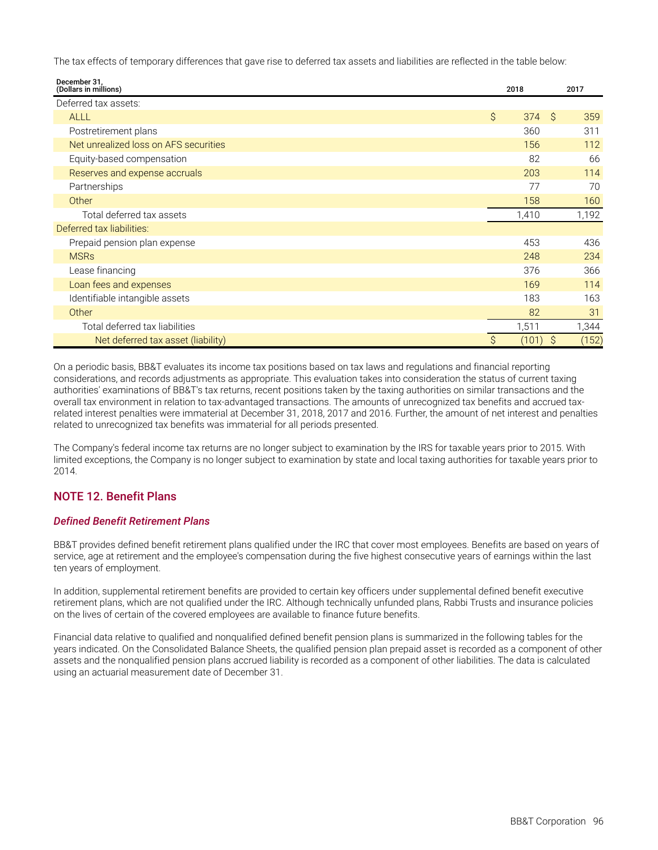The tax effects of temporary differences that gave rise to deferred tax assets and liabilities are reflected in the table below:

| December 31,<br>(Dollars in millions) |           | 2018  | 2017        |
|---------------------------------------|-----------|-------|-------------|
| Deferred tax assets:                  |           |       |             |
| <b>ALLL</b>                           | $\hat{S}$ | 374S  | 359         |
| Postretirement plans                  |           | 360   | 311         |
| Net unrealized loss on AFS securities |           | 156   | 112         |
| Equity-based compensation             |           | 82    | 66          |
| Reserves and expense accruals         |           | 203   | 114         |
| Partnerships                          |           | 77    | 70          |
| Other                                 |           | 158   | 160         |
| Total deferred tax assets             |           | 1,410 | 1,192       |
| Deferred tax liabilities:             |           |       |             |
| Prepaid pension plan expense          |           | 453   | 436         |
| <b>MSRs</b>                           |           | 248   | 234         |
| Lease financing                       |           | 376   | 366         |
| Loan fees and expenses                |           | 169   | 114         |
| Identifiable intangible assets        |           | 183   | 163         |
| Other                                 |           | 82    | 31          |
| Total deferred tax liabilities        |           | 1,511 | 1,344       |
| Net deferred tax asset (liability)    | \$        | (101) | \$<br>(152) |

On a periodic basis, BB&T evaluates its income tax positions based on tax laws and regulations and financial reporting considerations, and records adjustments as appropriate. This evaluation takes into consideration the status of current taxing authorities' examinations of BB&T's tax returns, recent positions taken by the taxing authorities on similar transactions and the overall tax environment in relation to tax-advantaged transactions. The amounts of unrecognized tax benefits and accrued taxrelated interest penalties were immaterial at December 31, 2018, 2017 and 2016. Further, the amount of net interest and penalties related to unrecognized tax benefits was immaterial for all periods presented.

The Company's federal income tax returns are no longer subject to examination by the IRS for taxable years prior to 2015. With limited exceptions, the Company is no longer subject to examination by state and local taxing authorities for taxable years prior to 2014.

## **NOTE 12. Benefit Plans**

## *Defined Benefit Retirement Plans*

BB&T provides defined benefit retirement plans qualified under the IRC that cover most employees. Benefits are based on years of service, age at retirement and the employee's compensation during the five highest consecutive years of earnings within the last ten years of employment.

In addition, supplemental retirement benefits are provided to certain key officers under supplemental defined benefit executive retirement plans, which are not qualified under the IRC. Although technically unfunded plans, Rabbi Trusts and insurance policies on the lives of certain of the covered employees are available to finance future benefits.

Financial data relative to qualified and nonqualified defined benefit pension plans is summarized in the following tables for the years indicated. On the Consolidated Balance Sheets, the qualified pension plan prepaid asset is recorded as a component of other assets and the nonqualified pension plans accrued liability is recorded as a component of other liabilities. The data is calculated using an actuarial measurement date of December 31.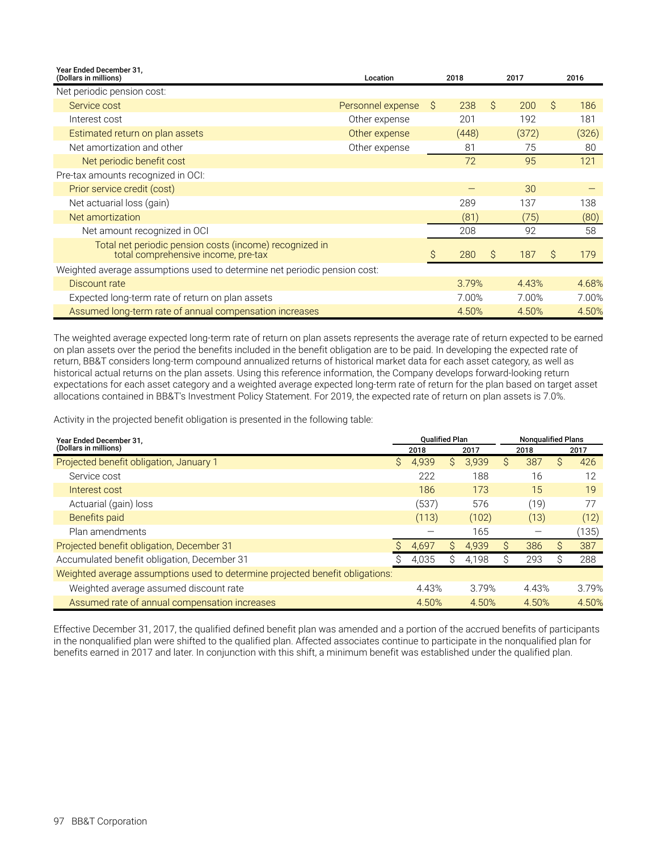| Year Ended December 31,<br>(Dollars in millions)                                               | Location          |    | 2018  |    | 2017  |   | 2016  |
|------------------------------------------------------------------------------------------------|-------------------|----|-------|----|-------|---|-------|
| Net periodic pension cost:                                                                     |                   |    |       |    |       |   |       |
| Service cost                                                                                   | Personnel expense | Ŝ. | 238   | Ŝ. | 200   | Ŝ | 186   |
| Interest cost                                                                                  | Other expense     |    | 201   |    | 192   |   | 181   |
| Estimated return on plan assets                                                                | Other expense     |    | (448) |    | (372) |   | (326) |
| Net amortization and other                                                                     | Other expense     |    | 81    |    | 75    |   | 80    |
| Net periodic benefit cost                                                                      |                   |    | 72    |    | 95    |   | 121   |
| Pre-tax amounts recognized in OCI:                                                             |                   |    |       |    |       |   |       |
| Prior service credit (cost)                                                                    |                   |    |       |    | 30    |   |       |
| Net actuarial loss (gain)                                                                      |                   |    | 289   |    | 137   |   | 138   |
| Net amortization                                                                               |                   |    | (81)  |    | (75)  |   | (80)  |
| Net amount recognized in OCI                                                                   |                   |    | 208   |    | 92    |   | 58    |
| Total net periodic pension costs (income) recognized in<br>total comprehensive income, pre-tax |                   | Ŝ  | 280   | Ŝ. | 187   | Ŝ | 179   |
| Weighted average assumptions used to determine net periodic pension cost:                      |                   |    |       |    |       |   |       |
| Discount rate                                                                                  |                   |    | 3.79% |    | 4.43% |   | 4.68% |
| Expected long-term rate of return on plan assets                                               |                   |    | 7.00% |    | 7.00% |   | 7.00% |
| Assumed long-term rate of annual compensation increases                                        |                   |    | 4.50% |    | 4.50% |   | 4.50% |

The weighted average expected long-term rate of return on plan assets represents the average rate of return expected to be earned on plan assets over the period the benefits included in the benefit obligation are to be paid. In developing the expected rate of return, BB&T considers long-term compound annualized returns of historical market data for each asset category, as well as historical actual returns on the plan assets. Using this reference information, the Company develops forward-looking return expectations for each asset category and a weighted average expected long-term rate of return for the plan based on target asset allocations contained in BB&T's Investment Policy Statement. For 2019, the expected rate of return on plan assets is 7.0%.

Activity in the projected benefit obligation is presented in the following table:

| Year Ended December 31,                                                       | <b>Oualified Plan</b> |       |    |       |              |       |    | <b>Nonqualified Plans</b> |
|-------------------------------------------------------------------------------|-----------------------|-------|----|-------|--------------|-------|----|---------------------------|
| (Dollars in millions)                                                         | 2018                  |       |    | 2017  |              | 2018  |    | 2017                      |
| Projected benefit obligation, January 1                                       | S.                    | 4,939 | S. | 3,939 | <sub>S</sub> | 387   | S. | 426                       |
| Service cost                                                                  |                       | 222   |    | 188   |              | 16    |    | 12                        |
| Interest cost                                                                 |                       | 186   |    | 173   |              | 15    |    | 19                        |
| Actuarial (gain) loss                                                         |                       | (537) |    | 576   |              | (19)  |    |                           |
| Benefits paid                                                                 |                       | (113) |    | (102) |              | (13)  |    | (12)                      |
| Plan amendments                                                               |                       |       |    | 165   |              |       |    | (135)                     |
| Projected benefit obligation, December 31                                     |                       | 4,697 | S  | 4,939 | S            | 386   | S  | 387                       |
| Accumulated benefit obligation, December 31                                   | ሶ                     | 4,035 | S  | 4,198 | ς            | 293   |    | 288                       |
| Weighted average assumptions used to determine projected benefit obligations: |                       |       |    |       |              |       |    |                           |
| Weighted average assumed discount rate                                        |                       | 4.43% |    | 3.79% |              | 4.43% |    | 3.79%                     |
| Assumed rate of annual compensation increases                                 |                       | 4.50% |    | 4.50% |              | 4.50% |    | 4.50%                     |

Effective December 31, 2017, the qualified defined benefit plan was amended and a portion of the accrued benefits of participants in the nonqualified plan were shifted to the qualified plan. Affected associates continue to participate in the nonqualified plan for benefits earned in 2017 and later. In conjunction with this shift, a minimum benefit was established under the qualified plan.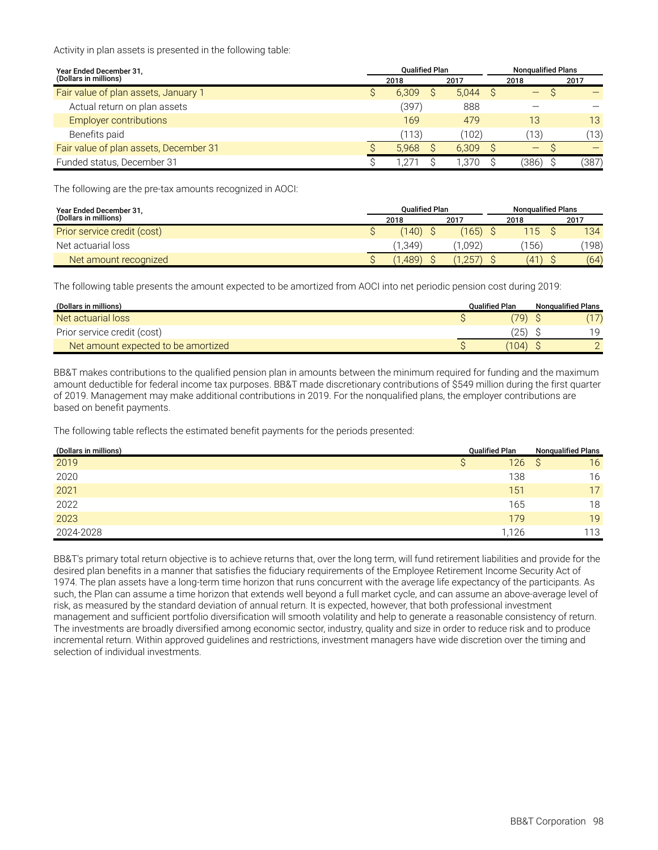Activity in plan assets is presented in the following table:

| Year Ended December 31,                |      | <b>Oualified Plan</b> |  |       | <b>Nongualified Plans</b> |       |  |                |  |
|----------------------------------------|------|-----------------------|--|-------|---------------------------|-------|--|----------------|--|
| (Dollars in millions)                  | 2018 |                       |  | 2017  | 2018                      |       |  | 2017           |  |
| Fair value of plan assets, January 1   |      | 6,309                 |  | 5.044 |                           | —     |  |                |  |
| Actual return on plan assets           |      | (397)                 |  | 888   |                           |       |  |                |  |
| <b>Employer contributions</b>          |      | 169                   |  | 479   |                           | 13    |  | 13             |  |
| Benefits paid                          |      | (113                  |  | 102`  |                           | '13)  |  | $^{\prime}13)$ |  |
| Fair value of plan assets, December 31 |      | 5.968                 |  | 6.309 |                           | —     |  |                |  |
| Funded status, December 31             |      | .27                   |  | 1.370 |                           | ั386` |  | (387)          |  |

The following are the pre-tax amounts recognized in AOCI:

| Year Ended December 31,<br>(Dollars in millions) |  | Oualified Plan |       |  | <b>Nongualified Plans</b> |      |       |
|--------------------------------------------------|--|----------------|-------|--|---------------------------|------|-------|
|                                                  |  | 2018           | 2017  |  | 2018                      | 2017 |       |
| Prior service credit (cost)                      |  | (140)          | (165) |  |                           |      | 134   |
| Net actuarial loss                               |  | (1.349)        | .092  |  | 56                        |      | (198) |
| Net amount recognized                            |  | .489           | .257  |  | $\overline{4}$            |      | (64)  |

The following table presents the amount expected to be amortized from AOCI into net periodic pension cost during 2019:

| (Dollars in millions)               | <b>Oualified Plan</b> | <b>Nongualified Plans</b> |
|-------------------------------------|-----------------------|---------------------------|
| Net actuarial loss                  | 79)                   |                           |
| Prior service credit (cost)         | 25)                   | 1 Q                       |
| Net amount expected to be amortized | (104)                 |                           |

BB&T makes contributions to the qualified pension plan in amounts between the minimum required for funding and the maximum amount deductible for federal income tax purposes. BB&T made discretionary contributions of \$549 million during the first quarter of 2019. Management may make additional contributions in 2019. For the nonqualified plans, the employer contributions are based on benefit payments.

The following table reflects the estimated benefit payments for the periods presented:

| (Dollars in millions) | <b>Qualified Plan</b> | <b>Nonqualified Plans</b> |
|-----------------------|-----------------------|---------------------------|
| 2019                  | 126                   | 16<br>S                   |
| 2020                  | 138                   | 16                        |
| 2021                  | 151                   | 17                        |
| 2022                  | 165                   | 18                        |
| 2023                  | 179                   | 19                        |
| 2024-2028             | 1,126                 | 113                       |

BB&T's primary total return objective is to achieve returns that, over the long term, will fund retirement liabilities and provide for the desired plan benefits in a manner that satisfies the fiduciary requirements of the Employee Retirement Income Security Act of 1974. The plan assets have a long-term time horizon that runs concurrent with the average life expectancy of the participants. As such, the Plan can assume a time horizon that extends well beyond a full market cycle, and can assume an above-average level of risk, as measured by the standard deviation of annual return. It is expected, however, that both professional investment management and sufficient portfolio diversification will smooth volatility and help to generate a reasonable consistency of return. The investments are broadly diversified among economic sector, industry, quality and size in order to reduce risk and to produce incremental return. Within approved guidelines and restrictions, investment managers have wide discretion over the timing and selection of individual investments.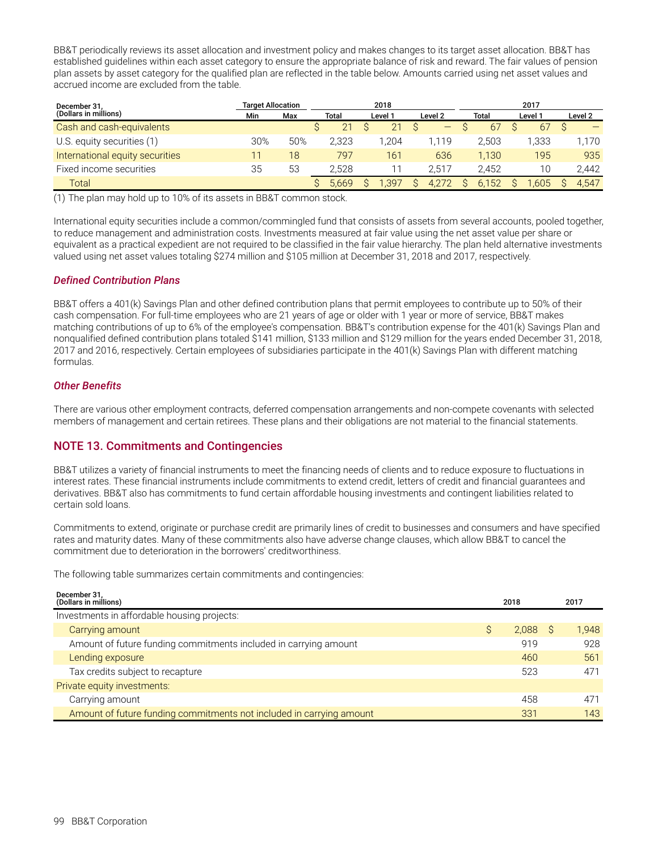BB&T periodically reviews its asset allocation and investment policy and makes changes to its target asset allocation. BB&T has established guidelines within each asset category to ensure the appropriate balance of risk and reward. The fair values of pension plan assets by asset category for the qualified plan are reflected in the table below. Amounts carried using net asset values and accrued income are excluded from the table.

| December 31.                    | 2018<br><b>Target Allocation</b> |     |  |       |                    |      |   |       |  |           |  |       |       |  | 2017 |  |  |  |  |  |  |  |  |  |  |  |  |  |  |  |  |  |  |                    |         |
|---------------------------------|----------------------------------|-----|--|-------|--------------------|------|---|-------|--|-----------|--|-------|-------|--|------|--|--|--|--|--|--|--|--|--|--|--|--|--|--|--|--|--|--|--------------------|---------|
| (Dollars in millions)           | Min                              | Max |  | Total | Level 1<br>Level 2 |      |   |       |  |           |  |       |       |  |      |  |  |  |  |  |  |  |  |  |  |  |  |  |  |  |  |  |  | Level <sup>~</sup> | Level 2 |
| Cash and cash-equivalents       |                                  |     |  |       |                    | 21   |   | –     |  | 67        |  | 67    |       |  |      |  |  |  |  |  |  |  |  |  |  |  |  |  |  |  |  |  |  |                    |         |
| U.S. equity securities (1)      | 30%                              | 50% |  | 2,323 |                    | .204 |   | 1.119 |  | 2.503     |  | 1.333 | 1.170 |  |      |  |  |  |  |  |  |  |  |  |  |  |  |  |  |  |  |  |  |                    |         |
| International equity securities |                                  | 18  |  | 797   |                    | 161  |   | 636   |  | 1.130     |  | 195   | 935   |  |      |  |  |  |  |  |  |  |  |  |  |  |  |  |  |  |  |  |  |                    |         |
| Fixed income securities         | 35                               | 53  |  | 2.528 |                    |      |   | 2.517 |  | 2.452     |  |       | 2.442 |  |      |  |  |  |  |  |  |  |  |  |  |  |  |  |  |  |  |  |  |                    |         |
| Total                           |                                  |     |  | 5.669 |                    | .397 | e |       |  | 52<br>6.1 |  | .605  | 4.547 |  |      |  |  |  |  |  |  |  |  |  |  |  |  |  |  |  |  |  |  |                    |         |

(1) The plan may hold up to 10% of its assets in BB&T common stock.

International equity securities include a common/commingled fund that consists of assets from several accounts, pooled together, to reduce management and administration costs. Investments measured at fair value using the net asset value per share or equivalent as a practical expedient are not required to be classified in the fair value hierarchy. The plan held alternative investments valued using net asset values totaling \$274 million and \$105 million at December 31, 2018 and 2017, respectively.

## *Defined Contribution Plans*

BB&T offers a 401(k) Savings Plan and other defined contribution plans that permit employees to contribute up to 50% of their cash compensation. For full-time employees who are 21 years of age or older with 1 year or more of service, BB&T makes matching contributions of up to 6% of the employee's compensation. BB&T's contribution expense for the 401(k) Savings Plan and nonqualified defined contribution plans totaled \$141 million, \$133 million and \$129 million for the years ended December 31, 2018, 2017 and 2016, respectively. Certain employees of subsidiaries participate in the 401(k) Savings Plan with different matching formulas.

## *Other Benefits*

There are various other employment contracts, deferred compensation arrangements and non-compete covenants with selected members of management and certain retirees. These plans and their obligations are not material to the financial statements.

## **NOTE 13. Commitments and Contingencies**

BB&T utilizes a variety of financial instruments to meet the financing needs of clients and to reduce exposure to fluctuations in interest rates. These financial instruments include commitments to extend credit, letters of credit and financial guarantees and derivatives. BB&T also has commitments to fund certain affordable housing investments and contingent liabilities related to certain sold loans.

Commitments to extend, originate or purchase credit are primarily lines of credit to businesses and consumers and have specified rates and maturity dates. Many of these commitments also have adverse change clauses, which allow BB&T to cancel the commitment due to deterioration in the borrowers' creditworthiness.

The following table summarizes certain commitments and contingencies:

| December 31,<br>(Dollars in millions)                                |   | 2018  | 2017  |
|----------------------------------------------------------------------|---|-------|-------|
| Investments in affordable housing projects:                          |   |       |       |
| Carrying amount                                                      | S | 2.088 | 1.948 |
| Amount of future funding commitments included in carrying amount     |   | 919   | 928   |
| Lending exposure                                                     |   | 460   | 561   |
| Tax credits subject to recapture                                     |   | 523   | 471   |
| Private equity investments:                                          |   |       |       |
| Carrying amount                                                      |   | 458   | 471   |
| Amount of future funding commitments not included in carrying amount |   | 331   | 143   |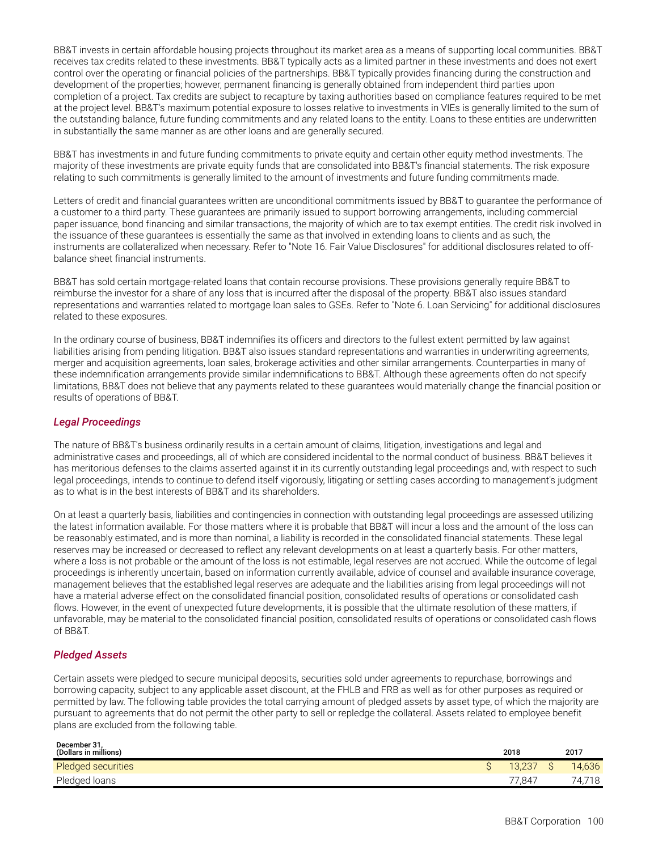BB&T invests in certain affordable housing projects throughout its market area as a means of supporting local communities. BB&T receives tax credits related to these investments. BB&T typically acts as a limited partner in these investments and does not exert control over the operating or financial policies of the partnerships. BB&T typically provides financing during the construction and development of the properties; however, permanent financing is generally obtained from independent third parties upon completion of a project. Tax credits are subject to recapture by taxing authorities based on compliance features required to be met at the project level. BB&T's maximum potential exposure to losses relative to investments in VIEs is generally limited to the sum of the outstanding balance, future funding commitments and any related loans to the entity. Loans to these entities are underwritten in substantially the same manner as are other loans and are generally secured.

BB&T has investments in and future funding commitments to private equity and certain other equity method investments. The majority of these investments are private equity funds that are consolidated into BB&T's financial statements. The risk exposure relating to such commitments is generally limited to the amount of investments and future funding commitments made.

Letters of credit and financial guarantees written are unconditional commitments issued by BB&T to guarantee the performance of a customer to a third party. These guarantees are primarily issued to support borrowing arrangements, including commercial paper issuance, bond financing and similar transactions, the majority of which are to tax exempt entities. The credit risk involved in the issuance of these guarantees is essentially the same as that involved in extending loans to clients and as such, the instruments are collateralized when necessary. Refer to "Note 16. Fair Value Disclosures" for additional disclosures related to offbalance sheet financial instruments.

BB&T has sold certain mortgage-related loans that contain recourse provisions. These provisions generally require BB&T to reimburse the investor for a share of any loss that is incurred after the disposal of the property. BB&T also issues standard representations and warranties related to mortgage loan sales to GSEs. Refer to "Note 6. Loan Servicing" for additional disclosures related to these exposures.

In the ordinary course of business, BB&T indemnifies its officers and directors to the fullest extent permitted by law against liabilities arising from pending litigation. BB&T also issues standard representations and warranties in underwriting agreements, merger and acquisition agreements, loan sales, brokerage activities and other similar arrangements. Counterparties in many of these indemnification arrangements provide similar indemnifications to BB&T. Although these agreements often do not specify limitations, BB&T does not believe that any payments related to these guarantees would materially change the financial position or results of operations of BB&T.

## *Legal Proceedings*

The nature of BB&T's business ordinarily results in a certain amount of claims, litigation, investigations and legal and administrative cases and proceedings, all of which are considered incidental to the normal conduct of business. BB&T believes it has meritorious defenses to the claims asserted against it in its currently outstanding legal proceedings and, with respect to such legal proceedings, intends to continue to defend itself vigorously, litigating or settling cases according to management's judgment as to what is in the best interests of BB&T and its shareholders.

On at least a quarterly basis, liabilities and contingencies in connection with outstanding legal proceedings are assessed utilizing the latest information available. For those matters where it is probable that BB&T will incur a loss and the amount of the loss can be reasonably estimated, and is more than nominal, a liability is recorded in the consolidated financial statements. These legal reserves may be increased or decreased to reflect any relevant developments on at least a quarterly basis. For other matters, where a loss is not probable or the amount of the loss is not estimable, legal reserves are not accrued. While the outcome of legal proceedings is inherently uncertain, based on information currently available, advice of counsel and available insurance coverage, management believes that the established legal reserves are adequate and the liabilities arising from legal proceedings will not have a material adverse effect on the consolidated financial position, consolidated results of operations or consolidated cash flows. However, in the event of unexpected future developments, it is possible that the ultimate resolution of these matters, if unfavorable, may be material to the consolidated financial position, consolidated results of operations or consolidated cash flows of BB&T.

## *Pledged Assets*

Certain assets were pledged to secure municipal deposits, securities sold under agreements to repurchase, borrowings and borrowing capacity, subject to any applicable asset discount, at the FHLB and FRB as well as for other purposes as required or permitted by law. The following table provides the total carrying amount of pledged assets by asset type, of which the majority are pursuant to agreements that do not permit the other party to sell or repledge the collateral. Assets related to employee benefit plans are excluded from the following table.

| December 31,<br>(Dollars in millions) | 2018   | 2017   |
|---------------------------------------|--------|--------|
| Pledged securities                    | 13,237 | 14,636 |
| Pledged loans                         | 77,84, | 74,718 |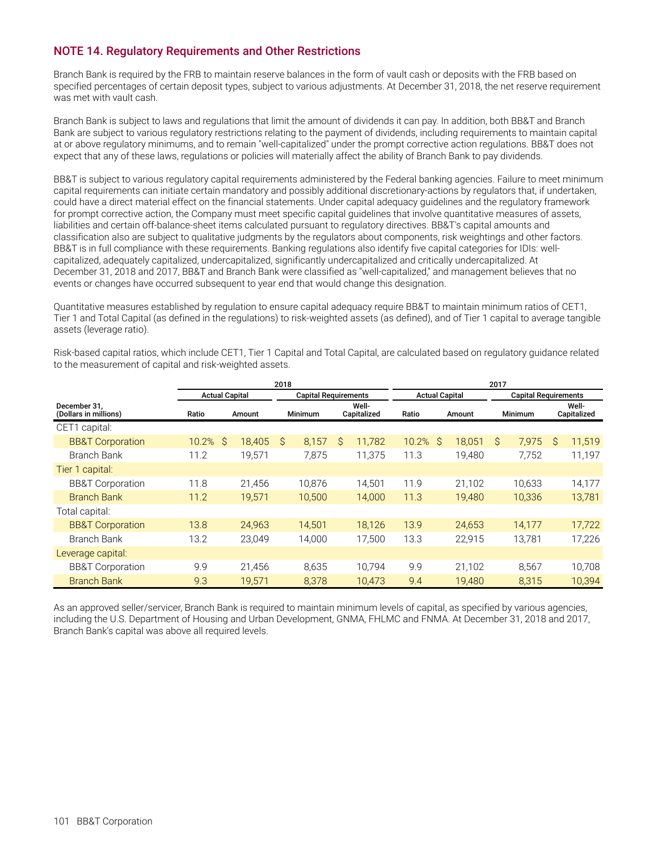## **NOTE 14. Regulatory Requirements and Other Restrictions**

Branch Bank is required by the FRB to maintain reserve balances in the form of vault cash or deposits with the FRB based on specified percentages of certain deposit types, subject to various adjustments. At December 31, 2018, the net reserve requirement was met with vault cash.

Branch Bank is subject to laws and regulations that limit the amount of dividends it can pay. In addition, both BB&T and Branch Bank are subject to various regulatory restrictions relating to the payment of dividends, including requirements to maintain capital at or above regulatory minimums, and to remain "well-capitalized" under the prompt corrective action regulations. BB&T does not expect that any of these laws, regulations or policies will materially affect the ability of Branch Bank to pay dividends.

BB&T is subject to various regulatory capital requirements administered by the Federal banking agencies. Failure to meet minimum capital requirements can initiate certain mandatory and possibly additional discretionary-actions by regulators that, if undertaken, could have a direct material effect on the financial statements. Under capital adequacy guidelines and the regulatory framework for prompt corrective action, the Company must meet specific capital guidelines that involve quantitative measures of assets, liabilities and certain off-balance-sheet items calculated pursuant to regulatory directives. BB&T's capital amounts and classification also are subject to qualitative judgments by the regulators about components, risk weightings and other factors. BB&T is in full compliance with these requirements. Banking regulations also identify five capital categories for IDIs: wellcapitalized, adequately capitalized, undercapitalized, significantly undercapitalized and critically undercapitalized. At December 31, 2018 and 2017, BB&T and Branch Bank were classified as "well-capitalized," and management believes that no events or changes have occurred subsequent to year end that would change this designation.

Quantitative measures established by regulation to ensure capital adequacy require BB&T to maintain minimum ratios of CET1, Tier 1 and Total Capital (as defined in the regulations) to risk-weighted assets (as defined), and of Tier 1 capital to average tangible assets (leverage ratio).

Risk-based capital ratios, which include CET1, Tier 1 Capital and Total Capital, are calculated based on regulatory guidance related to the measurement of capital and risk-weighted assets.

|                                       |       |                       | 2018           |                             |                       |        | 2017           |                             |
|---------------------------------------|-------|-----------------------|----------------|-----------------------------|-----------------------|--------|----------------|-----------------------------|
|                                       |       | <b>Actual Capital</b> |                | <b>Capital Requirements</b> | <b>Actual Capital</b> |        |                | <b>Capital Requirements</b> |
| December 31,<br>(Dollars in millions) | Ratio | Amount                | <b>Minimum</b> | Well-<br>Capitalized        | Ratio                 | Amount | <b>Minimum</b> | Well-<br>Capitalized        |
| CET1 capital:                         |       |                       |                |                             |                       |        |                |                             |
| <b>BB&amp;T Corporation</b>           | 10.2% | Ŝ<br>18.405           | Ŝ<br>8,157     | S.<br>11.782                | 10.2%<br><sub>S</sub> | 18.051 | Ŝ.<br>7.975    | Ŝ<br>11,519                 |
| Branch Bank                           | 11.2  | 19,571                | 7,875          | 11.375                      | 11.3                  | 19,480 | 7,752          | 11,197                      |
| Tier 1 capital:                       |       |                       |                |                             |                       |        |                |                             |
| <b>BB&amp;T</b> Corporation           | 11.8  | 21.456                | 10.876         | 14.501                      | 11.9                  | 21.102 | 10.633         | 14,177                      |
| <b>Branch Bank</b>                    | 11.2  | 19,571                | 10,500         | 14,000                      | 11.3                  | 19,480 | 10,336         | 13,781                      |
| Total capital:                        |       |                       |                |                             |                       |        |                |                             |
| <b>BB&amp;T Corporation</b>           | 13.8  | 24.963                | 14.501         | 18.126                      | 13.9                  | 24.653 | 14.177         | 17,722                      |
| Branch Bank                           | 13.2  | 23.049                | 14,000         | 17,500                      | 13.3                  | 22,915 | 13,781         | 17,226                      |
| Leverage capital:                     |       |                       |                |                             |                       |        |                |                             |
| <b>BB&amp;T</b> Corporation           | 9.9   | 21,456                | 8,635          | 10.794                      | 9.9                   | 21,102 | 8,567          | 10,708                      |
| <b>Branch Bank</b>                    | 9.3   | 19,571                | 8,378          | 10,473                      | 9.4                   | 19,480 | 8,315          | 10,394                      |

As an approved seller/servicer, Branch Bank is required to maintain minimum levels of capital, as specified by various agencies, including the U.S. Department of Housing and Urban Development, GNMA, FHLMC and FNMA. At December 31, 2018 and 2017, Branch Bank's capital was above all required levels.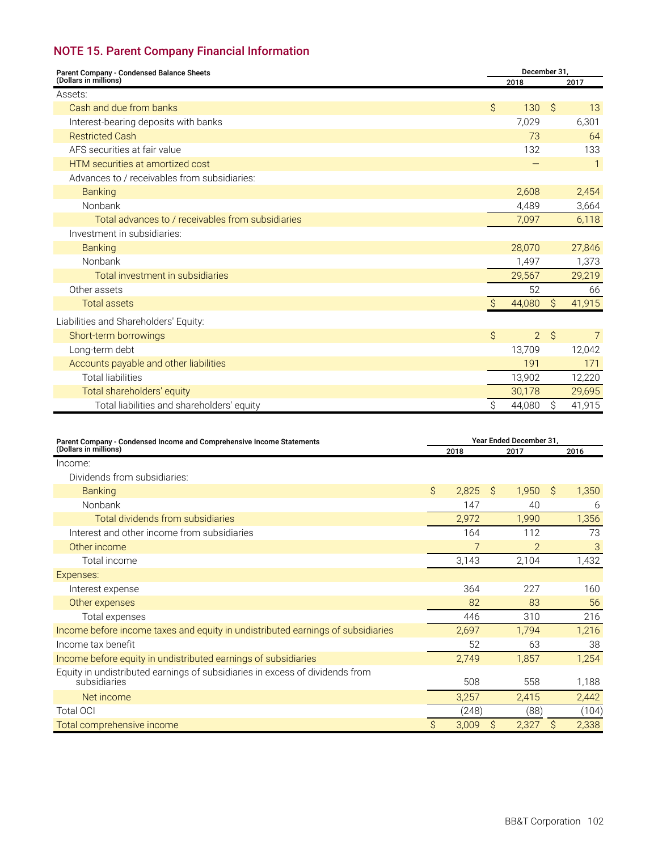# **NOTE 15. Parent Company Financial Information**

| Parent Company - Condensed Balance Sheets         | December 31, |                |                     |                |
|---------------------------------------------------|--------------|----------------|---------------------|----------------|
| (Dollars in millions)                             |              | 2018           |                     | 2017           |
| Assets:                                           |              |                |                     |                |
| Cash and due from banks                           | $\hat{S}$    | 130            | $\mathcal{S}$       | 13             |
| Interest-bearing deposits with banks              |              | 7,029          |                     | 6,301          |
| <b>Restricted Cash</b>                            |              | 73             |                     | 64             |
| AFS securities at fair value                      |              | 132            |                     | 133            |
| HTM securities at amortized cost                  |              |                |                     |                |
| Advances to / receivables from subsidiaries:      |              |                |                     |                |
| <b>Banking</b>                                    |              | 2,608          |                     | 2,454          |
| Nonbank                                           |              | 4,489          |                     | 3,664          |
| Total advances to / receivables from subsidiaries |              | 7,097          |                     | 6,118          |
| Investment in subsidiaries:                       |              |                |                     |                |
| <b>Banking</b>                                    |              | 28,070         |                     | 27,846         |
| Nonbank                                           |              | 1,497          |                     | 1,373          |
| Total investment in subsidiaries                  |              | 29,567         |                     | 29,219         |
| Other assets                                      |              | 52             |                     | 66             |
| <b>Total assets</b>                               | Ŝ.           | 44,080         | Ŝ.                  | 41,915         |
| Liabilities and Shareholders' Equity:             |              |                |                     |                |
| Short-term borrowings                             | $\mathsf{S}$ | 2 <sup>1</sup> | $\hat{\mathcal{S}}$ | $\overline{7}$ |
| Long-term debt                                    |              | 13,709         |                     | 12,042         |
| Accounts payable and other liabilities            |              | 191            |                     | 171            |
| <b>Total liabilities</b>                          |              | 13,902         |                     | 12,220         |
| Total shareholders' equity                        |              | 30,178         |                     | 29,695         |
| Total liabilities and shareholders' equity        | \$           | 44,080         | \$                  | 41,915         |

| Parent Company - Condensed Income and Comprehensive Income Statements                        |              | Year Ended December 31 |    |                |              |       |  |  |  |
|----------------------------------------------------------------------------------------------|--------------|------------------------|----|----------------|--------------|-------|--|--|--|
| (Dollars in millions)                                                                        |              | 2018                   |    | 2017           |              | 2016  |  |  |  |
| Income:                                                                                      |              |                        |    |                |              |       |  |  |  |
| Dividends from subsidiaries:                                                                 |              |                        |    |                |              |       |  |  |  |
| <b>Banking</b>                                                                               | $\hat{S}$    | 2,825                  | -Ŝ | 1,950          | S.           | 1,350 |  |  |  |
| Nonbank                                                                                      |              | 147                    |    | 40             |              | 6     |  |  |  |
| Total dividends from subsidiaries                                                            |              | 2,972                  |    | 1,990          |              | 1,356 |  |  |  |
| Interest and other income from subsidiaries                                                  |              | 164                    |    | 112            |              | 73    |  |  |  |
| Other income                                                                                 |              | 7                      |    | $\overline{2}$ |              | 3     |  |  |  |
| Total income                                                                                 |              | 3,143                  |    | 2,104          |              | 1,432 |  |  |  |
| Expenses:                                                                                    |              |                        |    |                |              |       |  |  |  |
| Interest expense                                                                             |              | 364                    |    | 227            |              | 160   |  |  |  |
| Other expenses                                                                               |              | 82                     |    | 83             |              | 56    |  |  |  |
| Total expenses                                                                               |              | 446                    |    | 310            |              | 216   |  |  |  |
| Income before income taxes and equity in undistributed earnings of subsidiaries              |              | 2,697                  |    | 1,794          |              | 1,216 |  |  |  |
| Income tax benefit                                                                           |              | 52                     |    | 63             |              | 38    |  |  |  |
| Income before equity in undistributed earnings of subsidiaries                               |              | 2,749                  |    | 1,857          |              | 1,254 |  |  |  |
| Equity in undistributed earnings of subsidiaries in excess of dividends from<br>subsidiaries |              | 508                    |    | 558            |              | 1,188 |  |  |  |
| Net income                                                                                   |              | 3,257                  |    | 2,415          |              | 2,442 |  |  |  |
| <b>Total OCI</b>                                                                             |              | (248)                  |    | (88)           |              | (104) |  |  |  |
| Total comprehensive income                                                                   | $\mathsf{S}$ | 3,009                  | \$ | 2,327          | $\mathsf{S}$ | 2,338 |  |  |  |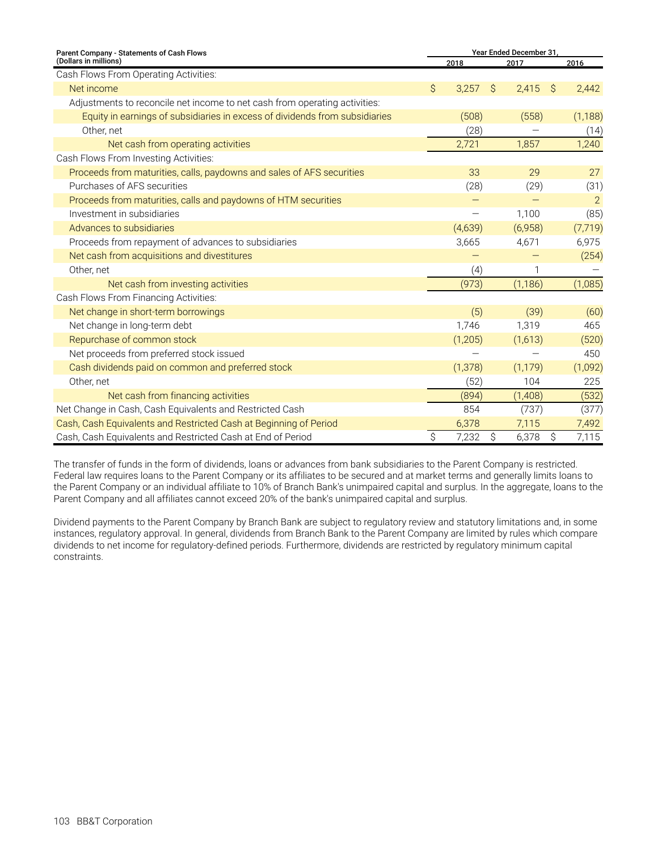| Parent Company - Statements of Cash Flows                                   | Year Ended December 31, |          |    |          |              |                |  |  |
|-----------------------------------------------------------------------------|-------------------------|----------|----|----------|--------------|----------------|--|--|
| (Dollars in millions)                                                       |                         | 2018     |    | 2017     |              | 2016           |  |  |
| Cash Flows From Operating Activities:                                       |                         |          |    |          |              |                |  |  |
| Net income                                                                  | Ŝ                       | 3,257    | S. | 2,415    | <sub>S</sub> | 2,442          |  |  |
| Adjustments to reconcile net income to net cash from operating activities:  |                         |          |    |          |              |                |  |  |
| Equity in earnings of subsidiaries in excess of dividends from subsidiaries |                         | (508)    |    | (558)    |              | (1, 188)       |  |  |
| Other, net                                                                  |                         | (28)     |    |          |              | (14)           |  |  |
| Net cash from operating activities                                          |                         | 2,721    |    | 1.857    |              | 1,240          |  |  |
| Cash Flows From Investing Activities:                                       |                         |          |    |          |              |                |  |  |
| Proceeds from maturities, calls, paydowns and sales of AFS securities       |                         | 33       |    | 29       |              | 27             |  |  |
| Purchases of AFS securities                                                 |                         | (28)     |    | (29)     |              | (31)           |  |  |
| Proceeds from maturities, calls and paydowns of HTM securities              |                         |          |    |          |              | $\overline{2}$ |  |  |
| Investment in subsidiaries                                                  |                         |          |    | 1.100    |              | (85)           |  |  |
| Advances to subsidiaries                                                    |                         | (4,639)  |    | (6,958)  |              | (7, 719)       |  |  |
| Proceeds from repayment of advances to subsidiaries                         |                         | 3,665    |    | 4,671    |              | 6,975          |  |  |
| Net cash from acquisitions and divestitures                                 |                         |          |    |          |              | (254)          |  |  |
| Other, net                                                                  |                         | (4)      |    | 1        |              |                |  |  |
| Net cash from investing activities                                          |                         | (973)    |    | (1, 186) |              | (1,085)        |  |  |
| Cash Flows From Financing Activities:                                       |                         |          |    |          |              |                |  |  |
| Net change in short-term borrowings                                         |                         | (5)      |    | (39)     |              | (60)           |  |  |
| Net change in long-term debt                                                |                         | 1,746    |    | 1,319    |              | 465            |  |  |
| Repurchase of common stock                                                  |                         | (1,205)  |    | (1,613)  |              | (520)          |  |  |
| Net proceeds from preferred stock issued                                    |                         |          |    |          |              | 450            |  |  |
| Cash dividends paid on common and preferred stock                           |                         | (1, 378) |    | (1, 179) |              | (1,092)        |  |  |
| Other, net                                                                  |                         | (52)     |    | 104      |              | 225            |  |  |
| Net cash from financing activities                                          |                         | (894)    |    | (1,408)  |              | (532)          |  |  |
| Net Change in Cash, Cash Equivalents and Restricted Cash                    |                         | 854      |    | (737)    |              | (377)          |  |  |
| Cash, Cash Equivalents and Restricted Cash at Beginning of Period           |                         | 6,378    |    | 7,115    |              | 7,492          |  |  |
| Cash, Cash Equivalents and Restricted Cash at End of Period                 | \$                      | 7,232    | S. | 6,378    | \$           | 7,115          |  |  |

The transfer of funds in the form of dividends, loans or advances from bank subsidiaries to the Parent Company is restricted. Federal law requires loans to the Parent Company or its affiliates to be secured and at market terms and generally limits loans to the Parent Company or an individual affiliate to 10% of Branch Bank's unimpaired capital and surplus. In the aggregate, loans to the Parent Company and all affiliates cannot exceed 20% of the bank's unimpaired capital and surplus.

Dividend payments to the Parent Company by Branch Bank are subject to regulatory review and statutory limitations and, in some instances, regulatory approval. In general, dividends from Branch Bank to the Parent Company are limited by rules which compare dividends to net income for regulatory-defined periods. Furthermore, dividends are restricted by regulatory minimum capital constraints.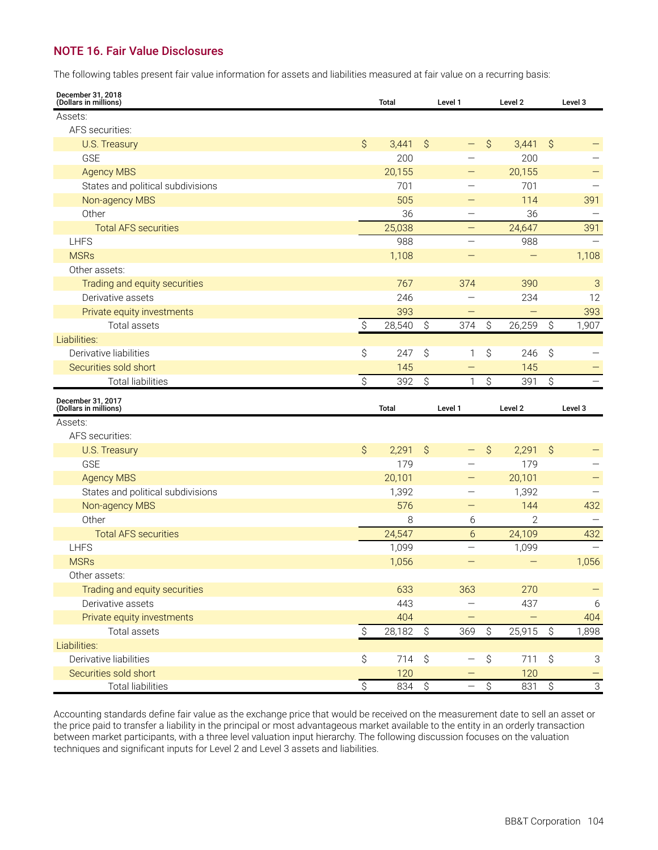## **NOTE 16. Fair Value Disclosures**

The following tables present fair value information for assets and liabilities measured at fair value on a recurring basis:

| December 31, 2018<br>(Dollars in millions)         |           | Total        |                     | Level 1 |              | Level 2        |                     | Level 3                   |  |
|----------------------------------------------------|-----------|--------------|---------------------|---------|--------------|----------------|---------------------|---------------------------|--|
| Assets:                                            |           |              |                     |         |              |                |                     |                           |  |
| AFS securities:                                    |           |              |                     |         |              |                |                     |                           |  |
| U.S. Treasury                                      | $\hat{S}$ | 3,441        | $\mathcal{S}$       | —       | $\mathsf{S}$ | 3,441          | $\mathcal{S}$       |                           |  |
| <b>GSE</b>                                         |           | 200          |                     |         |              | 200            |                     |                           |  |
| <b>Agency MBS</b>                                  |           | 20,155       |                     |         |              | 20,155         |                     |                           |  |
| States and political subdivisions                  |           | 701          |                     |         |              | 701            |                     |                           |  |
| Non-agency MBS                                     |           | 505          |                     |         |              | 114            |                     | 391                       |  |
| Other                                              |           | 36           |                     |         |              | 36             |                     |                           |  |
| <b>Total AFS securities</b>                        |           | 25,038       |                     |         |              | 24,647         |                     | 391                       |  |
| <b>LHFS</b>                                        |           | 988          |                     |         |              | 988            |                     |                           |  |
| <b>MSRs</b>                                        |           | 1,108        |                     |         |              |                |                     | 1,108                     |  |
| Other assets:                                      |           |              |                     |         |              |                |                     |                           |  |
| Trading and equity securities                      |           | 767          |                     | 374     |              | 390            |                     | 3                         |  |
| Derivative assets                                  |           | 246          |                     |         |              | 234            |                     | 12                        |  |
| Private equity investments                         |           | 393          |                     |         |              |                |                     | 393                       |  |
| Total assets                                       | \$        | 28,540       | $\hat{\mathcal{S}}$ | 374     | $\hat{S}$    | 26,259         | $\hat{S}$           | 1,907                     |  |
| Liabilities:                                       |           |              |                     |         |              |                |                     |                           |  |
| Derivative liabilities                             | \$        | 247          | \$                  | 1       | \$           | 246            | \$                  |                           |  |
| Securities sold short                              |           | 145          |                     |         |              | 145            |                     |                           |  |
| <b>Total liabilities</b>                           | \$        | 392          | \$                  | 1       | \$           | 391            | \$                  | $\qquad \qquad -$         |  |
|                                                    |           |              |                     |         |              |                |                     |                           |  |
| December 31, 2017                                  |           |              |                     |         |              |                |                     |                           |  |
| (Dollars in millions)                              |           | Total        |                     | Level 1 |              | Level 2        |                     | Level 3                   |  |
| Assets:                                            |           |              |                     |         |              |                |                     |                           |  |
| AFS securities:                                    |           |              | Ŝ.                  | -       |              |                |                     |                           |  |
| U.S. Treasury                                      | \$        | 2,291<br>179 |                     |         | $\mathsf{S}$ | 2,291<br>179   | $\zeta$             |                           |  |
| <b>GSE</b>                                         |           |              |                     |         |              |                |                     |                           |  |
| <b>Agency MBS</b>                                  |           | 20,101       |                     |         |              | 20,101         |                     |                           |  |
| States and political subdivisions                  |           | 1,392<br>576 |                     | —       |              | 1,392<br>144   |                     | 432                       |  |
| Non-agency MBS<br>Other                            |           | 8            |                     | 6       |              | $\overline{2}$ |                     |                           |  |
| <b>Total AFS securities</b>                        |           | 24,547       |                     | 6       |              | 24,109         |                     | 432                       |  |
| <b>LHFS</b>                                        |           |              |                     |         |              |                |                     |                           |  |
| <b>MSRs</b>                                        |           | 1,099        |                     |         |              | 1,099<br>—     |                     |                           |  |
| Other assets:                                      |           | 1,056        |                     |         |              |                |                     | 1,056                     |  |
|                                                    |           | 633          |                     | 363     |              | 270            |                     |                           |  |
| Trading and equity securities<br>Derivative assets |           | 443          |                     |         |              | 437            |                     | 6                         |  |
| Private equity investments                         |           | 404          |                     |         |              |                |                     | 404                       |  |
| Total assets                                       | $\zeta$   |              |                     | 369     | \$           | 25,915         | $\hat{\mathcal{S}}$ | 1,898                     |  |
| Liabilities:                                       |           | 28,182 \$    |                     |         |              |                |                     |                           |  |
| Derivative liabilities                             | \$        | 714          | $\hat{\mathcal{S}}$ |         | \$           | 711            | $\hat{\mathcal{S}}$ | $\ensuremath{\mathsf{3}}$ |  |
| Securities sold short                              |           | 120          |                     |         |              | 120            |                     |                           |  |

Accounting standards define fair value as the exchange price that would be received on the measurement date to sell an asset or the price paid to transfer a liability in the principal or most advantageous market available to the entity in an orderly transaction between market participants, with a three level valuation input hierarchy. The following discussion focuses on the valuation techniques and significant inputs for Level 2 and Level 3 assets and liabilities.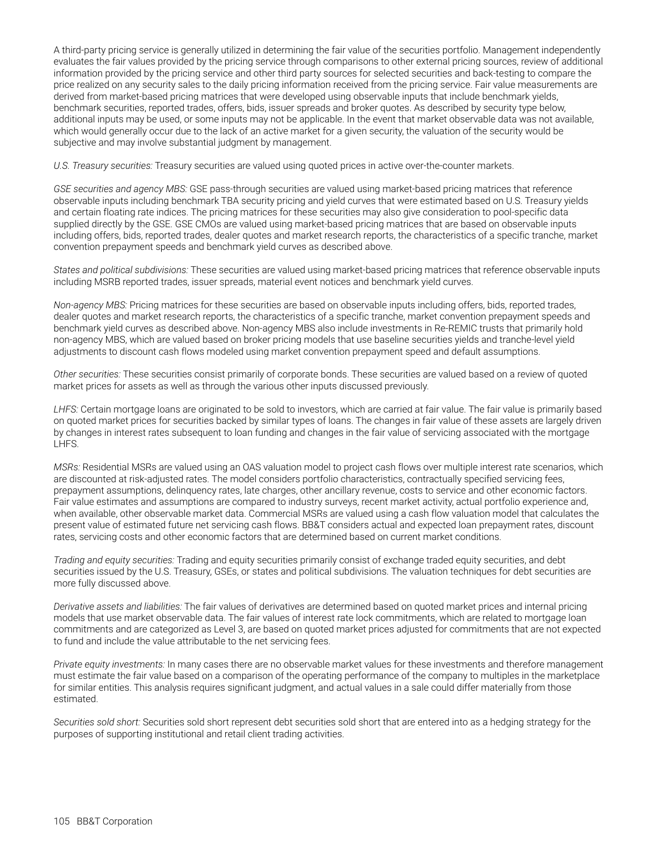A third-party pricing service is generally utilized in determining the fair value of the securities portfolio. Management independently evaluates the fair values provided by the pricing service through comparisons to other external pricing sources, review of additional information provided by the pricing service and other third party sources for selected securities and back-testing to compare the price realized on any security sales to the daily pricing information received from the pricing service. Fair value measurements are derived from market-based pricing matrices that were developed using observable inputs that include benchmark yields, benchmark securities, reported trades, offers, bids, issuer spreads and broker quotes. As described by security type below, additional inputs may be used, or some inputs may not be applicable. In the event that market observable data was not available, which would generally occur due to the lack of an active market for a given security, the valuation of the security would be subjective and may involve substantial judgment by management.

*U.S. Treasury securities:* Treasury securities are valued using quoted prices in active over-the-counter markets.

*GSE securities and agency MBS:* GSE pass-through securities are valued using market-based pricing matrices that reference observable inputs including benchmark TBA security pricing and yield curves that were estimated based on U.S. Treasury yields and certain floating rate indices. The pricing matrices for these securities may also give consideration to pool-specific data supplied directly by the GSE. GSE CMOs are valued using market-based pricing matrices that are based on observable inputs including offers, bids, reported trades, dealer quotes and market research reports, the characteristics of a specific tranche, market convention prepayment speeds and benchmark yield curves as described above.

*States and political subdivisions:* These securities are valued using market-based pricing matrices that reference observable inputs including MSRB reported trades, issuer spreads, material event notices and benchmark yield curves.

*Non-agency MBS:* Pricing matrices for these securities are based on observable inputs including offers, bids, reported trades, dealer quotes and market research reports, the characteristics of a specific tranche, market convention prepayment speeds and benchmark yield curves as described above. Non-agency MBS also include investments in Re-REMIC trusts that primarily hold non-agency MBS, which are valued based on broker pricing models that use baseline securities yields and tranche-level yield adjustments to discount cash flows modeled using market convention prepayment speed and default assumptions.

*Other securities:* These securities consist primarily of corporate bonds. These securities are valued based on a review of quoted market prices for assets as well as through the various other inputs discussed previously.

*LHFS:* Certain mortgage loans are originated to be sold to investors, which are carried at fair value. The fair value is primarily based on quoted market prices for securities backed by similar types of loans. The changes in fair value of these assets are largely driven by changes in interest rates subsequent to loan funding and changes in the fair value of servicing associated with the mortgage LHFS.

*MSRs:* Residential MSRs are valued using an OAS valuation model to project cash flows over multiple interest rate scenarios, which are discounted at risk-adjusted rates. The model considers portfolio characteristics, contractually specified servicing fees, prepayment assumptions, delinquency rates, late charges, other ancillary revenue, costs to service and other economic factors. Fair value estimates and assumptions are compared to industry surveys, recent market activity, actual portfolio experience and, when available, other observable market data. Commercial MSRs are valued using a cash flow valuation model that calculates the present value of estimated future net servicing cash flows. BB&T considers actual and expected loan prepayment rates, discount rates, servicing costs and other economic factors that are determined based on current market conditions.

*Trading and equity securities:* Trading and equity securities primarily consist of exchange traded equity securities, and debt securities issued by the U.S. Treasury, GSEs, or states and political subdivisions. The valuation techniques for debt securities are more fully discussed above.

*Derivative assets and liabilities:* The fair values of derivatives are determined based on quoted market prices and internal pricing models that use market observable data. The fair values of interest rate lock commitments, which are related to mortgage loan commitments and are categorized as Level 3, are based on quoted market prices adjusted for commitments that are not expected to fund and include the value attributable to the net servicing fees.

*Private equity investments:* In many cases there are no observable market values for these investments and therefore management must estimate the fair value based on a comparison of the operating performance of the company to multiples in the marketplace for similar entities. This analysis requires significant judgment, and actual values in a sale could differ materially from those estimated.

*Securities sold short:* Securities sold short represent debt securities sold short that are entered into as a hedging strategy for the purposes of supporting institutional and retail client trading activities.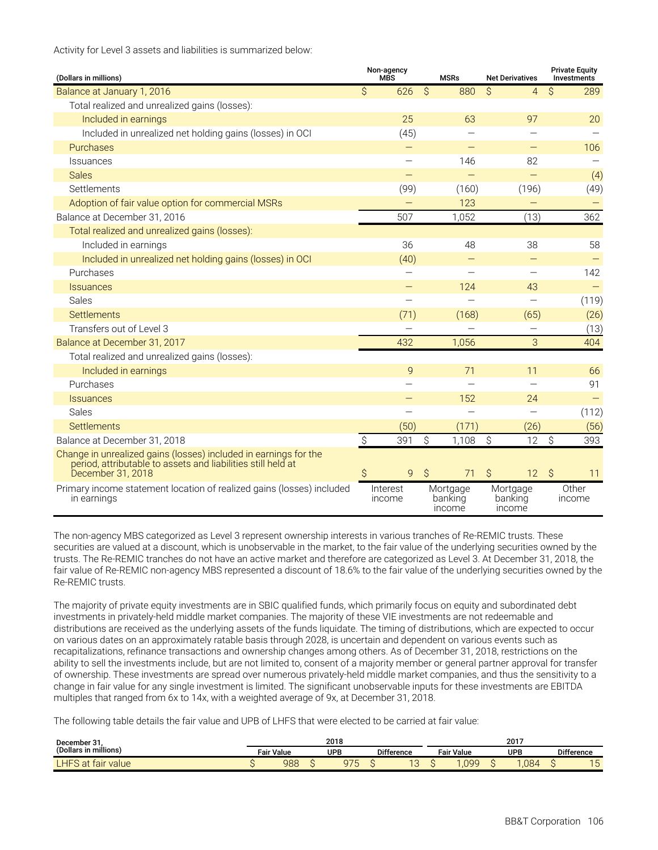Activity for Level 3 assets and liabilities is summarized below:

| (Dollars in millions)                                                                                                                                 |              | Non-agency<br>MBS        |              | <b>MSRs</b>                   | <b>Net Derivatives</b>         | <b>Private Equity</b><br><b>Investments</b> |                 |  |
|-------------------------------------------------------------------------------------------------------------------------------------------------------|--------------|--------------------------|--------------|-------------------------------|--------------------------------|---------------------------------------------|-----------------|--|
| Balance at January 1, 2016                                                                                                                            | $\mathsf{S}$ | 626                      | $\mathsf{S}$ | 880                           | $\mathsf{S}$<br>$\overline{4}$ | $\mathsf{S}$                                | 289             |  |
| Total realized and unrealized gains (losses):                                                                                                         |              |                          |              |                               |                                |                                             |                 |  |
| Included in earnings                                                                                                                                  |              | 25                       |              | 63                            | 97                             |                                             | 20              |  |
| Included in unrealized net holding gains (losses) in OCI                                                                                              |              | (45)                     |              |                               |                                |                                             |                 |  |
| Purchases                                                                                                                                             |              | —                        |              |                               | —                              |                                             | 106             |  |
| Issuances                                                                                                                                             |              |                          |              | 146                           | 82                             |                                             |                 |  |
| <b>Sales</b>                                                                                                                                          |              |                          |              |                               |                                |                                             | (4)             |  |
| Settlements                                                                                                                                           |              | (99)                     |              | (160)                         | (196)                          |                                             | (49)            |  |
| Adoption of fair value option for commercial MSRs                                                                                                     |              | $\overline{\phantom{0}}$ |              | 123                           |                                |                                             |                 |  |
| Balance at December 31, 2016                                                                                                                          |              | 507                      |              | 1,052                         | (13)                           |                                             | 362             |  |
| Total realized and unrealized gains (losses):                                                                                                         |              |                          |              |                               |                                |                                             |                 |  |
| Included in earnings                                                                                                                                  |              | 36                       |              | 48                            | 38                             |                                             | 58              |  |
| Included in unrealized net holding gains (losses) in OCI                                                                                              |              | (40)                     |              |                               | —                              |                                             |                 |  |
| Purchases                                                                                                                                             |              |                          |              |                               |                                |                                             | 142             |  |
| <b>Issuances</b>                                                                                                                                      |              | —                        |              | 124                           | 43                             |                                             |                 |  |
| <b>Sales</b>                                                                                                                                          |              | $\overline{\phantom{0}}$ |              |                               | $\overline{\phantom{0}}$       |                                             | (119)           |  |
| <b>Settlements</b>                                                                                                                                    |              | (71)                     |              | (168)                         | (65)                           |                                             | (26)            |  |
| Transfers out of Level 3                                                                                                                              |              |                          |              |                               |                                |                                             | (13)            |  |
| Balance at December 31, 2017                                                                                                                          |              | 432                      |              | 1.056                         | 3                              |                                             | 404             |  |
| Total realized and unrealized gains (losses):                                                                                                         |              |                          |              |                               |                                |                                             |                 |  |
| Included in earnings                                                                                                                                  |              | 9                        |              | 71                            | 11                             |                                             | 66              |  |
| Purchases                                                                                                                                             |              |                          |              |                               |                                |                                             | 91              |  |
| <b>Issuances</b>                                                                                                                                      |              |                          |              | 152                           | 24                             |                                             |                 |  |
| Sales                                                                                                                                                 |              |                          |              |                               |                                |                                             | (112)           |  |
| <b>Settlements</b>                                                                                                                                    |              | (50)                     |              | (171)                         | (26)                           |                                             | (56)            |  |
| Balance at December 31, 2018                                                                                                                          | \$           | 391                      | \$           | 1,108                         | $\hat{S}$<br>12                | $\mathsf S$                                 | 393             |  |
| Change in unrealized gains (losses) included in earnings for the<br>period, attributable to assets and liabilities still held at<br>December 31, 2018 | \$           | 9                        | $\hat{S}$    | 71                            | $\mathsf{S}$<br>12             | $\hat{\mathcal{S}}$                         | 11              |  |
| Primary income statement location of realized gains (losses) included<br>in earnings                                                                  |              | Interest<br>income       |              | Mortgage<br>banking<br>income | Mortgage<br>banking<br>income  |                                             | Other<br>income |  |

The non-agency MBS categorized as Level 3 represent ownership interests in various tranches of Re-REMIC trusts. These securities are valued at a discount, which is unobservable in the market, to the fair value of the underlying securities owned by the trusts. The Re-REMIC tranches do not have an active market and therefore are categorized as Level 3. At December 31, 2018, the fair value of Re-REMIC non-agency MBS represented a discount of 18.6% to the fair value of the underlying securities owned by the Re-REMIC trusts.

The majority of private equity investments are in SBIC qualified funds, which primarily focus on equity and subordinated debt investments in privately-held middle market companies. The majority of these VIE investments are not redeemable and distributions are received as the underlying assets of the funds liquidate. The timing of distributions, which are expected to occur on various dates on an approximately ratable basis through 2028, is uncertain and dependent on various events such as recapitalizations, refinance transactions and ownership changes among others. As of December 31, 2018, restrictions on the ability to sell the investments include, but are not limited to, consent of a majority member or general partner approval for transfer of ownership. These investments are spread over numerous privately-held middle market companies, and thus the sensitivity to a change in fair value for any single investment is limited. The significant unobservable inputs for these investments are EBITDA multiples that ranged from 6x to 14x, with a weighted average of 9x, at December 31, 2018.

The following table details the fair value and UPB of LHFS that were elected to be carried at fair value:

| December 31                   | 2018              |     |  |                                     |  |                                    |                                 | 2017                 |  |                   |  |                      |  |  |
|-------------------------------|-------------------|-----|--|-------------------------------------|--|------------------------------------|---------------------------------|----------------------|--|-------------------|--|----------------------|--|--|
| (Dollars in millions)         | <b>Fair Value</b> |     |  | UPB                                 |  | <b>Difference</b>                  | <b>UPB</b><br><b>Fair Value</b> |                      |  | <b>Difference</b> |  |                      |  |  |
| LHFS<br>value<br>i at<br>rair |                   | 988 |  | $\sqrt{7}$<br>$\sim$<br><i>,,</i> , |  | $\sim$<br>$\overline{\phantom{0}}$ |                                 | $1 \cap QQ$<br>. V J |  | .084              |  | $\sim$ $\sim$<br>ט ו |  |  |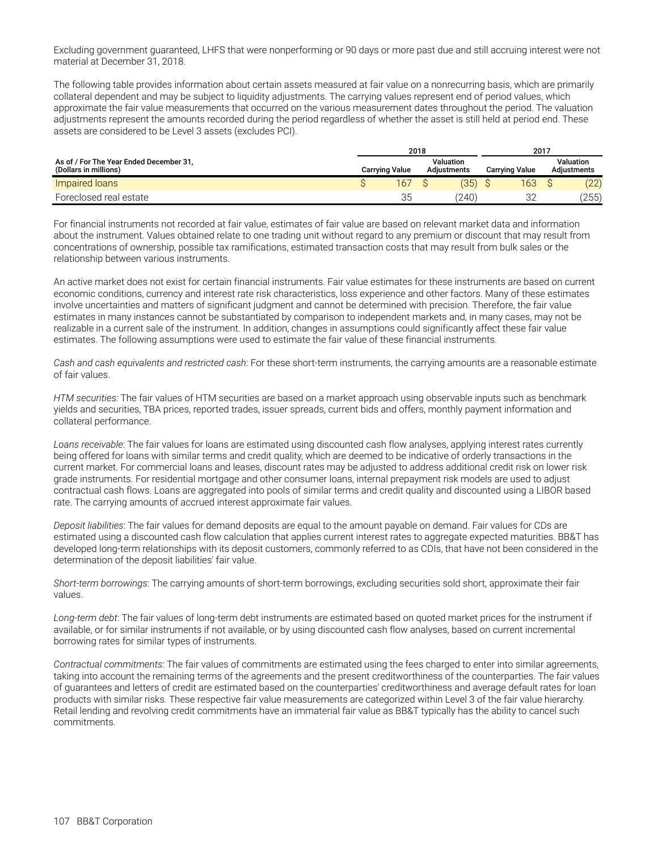Excluding government guaranteed, LHFS that were nonperforming or 90 days or more past due and still accruing interest were not material at December 31, 2018.

The following table provides information about certain assets measured at fair value on a nonrecurring basis, which are primarily collateral dependent and may be subject to liquidity adjustments. The carrying values represent end of period values, which approximate the fair value measurements that occurred on the various measurement dates throughout the period. The valuation adjustments represent the amounts recorded during the period regardless of whether the asset is still held at period end. These assets are considered to be Level 3 assets (excludes PCI).

|                                                                  | 2018 |                                                          |  |                       |  | 2017                            |       |  |  |
|------------------------------------------------------------------|------|----------------------------------------------------------|--|-----------------------|--|---------------------------------|-------|--|--|
| As of / For The Year Ended December 31,<br>(Dollars in millions) |      | Valuation<br><b>Carrying Value</b><br><b>Adiustments</b> |  | <b>Carrving Value</b> |  | Valuation<br><b>Adiustments</b> |       |  |  |
| Impaired loans                                                   |      | 167                                                      |  | (35)                  |  | 163                             | (22)  |  |  |
| Foreclosed real estate                                           |      | 35                                                       |  | (240)                 |  | Ω€                              | (255) |  |  |

For financial instruments not recorded at fair value, estimates of fair value are based on relevant market data and information about the instrument. Values obtained relate to one trading unit without regard to any premium or discount that may result from concentrations of ownership, possible tax ramifications, estimated transaction costs that may result from bulk sales or the relationship between various instruments.

An active market does not exist for certain financial instruments. Fair value estimates for these instruments are based on current economic conditions, currency and interest rate risk characteristics, loss experience and other factors. Many of these estimates involve uncertainties and matters of significant judgment and cannot be determined with precision. Therefore, the fair value estimates in many instances cannot be substantiated by comparison to independent markets and, in many cases, may not be realizable in a current sale of the instrument. In addition, changes in assumptions could significantly affect these fair value estimates. The following assumptions were used to estimate the fair value of these financial instruments.

*Cash and cash equivalents and restricted cash*: For these short-term instruments, the carrying amounts are a reasonable estimate of fair values.

*HTM securities:* The fair values of HTM securities are based on a market approach using observable inputs such as benchmark yields and securities, TBA prices, reported trades, issuer spreads, current bids and offers, monthly payment information and collateral performance.

*Loans receivable*: The fair values for loans are estimated using discounted cash flow analyses, applying interest rates currently being offered for loans with similar terms and credit quality, which are deemed to be indicative of orderly transactions in the current market. For commercial loans and leases, discount rates may be adjusted to address additional credit risk on lower risk grade instruments. For residential mortgage and other consumer loans, internal prepayment risk models are used to adjust contractual cash flows. Loans are aggregated into pools of similar terms and credit quality and discounted using a LIBOR based rate. The carrying amounts of accrued interest approximate fair values.

*Deposit liabilities*: The fair values for demand deposits are equal to the amount payable on demand. Fair values for CDs are estimated using a discounted cash flow calculation that applies current interest rates to aggregate expected maturities. BB&T has developed long-term relationships with its deposit customers, commonly referred to as CDIs, that have not been considered in the determination of the deposit liabilities' fair value.

*Short-term borrowings*: The carrying amounts of short-term borrowings, excluding securities sold short, approximate their fair values.

*Long-term debt*: The fair values of long-term debt instruments are estimated based on quoted market prices for the instrument if available, or for similar instruments if not available, or by using discounted cash flow analyses, based on current incremental borrowing rates for similar types of instruments.

*Contractual commitments*: The fair values of commitments are estimated using the fees charged to enter into similar agreements, taking into account the remaining terms of the agreements and the present creditworthiness of the counterparties. The fair values of guarantees and letters of credit are estimated based on the counterparties' creditworthiness and average default rates for loan products with similar risks. These respective fair value measurements are categorized within Level 3 of the fair value hierarchy. Retail lending and revolving credit commitments have an immaterial fair value as BB&T typically has the ability to cancel such commitments.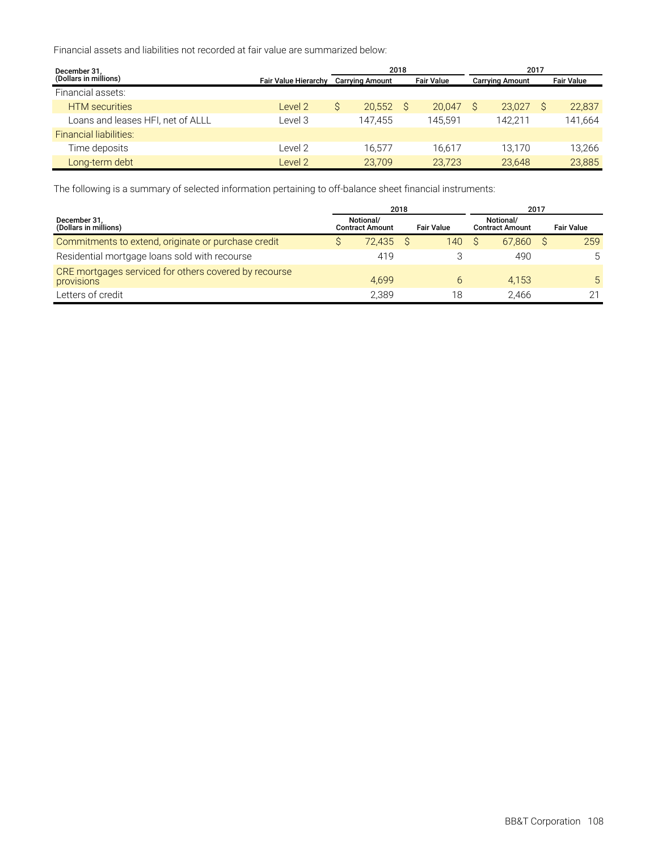Financial assets and liabilities not recorded at fair value are summarized below:

| December 31,                      |                             |                                             | 2018    |                        | 2017              |         |
|-----------------------------------|-----------------------------|---------------------------------------------|---------|------------------------|-------------------|---------|
| (Dollars in millions)             | <b>Fair Value Hierarchy</b> | <b>Carrying Amount</b><br><b>Fair Value</b> |         | <b>Carrying Amount</b> | <b>Fair Value</b> |         |
| Financial assets:                 |                             |                                             |         |                        |                   |         |
| <b>HTM</b> securities             | Level 2                     |                                             | 20.552  | 20.047                 | 23,027            | 22,837  |
| Loans and leases HFI, net of ALLL | Level 3                     |                                             | 147.455 | 145.591                | 142.211           | 141.664 |
| <b>Financial liabilities:</b>     |                             |                                             |         |                        |                   |         |
| Time deposits                     | Level 2                     |                                             | 16.577  | 16.617                 | 13.170            | 13.266  |
| Long-term debt                    | Level 2                     |                                             | 23,709  | 23.723                 | 23,648            | 23,885  |

The following is a summary of selected information pertaining to off-balance sheet financial instruments:

|                                                                     | 2018                                |                   |     |  | 2017                                |  |                   |
|---------------------------------------------------------------------|-------------------------------------|-------------------|-----|--|-------------------------------------|--|-------------------|
| December 31,<br>(Dollars in millions)                               | Notional/<br><b>Contract Amount</b> | <b>Fair Value</b> |     |  | Notional/<br><b>Contract Amount</b> |  | <b>Fair Value</b> |
| Commitments to extend, originate or purchase credit                 | 72.435                              |                   | 140 |  | 67.860                              |  | 259               |
| Residential mortgage loans sold with recourse                       | 419                                 |                   |     |  | 490                                 |  | 5                 |
| CRE mortgages serviced for others covered by recourse<br>provisions | 4.699                               |                   |     |  | 4.153                               |  | 5                 |
| Letters of credit                                                   | 2.389                               |                   | 18  |  | 2.466                               |  | 21                |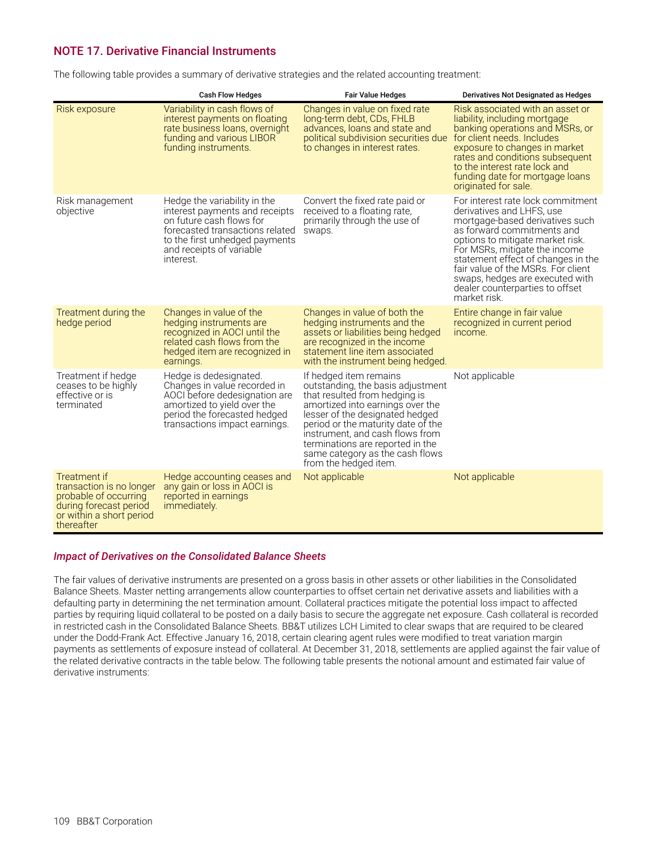# **NOTE 17. Derivative Financial Instruments**

The following table provides a summary of derivative strategies and the related accounting treatment:

|                                                                                                                                       | <b>Cash Flow Hedges</b>                                                                                                                                                                                  | <b>Fair Value Hedges</b>                                                                                                                                                                                                                                                                                                                     | Derivatives Not Designated as Hedges                                                                                                                                                                                                                                                                                                                                   |
|---------------------------------------------------------------------------------------------------------------------------------------|----------------------------------------------------------------------------------------------------------------------------------------------------------------------------------------------------------|----------------------------------------------------------------------------------------------------------------------------------------------------------------------------------------------------------------------------------------------------------------------------------------------------------------------------------------------|------------------------------------------------------------------------------------------------------------------------------------------------------------------------------------------------------------------------------------------------------------------------------------------------------------------------------------------------------------------------|
| Risk exposure                                                                                                                         | Variability in cash flows of<br>interest payments on floating<br>rate business loans, overnight<br>funding and various LIBOR<br>funding instruments.                                                     | Changes in value on fixed rate<br>long-term debt, CDs, FHLB<br>advances, loans and state and<br>political subdivision securities due<br>to changes in interest rates.                                                                                                                                                                        | Risk associated with an asset or<br>liability, including mortgage<br>banking operations and MSRs, or<br>for client needs. Includes<br>exposure to changes in market<br>rates and conditions subsequent<br>to the interest rate lock and<br>funding date for mortgage loans<br>originated for sale.                                                                     |
| Risk management<br>objective                                                                                                          | Hedge the variability in the<br>interest payments and receipts<br>on future cash flows for<br>forecasted transactions related<br>to the first unhedged payments<br>and receipts of variable<br>interest. | Convert the fixed rate paid or<br>received to a floating rate,<br>primarily through the use of<br>swaps.                                                                                                                                                                                                                                     | For interest rate lock commitment<br>derivatives and LHFS, use<br>mortgage-based derivatives such<br>as forward commitments and<br>options to mitigate market risk.<br>For MSRs, mitigate the income<br>statement effect of changes in the<br>fair value of the MSRs. For client<br>swaps, hedges are executed with<br>dealer counterparties to offset<br>market risk. |
| Treatment during the<br>hedge period                                                                                                  | Changes in value of the<br>hedging instruments are<br>recognized in AOCI until the<br>related cash flows from the<br>hedged item are recognized in<br>earnings.                                          | Changes in value of both the<br>hedging instruments and the<br>assets or liabilities being hedged<br>are recognized in the income<br>statement line item associated<br>with the instrument being hedged.                                                                                                                                     | Entire change in fair value<br>recognized in current period<br>income.                                                                                                                                                                                                                                                                                                 |
| Treatment if hedge<br>ceases to be highly<br>effective or is<br>terminated                                                            | Hedge is dedesignated.<br>Changes in value recorded in<br>AOCI before dedesignation are<br>amortized to yield over the<br>period the forecasted hedged<br>transactions impact earnings.                  | If hedged item remains<br>outstanding, the basis adjustment<br>that resulted from hedging is<br>amortized into earnings over the<br>lesser of the designated hedged<br>period or the maturity date of the<br>instrument, and cash flows from<br>terminations are reported in the<br>same category as the cash flows<br>from the hedged item. | Not applicable                                                                                                                                                                                                                                                                                                                                                         |
| Treatment if<br>transaction is no longer<br>probable of occurring<br>during forecast period<br>or within a short period<br>thereafter | Hedge accounting ceases and<br>any gain or loss in AOCI is<br>reported in earnings<br>immediately.                                                                                                       | Not applicable                                                                                                                                                                                                                                                                                                                               | Not applicable                                                                                                                                                                                                                                                                                                                                                         |

## *Impact of Derivatives on the Consolidated Balance Sheets*

The fair values of derivative instruments are presented on a gross basis in other assets or other liabilities in the Consolidated Balance Sheets. Master netting arrangements allow counterparties to offset certain net derivative assets and liabilities with a defaulting party in determining the net termination amount. Collateral practices mitigate the potential loss impact to affected parties by requiring liquid collateral to be posted on a daily basis to secure the aggregate net exposure. Cash collateral is recorded in restricted cash in the Consolidated Balance Sheets. BB&T utilizes LCH Limited to clear swaps that are required to be cleared under the Dodd-Frank Act. Effective January 16, 2018, certain clearing agent rules were modified to treat variation margin payments as settlements of exposure instead of collateral. At December 31, 2018, settlements are applied against the fair value of the related derivative contracts in the table below. The following table presents the notional amount and estimated fair value of derivative instruments: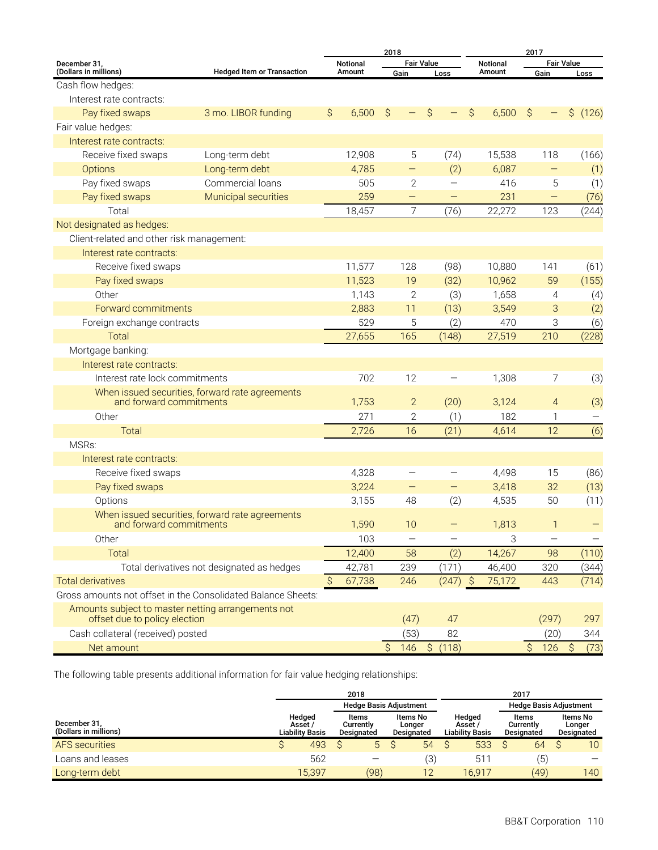|                                                                                     |                                            |                     |                           | 2018          |                          |   |                          |   |                           | 2017      |                   |         |       |
|-------------------------------------------------------------------------------------|--------------------------------------------|---------------------|---------------------------|---------------|--------------------------|---|--------------------------|---|---------------------------|-----------|-------------------|---------|-------|
| December 31,                                                                        |                                            |                     | <b>Notional</b><br>Amount |               | <b>Fair Value</b>        |   |                          |   | <b>Notional</b><br>Amount |           | <b>Fair Value</b> |         |       |
| (Dollars in millions)                                                               | <b>Hedged Item or Transaction</b>          |                     |                           |               | Gain                     |   | Loss                     |   |                           |           | Gain              |         | Loss  |
| Cash flow hedges:<br>Interest rate contracts:                                       |                                            |                     |                           |               |                          |   |                          |   |                           |           |                   |         |       |
| Pay fixed swaps                                                                     | 3 mo. LIBOR funding                        | $\mathsf{S}$        | 6,500                     | Ŝ             |                          | Ŝ |                          | Ŝ | 6,500                     | Ŝ         |                   | S       | (126) |
| Fair value hedges:                                                                  |                                            |                     |                           |               |                          |   |                          |   |                           |           |                   |         |       |
| Interest rate contracts:                                                            |                                            |                     |                           |               |                          |   |                          |   |                           |           |                   |         |       |
| Receive fixed swaps                                                                 |                                            |                     | 12,908                    |               | 5                        |   |                          |   | 15,538                    |           | 118               |         |       |
|                                                                                     | Long-term debt<br>Long-term debt           |                     |                           |               |                          |   | (74)                     |   |                           |           |                   |         | (166) |
| Options                                                                             | Commercial loans                           |                     | 4,785<br>505              |               |                          |   | (2)                      |   | 6,087                     |           |                   |         | (1)   |
| Pay fixed swaps                                                                     |                                            |                     |                           |               | 2<br>—                   |   |                          |   | 416                       |           | 5                 |         | (1)   |
| Pay fixed swaps                                                                     | Municipal securities                       |                     | 259                       |               |                          |   |                          |   | 231                       |           |                   |         | (76)  |
| Total                                                                               |                                            |                     | 18,457                    |               | 7                        |   | (76)                     |   | 22,272                    |           | 123               |         | (244) |
| Not designated as hedges:                                                           |                                            |                     |                           |               |                          |   |                          |   |                           |           |                   |         |       |
| Client-related and other risk management:                                           |                                            |                     |                           |               |                          |   |                          |   |                           |           |                   |         |       |
| Interest rate contracts:                                                            |                                            |                     |                           |               |                          |   |                          |   |                           |           |                   |         |       |
| Receive fixed swaps                                                                 |                                            |                     | 11,577                    |               | 128                      |   | (98)                     |   | 10,880                    |           | 141               |         | (61)  |
| Pay fixed swaps                                                                     |                                            |                     | 11,523                    |               | 19                       |   | (32)                     |   | 10,962                    |           | 59                |         | (155) |
| Other                                                                               |                                            |                     | 1,143                     |               | $\mathbf{2}$             |   | (3)                      |   | 1,658                     |           | 4                 |         | (4)   |
| Forward commitments                                                                 |                                            |                     | 2,883                     |               | 11                       |   | (13)                     |   | 3,549                     |           | 3                 |         | (2)   |
| Foreign exchange contracts                                                          |                                            |                     | 529                       |               | 5                        |   | (2)                      |   | 470                       |           | 3                 |         | (6)   |
| Total                                                                               |                                            |                     | 27,655                    |               | 165                      |   | (148)                    |   | 27,519                    |           | 210               |         | (228) |
| Mortgage banking:                                                                   |                                            |                     |                           |               |                          |   |                          |   |                           |           |                   |         |       |
| Interest rate contracts:                                                            |                                            |                     |                           |               |                          |   |                          |   |                           |           |                   |         |       |
| Interest rate lock commitments                                                      |                                            |                     | 702                       |               | 12                       |   |                          |   | 1,308                     |           | 7                 |         | (3)   |
| When issued securities, forward rate agreements<br>and forward commitments          |                                            |                     | 1,753                     |               | $\overline{2}$           |   | (20)                     |   | 3,124                     |           | $\overline{4}$    |         | (3)   |
| Other                                                                               |                                            |                     | 271                       |               | 2                        |   | (1)                      |   | 182                       |           | 1                 |         |       |
| <b>Total</b>                                                                        |                                            |                     | 2,726                     |               | 16                       |   | (21)                     |   | 4,614                     |           | 12                |         | (6)   |
| MSRs:                                                                               |                                            |                     |                           |               |                          |   |                          |   |                           |           |                   |         |       |
| Interest rate contracts:                                                            |                                            |                     |                           |               |                          |   |                          |   |                           |           |                   |         |       |
| Receive fixed swaps                                                                 |                                            |                     | 4,328                     |               |                          |   |                          |   | 4,498                     |           | 15                |         | (86)  |
| Pay fixed swaps                                                                     |                                            |                     | 3,224                     |               |                          |   | $\qquad \qquad -$        |   | 3,418                     |           | 32                |         | (13)  |
| Options                                                                             |                                            |                     | 3,155                     |               | 48                       |   | (2)                      |   | 4,535                     |           | 50                |         | (11)  |
| When issued securities, forward rate agreements<br>and forward commitments          |                                            |                     | 1,590                     |               | 10                       |   |                          |   | 1,813                     |           | 1                 |         |       |
| Other                                                                               |                                            |                     | 103                       |               | $\overline{\phantom{0}}$ |   | $\overline{\phantom{0}}$ |   | 3                         |           | $\equiv$          |         |       |
| <b>Total</b>                                                                        |                                            |                     | 12,400                    |               | 58                       |   | (2)                      |   | 14,267                    |           | 98                |         | (110) |
|                                                                                     | Total derivatives not designated as hedges |                     | 42,781                    |               | 239                      |   | (171)                    |   | 46,400                    |           | 320               |         | (344) |
| <b>Total derivatives</b>                                                            |                                            | $\hat{\mathcal{S}}$ | 67,738                    |               | 246                      |   | $(247)$ \$               |   | 75,172                    |           | 443               |         | (714) |
| Gross amounts not offset in the Consolidated Balance Sheets:                        |                                            |                     |                           |               |                          |   |                          |   |                           |           |                   |         |       |
| Amounts subject to master netting arrangements not<br>offset due to policy election |                                            |                     |                           |               | (47)                     |   | 47                       |   |                           |           | (297)             |         | 297   |
| Cash collateral (received) posted                                                   |                                            |                     |                           |               | (53)                     |   | 82                       |   |                           |           | (20)              |         | 344   |
| Net amount                                                                          |                                            |                     |                           | $\mathcal{S}$ | 146                      |   | \$ (118)                 |   |                           | $\hat{S}$ | 126               | $\zeta$ | (73)  |

The following table presents additional information for fair value hedging relationships:

|                                       | 2018 |                                                                                                                     |  |      |                                             |                                  |  | 2017                             |  |                  |  |     |
|---------------------------------------|------|---------------------------------------------------------------------------------------------------------------------|--|------|---------------------------------------------|----------------------------------|--|----------------------------------|--|------------------|--|-----|
|                                       |      | <b>Hedge Basis Adjustment</b>                                                                                       |  |      |                                             |                                  |  | <b>Hedge Basis Adjustment</b>    |  |                  |  |     |
| December 31,<br>(Dollars in millions) |      | Hedged<br>Items No<br>Items<br>Asset /<br>Currently<br>Longer<br><b>Liability Basis</b><br>Designated<br>Designated |  |      | Hedged<br>Asset /<br><b>Liability Basis</b> | Items<br>Currently<br>Designated |  | Items No<br>Longer<br>Designated |  |                  |  |     |
| <b>AFS</b> securities                 |      | 493                                                                                                                 |  |      |                                             | 54                               |  | 533                              |  | 64               |  | 10  |
| Loans and leases                      |      | 562                                                                                                                 |  |      |                                             | (3)                              |  | 511                              |  | $\left(5\right)$ |  |     |
| Long-term debt                        |      | 15,397                                                                                                              |  | (98) |                                             | 12                               |  | 16.917                           |  | (49)             |  | 140 |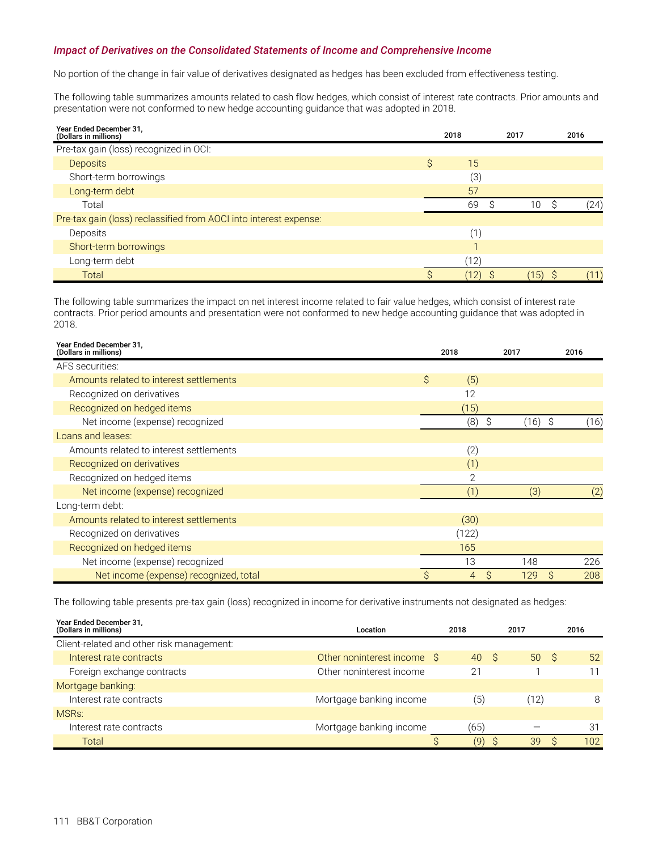## *Impact of Derivatives on the Consolidated Statements of Income and Comprehensive Income*

No portion of the change in fair value of derivatives designated as hedges has been excluded from effectiveness testing.

The following table summarizes amounts related to cash flow hedges, which consist of interest rate contracts. Prior amounts and presentation were not conformed to new hedge accounting guidance that was adopted in 2018.

| Year Ended December 31,<br>(Dollars in millions)                  |   | 2018 | 2017 |     | 2016 |
|-------------------------------------------------------------------|---|------|------|-----|------|
| Pre-tax gain (loss) recognized in OCI:                            |   |      |      |     |      |
| <b>Deposits</b>                                                   | Ŝ | 15   |      |     |      |
| Short-term borrowings                                             |   | (3)  |      |     |      |
| Long-term debt                                                    |   | 57   |      |     |      |
| Total                                                             |   | 69   |      | 10  | (24) |
| Pre-tax gain (loss) reclassified from AOCI into interest expense: |   |      |      |     |      |
| Deposits                                                          |   |      |      |     |      |
| Short-term borrowings                                             |   |      |      |     |      |
| Long-term debt                                                    |   | (12  |      |     |      |
| <b>Total</b>                                                      |   |      |      | 15) |      |

The following table summarizes the impact on net interest income related to fair value hedges, which consist of interest rate contracts. Prior period amounts and presentation were not conformed to new hedge accounting guidance that was adopted in 2018.

| Year Ended December 31,<br>(Dollars in millions) | 2018           | 2017 |                     | 2016 |
|--------------------------------------------------|----------------|------|---------------------|------|
| AFS securities:                                  |                |      |                     |      |
| Amounts related to interest settlements          | \$<br>(5)      |      |                     |      |
| Recognized on derivatives                        | 12             |      |                     |      |
| Recognized on hedged items                       | (15)           |      |                     |      |
| Net income (expense) recognized                  | (8)            | S    | (16)<br>S           | (16) |
| Loans and leases:                                |                |      |                     |      |
| Amounts related to interest settlements          | (2)            |      |                     |      |
| Recognized on derivatives                        | (1)            |      |                     |      |
| Recognized on hedged items                       | $\overline{2}$ |      |                     |      |
| Net income (expense) recognized                  | (1)            |      | (3)                 | (2)  |
| Long-term debt:                                  |                |      |                     |      |
| Amounts related to interest settlements          | (30)           |      |                     |      |
| Recognized on derivatives                        | (122)          |      |                     |      |
| Recognized on hedged items                       | 165            |      |                     |      |
| Net income (expense) recognized                  | 13             |      | 148                 | 226  |
| Net income (expense) recognized, total           | 4              | S    | <sub>S</sub><br>129 | 208  |

The following table presents pre-tax gain (loss) recognized in income for derivative instruments not designated as hedges:

| Year Ended December 31,<br>(Dollars in millions) | Location                   | 2018 |                 |  |                 | 2016 |     |
|--------------------------------------------------|----------------------------|------|-----------------|--|-----------------|------|-----|
| Client-related and other risk management:        |                            |      |                 |  |                 |      |     |
| Interest rate contracts                          | Other noninterest income S |      | $40 \text{ }$ S |  | 50 <sup>°</sup> |      | 52  |
| Foreign exchange contracts                       | Other noninterest income   |      | 21              |  |                 |      | 11  |
| Mortgage banking:                                |                            |      |                 |  |                 |      |     |
| Interest rate contracts                          | Mortgage banking income    |      | (5)             |  | (12)            |      | 8   |
| MSR <sub>s</sub> :                               |                            |      |                 |  |                 |      |     |
| Interest rate contracts                          | Mortgage banking income    |      | (65)            |  |                 |      | 31  |
| Total                                            |                            |      | (9`             |  | 39              |      | 102 |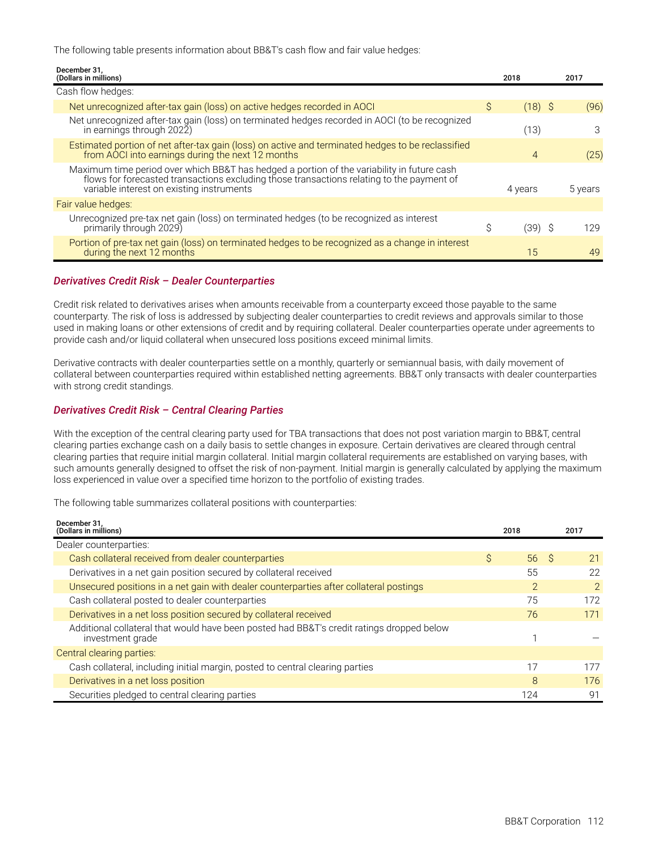The following table presents information about BB&T's cash flow and fair value hedges:

| December 31,<br>(Dollars in millions)                                                                                                                                                                                                |    | 2018           | 2017    |
|--------------------------------------------------------------------------------------------------------------------------------------------------------------------------------------------------------------------------------------|----|----------------|---------|
| Cash flow hedges:                                                                                                                                                                                                                    |    |                |         |
| Net unrecognized after-tax gain (loss) on active hedges recorded in AOCI                                                                                                                                                             | Ŝ. | $(18)$ \$      | (96)    |
| Net unrecognized after-tax gain (loss) on terminated hedges recorded in AOCI (to be recognized<br>in earnings through 2022)                                                                                                          |    | (13)           | З       |
| Estimated portion of net after-tax gain (loss) on active and terminated hedges to be reclassified<br>from AOCI into earnings during the next 12 months                                                                               |    | $\overline{4}$ | (25)    |
| Maximum time period over which BB&T has hedged a portion of the variability in future cash<br>flows for forecasted transactions excluding those transactions relating to the payment of<br>variable interest on existing instruments |    | 4 years        | 5 years |
| Fair value hedges:                                                                                                                                                                                                                   |    |                |         |
| Unrecognized pre-tax net gain (loss) on terminated hedges (to be recognized as interest<br>primarily through 2029)                                                                                                                   |    | (39) S         | 129     |
| Portion of pre-tax net gain (loss) on terminated hedges to be recognized as a change in interest<br>during the next 12 months                                                                                                        |    | 15             | 49      |

#### *Derivatives Credit Risk – Dealer Counterparties*

Credit risk related to derivatives arises when amounts receivable from a counterparty exceed those payable to the same counterparty. The risk of loss is addressed by subjecting dealer counterparties to credit reviews and approvals similar to those used in making loans or other extensions of credit and by requiring collateral. Dealer counterparties operate under agreements to provide cash and/or liquid collateral when unsecured loss positions exceed minimal limits.

Derivative contracts with dealer counterparties settle on a monthly, quarterly or semiannual basis, with daily movement of collateral between counterparties required within established netting agreements. BB&T only transacts with dealer counterparties with strong credit standings.

### *Derivatives Credit Risk – Central Clearing Parties*

With the exception of the central clearing party used for TBA transactions that does not post variation margin to BB&T, central clearing parties exchange cash on a daily basis to settle changes in exposure. Certain derivatives are cleared through central clearing parties that require initial margin collateral. Initial margin collateral requirements are established on varying bases, with such amounts generally designed to offset the risk of non-payment. Initial margin is generally calculated by applying the maximum loss experienced in value over a specified time horizon to the portfolio of existing trades.

The following table summarizes collateral positions with counterparties:

| December 31,<br>(Dollars in millions)                                                                         |   | 2018           | 2017           |
|---------------------------------------------------------------------------------------------------------------|---|----------------|----------------|
| Dealer counterparties:                                                                                        |   |                |                |
| Cash collateral received from dealer counterparties                                                           | Ŝ | 56S            | 21             |
| Derivatives in a net gain position secured by collateral received                                             |   | 55             | 22             |
| Unsecured positions in a net gain with dealer counterparties after collateral postings                        |   | $\overline{2}$ | $\overline{2}$ |
| Cash collateral posted to dealer counterparties                                                               |   | 75             | 172            |
| Derivatives in a net loss position secured by collateral received                                             |   | 76             | 171            |
| Additional collateral that would have been posted had BB&T's credit ratings dropped below<br>investment grade |   |                |                |
| Central clearing parties:                                                                                     |   |                |                |
| Cash collateral, including initial margin, posted to central clearing parties                                 |   | 17             | 177            |
| Derivatives in a net loss position                                                                            |   | 8              | 176            |
| Securities pledged to central clearing parties                                                                |   | 124            | 91             |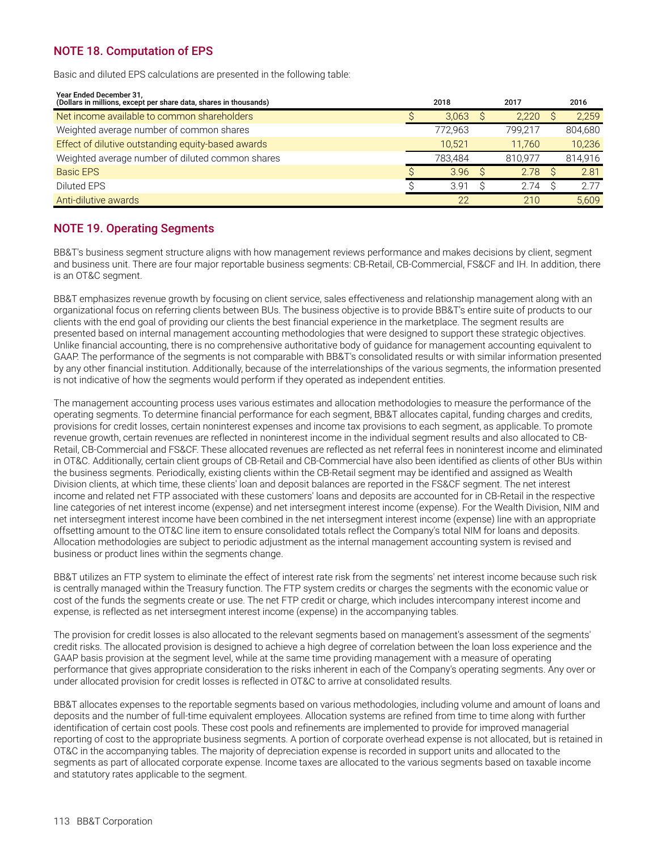# <span id="page-115-0"></span>**NOTE 18. Computation of EPS**

Basic and diluted EPS calculations are presented in the following table:

| Year Ended December 31,<br>(Dollars in millions, except per share data, shares in thousands) | 2018    | 2017    | 2016    |
|----------------------------------------------------------------------------------------------|---------|---------|---------|
| Net income available to common shareholders                                                  | 3.063   | 2.220   | 2,259   |
| Weighted average number of common shares                                                     | 772.963 | 799.217 | 804.680 |
| Effect of dilutive outstanding equity-based awards                                           | 10.521  | 11.760  | 10,236  |
| Weighted average number of diluted common shares                                             | 783.484 | 810.977 | 814,916 |
| <b>Basic EPS</b>                                                                             | 3.96    | 2.78    | 2.81    |
| <b>Diluted EPS</b>                                                                           | 3.91    | 2.74    | 2.77    |
| Anti-dilutive awards                                                                         | 22      | 210     | 5.609   |

# **NOTE 19. Operating Segments**

BB&T's business segment structure aligns with how management reviews performance and makes decisions by client, segment and business unit. There are four major reportable business segments: CB-Retail, CB-Commercial, FS&CF and IH. In addition, there is an OT&C segment.

BB&T emphasizes revenue growth by focusing on client service, sales effectiveness and relationship management along with an organizational focus on referring clients between BUs. The business objective is to provide BB&T's entire suite of products to our clients with the end goal of providing our clients the best financial experience in the marketplace. The segment results are presented based on internal management accounting methodologies that were designed to support these strategic objectives. Unlike financial accounting, there is no comprehensive authoritative body of guidance for management accounting equivalent to GAAP. The performance of the segments is not comparable with BB&T's consolidated results or with similar information presented by any other financial institution. Additionally, because of the interrelationships of the various segments, the information presented is not indicative of how the segments would perform if they operated as independent entities.

The management accounting process uses various estimates and allocation methodologies to measure the performance of the operating segments. To determine financial performance for each segment, BB&T allocates capital, funding charges and credits, provisions for credit losses, certain noninterest expenses and income tax provisions to each segment, as applicable. To promote revenue growth, certain revenues are reflected in noninterest income in the individual segment results and also allocated to CB-Retail, CB-Commercial and FS&CF. These allocated revenues are reflected as net referral fees in noninterest income and eliminated in OT&C. Additionally, certain client groups of CB-Retail and CB-Commercial have also been identified as clients of other BUs within the business segments. Periodically, existing clients within the CB-Retail segment may be identified and assigned as Wealth Division clients, at which time, these clients' loan and deposit balances are reported in the FS&CF segment. The net interest income and related net FTP associated with these customers' loans and deposits are accounted for in CB-Retail in the respective line categories of net interest income (expense) and net intersegment interest income (expense). For the Wealth Division, NIM and net intersegment interest income have been combined in the net intersegment interest income (expense) line with an appropriate offsetting amount to the OT&C line item to ensure consolidated totals reflect the Company's total NIM for loans and deposits. Allocation methodologies are subject to periodic adjustment as the internal management accounting system is revised and business or product lines within the segments change.

BB&T utilizes an FTP system to eliminate the effect of interest rate risk from the segments' net interest income because such risk is centrally managed within the Treasury function. The FTP system credits or charges the segments with the economic value or cost of the funds the segments create or use. The net FTP credit or charge, which includes intercompany interest income and expense, is reflected as net intersegment interest income (expense) in the accompanying tables.

The provision for credit losses is also allocated to the relevant segments based on management's assessment of the segments' credit risks. The allocated provision is designed to achieve a high degree of correlation between the loan loss experience and the GAAP basis provision at the segment level, while at the same time providing management with a measure of operating performance that gives appropriate consideration to the risks inherent in each of the Company's operating segments. Any over or under allocated provision for credit losses is reflected in OT&C to arrive at consolidated results.

BB&T allocates expenses to the reportable segments based on various methodologies, including volume and amount of loans and deposits and the number of full-time equivalent employees. Allocation systems are refined from time to time along with further identification of certain cost pools. These cost pools and refinements are implemented to provide for improved managerial reporting of cost to the appropriate business segments. A portion of corporate overhead expense is not allocated, but is retained in OT&C in the accompanying tables. The majority of depreciation expense is recorded in support units and allocated to the segments as part of allocated corporate expense. Income taxes are allocated to the various segments based on taxable income and statutory rates applicable to the segment.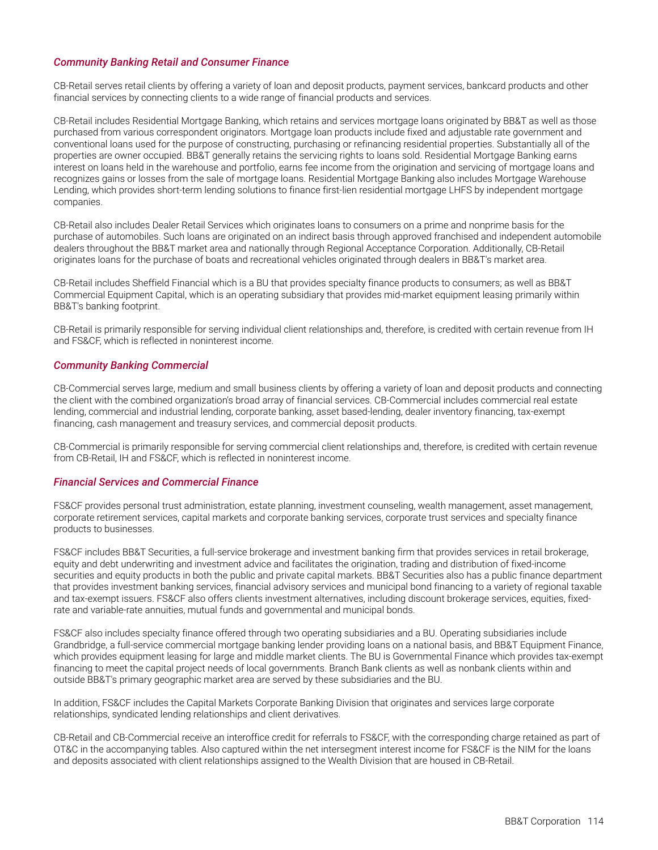## *Community Banking Retail and Consumer Finance*

CB-Retail serves retail clients by offering a variety of loan and deposit products, payment services, bankcard products and other financial services by connecting clients to a wide range of financial products and services.

CB-Retail includes Residential Mortgage Banking, which retains and services mortgage loans originated by BB&T as well as those purchased from various correspondent originators. Mortgage loan products include fixed and adjustable rate government and conventional loans used for the purpose of constructing, purchasing or refinancing residential properties. Substantially all of the properties are owner occupied. BB&T generally retains the servicing rights to loans sold. Residential Mortgage Banking earns interest on loans held in the warehouse and portfolio, earns fee income from the origination and servicing of mortgage loans and recognizes gains or losses from the sale of mortgage loans. Residential Mortgage Banking also includes Mortgage Warehouse Lending, which provides short-term lending solutions to finance first-lien residential mortgage LHFS by independent mortgage companies.

CB-Retail also includes Dealer Retail Services which originates loans to consumers on a prime and nonprime basis for the purchase of automobiles. Such loans are originated on an indirect basis through approved franchised and independent automobile dealers throughout the BB&T market area and nationally through Regional Acceptance Corporation. Additionally, CB-Retail originates loans for the purchase of boats and recreational vehicles originated through dealers in BB&T's market area.

CB-Retail includes Sheffield Financial which is a BU that provides specialty finance products to consumers; as well as BB&T Commercial Equipment Capital, which is an operating subsidiary that provides mid-market equipment leasing primarily within BB&T's banking footprint.

CB-Retail is primarily responsible for serving individual client relationships and, therefore, is credited with certain revenue from IH and FS&CF, which is reflected in noninterest income.

#### *Community Banking Commercial*

CB-Commercial serves large, medium and small business clients by offering a variety of loan and deposit products and connecting the client with the combined organization's broad array of financial services. CB-Commercial includes commercial real estate lending, commercial and industrial lending, corporate banking, asset based-lending, dealer inventory financing, tax-exempt financing, cash management and treasury services, and commercial deposit products.

CB-Commercial is primarily responsible for serving commercial client relationships and, therefore, is credited with certain revenue from CB-Retail, IH and FS&CF, which is reflected in noninterest income.

#### *Financial Services and Commercial Finance*

FS&CF provides personal trust administration, estate planning, investment counseling, wealth management, asset management, corporate retirement services, capital markets and corporate banking services, corporate trust services and specialty finance products to businesses.

FS&CF includes BB&T Securities, a full-service brokerage and investment banking firm that provides services in retail brokerage, equity and debt underwriting and investment advice and facilitates the origination, trading and distribution of fixed-income securities and equity products in both the public and private capital markets. BB&T Securities also has a public finance department that provides investment banking services, financial advisory services and municipal bond financing to a variety of regional taxable and tax-exempt issuers. FS&CF also offers clients investment alternatives, including discount brokerage services, equities, fixedrate and variable-rate annuities, mutual funds and governmental and municipal bonds.

FS&CF also includes specialty finance offered through two operating subsidiaries and a BU. Operating subsidiaries include Grandbridge, a full-service commercial mortgage banking lender providing loans on a national basis, and BB&T Equipment Finance, which provides equipment leasing for large and middle market clients. The BU is Governmental Finance which provides tax-exempt financing to meet the capital project needs of local governments. Branch Bank clients as well as nonbank clients within and outside BB&T's primary geographic market area are served by these subsidiaries and the BU.

In addition, FS&CF includes the Capital Markets Corporate Banking Division that originates and services large corporate relationships, syndicated lending relationships and client derivatives.

CB-Retail and CB-Commercial receive an interoffice credit for referrals to FS&CF, with the corresponding charge retained as part of OT&C in the accompanying tables. Also captured within the net intersegment interest income for FS&CF is the NIM for the loans and deposits associated with client relationships assigned to the Wealth Division that are housed in CB-Retail.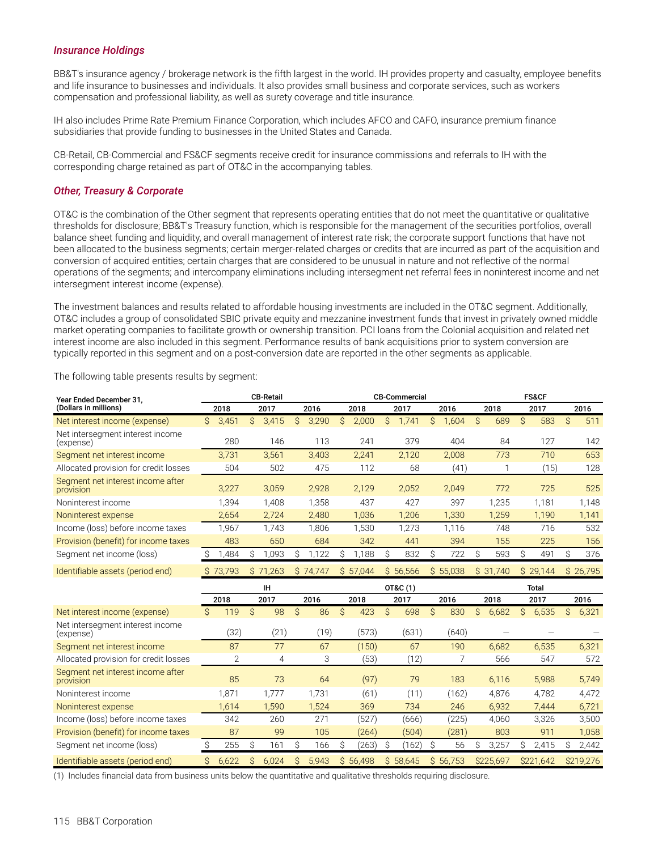#### *Insurance Holdings*

BB&T's insurance agency / brokerage network is the fifth largest in the world. IH provides property and casualty, employee benefits and life insurance to businesses and individuals. It also provides small business and corporate services, such as workers compensation and professional liability, as well as surety coverage and title insurance.

IH also includes Prime Rate Premium Finance Corporation, which includes AFCO and CAFO, insurance premium finance subsidiaries that provide funding to businesses in the United States and Canada.

CB-Retail, CB-Commercial and FS&CF segments receive credit for insurance commissions and referrals to IH with the corresponding charge retained as part of OT&C in the accompanying tables.

#### *Other, Treasury & Corporate*

OT&C is the combination of the Other segment that represents operating entities that do not meet the quantitative or qualitative thresholds for disclosure; BB&T's Treasury function, which is responsible for the management of the securities portfolios, overall balance sheet funding and liquidity, and overall management of interest rate risk; the corporate support functions that have not been allocated to the business segments; certain merger-related charges or credits that are incurred as part of the acquisition and conversion of acquired entities; certain charges that are considered to be unusual in nature and not reflective of the normal operations of the segments; and intercompany eliminations including intersegment net referral fees in noninterest income and net intersegment interest income (expense).

The investment balances and results related to affordable housing investments are included in the OT&C segment. Additionally, OT&C includes a group of consolidated SBIC private equity and mezzanine investment funds that invest in privately owned middle market operating companies to facilitate growth or ownership transition. PCI loans from the Colonial acquisition and related net interest income are also included in this segment. Performance results of bank acquisitions prior to system conversion are typically reported in this segment and on a post-conversion date are reported in the other segments as applicable.

| Year Ended December 31,                        |    |              | <b>CB-Retail</b>   |               |          |                     |    | <b>CB-Commercial</b> |              |         |    |          |   | <b>FS&amp;CF</b> |    |          |
|------------------------------------------------|----|--------------|--------------------|---------------|----------|---------------------|----|----------------------|--------------|---------|----|----------|---|------------------|----|----------|
| (Dollars in millions)                          |    | 2018         | 2017               |               | 2016     | 2018                |    | 2017                 |              | 2016    |    | 2018     |   | 2017             |    | 2016     |
| Net interest income (expense)                  | Ŝ. | 3,451        | Ś.<br>3,415        | Ś.            | 3,290    | Ŝ<br>2,000          | Ś. | 1.741                | Ŝ.           | 1.604   | Ŝ  | 689      | Ŝ | 583              | Ŝ. | 511      |
| Net intersegment interest income<br>(expense)  |    | 280          | 146                |               | 113      | 241                 |    | 379                  |              | 404     |    | 84       |   | 127              |    | 142      |
| Segment net interest income                    |    | 3.731        | 3,561              |               | 3,403    | 2,241               |    | 2,120                |              | 2,008   |    | 773      |   | 710              |    | 653      |
| Allocated provision for credit losses          |    | 504          | 502                |               | 475      | 112                 |    | 68                   |              | (41)    |    | 1        |   | (15)             |    | 128      |
| Segment net interest income after<br>provision |    | 3,227        | 3,059              |               | 2,928    | 2,129               |    | 2,052                |              | 2,049   |    | 772      |   | 725              |    | 525      |
| Noninterest income                             |    | 1,394        | 1,408              |               | 1,358    | 437                 |    | 427                  |              | 397     |    | 1,235    |   | 1,181            |    | 1,148    |
| Noninterest expense                            |    | 2,654        | 2,724              |               | 2,480    | 1,036               |    | 1,206                |              | 1,330   |    | 1,259    |   | 1,190            |    | 1,141    |
| Income (loss) before income taxes              |    | 1,967        | 1.743              |               | 1,806    | 1,530               |    | 1,273                |              | 1,116   |    | 748      |   | 716              |    | 532      |
| Provision (benefit) for income taxes           |    | 483          | 650                |               | 684      | 342                 |    | 441                  |              | 394     |    | 155      |   | 225              |    | 156      |
| Segment net income (loss)                      | Ŝ  | 1,484        | Ŝ<br>1,093         | S             | 1,122    | Ŝ<br>1,188          | \$ | 832                  | Ŝ            | 722     | Ŝ  | 593      | Ŝ | 491              | \$ | 376      |
| Identifiable assets (period end)               |    | \$73,793     | \$71,263           |               | \$74,747 | \$57,044            |    | \$56,566             |              | \$5,038 |    | \$31,740 |   | \$29,144         |    | \$26,795 |
|                                                |    |              |                    |               |          |                     |    |                      |              |         |    |          |   |                  |    |          |
|                                                |    |              | <b>IH</b>          |               |          |                     |    | OT&C (1)             |              |         |    |          |   | <b>Total</b>     |    |          |
|                                                |    | 2018         | 2017               |               | 2016     | 2018                |    | 2017                 |              | 2016    |    | 2018     |   | 2017             |    | 2016     |
| Net interest income (expense)                  | S. | 119          | $\mathsf{S}$<br>98 | $\mathcal{S}$ | 86       | $\mathsf{S}$<br>423 | \$ | 698                  | $\mathsf{S}$ | 830     | \$ | 6,682    | Ŝ | 6,535            | \$ | 6,321    |
| Net intersegment interest income<br>(expense)  |    | (32)         | (21)               |               | (19)     | (573)               |    | (631)                |              | (640)   |    |          |   |                  |    |          |
| Segment net interest income                    |    | 87           | 77                 |               | 67       | (150)               |    | 67                   |              | 190     |    | 6,682    |   | 6,535            |    | 6,321    |
| Allocated provision for credit losses          |    | $\mathbf{2}$ | 4                  |               | 3        | (53)                |    | (12)                 |              | 7       |    | 566      |   | 547              |    | 572      |
| Segment net interest income after<br>provision |    | 85           | 73                 |               | 64       | (97)                |    | 79                   |              | 183     |    | 6,116    |   | 5,988            |    | 5,749    |
| Noninterest income                             |    | 1.871        | 1,777              |               | 1,731    | (61)                |    | (11)                 |              | (162)   |    | 4,876    |   | 4,782            |    | 4,472    |
| Noninterest expense                            |    | 1,614        | 1,590              |               | 1,524    | 369                 |    | 734                  |              | 246     |    | 6,932    |   | 7,444            |    | 6,721    |
| Income (loss) before income taxes              |    | 342          | 260                |               | 271      | (527)               |    | (666)                |              | (225)   |    | 4,060    |   | 3,326            |    | 3,500    |
| Provision (benefit) for income taxes           |    | 87           | 99                 |               | 105      | (264)               |    | (504)                |              | (281)   |    | 803      |   | 911              |    | 1,058    |
| Segment net income (loss)                      | Ŝ  | 255          | \$<br>161          | Ŝ             | 166      | \$<br>(263)         | Ŝ  | (162)                | Ŝ            | 56      | Ŝ  | 3,257    | Ŝ | 2,415            | Ŝ  | 2,442    |

The following table presents results by segment:

(1) Includes financial data from business units below the quantitative and qualitative thresholds requiring disclosure.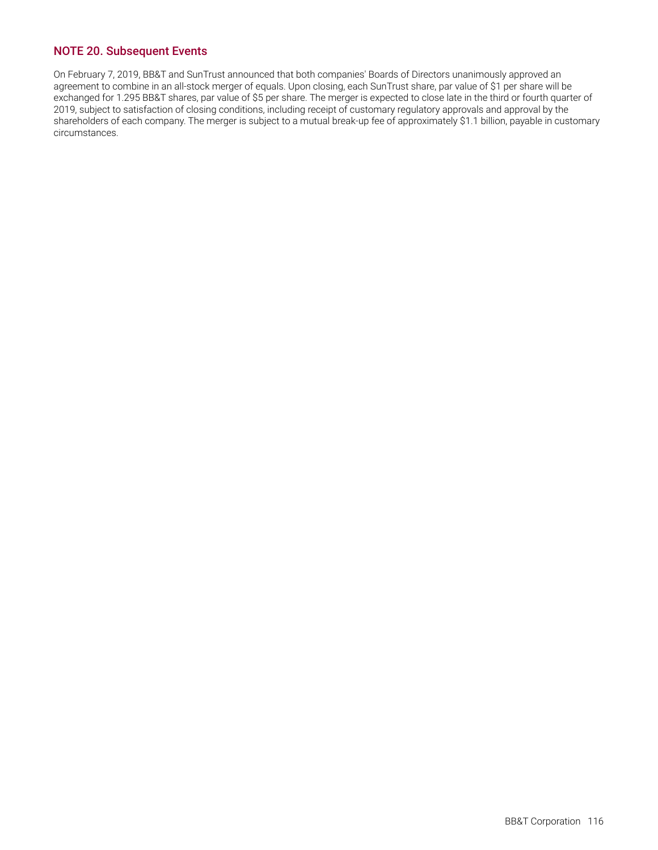# **NOTE 20. Subsequent Events**

On February 7, 2019, BB&T and SunTrust announced that both companies' Boards of Directors unanimously approved an agreement to combine in an all-stock merger of equals. Upon closing, each SunTrust share, par value of \$1 per share will be exchanged for 1.295 BB&T shares, par value of \$5 per share. The merger is expected to close late in the third or fourth quarter of 2019, subject to satisfaction of closing conditions, including receipt of customary regulatory approvals and approval by the shareholders of each company. The merger is subject to a mutual break-up fee of approximately \$1.1 billion, payable in customary circumstances.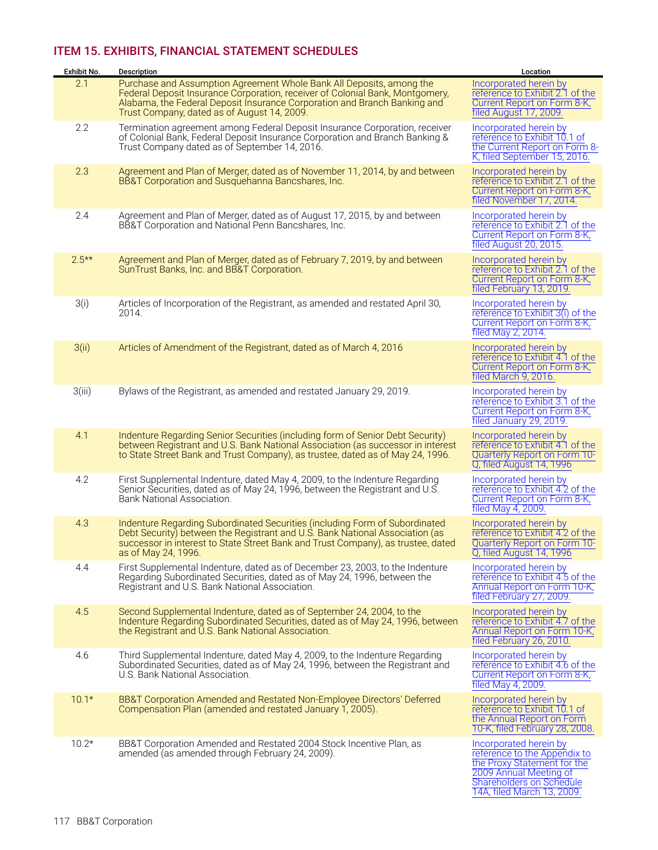# **ITEM 15. EXHIBITS, FINANCIAL STATEMENT SCHEDULES**

| Exhibit No. | <b>Description</b>                                                                                                                                                                                                                                                                | Location                                                                                                                                    |
|-------------|-----------------------------------------------------------------------------------------------------------------------------------------------------------------------------------------------------------------------------------------------------------------------------------|---------------------------------------------------------------------------------------------------------------------------------------------|
| 2.1         | Purchase and Assumption Agreement Whole Bank All Deposits, among the<br>Federal Deposit Insurance Corporation, receiver of Colonial Bank, Montgomery,<br>Alabama, the Federal Deposit Insurance Corporation and Branch Banking and<br>Trust Company, dated as of August 14, 2009. | Incorporated herein by<br>reference to Exhibit 2.1 of the<br>Current Report on Form 8-K,<br>filed August 17, 2009.                          |
| 2.2         | Termination agreement among Federal Deposit Insurance Corporation, receiver<br>of Colonial Bank, Federal Deposit Insurance Corporation and Branch Banking &<br>Trust Company dated as of September 14, 2016.                                                                      | Incorporated herein by<br>reference to Exhibit 10.1 of<br>the Current Report on Form 8-<br>K, filed September 15, 2016.                     |
| 2.3         | Agreement and Plan of Merger, dated as of November 11, 2014, by and between<br>BB&T Corporation and Susquehanna Bancshares, Inc.                                                                                                                                                  | Incorporated herein by<br>reference to Exhibit 2.1 of the<br>Current Report on Form 8-K,<br>filed November 17, 2014.                        |
| 2.4         | Agreement and Plan of Merger, dated as of August 17, 2015, by and between<br>BB&T Corporation and National Penn Bancshares, Inc.                                                                                                                                                  | Incorporated herein by<br>reference to Exhibit 2.1 of the<br>Current Report on Form 8-K,<br>filed August 20, 2015.                          |
| $2.5***$    | Agreement and Plan of Merger, dated as of February 7, 2019, by and between<br>SunTrust Banks, Inc. and BB&T Corporation.                                                                                                                                                          | Incorporated herein by<br>reference to Exhibit 2.1 of the<br>Current Report on Form 8-K,<br>filed February 13, 2019.                        |
| 3(i)        | Articles of Incorporation of the Registrant, as amended and restated April 30,<br>2014.                                                                                                                                                                                           | Incorporated herein by<br>reference to Exhibit 3(i) of the<br>Current Report on Form 8-K,<br>filed May 2, 2014.                             |
| 3(ii)       | Articles of Amendment of the Registrant, dated as of March 4, 2016                                                                                                                                                                                                                | Incorporated herein by<br>reference to Exhibit 4.1 of the<br>Current Report on Form 8-K,<br>filed March 9, 2016.                            |
| 3(iii)      | Bylaws of the Registrant, as amended and restated January 29, 2019.                                                                                                                                                                                                               | Incorporated herein by<br>reference to Exhibit 3.1 of the<br>Current Report on Form 8-K,<br>filed January 29, 2019.                         |
| 4.1         | Indenture Regarding Senior Securities (including form of Senior Debt Security)<br>between Registrant and U.S. Bank National Association (as successor in interest<br>to State Street Bank and Trust Company), as trustee, dated as of May 24, 1996.                               | Incorporated herein by<br>reference to Exhibit 4.1 of the<br>Quarterly Report on Form 10-<br>Q, filed August 14, 1996                       |
| 4.2         | First Supplemental Indenture, dated May 4, 2009, to the Indenture Regarding<br>Senior Securities, dated as of May 24, 1996, between the Registrant and U.S.<br>Bank National Association.                                                                                         | Incorporated herein by<br>reference to Exhibit 4.2 of the<br>Current Report on Form 8-K,<br>filed May 4, 2009.                              |
| 4.3         | Indenture Regarding Subordinated Securities (including Form of Subordinated<br>Debt Security) between the Registrant and U.S. Bank National Association (as<br>successor in interest to State Street Bank and Trust Company), as trustee, dated<br>as of May 24, 1996.            | Incorporated herein by<br>reference to Exhibit 4.2 of the<br>Quarterly Report on Form 10-<br>Q, filed August 14, 1996                       |
| 4.4         | First Supplemental Indenture, dated as of December 23, 2003, to the Indenture<br>Regarding Subordinated Securities, dated as of May 24, 1996, between the<br>Registrant and U.S. Bank National Association.                                                                       | Incorporated herein by<br>reference to Exhibit 4.5 of the<br>Annual Report on Form 10-K,<br>filed February 27, 2009.                        |
| 4.5         | Second Supplemental Indenture, dated as of September 24, 2004, to the<br>Indenture Regarding Subordinated Securities, dated as of May 24, 1996, between<br>the Registrant and U.S. Bank National Association.                                                                     | Incorporated herein by<br>reference to Exhibit 4.7 of the<br>Annual Report on Form 10-K,<br>filed February 26, 2010.                        |
| 4.6         | Third Supplemental Indenture, dated May 4, 2009, to the Indenture Regarding<br>Subordinated Securities, dated as of May 24, 1996, between the Registrant and<br>U.S. Bank National Association.                                                                                   | Incorporated herein by<br>reference to Exhibit 4.6 of the<br>Current Report on Form 8-K,<br>filed May 4, 2009.                              |
| $10.1*$     | BB&T Corporation Amended and Restated Non-Employee Directors' Deferred<br>Compensation Plan (amended and restated January 1, 2005).                                                                                                                                               | Incorporated herein by<br>reference to Exhibit 10.1 of<br>the Annual Report on Form<br>T0-K, filed February 28, 2008.                       |
| $10.2*$     | BB&T Corporation Amended and Restated 2004 Stock Incentive Plan, as<br>amended (as amended through February 24, 2009).                                                                                                                                                            | Incorporated herein by<br>reference to the Appendix to<br>the Proxy Statement for the<br>2009 Annual Meeting of<br>Shareholders on Schedule |

[14A, filed March 13, 2009.](http://www.sec.gov/Archives/edgar/data/92230/000119312509053547/ddef14a.htm)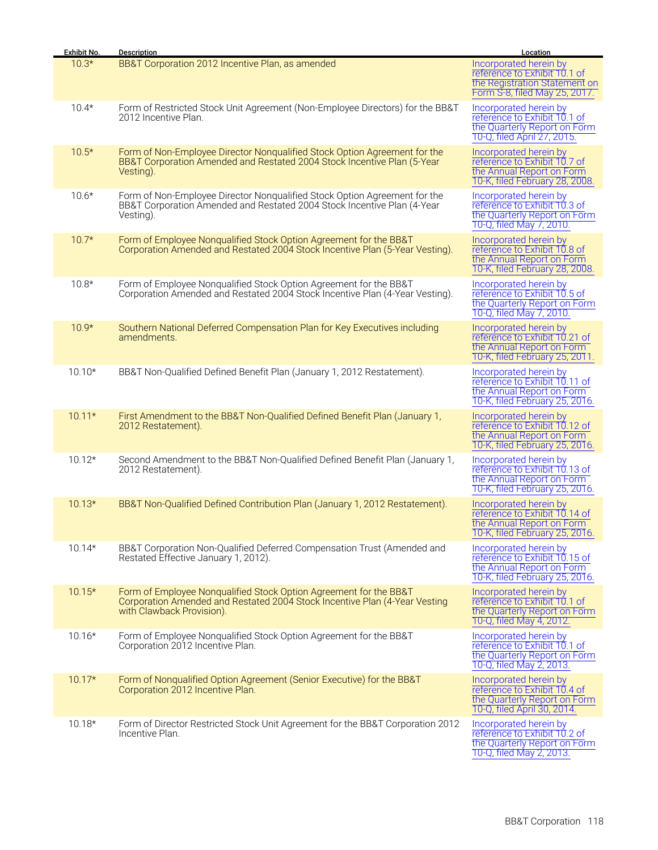| Exhibit No. | <b>Description</b>                                                                                                                                                           | Location                                                                                                                 |
|-------------|------------------------------------------------------------------------------------------------------------------------------------------------------------------------------|--------------------------------------------------------------------------------------------------------------------------|
| $10.3*$     | BB&T Corporation 2012 Incentive Plan, as amended                                                                                                                             | Incorporated herein by<br>reference to Exhibit 10.1 of<br>the Registration Statement on<br>Form S-8, filed May 25, 2017. |
| $10.4*$     | Form of Restricted Stock Unit Agreement (Non-Employee Directors) for the BB&T<br>2012 Incentive Plan.                                                                        | Incorporated herein by<br>reference to Exhibit 10.1 of<br>the Quarterly Report on Form<br>10-Q, filed April 27, 2015.    |
| $10.5*$     | Form of Non-Employee Director Nonqualified Stock Option Agreement for the<br>BB&T Corporation Amended and Restated 2004 Stock Incentive Plan (5-Year<br>Vesting).            | Incorporated herein by<br>reference to Exhibit 10.7 of<br>the Annual Report on Form<br>TO-K, filed February 28, 2008.    |
| $10.6*$     | Form of Non-Employee Director Nonqualified Stock Option Agreement for the<br>BB&T Corporation Amended and Restated 2004 Stock Incentive Plan (4-Year<br>Vesting).            | Incorporated herein by<br>reference to Exhibit 10.3 of<br>the Quarterly Report on Form<br>10-Q, filed May 7, 2010.       |
| $10.7*$     | Form of Employee Nonqualified Stock Option Agreement for the BB&T<br>Corporation Amended and Restated 2004 Stock Incentive Plan (5-Year Vesting).                            | Incorporated herein by<br>reference to Exhibit 10.8 of<br>the Annual Report on Form<br>TO-K, filed February 28, 2008.    |
| $10.8*$     | Form of Employee Nonqualified Stock Option Agreement for the BB&T<br>Corporation Amended and Restated 2004 Stock Incentive Plan (4-Year Vesting).                            | Incorporated herein by<br>reference to Exhibit 10.5 of<br>the Quarterly Report on Form<br>10-Q, filed May 7, 2010.       |
| $10.9*$     | Southern National Deferred Compensation Plan for Key Executives including<br>amendments.                                                                                     | Incorporated herein by<br>reference to Exhibit 10.21 of<br>the Annual Report on Form<br>TO-K, filed February 25, 2011.   |
| $10.10*$    | BB&T Non-Qualified Defined Benefit Plan (January 1, 2012 Restatement).                                                                                                       | Incorporated herein by<br>reference to Exhibit 10.11 of<br>the Annual Report on Form<br>TO-K, filed February 25, 2016.   |
| $10.11*$    | First Amendment to the BB&T Non-Qualified Defined Benefit Plan (January 1,<br>2012 Restatement).                                                                             | Incorporated herein by<br>reference to Exhibit 10.12 of<br>the Annual Report on Form<br>10-K, filed February 25, 2016.   |
| $10.12*$    | Second Amendment to the BB&T Non-Qualified Defined Benefit Plan (January 1,<br>2012 Restatement).                                                                            | Incorporated herein by<br>reference to Exhibit 10.13 of<br>the Annual Report on Form<br>10-K, filed February 25, 2016.   |
| $10.13*$    | BB&T Non-Qualified Defined Contribution Plan (January 1, 2012 Restatement).                                                                                                  | Incorporated herein by<br>reference to Exhibit 10.14 of<br>the Annual Report on Form<br>10-K, filed February 25, 2016.   |
| $10.14*$    | BB&T Corporation Non-Qualified Deferred Compensation Trust (Amended and<br>Restated Effective January 1, 2012).                                                              | Incorporated herein by<br>reference to Exhibit 10.15 of<br>the Annual Report on Form<br>10-K, filed February 25, 2016.   |
| $10.15*$    | Form of Employee Nonqualified Stock Option Agreement for the BB&T<br>Corporation Amended and Restated 2004 Stock Incentive Plan (4-Year Vesting<br>with Clawback Provision). | Incorporated herein by<br>reference to Exhibit 10.1 of<br>the Quarterly Report on Form<br>10-Q, filed May 4, 2012.       |
| $10.16*$    | Form of Employee Nongualified Stock Option Agreement for the BB&T<br>Corporation 2012 Incentive Plan.                                                                        | Incorporated herein by<br>reference to Exhibit 10.1 of<br>the Quarterly Report on Form<br>10-Q, filed May 2, 2013.       |
| $10.17*$    | Form of Nonqualified Option Agreement (Senior Executive) for the BB&T<br>Corporation 2012 Incentive Plan.                                                                    | Incorporated herein by<br>reference to Exhibit 10.4 of<br>the Quarterly Report on Form<br>10-Q, filed April 30, 2014.    |
| $10.18*$    | Form of Director Restricted Stock Unit Agreement for the BB&T Corporation 2012<br>Incentive Plan.                                                                            | Incorporated herein by<br>reference to Exhibit 10.2 of<br>the Quarterly Report on Form<br>10-Q, filed May 2, 2013.       |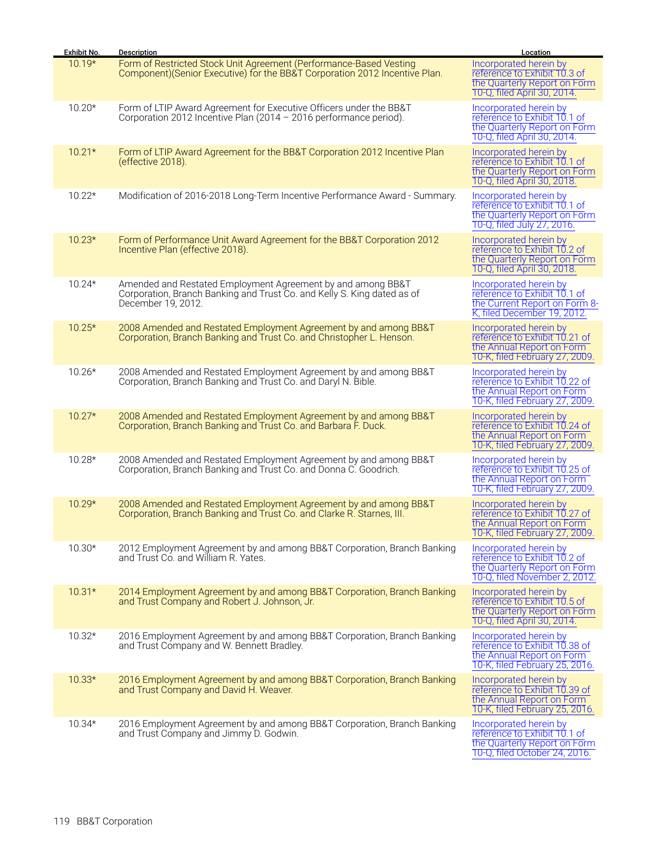| Exhibit No. | <b>Description</b>                                                                                                                                           | Location                                                                                                                |
|-------------|--------------------------------------------------------------------------------------------------------------------------------------------------------------|-------------------------------------------------------------------------------------------------------------------------|
| $10.19*$    | Form of Restricted Stock Unit Agreement (Performance-Based Vesting<br>Component) (Senior Executive) for the BB&T Corporation 2012 Incentive Plan.            | Incorporated herein by<br>reference to Exhibit 10.3 of<br>the Quarterly Report on Form<br>10-Q, filed April 30, 2014.   |
| $10.20*$    | Form of LTIP Award Agreement for Executive Officers under the BB&T<br>Corporation 2012 Incentive Plan (2014 - 2016 performance period).                      | Incorporated herein by<br>reference to Exhibit 10.1 of<br>the Quarterly Report on Form<br>10-Q, filed April 30, 2014.   |
| $10.21*$    | Form of LTIP Award Agreement for the BB&T Corporation 2012 Incentive Plan<br>(effective 2018).                                                               | Incorporated herein by<br>reference to Exhibit 10.1 of<br>the Quarterly Report on Form<br>10-Q, filed April 30, 2018.   |
| $10.22*$    | Modification of 2016-2018 Long-Term Incentive Performance Award - Summary.                                                                                   | Incorporated herein by<br>reference to Exhibit 10.1 of<br>the Quarterly Report on Form<br>10-Q, filed July 27, 2016.    |
| $10.23*$    | Form of Performance Unit Award Agreement for the BB&T Corporation 2012<br>Incentive Plan (effective 2018).                                                   | Incorporated herein by<br>reference to Exhibit 10.2 of<br>the Quarterly Report on Form<br>10-Q, filed April 30, 2018.   |
| $10.24*$    | Amended and Restated Employment Agreement by and among BB&T<br>Corporation, Branch Banking and Trust Co. and Kelly S. King dated as of<br>December 19, 2012. | Incorporated herein by<br>reference to Exhibit 10.1 of<br>the Current Report on Form 8-<br>K, filed December 19, 2012.  |
| $10.25*$    | 2008 Amended and Restated Employment Agreement by and among BB&T<br>Corporation, Branch Banking and Trust Co. and Christopher L. Henson.                     | Incorporated herein by<br>reference to Exhibit 10.21 of<br>the Annual Report on Form<br>10-K, filed February 27, 2009.  |
| $10.26*$    | 2008 Amended and Restated Employment Agreement by and among BB&T<br>Corporation, Branch Banking and Trust Co. and Daryl N. Bible.                            | Incorporated herein by<br>reference to Exhibit 10.22 of<br>the Annual Report on Form<br>10-K, filed February 27, 2009.  |
| $10.27*$    | 2008 Amended and Restated Employment Agreement by and among BB&T<br>Corporation, Branch Banking and Trust Co. and Barbara F. Duck.                           | Incorporated herein by<br>reference to Exhibit 10.24 of<br>the Annual Report on Form<br>10-K, filed February 27, 2009.  |
| 10.28*      | 2008 Amended and Restated Employment Agreement by and among BB&T<br>Corporation, Branch Banking and Trust Co. and Donna C. Goodrich.                         | Incorporated herein by<br>reference to Exhibit 10.25 of<br>the Annual Report on Form<br>10-K, filed February 27, 2009.  |
| $10.29*$    | 2008 Amended and Restated Employment Agreement by and among BB&T<br>Corporation, Branch Banking and Trust Co. and Clarke R. Starnes, III.                    | Incorporated herein by<br>reference to Exhibit 10.27 of<br>the Annual Report on Form<br>10-K, filed February 27, 2009.  |
| $10.30*$    | 2012 Employment Agreement by and among BB&T Corporation, Branch Banking<br>and Trust Co. and William R. Yates.                                               | Incorporated herein by<br>reference to Exhibit 10.2 of<br>the Quarterly Report on Form<br>10-Q, filed November 2, 2012. |
| $10.31*$    | 2014 Employment Agreement by and among BB&T Corporation, Branch Banking<br>and Trust Company and Robert J. Johnson, Jr.                                      | Incorporated herein by<br>reference to Exhibit 10.5 of<br>the Quarterly Report on Form<br>10-Q, filed April 30, 2014.   |
| $10.32*$    | 2016 Employment Agreement by and among BB&T Corporation, Branch Banking<br>and Trust Company and W. Bennett Bradley.                                         | Incorporated herein by<br>reference to Exhibit 10.38 of<br>the Annual Report on Form<br>10-K, filed February 25, 2016.  |
| $10.33*$    | 2016 Employment Agreement by and among BB&T Corporation, Branch Banking<br>and Trust Company and David H. Weaver.                                            | Incorporated herein by<br>reference to Exhibit 10.39 of<br>the Annual Report on Form<br>TO-K, filed February 25, 2016.  |
| $10.34*$    | 2016 Employment Agreement by and among BB&T Corporation, Branch Banking<br>and Trust Company and Jimmy D. Godwin.                                            | Incorporated herein by<br>reference to Exhibit 10.1 of<br>the Quarterly Report on Form<br>10-Q, filed October 24, 2016. |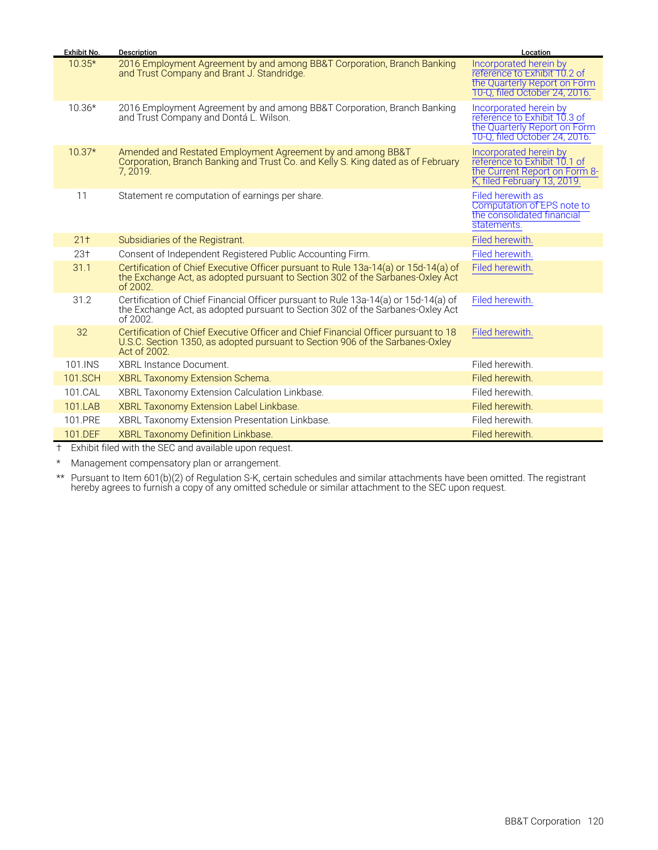| Exhibit No.     | Description                                                                                                                                                                          | Location                                                                                                                |
|-----------------|--------------------------------------------------------------------------------------------------------------------------------------------------------------------------------------|-------------------------------------------------------------------------------------------------------------------------|
| $10.35*$        | 2016 Employment Agreement by and among BB&T Corporation, Branch Banking<br>and Trust Company and Brant J. Standridge.                                                                | Incorporated herein by<br>reference to Exhibit 10.2 of<br>the Quarterly Report on Form<br>10-Q, filed October 24, 2016. |
| $10.36*$        | 2016 Employment Agreement by and among BB&T Corporation, Branch Banking<br>and Trust Company and Dontá L. Wilson.                                                                    | Incorporated herein by<br>reference to Exhibit 10.3 of<br>the Quarterly Report on Form<br>10-0. filed October 24, 2016. |
| $10.37*$        | Amended and Restated Employment Agreement by and among BB&T<br>Corporation, Branch Banking and Trust Co. and Kelly S. King dated as of February<br>7, 2019.                          | Incorporated herein by<br>reference to Exhibit 10.1 of<br>the Current Report on Form 8-<br>K, filed February 13, 2019.  |
| 11              | Statement re computation of earnings per share.                                                                                                                                      | Filed herewith as<br>Computation of EPS note to<br>the consolidated financial<br>statements.                            |
| 21 <sup>†</sup> | Subsidiaries of the Registrant.                                                                                                                                                      | Filed herewith.                                                                                                         |
| $23+$           | Consent of Independent Registered Public Accounting Firm.                                                                                                                            | Filed herewith.                                                                                                         |
| 31.1            | Certification of Chief Executive Officer pursuant to Rule 13a-14(a) or 15d-14(a) of<br>the Exchange Act, as adopted pursuant to Section 302 of the Sarbanes-Oxley Act<br>of 2002.    | Filed herewith.                                                                                                         |
| 31.2            | Certification of Chief Financial Officer pursuant to Rule 13a-14(a) or 15d-14(a) of<br>the Exchange Act, as adopted pursuant to Section 302 of the Sarbanes-Oxley Act<br>of 2002.    | Filed herewith.                                                                                                         |
| 32              | Certification of Chief Executive Officer and Chief Financial Officer pursuant to 18<br>U.S.C. Section 1350, as adopted pursuant to Section 906 of the Sarbanes-Oxley<br>Act of 2002. | Filed herewith.                                                                                                         |
| 101.INS         | <b>XBRL Instance Document.</b>                                                                                                                                                       | Filed herewith.                                                                                                         |
| 101.SCH         | XBRL Taxonomy Extension Schema.                                                                                                                                                      | Filed herewith.                                                                                                         |
| 101.CAL         | XBRL Taxonomy Extension Calculation Linkbase.                                                                                                                                        | Filed herewith.                                                                                                         |
| 101.LAB         | XBRL Taxonomy Extension Label Linkbase.                                                                                                                                              | Filed herewith.                                                                                                         |
| 101.PRE         | XBRL Taxonomy Extension Presentation Linkbase.                                                                                                                                       | Filed herewith.                                                                                                         |
| 101.DEF         | XBRL Taxonomy Definition Linkbase.                                                                                                                                                   | Filed herewith.                                                                                                         |

† Exhibit filed with the SEC and available upon request.

\* Management compensatory plan or arrangement.

\*\* Pursuant to Item 601(b)(2) of Regulation S-K, certain schedules and similar attachments have been omitted. The registrant hereby agrees to furnish a copy of any omitted schedule or similar attachment to the SEC upon request.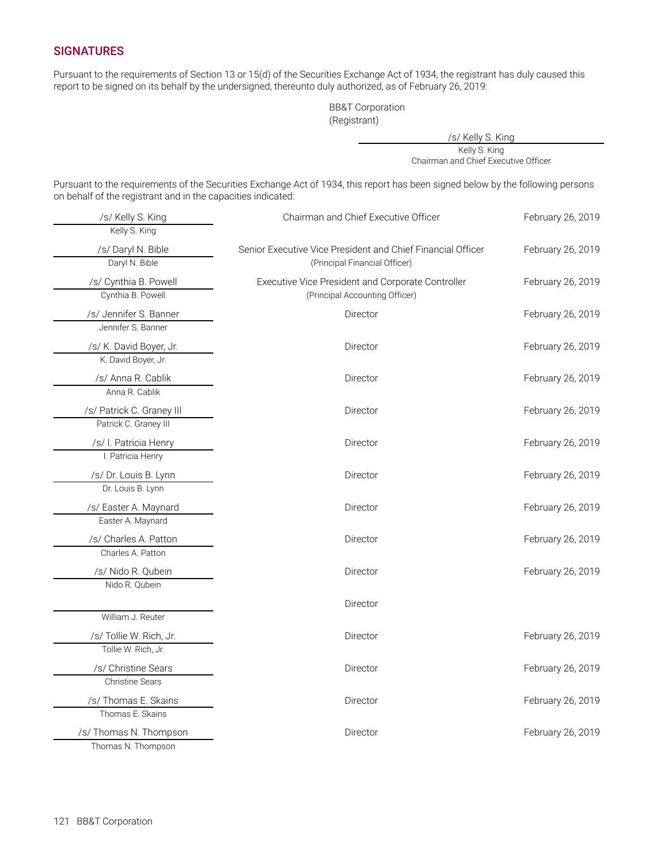# **SIGNATURES**

Pursuant to the requirements of Section 13 or 15(d) of the Securities Exchange Act of 1934, the registrant has duly caused this report to be signed on its behalf by the undersigned, thereunto duly authorized, as of February 26, 2019:

> BB&T Corporation (Registrant)

> > /s/ Kelly S. King

Kelly S. King Chairman and Chief Executive Officer

Pursuant to the requirements of the Securities Exchange Act of 1934, this report has been signed below by the following persons on behalf of the registrant and in the capacities indicated:

| /s/ Kelly S. King         | Chairman and Chief Executive Officer                        | February 26, 2019 |
|---------------------------|-------------------------------------------------------------|-------------------|
| Kelly S. King             |                                                             |                   |
| /s/ Daryl N. Bible        | Senior Executive Vice President and Chief Financial Officer | February 26, 2019 |
| Daryl N. Bible            | (Principal Financial Officer)                               |                   |
| /s/ Cynthia B. Powell     | Executive Vice President and Corporate Controller           | February 26, 2019 |
| Cynthia B. Powell         | (Principal Accounting Officer)                              |                   |
| /s/ Jennifer S. Banner    | Director                                                    | February 26, 2019 |
| Jennifer S. Banner        |                                                             |                   |
| /s/ K. David Boyer, Jr.   | Director                                                    | February 26, 2019 |
| K. David Boyer, Jr.       |                                                             |                   |
| /s/ Anna R. Cablik        | Director                                                    | February 26, 2019 |
| Anna R. Cablik            |                                                             |                   |
| /s/ Patrick C. Graney III | Director                                                    | February 26, 2019 |
| Patrick C. Graney III     |                                                             |                   |
| /s/ I. Patricia Henry     | Director                                                    | February 26, 2019 |
| I. Patricia Henry         |                                                             |                   |
| /s/ Dr. Louis B. Lynn     | Director                                                    | February 26, 2019 |
| Dr. Louis B. Lynn         |                                                             |                   |
| /s/ Easter A. Maynard     | Director                                                    | February 26, 2019 |
| Easter A. Maynard         |                                                             |                   |
| /s/ Charles A. Patton     | Director                                                    | February 26, 2019 |
| Charles A. Patton         |                                                             |                   |
| /s/ Nido R. Qubein        | Director                                                    | February 26, 2019 |
| Nido R. Qubein            |                                                             |                   |
|                           | Director                                                    |                   |
| William J. Reuter         |                                                             |                   |
| /s/ Tollie W. Rich, Jr.   | Director                                                    | February 26, 2019 |
| Tollie W. Rich, Jr.       |                                                             |                   |
| /s/ Christine Sears       | Director                                                    | February 26, 2019 |
| <b>Christine Sears</b>    |                                                             |                   |
| /s/ Thomas E. Skains      | Director                                                    | February 26, 2019 |
| Thomas E. Skains          |                                                             |                   |
| /s/ Thomas N. Thompson    | Director                                                    | February 26, 2019 |
| Thomas N. Thompson        |                                                             |                   |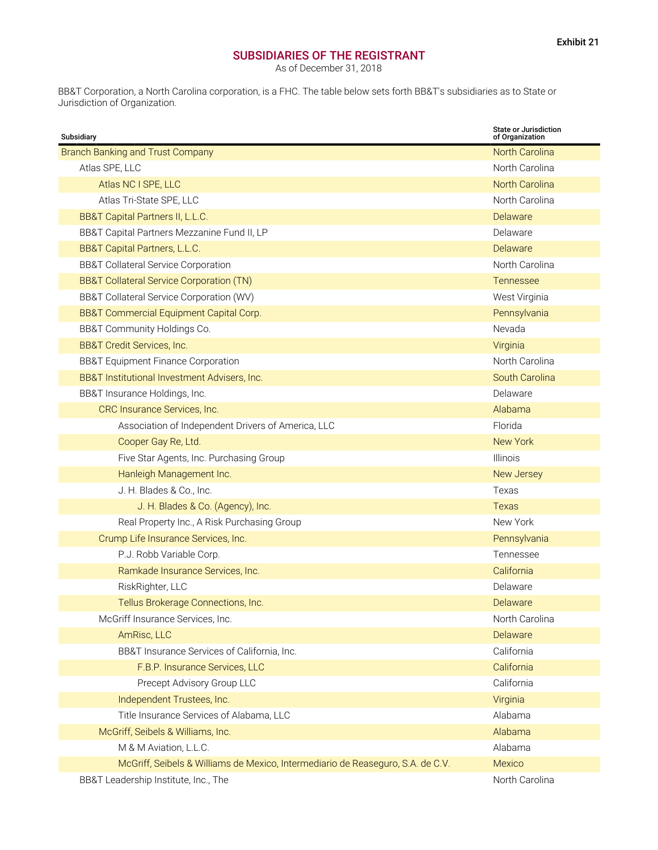## SUBSIDIARIES OF THE REGISTRANT

As of December 31, 2018

<span id="page-124-0"></span>BB&T Corporation, a North Carolina corporation, is a FHC. The table below sets forth BB&T's subsidiaries as to State or Jurisdiction of Organization.

| Subsidiary                                                                      | <b>State or Jurisdiction</b><br>of Organization |
|---------------------------------------------------------------------------------|-------------------------------------------------|
| <b>Branch Banking and Trust Company</b>                                         | North Carolina                                  |
| Atlas SPE, LLC                                                                  | North Carolina                                  |
| Atlas NC I SPE, LLC                                                             | <b>North Carolina</b>                           |
| Atlas Tri-State SPE, LLC                                                        | North Carolina                                  |
| BB&T Capital Partners II, L.L.C.                                                | Delaware                                        |
| BB&T Capital Partners Mezzanine Fund II, LP                                     | Delaware                                        |
| BB&T Capital Partners, L.L.C.                                                   | Delaware                                        |
| <b>BB&amp;T Collateral Service Corporation</b>                                  | North Carolina                                  |
| <b>BB&amp;T Collateral Service Corporation (TN)</b>                             | Tennessee                                       |
| BB&T Collateral Service Corporation (WV)                                        | West Virginia                                   |
| BB&T Commercial Equipment Capital Corp.                                         | Pennsylvania                                    |
| BB&T Community Holdings Co.                                                     | Nevada                                          |
| <b>BB&amp;T Credit Services, Inc.</b>                                           | Virginia                                        |
| <b>BB&amp;T Equipment Finance Corporation</b>                                   | North Carolina                                  |
| <b>BB&amp;T</b> Institutional Investment Advisers, Inc.                         | South Carolina                                  |
| BB&T Insurance Holdings, Inc.                                                   | Delaware                                        |
| CRC Insurance Services, Inc.                                                    | Alabama                                         |
| Association of Independent Drivers of America, LLC                              | Florida                                         |
| Cooper Gay Re, Ltd.                                                             | New York                                        |
| Five Star Agents, Inc. Purchasing Group                                         | Illinois                                        |
| Hanleigh Management Inc.                                                        | <b>New Jersey</b>                               |
| J. H. Blades & Co., Inc.                                                        | Texas                                           |
| J. H. Blades & Co. (Agency), Inc.                                               | <b>Texas</b>                                    |
| Real Property Inc., A Risk Purchasing Group                                     | New York                                        |
| Crump Life Insurance Services, Inc.                                             | Pennsylvania                                    |
| P.J. Robb Variable Corp.                                                        | Tennessee                                       |
| Ramkade Insurance Services, Inc.                                                | California                                      |
| RiskRighter, LLC                                                                | Delaware                                        |
| Tellus Brokerage Connections. Inc.                                              | Delaware                                        |
| McGriff Insurance Services, Inc.                                                | North Carolina                                  |
| AmRisc, LLC                                                                     | Delaware                                        |
| BB&T Insurance Services of California, Inc.                                     | California                                      |
| F.B.P. Insurance Services, LLC                                                  | California                                      |
| Precept Advisory Group LLC                                                      | California                                      |
| Independent Trustees, Inc.                                                      | Virginia                                        |
| Title Insurance Services of Alabama, LLC                                        | Alabama                                         |
| McGriff, Seibels & Williams, Inc.                                               | Alabama                                         |
| M & M Aviation, L.L.C.                                                          | Alabama                                         |
| McGriff, Seibels & Williams de Mexico, Intermediario de Reaseguro, S.A. de C.V. | Mexico                                          |
| BB&T Leadership Institute, Inc., The                                            | North Carolina                                  |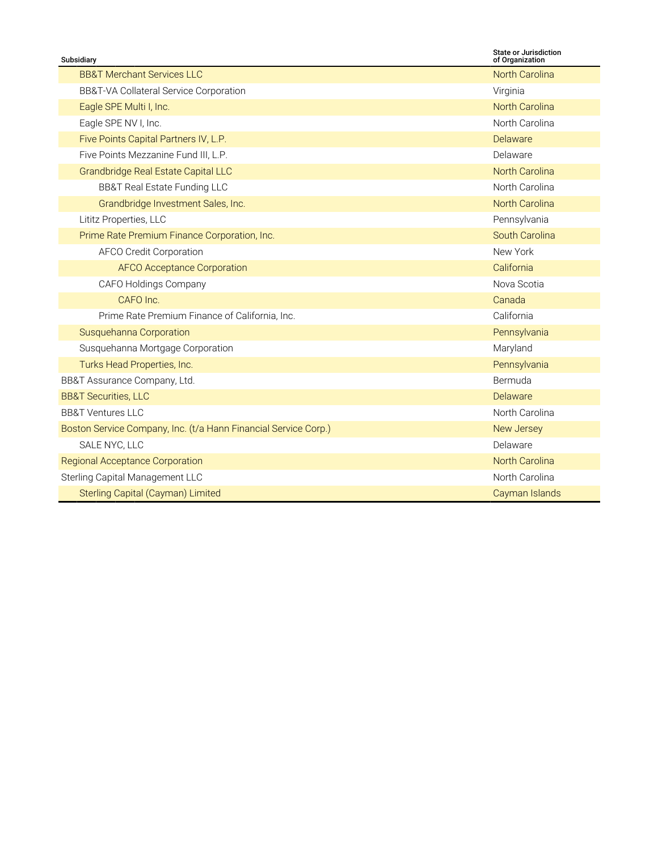| Subsidiary                                                      | <b>State or Jurisdiction</b><br>of Organization |
|-----------------------------------------------------------------|-------------------------------------------------|
| <b>BB&amp;T Merchant Services LLC</b>                           | North Carolina                                  |
| BB&T-VA Collateral Service Corporation                          | Virginia                                        |
| Eagle SPE Multi I, Inc.                                         | <b>North Carolina</b>                           |
| Eagle SPE NV I, Inc.                                            | North Carolina                                  |
| Five Points Capital Partners IV, L.P.                           | Delaware                                        |
| Five Points Mezzanine Fund III, L.P.                            | Delaware                                        |
| Grandbridge Real Estate Capital LLC                             | North Carolina                                  |
| <b>BB&amp;T Real Estate Funding LLC</b>                         | North Carolina                                  |
| Grandbridge Investment Sales, Inc.                              | <b>North Carolina</b>                           |
| Lititz Properties, LLC                                          | Pennsylvania                                    |
| Prime Rate Premium Finance Corporation, Inc.                    | South Carolina                                  |
| <b>AFCO Credit Corporation</b>                                  | New York                                        |
| <b>AFCO Acceptance Corporation</b>                              | California                                      |
| CAFO Holdings Company                                           | Nova Scotia                                     |
| CAFO Inc.                                                       | Canada                                          |
| Prime Rate Premium Finance of California, Inc.                  | California                                      |
| Susquehanna Corporation                                         | Pennsylvania                                    |
| Susquehanna Mortgage Corporation                                | Maryland                                        |
| Turks Head Properties, Inc.                                     | Pennsylvania                                    |
| BB&T Assurance Company, Ltd.                                    | Bermuda                                         |
| <b>BB&amp;T Securities, LLC</b>                                 | <b>Delaware</b>                                 |
| <b>BB&amp;T Ventures LLC</b>                                    | North Carolina                                  |
| Boston Service Company, Inc. (t/a Hann Financial Service Corp.) | New Jersey                                      |
| SALE NYC, LLC                                                   | Delaware                                        |
| <b>Regional Acceptance Corporation</b>                          | <b>North Carolina</b>                           |
| Sterling Capital Management LLC                                 | North Carolina                                  |
| Sterling Capital (Cayman) Limited                               | Cayman Islands                                  |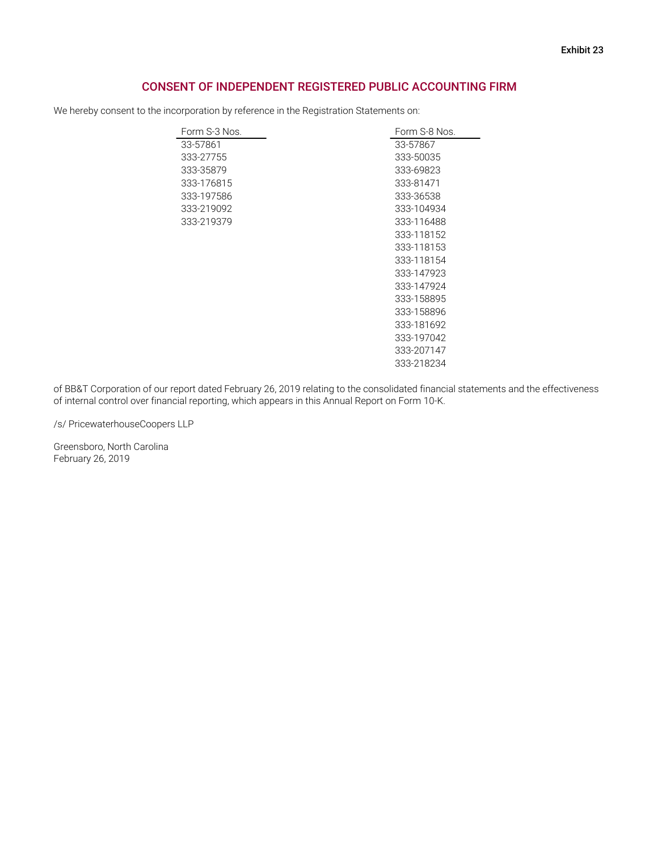## CONSENT OF INDEPENDENT REGISTERED PUBLIC ACCOUNTING FIRM

<span id="page-126-0"></span>We hereby consent to the incorporation by reference in the Registration Statements on:

| Form S-3 Nos. | Form S-8 Nos. |
|---------------|---------------|
| 33-57861      | 33-57867      |
| 333-27755     | 333-50035     |
| 333-35879     | 333-69823     |
| 333-176815    | 333-81471     |
| 333-197586    | 333-36538     |
| 333-219092    | 333-104934    |
| 333-219379    | 333-116488    |
|               | 333-118152    |
|               | 333-118153    |
|               | 333-118154    |
|               | 333-147923    |
|               | 333-147924    |
|               | 333-158895    |
|               | 333-158896    |
|               | 333-181692    |
|               | 333-197042    |
|               | 333-207147    |
|               | 333-218234    |

of BB&T Corporation of our report dated February 26, 2019 relating to the consolidated financial statements and the effectiveness of internal control over financial reporting, which appears in this Annual Report on Form 10-K.

/s/ PricewaterhouseCoopers LLP

Greensboro, North Carolina February 26, 2019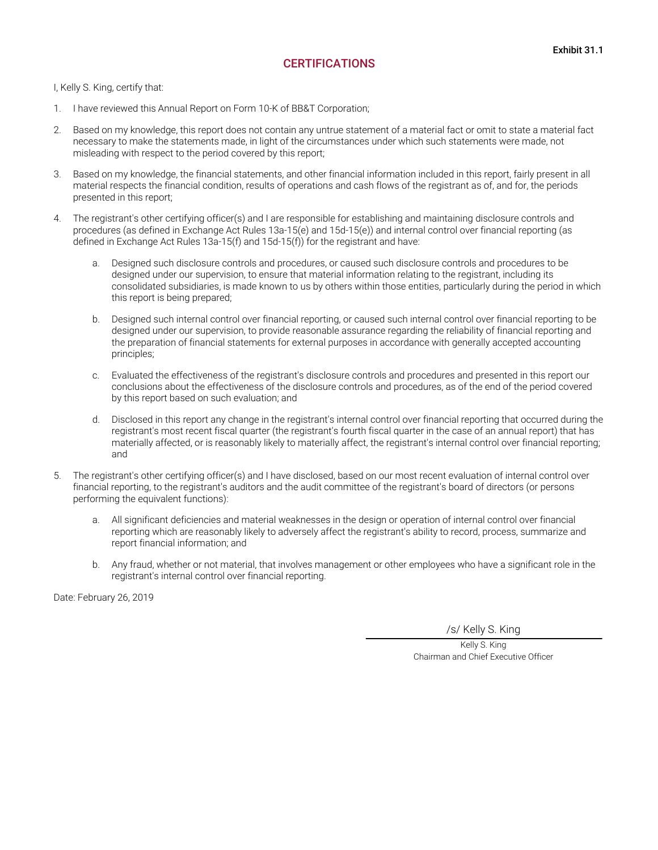# **CERTIFICATIONS**

<span id="page-127-0"></span>I, Kelly S. King, certify that:

- 1. I have reviewed this Annual Report on Form 10-K of BB&T Corporation;
- 2. Based on my knowledge, this report does not contain any untrue statement of a material fact or omit to state a material fact necessary to make the statements made, in light of the circumstances under which such statements were made, not misleading with respect to the period covered by this report;
- 3. Based on my knowledge, the financial statements, and other financial information included in this report, fairly present in all material respects the financial condition, results of operations and cash flows of the registrant as of, and for, the periods presented in this report;
- 4. The registrant's other certifying officer(s) and I are responsible for establishing and maintaining disclosure controls and procedures (as defined in Exchange Act Rules 13a-15(e) and 15d-15(e)) and internal control over financial reporting (as defined in Exchange Act Rules 13a-15(f) and 15d-15(f)) for the registrant and have:
	- a. Designed such disclosure controls and procedures, or caused such disclosure controls and procedures to be designed under our supervision, to ensure that material information relating to the registrant, including its consolidated subsidiaries, is made known to us by others within those entities, particularly during the period in which this report is being prepared;
	- b. Designed such internal control over financial reporting, or caused such internal control over financial reporting to be designed under our supervision, to provide reasonable assurance regarding the reliability of financial reporting and the preparation of financial statements for external purposes in accordance with generally accepted accounting principles;
	- c. Evaluated the effectiveness of the registrant's disclosure controls and procedures and presented in this report our conclusions about the effectiveness of the disclosure controls and procedures, as of the end of the period covered by this report based on such evaluation; and
	- d. Disclosed in this report any change in the registrant's internal control over financial reporting that occurred during the registrant's most recent fiscal quarter (the registrant's fourth fiscal quarter in the case of an annual report) that has materially affected, or is reasonably likely to materially affect, the registrant's internal control over financial reporting; and
- 5. The registrant's other certifying officer(s) and I have disclosed, based on our most recent evaluation of internal control over financial reporting, to the registrant's auditors and the audit committee of the registrant's board of directors (or persons performing the equivalent functions):
	- a. All significant deficiencies and material weaknesses in the design or operation of internal control over financial reporting which are reasonably likely to adversely affect the registrant's ability to record, process, summarize and report financial information; and
	- b. Any fraud, whether or not material, that involves management or other employees who have a significant role in the registrant's internal control over financial reporting.

Date: February 26, 2019

/s/ Kelly S. King

Kelly S. King Chairman and Chief Executive Officer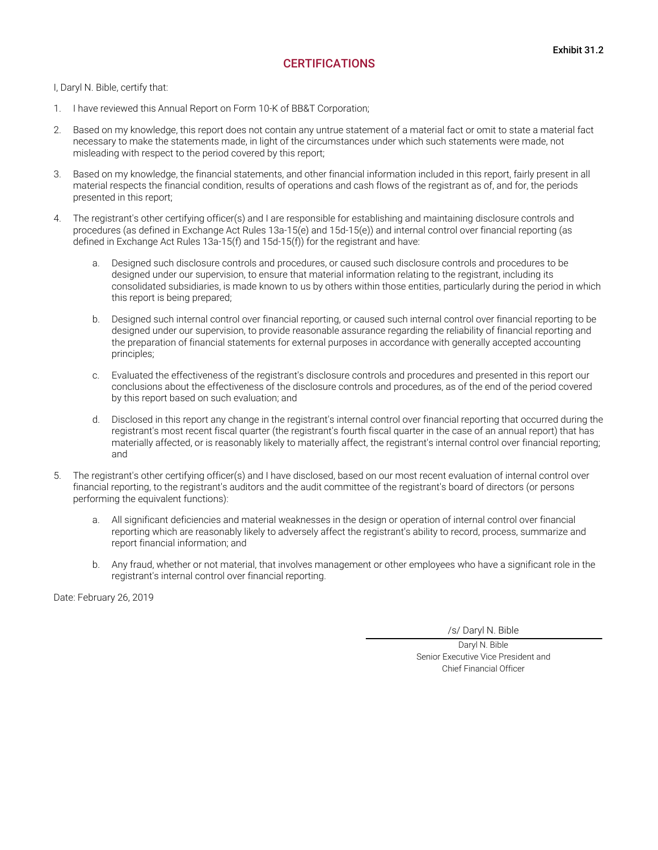# **CERTIFICATIONS**

<span id="page-128-0"></span>I, Daryl N. Bible, certify that:

- 1. I have reviewed this Annual Report on Form 10-K of BB&T Corporation;
- 2. Based on my knowledge, this report does not contain any untrue statement of a material fact or omit to state a material fact necessary to make the statements made, in light of the circumstances under which such statements were made, not misleading with respect to the period covered by this report;
- 3. Based on my knowledge, the financial statements, and other financial information included in this report, fairly present in all material respects the financial condition, results of operations and cash flows of the registrant as of, and for, the periods presented in this report;
- 4. The registrant's other certifying officer(s) and I are responsible for establishing and maintaining disclosure controls and procedures (as defined in Exchange Act Rules 13a-15(e) and 15d-15(e)) and internal control over financial reporting (as defined in Exchange Act Rules 13a-15(f) and 15d-15(f)) for the registrant and have:
	- a. Designed such disclosure controls and procedures, or caused such disclosure controls and procedures to be designed under our supervision, to ensure that material information relating to the registrant, including its consolidated subsidiaries, is made known to us by others within those entities, particularly during the period in which this report is being prepared;
	- b. Designed such internal control over financial reporting, or caused such internal control over financial reporting to be designed under our supervision, to provide reasonable assurance regarding the reliability of financial reporting and the preparation of financial statements for external purposes in accordance with generally accepted accounting principles;
	- c. Evaluated the effectiveness of the registrant's disclosure controls and procedures and presented in this report our conclusions about the effectiveness of the disclosure controls and procedures, as of the end of the period covered by this report based on such evaluation; and
	- d. Disclosed in this report any change in the registrant's internal control over financial reporting that occurred during the registrant's most recent fiscal quarter (the registrant's fourth fiscal quarter in the case of an annual report) that has materially affected, or is reasonably likely to materially affect, the registrant's internal control over financial reporting; and
- 5. The registrant's other certifying officer(s) and I have disclosed, based on our most recent evaluation of internal control over financial reporting, to the registrant's auditors and the audit committee of the registrant's board of directors (or persons performing the equivalent functions):
	- a. All significant deficiencies and material weaknesses in the design or operation of internal control over financial reporting which are reasonably likely to adversely affect the registrant's ability to record, process, summarize and report financial information; and
	- b. Any fraud, whether or not material, that involves management or other employees who have a significant role in the registrant's internal control over financial reporting.

Date: February 26, 2019

/s/ Daryl N. Bible

Daryl N. Bible Senior Executive Vice President and Chief Financial Officer